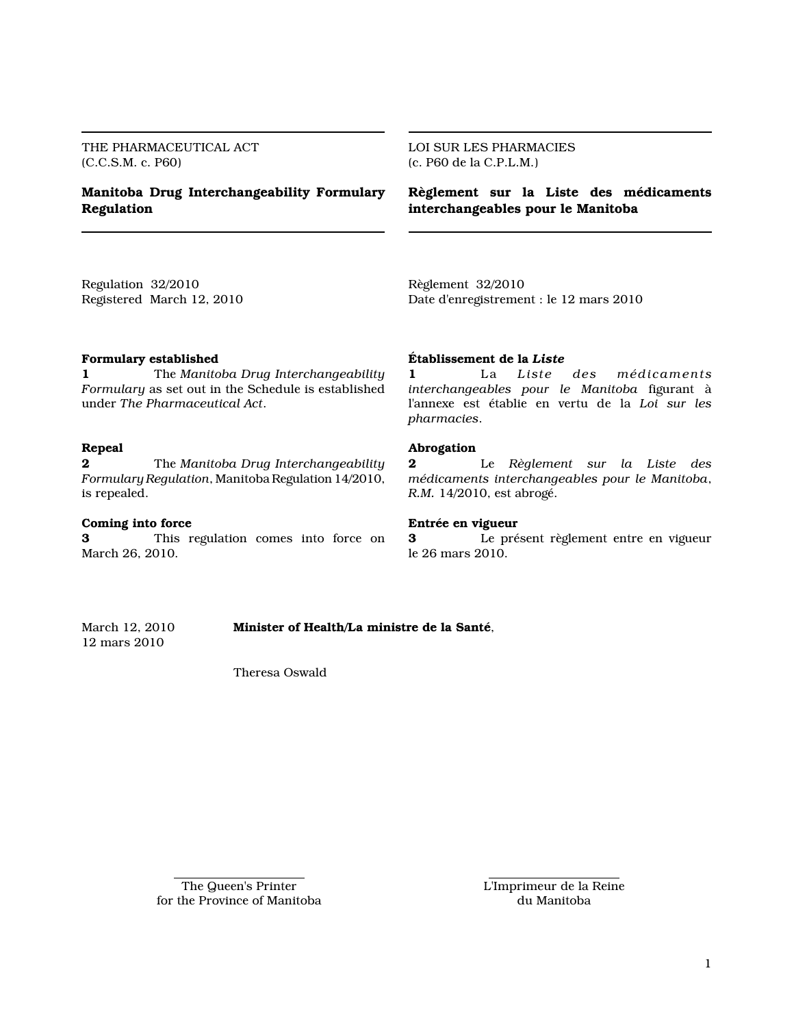THE PHARMACEUTICAL ACT (C.C.S.M. c. P60)

# Manitoba Drug Interchangeability Formulary Regulation

LOI SUR LES PHARMACIES (c. P60 de la C.P.L.M.)

Règlement sur la Liste des médicaments interchangeables pour le Manitoba

Regulation 32/2010 Registered March 12, 2010 Règlement 32/2010 Date d'enregistrement : le 12 mars 2010

### Formulary established

1 The Manitoba Drug Interchangeability Formulary as set out in the Schedule is established under The Pharmaceutical Act.

# Repeal

**2** The Manitoba Drug Interchangeability Formulary Regulation, Manitoba Regulation 14/2010, is repealed.

#### Coming into force

3 This regulation comes into force on March 26, 2010.

#### Établissement de la Liste

1 La Liste des médicaments interchangeables pour le Manitoba figurant à l'annexe est établie en vertu de la Loi sur les pharmacies.

# Abrogation

2 Le Règlement sur la Liste des médicaments interchangeables pour le Manitoba, R.M. 14/2010, est abrogé.

#### Entrée en vigueur

3 Le présent règlement entre en vigueur le 26 mars 2010.

March 12, 2010 Minister of Health/La ministre de la Santé, 12 mars 2010

Theresa Oswald

The Queen's Printer for the Province of Manitoba L'Imprimeur de la Reine du Manitoba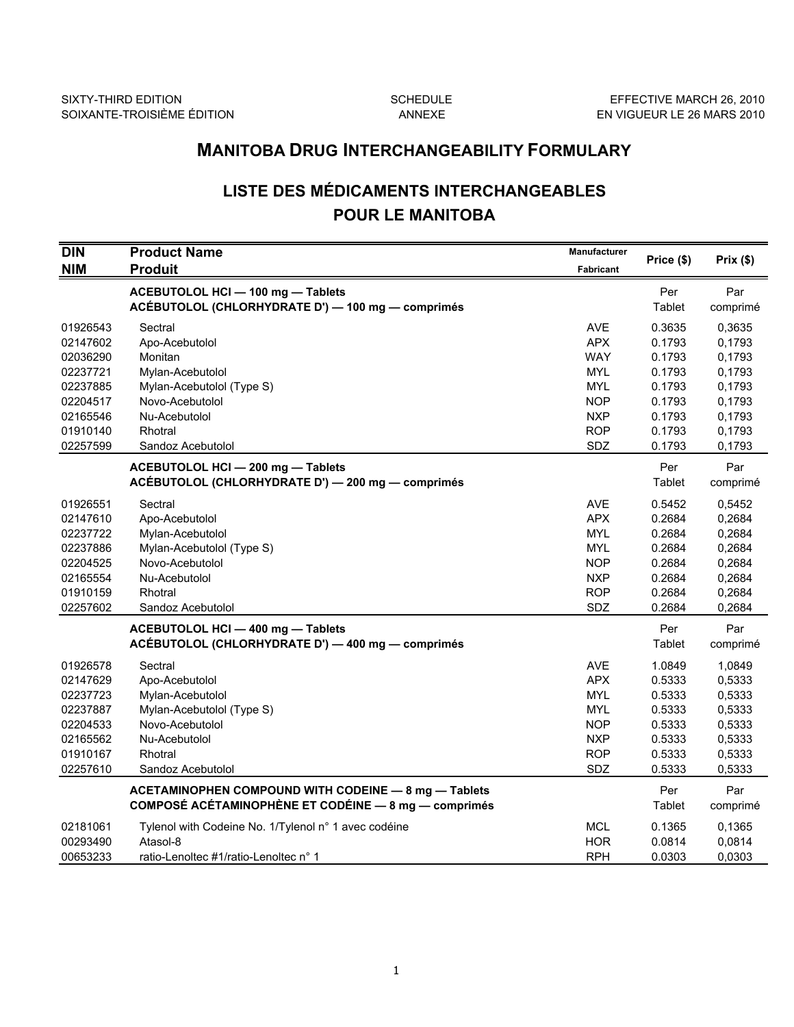# MANITOBA DRUG INTERCHANGEABILITY FORMULARY

# LISTE DES MÉDICAMENTS INTERCHANGEABLES POUR LE MANITOBA

| <b>DIN</b> | <b>Product Name</b>                                         | <b>Manufacturer</b> |            |          |
|------------|-------------------------------------------------------------|---------------------|------------|----------|
| <b>NIM</b> | <b>Produit</b>                                              | <b>Fabricant</b>    | Price (\$) | Prix(\$) |
|            | ACEBUTOLOL HCI - 100 mg - Tablets                           |                     | Per        | Par      |
|            | ACÉBUTOLOL (CHLORHYDRATE D') - 100 mg - comprimés           |                     | Tablet     | comprimé |
| 01926543   | Sectral                                                     | <b>AVE</b>          | 0.3635     | 0,3635   |
| 02147602   | Apo-Acebutolol                                              | <b>APX</b>          | 0.1793     | 0,1793   |
| 02036290   | Monitan                                                     | <b>WAY</b>          | 0.1793     | 0,1793   |
| 02237721   | Mylan-Acebutolol                                            | <b>MYL</b>          | 0.1793     | 0,1793   |
| 02237885   | Mylan-Acebutolol (Type S)                                   | <b>MYL</b>          | 0.1793     | 0,1793   |
| 02204517   | Novo-Acebutolol                                             | <b>NOP</b>          | 0.1793     | 0,1793   |
| 02165546   | Nu-Acebutolol                                               | <b>NXP</b>          | 0.1793     | 0,1793   |
| 01910140   | Rhotral                                                     | <b>ROP</b>          | 0.1793     | 0,1793   |
| 02257599   | Sandoz Acebutolol                                           | SDZ                 | 0.1793     | 0,1793   |
|            | ACEBUTOLOL HCI - 200 mg - Tablets                           |                     | Per        | Par      |
|            | ACÉBUTOLOL (CHLORHYDRATE D') - 200 mg - comprimés           |                     | Tablet     | comprimé |
| 01926551   | Sectral                                                     | <b>AVE</b>          | 0.5452     | 0,5452   |
| 02147610   | Apo-Acebutolol                                              | <b>APX</b>          | 0.2684     | 0,2684   |
| 02237722   | Mylan-Acebutolol                                            | <b>MYL</b>          | 0.2684     | 0,2684   |
| 02237886   | Mylan-Acebutolol (Type S)                                   | <b>MYL</b>          | 0.2684     | 0,2684   |
| 02204525   | Novo-Acebutolol                                             | <b>NOP</b>          | 0.2684     | 0,2684   |
| 02165554   | Nu-Acebutolol                                               | <b>NXP</b>          | 0.2684     | 0,2684   |
| 01910159   | Rhotral                                                     | <b>ROP</b>          | 0.2684     | 0,2684   |
| 02257602   | Sandoz Acebutolol                                           | SDZ                 | 0.2684     | 0,2684   |
|            | ACEBUTOLOL HCI - 400 mg - Tablets                           |                     | Per        | Par      |
|            | ACÉBUTOLOL (CHLORHYDRATE D') - 400 mg - comprimés           |                     | Tablet     | comprimé |
| 01926578   | Sectral                                                     | <b>AVE</b>          | 1.0849     | 1,0849   |
| 02147629   | Apo-Acebutolol                                              | <b>APX</b>          | 0.5333     | 0,5333   |
| 02237723   | Mylan-Acebutolol                                            | <b>MYL</b>          | 0.5333     | 0,5333   |
| 02237887   | Mylan-Acebutolol (Type S)                                   | <b>MYL</b>          | 0.5333     | 0,5333   |
| 02204533   | Novo-Acebutolol                                             | <b>NOP</b>          | 0.5333     | 0,5333   |
| 02165562   | Nu-Acebutolol                                               | <b>NXP</b>          | 0.5333     | 0,5333   |
| 01910167   | Rhotral                                                     | <b>ROP</b>          | 0.5333     | 0,5333   |
| 02257610   | Sandoz Acebutolol                                           | SDZ                 | 0.5333     | 0,5333   |
|            | ACETAMINOPHEN COMPOUND WITH CODEINE - 8 mg - Tablets        |                     | Per        | Par      |
|            | <b>COMPOSÉ ACÉTAMINOPHÈNE ET CODÉINE - 8 mg - comprimés</b> |                     | Tablet     | comprimé |
| 02181061   | Tylenol with Codeine No. 1/Tylenol n° 1 avec codéine        | <b>MCL</b>          | 0.1365     | 0,1365   |
| 00293490   | Atasol-8                                                    | <b>HOR</b>          | 0.0814     | 0,0814   |
| 00653233   | ratio-Lenoltec #1/ratio-Lenoltec n° 1                       | <b>RPH</b>          | 0.0303     | 0,0303   |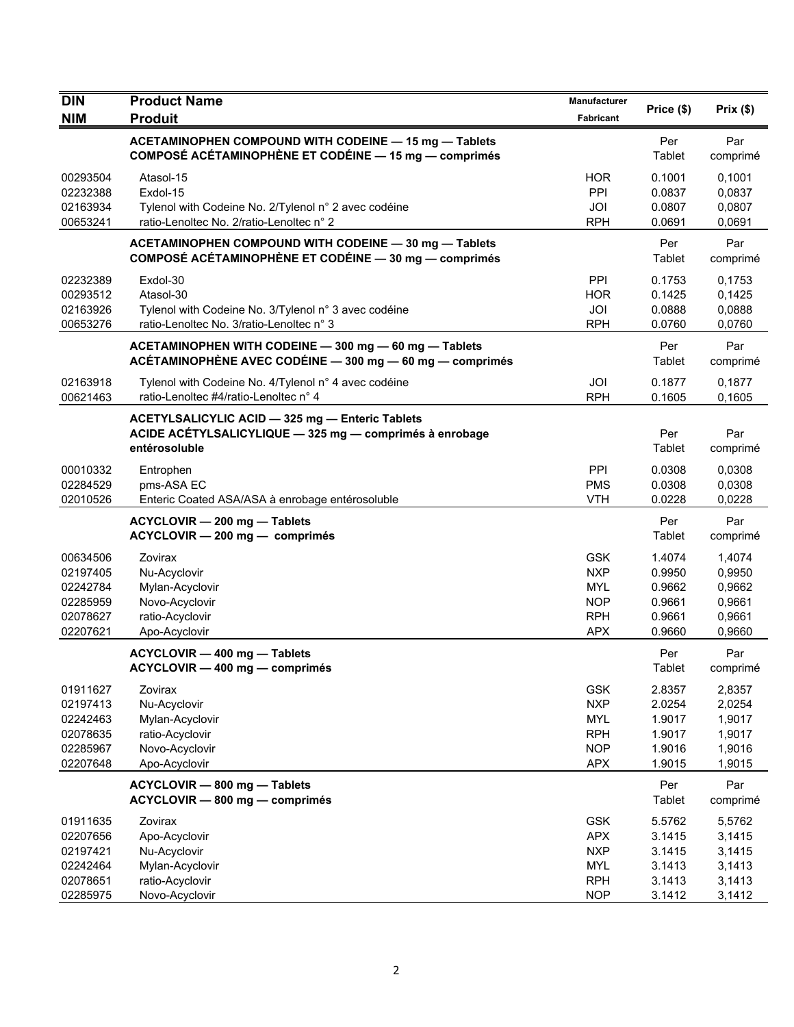| <b>DIN</b>                                                           | <b>Product Name</b>                                                                                                         | Manufacturer                                                                     |                                                          |                                                          |
|----------------------------------------------------------------------|-----------------------------------------------------------------------------------------------------------------------------|----------------------------------------------------------------------------------|----------------------------------------------------------|----------------------------------------------------------|
| <b>NIM</b>                                                           | <b>Produit</b>                                                                                                              | Fabricant                                                                        | Price (\$)                                               | Prix(\$)                                                 |
|                                                                      | ACETAMINOPHEN COMPOUND WITH CODEINE - 15 mg - Tablets<br>COMPOSÉ ACÉTAMINOPHÈNE ET CODÉINE - 15 mg - comprimés              |                                                                                  | Per<br>Tablet                                            | Par<br>comprimé                                          |
| 00293504<br>02232388<br>02163934<br>00653241                         | Atasol-15<br>Exdol-15<br>Tylenol with Codeine No. 2/Tylenol n° 2 avec codéine<br>ratio-Lenoltec No. 2/ratio-Lenoltec n° 2   | <b>HOR</b><br>PPI<br>JOI<br><b>RPH</b>                                           | 0.1001<br>0.0837<br>0.0807<br>0.0691                     | 0,1001<br>0,0837<br>0,0807<br>0,0691                     |
|                                                                      | ACETAMINOPHEN COMPOUND WITH CODEINE - 30 mg - Tablets<br>COMPOSÉ ACÉTAMINOPHÈNE ET CODÉINE - 30 mg - comprimés              |                                                                                  | Per<br>Tablet                                            | Par<br>comprimé                                          |
| 02232389<br>00293512<br>02163926<br>00653276                         | Exdol-30<br>Atasol-30<br>Tylenol with Codeine No. 3/Tylenol n° 3 avec codéine<br>ratio-Lenoltec No. 3/ratio-Lenoltec n° 3   | PPI<br><b>HOR</b><br>JOI<br><b>RPH</b>                                           | 0.1753<br>0.1425<br>0.0888<br>0.0760                     | 0,1753<br>0,1425<br>0,0888<br>0,0760                     |
|                                                                      | ACETAMINOPHEN WITH CODEINE - 300 mg - 60 mg - Tablets<br>ACÉTAMINOPHÈNE AVEC CODÉINE - 300 mg - 60 mg - comprimés           |                                                                                  | Per<br>Tablet                                            | Par<br>comprimé                                          |
| 02163918<br>00621463                                                 | Tylenol with Codeine No. 4/Tylenol n° 4 avec codéine<br>ratio-Lenoltec #4/ratio-Lenoltec n° 4                               | JOI<br><b>RPH</b>                                                                | 0.1877<br>0.1605                                         | 0,1877<br>0,1605                                         |
|                                                                      | ACETYLSALICYLIC ACID - 325 mg - Enteric Tablets<br>ACIDE ACÉTYLSALICYLIQUE - 325 mg - comprimés à enrobage<br>entérosoluble |                                                                                  | Per<br>Tablet                                            | Par<br>comprimé                                          |
| 00010332<br>02284529<br>02010526                                     | Entrophen<br>pms-ASA EC<br>Enteric Coated ASA/ASA à enrobage entérosoluble                                                  | PPI<br><b>PMS</b><br><b>VTH</b>                                                  | 0.0308<br>0.0308<br>0.0228                               | 0,0308<br>0,0308<br>0,0228                               |
|                                                                      | ACYCLOVIR - 200 mg - Tablets<br>ACYCLOVIR - 200 mg - comprimés                                                              |                                                                                  | Per<br>Tablet                                            | Par<br>comprimé                                          |
| 00634506<br>02197405<br>02242784<br>02285959<br>02078627<br>02207621 | Zovirax<br>Nu-Acyclovir<br>Mylan-Acyclovir<br>Novo-Acyclovir<br>ratio-Acyclovir<br>Apo-Acyclovir                            | <b>GSK</b><br><b>NXP</b><br><b>MYL</b><br><b>NOP</b><br><b>RPH</b><br><b>APX</b> | 1.4074<br>0.9950<br>0.9662<br>0.9661<br>0.9661<br>0.9660 | 1,4074<br>0,9950<br>0,9662<br>0,9661<br>0,9661<br>0,9660 |
|                                                                      | ACYCLOVIR - 400 mg - Tablets<br>ACYCLOVIR — 400 mg — comprimés                                                              |                                                                                  | Per<br>Tablet                                            | Par<br>comprimé                                          |
| 01911627<br>02197413<br>02242463<br>02078635<br>02285967<br>02207648 | Zovirax<br>Nu-Acyclovir<br>Mylan-Acyclovir<br>ratio-Acyclovir<br>Novo-Acyclovir<br>Apo-Acyclovir                            | <b>GSK</b><br><b>NXP</b><br><b>MYL</b><br><b>RPH</b><br><b>NOP</b><br><b>APX</b> | 2.8357<br>2.0254<br>1.9017<br>1.9017<br>1.9016<br>1.9015 | 2,8357<br>2,0254<br>1,9017<br>1,9017<br>1,9016<br>1,9015 |
|                                                                      | ACYCLOVIR - 800 mg - Tablets<br>ACYCLOVIR - 800 mg - comprimés                                                              |                                                                                  | Per<br>Tablet                                            | Par<br>comprimé                                          |
| 01911635<br>02207656<br>02197421<br>02242464<br>02078651<br>02285975 | Zovirax<br>Apo-Acyclovir<br>Nu-Acyclovir<br>Mylan-Acyclovir<br>ratio-Acyclovir<br>Novo-Acyclovir                            | <b>GSK</b><br><b>APX</b><br><b>NXP</b><br><b>MYL</b><br><b>RPH</b><br><b>NOP</b> | 5.5762<br>3.1415<br>3.1415<br>3.1413<br>3.1413<br>3.1412 | 5,5762<br>3,1415<br>3,1415<br>3,1413<br>3,1413<br>3,1412 |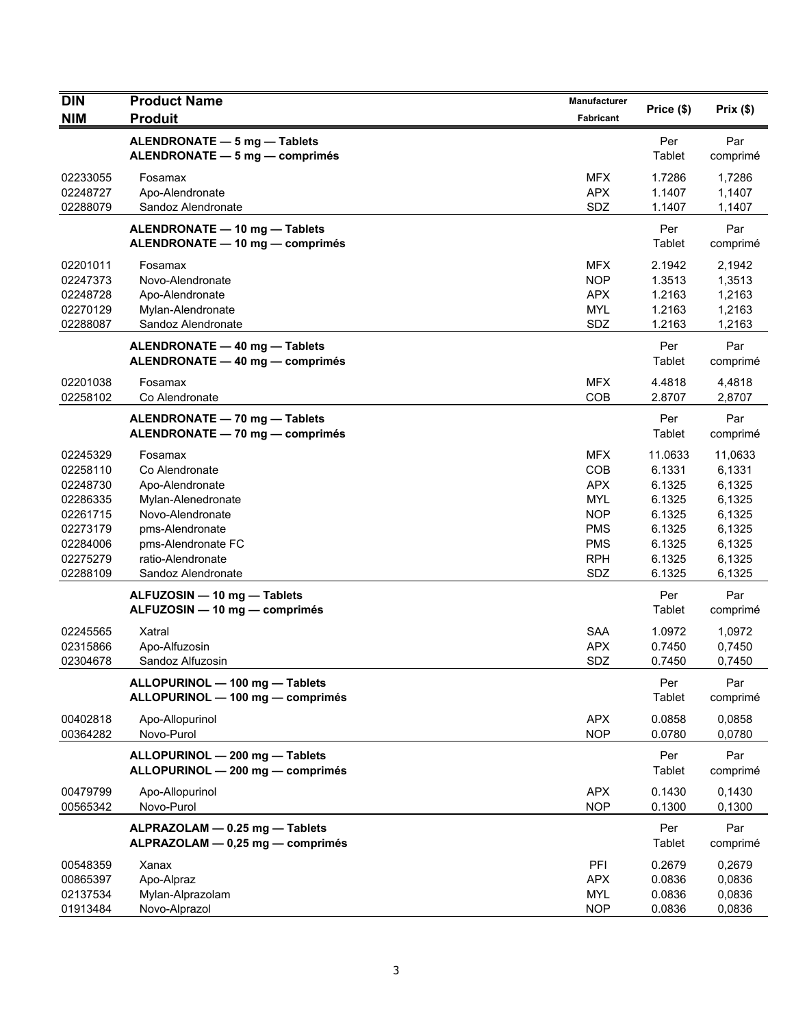| <b>DIN</b>                                                                                               | <b>Product Name</b>                                                                                                                                                        | Manufacturer                                                                                                 | Price (\$)                                                                              | Prix(\$)                                                                                |
|----------------------------------------------------------------------------------------------------------|----------------------------------------------------------------------------------------------------------------------------------------------------------------------------|--------------------------------------------------------------------------------------------------------------|-----------------------------------------------------------------------------------------|-----------------------------------------------------------------------------------------|
| <b>NIM</b>                                                                                               | <b>Produit</b>                                                                                                                                                             | Fabricant                                                                                                    |                                                                                         |                                                                                         |
|                                                                                                          | ALENDRONATE - 5 mg - Tablets<br>ALENDRONATE - 5 mg - comprimés                                                                                                             |                                                                                                              | Per<br>Tablet                                                                           | Par<br>comprimé                                                                         |
| 02233055<br>02248727<br>02288079                                                                         | Fosamax<br>Apo-Alendronate<br>Sandoz Alendronate                                                                                                                           | <b>MFX</b><br><b>APX</b><br>SDZ                                                                              | 1.7286<br>1.1407<br>1.1407                                                              | 1,7286<br>1,1407<br>1,1407                                                              |
|                                                                                                          | ALENDRONATE - 10 mg - Tablets<br>ALENDRONATE - 10 mg - comprimés                                                                                                           |                                                                                                              | Per<br>Tablet                                                                           | Par<br>comprimé                                                                         |
| 02201011<br>02247373<br>02248728<br>02270129<br>02288087                                                 | Fosamax<br>Novo-Alendronate<br>Apo-Alendronate<br>Mylan-Alendronate<br>Sandoz Alendronate                                                                                  | MFX.<br><b>NOP</b><br><b>APX</b><br><b>MYL</b><br>SDZ                                                        | 2.1942<br>1.3513<br>1.2163<br>1.2163<br>1.2163                                          | 2,1942<br>1,3513<br>1,2163<br>1,2163<br>1,2163                                          |
|                                                                                                          | ALENDRONATE - 40 mg - Tablets<br>ALENDRONATE - 40 mg - comprimés                                                                                                           |                                                                                                              | Per<br>Tablet                                                                           | Par<br>comprimé                                                                         |
| 02201038<br>02258102                                                                                     | Fosamax<br>Co Alendronate                                                                                                                                                  | MFX.<br>COB                                                                                                  | 4.4818<br>2.8707                                                                        | 4,4818<br>2,8707                                                                        |
|                                                                                                          | ALENDRONATE - 70 mg - Tablets<br>ALENDRONATE - 70 mg - comprimés                                                                                                           |                                                                                                              | Per<br>Tablet                                                                           | Par<br>comprimé                                                                         |
| 02245329<br>02258110<br>02248730<br>02286335<br>02261715<br>02273179<br>02284006<br>02275279<br>02288109 | Fosamax<br>Co Alendronate<br>Apo-Alendronate<br>Mylan-Alenedronate<br>Novo-Alendronate<br>pms-Alendronate<br>pms-Alendronate FC<br>ratio-Alendronate<br>Sandoz Alendronate | <b>MFX</b><br>COB<br><b>APX</b><br><b>MYL</b><br><b>NOP</b><br><b>PMS</b><br><b>PMS</b><br><b>RPH</b><br>SDZ | 11.0633<br>6.1331<br>6.1325<br>6.1325<br>6.1325<br>6.1325<br>6.1325<br>6.1325<br>6.1325 | 11,0633<br>6,1331<br>6,1325<br>6,1325<br>6,1325<br>6,1325<br>6,1325<br>6,1325<br>6,1325 |
|                                                                                                          | ALFUZOSIN - 10 mg - Tablets<br>ALFUZOSIN - 10 mg - comprimés                                                                                                               |                                                                                                              | Per<br>Tablet                                                                           | Par<br>comprimé                                                                         |
| 02245565<br>02315866<br>02304678                                                                         | Xatral<br>Apo-Alfuzosin<br>Sandoz Alfuzosin                                                                                                                                | <b>SAA</b><br><b>APX</b><br>SDZ                                                                              | 1.0972<br>0.7450<br>0.7450                                                              | 1,0972<br>0.7450<br>0,7450                                                              |
|                                                                                                          | ALLOPURINOL - 100 mg - Tablets<br>ALLOPURINOL - 100 mg - comprimés                                                                                                         |                                                                                                              | Per<br>Tablet                                                                           | Par<br>comprimé                                                                         |
| 00402818<br>00364282                                                                                     | Apo-Allopurinol<br>Novo-Purol                                                                                                                                              | <b>APX</b><br><b>NOP</b>                                                                                     | 0.0858<br>0.0780                                                                        | 0,0858<br>0,0780                                                                        |
|                                                                                                          | ALLOPURINOL - 200 mg - Tablets<br>ALLOPURINOL - 200 mg - comprimés                                                                                                         |                                                                                                              | Per<br>Tablet                                                                           | Par<br>comprimé                                                                         |
| 00479799<br>00565342                                                                                     | Apo-Allopurinol<br>Novo-Purol                                                                                                                                              | <b>APX</b><br><b>NOP</b>                                                                                     | 0.1430<br>0.1300                                                                        | 0,1430<br>0,1300                                                                        |
|                                                                                                          | ALPRAZOLAM - 0.25 mg - Tablets<br>ALPRAZOLAM - 0,25 mg - comprimés                                                                                                         |                                                                                                              | Per<br>Tablet                                                                           | Par<br>comprimé                                                                         |
| 00548359<br>00865397<br>02137534<br>01913484                                                             | Xanax<br>Apo-Alpraz<br>Mylan-Alprazolam<br>Novo-Alprazol                                                                                                                   | PFI<br><b>APX</b><br><b>MYL</b><br><b>NOP</b>                                                                | 0.2679<br>0.0836<br>0.0836<br>0.0836                                                    | 0,2679<br>0,0836<br>0,0836<br>0,0836                                                    |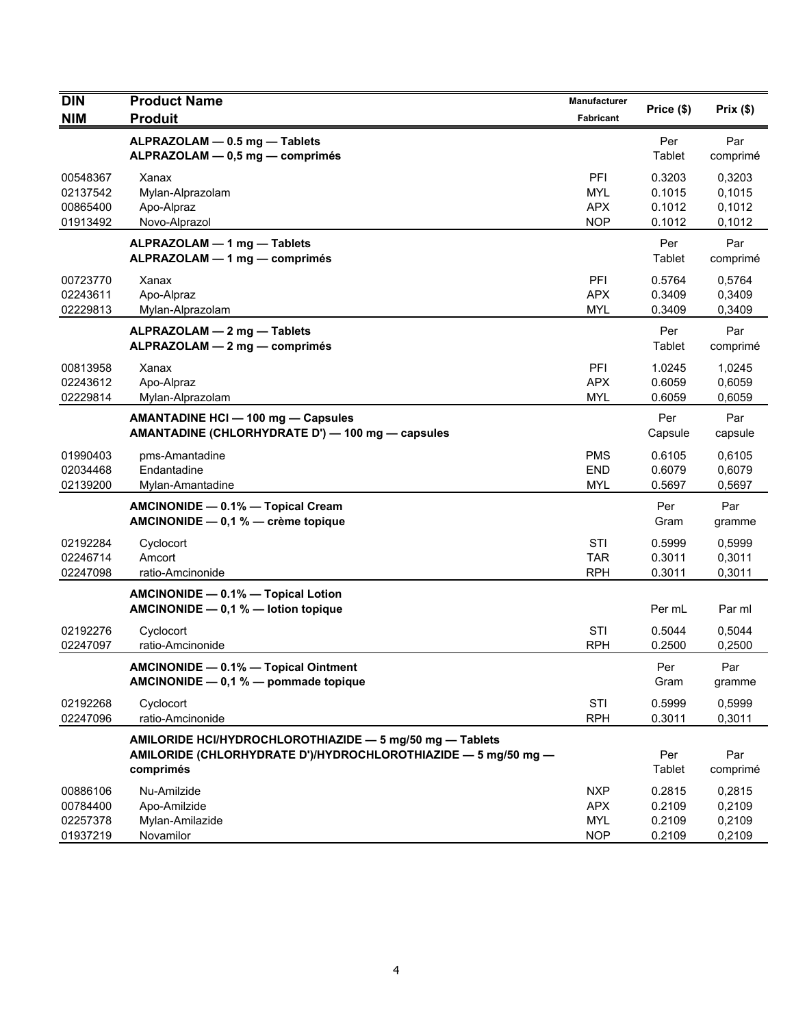| DIN                                          | <b>Product Name</b>                                                                                                                     | Manufacturer                                         | Price (\$)                           | Prix(\$)                             |
|----------------------------------------------|-----------------------------------------------------------------------------------------------------------------------------------------|------------------------------------------------------|--------------------------------------|--------------------------------------|
| <b>NIM</b>                                   | <b>Produit</b>                                                                                                                          | <b>Fabricant</b>                                     |                                      |                                      |
|                                              | ALPRAZOLAM - 0.5 mg - Tablets<br>ALPRAZOLAM - 0,5 mg - comprimés                                                                        |                                                      | Per<br>Tablet                        | Par<br>comprimé                      |
| 00548367<br>02137542<br>00865400<br>01913492 | Xanax<br>Mylan-Alprazolam<br>Apo-Alpraz<br>Novo-Alprazol                                                                                | PFI<br><b>MYL</b><br><b>APX</b><br><b>NOP</b>        | 0.3203<br>0.1015<br>0.1012<br>0.1012 | 0,3203<br>0,1015<br>0,1012<br>0,1012 |
|                                              | ALPRAZOLAM - 1 mg - Tablets<br>ALPRAZOLAM - 1 mg - comprimés                                                                            |                                                      | Per<br>Tablet                        | Par<br>comprimé                      |
| 00723770<br>02243611<br>02229813             | Xanax<br>Apo-Alpraz<br>Mylan-Alprazolam                                                                                                 | PFI<br><b>APX</b><br><b>MYL</b>                      | 0.5764<br>0.3409<br>0.3409           | 0,5764<br>0,3409<br>0,3409           |
|                                              | ALPRAZOLAM - 2 mg - Tablets<br>ALPRAZOLAM - 2 mg - comprimés                                                                            |                                                      | Per<br>Tablet                        | Par<br>comprimé                      |
| 00813958<br>02243612<br>02229814             | Xanax<br>Apo-Alpraz<br>Mylan-Alprazolam                                                                                                 | PFI<br><b>APX</b><br><b>MYL</b>                      | 1.0245<br>0.6059<br>0.6059           | 1,0245<br>0.6059<br>0,6059           |
|                                              | <b>AMANTADINE HCI - 100 mg - Capsules</b><br>AMANTADINE (CHLORHYDRATE D') - 100 mg - capsules                                           |                                                      | Per<br>Capsule                       | Par<br>capsule                       |
| 01990403<br>02034468<br>02139200             | pms-Amantadine<br>Endantadine<br>Mylan-Amantadine                                                                                       | <b>PMS</b><br><b>END</b><br><b>MYL</b>               | 0.6105<br>0.6079<br>0.5697           | 0,6105<br>0,6079<br>0,5697           |
|                                              | AMCINONIDE - 0.1% - Topical Cream<br>AMCINONIDE - 0,1 % - crème topique                                                                 |                                                      | Per<br>Gram                          | Par<br>gramme                        |
| 02192284<br>02246714<br>02247098             | Cyclocort<br>Amcort<br>ratio-Amcinonide                                                                                                 | STI<br><b>TAR</b><br><b>RPH</b>                      | 0.5999<br>0.3011<br>0.3011           | 0,5999<br>0,3011<br>0,3011           |
|                                              | AMCINONIDE - 0.1% - Topical Lotion<br>AMCINONIDE - 0,1 % - lotion topique                                                               |                                                      | Per mL                               | Par ml                               |
| 02192276<br>02247097                         | Cyclocort<br>ratio-Amcinonide                                                                                                           | STI<br><b>RPH</b>                                    | 0.5044<br>0.2500                     | 0,5044<br>0,2500                     |
|                                              | AMCINONIDE - 0.1% - Topical Ointment<br>AMCINONIDE $-$ 0,1 % $-$ pommade topique                                                        |                                                      | Per<br>Gram                          | Par<br>gramme                        |
| 02192268<br>02247096                         | Cyclocort<br>ratio-Amcinonide                                                                                                           | STI<br><b>RPH</b>                                    | 0.5999<br>0.3011                     | 0,5999<br>0,3011                     |
|                                              | AMILORIDE HCI/HYDROCHLOROTHIAZIDE - 5 mg/50 mg - Tablets<br>AMILORIDE (CHLORHYDRATE D')/HYDROCHLOROTHIAZIDE - 5 mg/50 mg -<br>comprimés |                                                      | Per<br>Tablet                        | Par<br>comprimé                      |
| 00886106<br>00784400<br>02257378<br>01937219 | Nu-Amilzide<br>Apo-Amilzide<br>Mylan-Amilazide<br>Novamilor                                                                             | <b>NXP</b><br><b>APX</b><br><b>MYL</b><br><b>NOP</b> | 0.2815<br>0.2109<br>0.2109<br>0.2109 | 0,2815<br>0,2109<br>0,2109<br>0,2109 |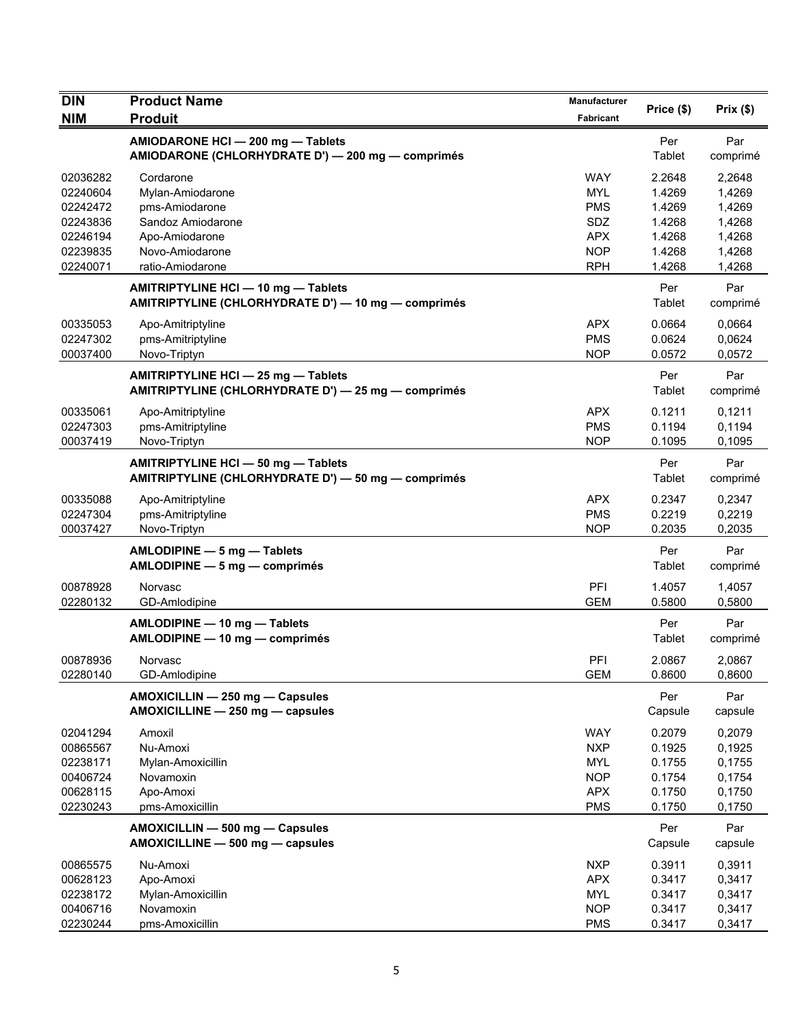| DIN                  | <b>Product Name</b>                                                                        | Manufacturer             |                  |                  |
|----------------------|--------------------------------------------------------------------------------------------|--------------------------|------------------|------------------|
| <b>NIM</b>           | <b>Produit</b>                                                                             | <b>Fabricant</b>         | Price (\$)       | Prix(\$)         |
|                      | AMIODARONE HCI - 200 mg - Tablets<br>AMIODARONE (CHLORHYDRATE D') - 200 mg - comprimés     |                          | Per<br>Tablet    | Par<br>comprimé  |
| 02036282<br>02240604 | Cordarone<br>Mylan-Amiodarone                                                              | <b>WAY</b><br><b>MYL</b> | 2.2648<br>1.4269 | 2,2648<br>1,4269 |
| 02242472             | pms-Amiodarone                                                                             | <b>PMS</b>               | 1.4269           | 1,4269           |
| 02243836             | Sandoz Amiodarone                                                                          | SDZ                      | 1.4268           | 1,4268           |
| 02246194             | Apo-Amiodarone                                                                             | <b>APX</b>               | 1.4268           | 1,4268           |
| 02239835             | Novo-Amiodarone                                                                            | <b>NOP</b>               | 1.4268           | 1,4268           |
| 02240071             | ratio-Amiodarone                                                                           | <b>RPH</b>               | 1.4268           | 1,4268           |
|                      | AMITRIPTYLINE HCI - 10 mg - Tablets<br>AMITRIPTYLINE (CHLORHYDRATE D') - 10 mg - comprimés |                          | Per<br>Tablet    | Par<br>comprimé  |
| 00335053             | Apo-Amitriptyline                                                                          | <b>APX</b>               | 0.0664           | 0,0664           |
| 02247302             | pms-Amitriptyline                                                                          | <b>PMS</b>               | 0.0624           | 0,0624           |
| 00037400             | Novo-Triptyn                                                                               | <b>NOP</b>               | 0.0572           | 0,0572           |
|                      | AMITRIPTYLINE HCI - 25 mg - Tablets<br>AMITRIPTYLINE (CHLORHYDRATE D') - 25 mg - comprimés |                          | Per<br>Tablet    | Par<br>comprimé  |
| 00335061             | Apo-Amitriptyline                                                                          | <b>APX</b>               | 0.1211           | 0,1211           |
| 02247303             | pms-Amitriptyline                                                                          | <b>PMS</b>               | 0.1194           | 0,1194           |
| 00037419             | Novo-Triptyn                                                                               | <b>NOP</b>               | 0.1095           | 0,1095           |
|                      | AMITRIPTYLINE HCI - 50 mg - Tablets<br>AMITRIPTYLINE (CHLORHYDRATE D') - 50 mg - comprimés |                          | Per<br>Tablet    | Par<br>comprimé  |
| 00335088             | Apo-Amitriptyline                                                                          | <b>APX</b>               | 0.2347           | 0,2347           |
| 02247304             | pms-Amitriptyline                                                                          | <b>PMS</b>               | 0.2219           | 0,2219           |
| 00037427             | Novo-Triptyn                                                                               | <b>NOP</b>               | 0.2035           | 0,2035           |
|                      | AMLODIPINE - 5 mg - Tablets<br>AMLODIPINE - 5 mg - comprimés                               |                          | Per<br>Tablet    | Par<br>comprimé  |
| 00878928             | Norvasc                                                                                    | PFI                      | 1.4057           | 1,4057           |
| 02280132             | GD-Amlodipine                                                                              | <b>GEM</b>               | 0.5800           | 0,5800           |
|                      | AMLODIPINE - 10 mg - Tablets<br>AMLODIPINE - 10 mg - comprimés                             |                          | Per<br>Tablet    | Par<br>comprimé  |
| 00878936             | Norvasc                                                                                    | PFI                      | 2.0867           | 2,0867           |
| 02280140             | GD-Amlodipine                                                                              | <b>GEM</b>               | 0.8600           | 0,8600           |
|                      | AMOXICILLIN - 250 mg - Capsules<br>AMOXICILLINE - 250 mg - capsules                        |                          | Per<br>Capsule   | Par<br>capsule   |
| 02041294             | Amoxil                                                                                     | <b>WAY</b>               | 0.2079           | 0,2079           |
| 00865567             | Nu-Amoxi                                                                                   | <b>NXP</b>               | 0.1925           | 0,1925           |
| 02238171             | Mylan-Amoxicillin                                                                          | <b>MYL</b>               | 0.1755           | 0,1755           |
| 00406724             | Novamoxin                                                                                  | <b>NOP</b>               | 0.1754           | 0,1754           |
| 00628115             | Apo-Amoxi                                                                                  | <b>APX</b>               | 0.1750           | 0,1750           |
| 02230243             | pms-Amoxicillin                                                                            | <b>PMS</b>               | 0.1750           | 0,1750           |
|                      | AMOXICILLIN - 500 mg - Capsules<br>AMOXICILLINE - 500 mg - capsules                        |                          | Per<br>Capsule   | Par<br>capsule   |
| 00865575             | Nu-Amoxi                                                                                   | <b>NXP</b>               | 0.3911           | 0,3911           |
| 00628123             | Apo-Amoxi                                                                                  | <b>APX</b>               | 0.3417           | 0,3417           |
| 02238172             | Mylan-Amoxicillin                                                                          | <b>MYL</b>               | 0.3417           | 0,3417           |
| 00406716             | Novamoxin                                                                                  | <b>NOP</b>               | 0.3417           | 0,3417           |
| 02230244             | pms-Amoxicillin                                                                            | <b>PMS</b>               | 0.3417           | 0,3417           |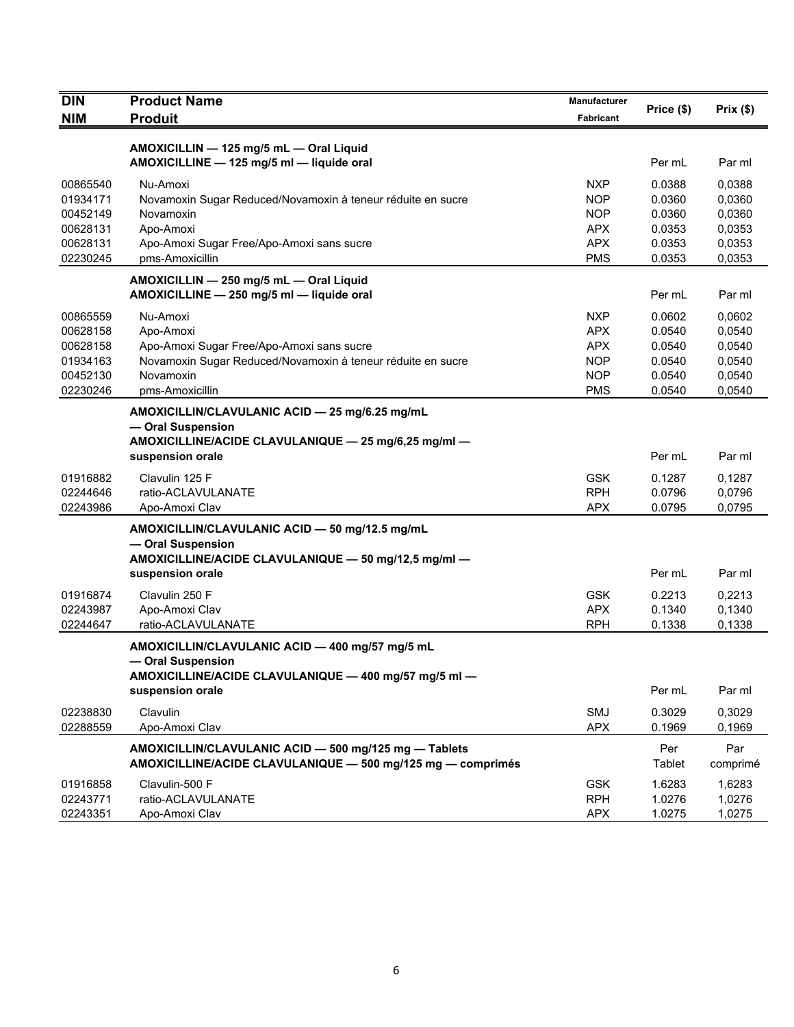| <b>DIN</b> | <b>Product Name</b>                                                                                                                             |                  |               |                 |
|------------|-------------------------------------------------------------------------------------------------------------------------------------------------|------------------|---------------|-----------------|
| <b>NIM</b> | <b>Produit</b>                                                                                                                                  | <b>Fabricant</b> | Price (\$)    | Prix(\$)        |
|            |                                                                                                                                                 |                  |               |                 |
|            | AMOXICILLIN - 125 mg/5 mL - Oral Liquid<br>AMOXICILLINE - 125 mg/5 ml - liquide oral                                                            |                  | Per mL        | Par ml          |
| 00865540   | Nu-Amoxi                                                                                                                                        | <b>NXP</b>       | 0.0388        | 0,0388          |
| 01934171   | Novamoxin Sugar Reduced/Novamoxin à teneur réduite en sucre                                                                                     | <b>NOP</b>       | 0.0360        | 0,0360          |
| 00452149   | Novamoxin                                                                                                                                       | <b>NOP</b>       | 0.0360        | 0,0360          |
| 00628131   | Apo-Amoxi                                                                                                                                       | <b>APX</b>       | 0.0353        | 0,0353          |
| 00628131   | Apo-Amoxi Sugar Free/Apo-Amoxi sans sucre                                                                                                       | <b>APX</b>       | 0.0353        | 0,0353          |
| 02230245   | pms-Amoxicillin                                                                                                                                 | <b>PMS</b>       | 0.0353        | 0,0353          |
|            | AMOXICILLIN - 250 mg/5 mL - Oral Liquid<br>AMOXICILLINE - 250 mg/5 ml - liquide oral                                                            |                  | Per mL        | Par ml          |
| 00865559   | Nu-Amoxi                                                                                                                                        | <b>NXP</b>       | 0.0602        | 0,0602          |
| 00628158   | Apo-Amoxi                                                                                                                                       | <b>APX</b>       | 0.0540        | 0,0540          |
| 00628158   | Apo-Amoxi Sugar Free/Apo-Amoxi sans sucre                                                                                                       | <b>APX</b>       | 0.0540        | 0,0540          |
| 01934163   | Novamoxin Sugar Reduced/Novamoxin à teneur réduite en sucre                                                                                     | <b>NOP</b>       | 0.0540        | 0,0540          |
| 00452130   | Novamoxin                                                                                                                                       | <b>NOP</b>       | 0.0540        | 0,0540          |
| 02230246   | pms-Amoxicillin                                                                                                                                 | <b>PMS</b>       | 0.0540        | 0,0540          |
|            | AMOXICILLIN/CLAVULANIC ACID - 25 mg/6.25 mg/mL<br>- Oral Suspension<br>AMOXICILLINE/ACIDE CLAVULANIQUE - 25 mg/6,25 mg/ml -<br>suspension orale |                  | Per mL        | Par ml          |
| 01916882   | Clavulin 125 F                                                                                                                                  | <b>GSK</b>       | 0.1287        | 0,1287          |
| 02244646   | ratio-ACLAVULANATE                                                                                                                              | <b>RPH</b>       | 0.0796        | 0,0796          |
| 02243986   | Apo-Amoxi Clav                                                                                                                                  | <b>APX</b>       | 0.0795        | 0,0795          |
|            | AMOXICILLIN/CLAVULANIC ACID - 50 mg/12.5 mg/mL<br>- Oral Suspension                                                                             |                  |               |                 |
|            | AMOXICILLINE/ACIDE CLAVULANIQUE - 50 mg/12,5 mg/ml -<br>suspension orale                                                                        |                  | Per mL        | Par ml          |
| 01916874   | Clavulin 250 F                                                                                                                                  | <b>GSK</b>       | 0.2213        | 0,2213          |
| 02243987   | Apo-Amoxi Clav                                                                                                                                  | <b>APX</b>       | 0.1340        | 0,1340          |
| 02244647   | ratio-ACLAVULANATE                                                                                                                              | <b>RPH</b>       | 0.1338        | 0,1338          |
|            | AMOXICILLIN/CLAVULANIC ACID - 400 mg/57 mg/5 mL<br>- Oral Suspension<br>AMOXICILLINE/ACIDE CLAVULANIQUE - 400 mg/57 mg/5 ml -                   |                  |               |                 |
|            | suspension orale                                                                                                                                |                  | Per mL        | Par ml          |
| 02238830   | Clavulin                                                                                                                                        | SMJ              | 0.3029        | 0,3029          |
| 02288559   | Apo-Amoxi Clav                                                                                                                                  | <b>APX</b>       | 0.1969        | 0,1969          |
|            | AMOXICILLIN/CLAVULANIC ACID - 500 mg/125 mg - Tablets<br>AMOXICILLINE/ACIDE CLAVULANIQUE - 500 mg/125 mg - comprimés                            |                  | Per<br>Tablet | Par<br>comprimé |
| 01916858   | Clavulin-500 F                                                                                                                                  | <b>GSK</b>       | 1.6283        | 1,6283          |
| 02243771   | ratio-ACLAVULANATE                                                                                                                              | <b>RPH</b>       | 1.0276        | 1,0276          |
| 02243351   | Apo-Amoxi Clav                                                                                                                                  | <b>APX</b>       | 1.0275        | 1,0275          |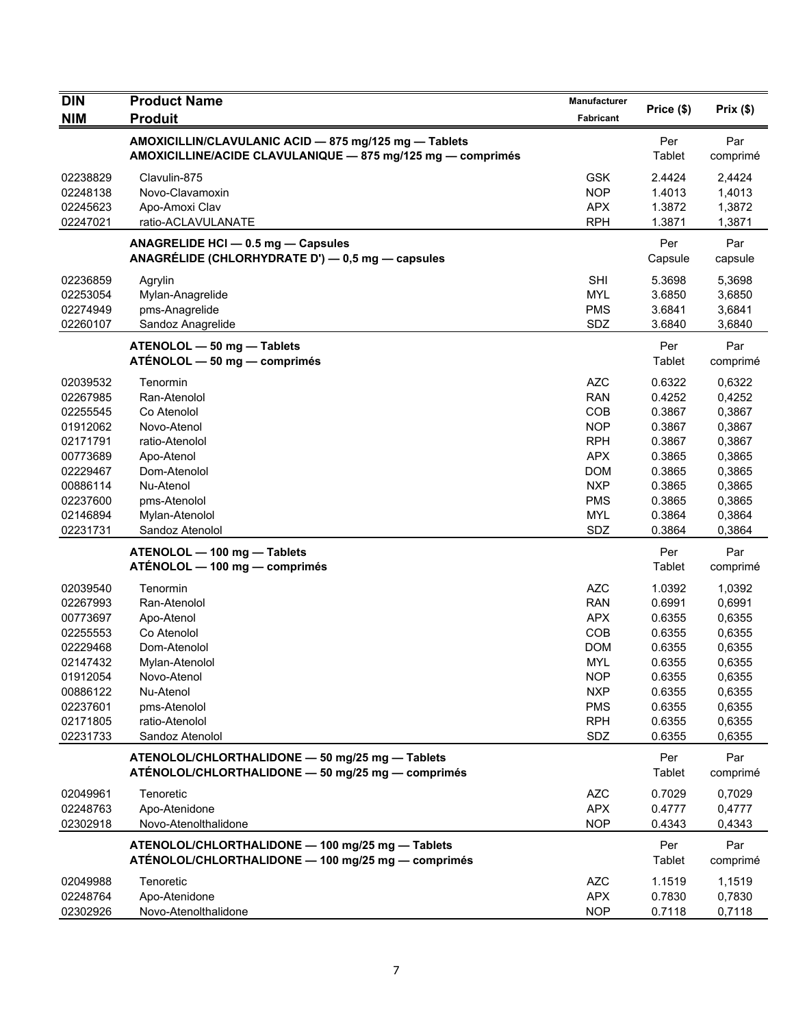| <b>DIN</b> | <b>Product Name</b>                                                                                                  | Manufacturer | Price (\$)           | Prix(\$)        |
|------------|----------------------------------------------------------------------------------------------------------------------|--------------|----------------------|-----------------|
| <b>NIM</b> | <b>Produit</b>                                                                                                       | Fabricant    |                      |                 |
|            | AMOXICILLIN/CLAVULANIC ACID - 875 mg/125 mg - Tablets<br>AMOXICILLINE/ACIDE CLAVULANIQUE - 875 mg/125 mg - comprimés |              | Per<br>Tablet        | Par<br>comprimé |
| 02238829   | Clavulin-875                                                                                                         | <b>GSK</b>   | 2.4424               | 2,4424          |
| 02248138   | Novo-Clavamoxin                                                                                                      | <b>NOP</b>   | 1.4013               | 1,4013          |
| 02245623   | Apo-Amoxi Clav                                                                                                       | <b>APX</b>   | 1.3872               | 1,3872          |
| 02247021   | ratio-ACLAVULANATE                                                                                                   | <b>RPH</b>   | 1.3871               | 1,3871          |
|            | ANAGRELIDE HCI - 0.5 mg - Capsules<br>ANAGRÉLIDE (CHLORHYDRATE D') — 0,5 mg — capsules                               |              | Per<br>Capsule       | Par<br>capsule  |
| 02236859   | Agrylin                                                                                                              | <b>SHI</b>   | 5.3698               | 5,3698          |
| 02253054   | Mylan-Anagrelide                                                                                                     | <b>MYL</b>   | 3.6850               | 3,6850          |
| 02274949   | pms-Anagrelide                                                                                                       | <b>PMS</b>   | 3.6841               | 3,6841          |
| 02260107   | Sandoz Anagrelide                                                                                                    | SDZ          | 3.6840               | 3,6840          |
|            | ATENOLOL - 50 mg - Tablets<br>ATÉNOLOL - 50 mg - comprimés                                                           |              | Per<br>Tablet        | Par<br>comprimé |
| 02039532   | Tenormin                                                                                                             | <b>AZC</b>   | 0.6322               | 0,6322          |
| 02267985   | Ran-Atenolol                                                                                                         | <b>RAN</b>   | 0.4252               | 0,4252          |
| 02255545   | Co Atenolol                                                                                                          | COB          | 0.3867               | 0,3867          |
| 01912062   | Novo-Atenol                                                                                                          | <b>NOP</b>   | 0.3867               | 0,3867          |
| 02171791   | ratio-Atenolol                                                                                                       | <b>RPH</b>   | 0.3867               | 0,3867          |
| 00773689   | Apo-Atenol                                                                                                           | <b>APX</b>   | 0.3865               | 0,3865          |
| 02229467   | Dom-Atenolol                                                                                                         | <b>DOM</b>   | 0.3865               | 0,3865          |
| 00886114   | Nu-Atenol                                                                                                            | <b>NXP</b>   | 0.3865               | 0,3865          |
| 02237600   | pms-Atenolol                                                                                                         | <b>PMS</b>   | 0.3865               | 0,3865          |
| 02146894   | Mylan-Atenolol                                                                                                       | <b>MYL</b>   | 0.3864               | 0,3864          |
| 02231731   | Sandoz Atenolol                                                                                                      | SDZ          | 0.3864               | 0,3864          |
|            | ATENOLOL - 100 mg - Tablets<br>ATÉNOLOL — 100 mg — comprimés                                                         |              | Per<br>Tablet        | Par<br>comprimé |
| 02039540   | Tenormin                                                                                                             | <b>AZC</b>   | 1.0392               | 1,0392          |
| 02267993   | Ran-Atenolol                                                                                                         | <b>RAN</b>   | 0.6991               | 0,6991          |
| 00773697   | Apo-Atenol                                                                                                           | <b>APX</b>   | 0.6355               | 0,6355          |
| 02255553   | Co Atenolol                                                                                                          | COB          | 0.6355               | 0,6355          |
| 02229468   | Dom-Atenolol                                                                                                         | <b>DOM</b>   | 0.6355               | 0,6355          |
| 02147432   | Mylan-Atenolol                                                                                                       | <b>MYL</b>   | 0.6355               | 0,6355          |
| 01912054   | Novo-Atenol                                                                                                          | <b>NOP</b>   | 0.6355               | 0,6355          |
| 00886122   | Nu-Atenol                                                                                                            | <b>NXP</b>   | 0.6355               | 0,6355          |
| 02237601   | pms-Atenolol                                                                                                         | <b>PMS</b>   | 0.6355               | 0,6355          |
| 02171805   | ratio-Atenolol                                                                                                       | <b>RPH</b>   | 0.6355               | 0,6355          |
| 02231733   | Sandoz Atenolol                                                                                                      | SDZ          | 0.6355               | 0,6355          |
|            | ATENOLOL/CHLORTHALIDONE - 50 mg/25 mg - Tablets<br>ATÉNOLOL/CHLORTHALIDONE - 50 mg/25 mg - comprimés                 |              | Per<br>Tablet        | Par<br>comprimé |
| 02049961   | Tenoretic                                                                                                            | <b>AZC</b>   | 0.7029               | 0,7029          |
| 02248763   | Apo-Atenidone                                                                                                        | <b>APX</b>   | 0.4777               | 0,4777          |
| 02302918   | Novo-Atenolthalidone                                                                                                 | <b>NOP</b>   | 0.4343               | 0,4343          |
|            | ATENOLOL/CHLORTHALIDONE - 100 mg/25 mg - Tablets<br>ATÉNOLOL/CHLORTHALIDONE - 100 mg/25 mg - comprimés               |              | Per<br><b>Tablet</b> | Par<br>comprimé |
| 02049988   | Tenoretic                                                                                                            | <b>AZC</b>   | 1.1519               | 1,1519          |
| 02248764   | Apo-Atenidone                                                                                                        | <b>APX</b>   | 0.7830               | 0,7830          |
| 02302926   | Novo-Atenolthalidone                                                                                                 | <b>NOP</b>   | 0.7118               | 0,7118          |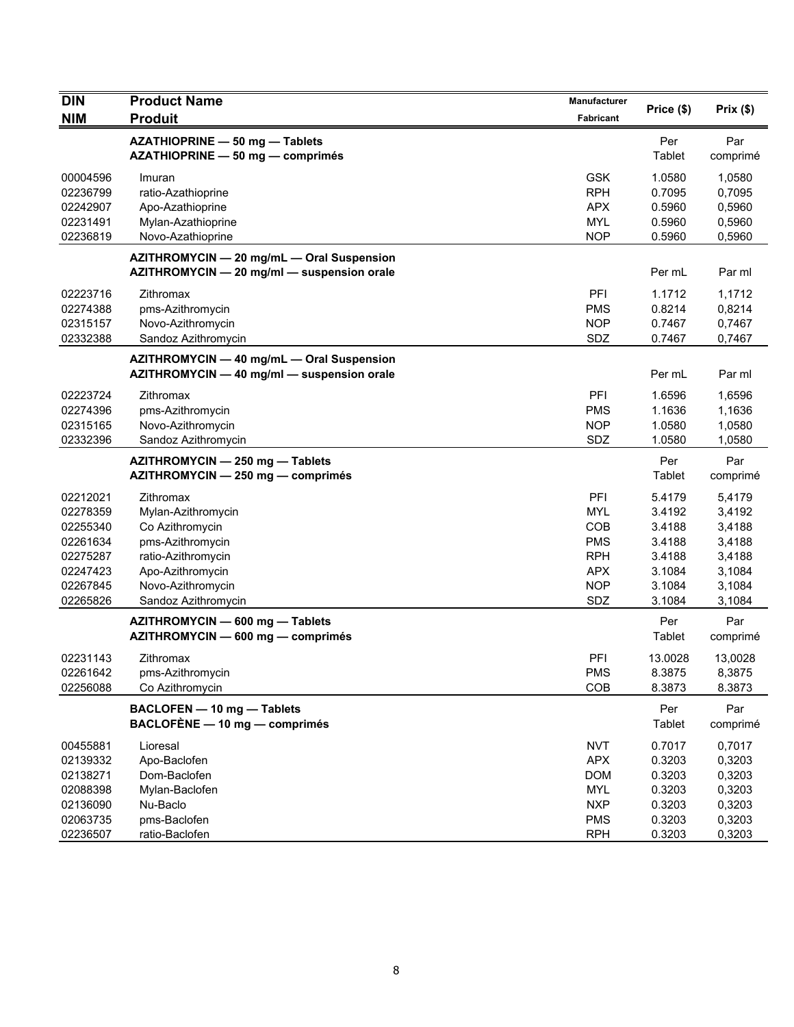| <b>DIN</b> | <b>Product Name</b>                        | Manufacturer<br>Price (\$) |         | Prix(\$) |  |
|------------|--------------------------------------------|----------------------------|---------|----------|--|
| <b>NIM</b> | <b>Produit</b>                             | Fabricant                  |         |          |  |
|            | AZATHIOPRINE - 50 mg - Tablets             |                            | Per     | Par      |  |
|            | AZATHIOPRINE - 50 mg - comprimés           |                            | Tablet  | comprimé |  |
| 00004596   | Imuran                                     | <b>GSK</b>                 | 1.0580  | 1,0580   |  |
| 02236799   | ratio-Azathioprine                         | <b>RPH</b>                 | 0.7095  | 0,7095   |  |
| 02242907   | Apo-Azathioprine                           | <b>APX</b>                 | 0.5960  | 0,5960   |  |
| 02231491   | Mylan-Azathioprine                         | <b>MYL</b>                 | 0.5960  | 0,5960   |  |
| 02236819   | Novo-Azathioprine                          | <b>NOP</b>                 | 0.5960  | 0,5960   |  |
|            | AZITHROMYCIN - 20 mg/mL - Oral Suspension  |                            |         |          |  |
|            | AZITHROMYCIN - 20 mg/ml - suspension orale |                            | Per mL  | Par ml   |  |
| 02223716   | Zithromax                                  | PFI                        | 1.1712  | 1,1712   |  |
| 02274388   | pms-Azithromycin                           | <b>PMS</b>                 | 0.8214  | 0,8214   |  |
| 02315157   | Novo-Azithromycin                          | <b>NOP</b>                 | 0.7467  | 0,7467   |  |
| 02332388   | Sandoz Azithromycin                        | SDZ                        | 0.7467  | 0,7467   |  |
|            | AZITHROMYCIN - 40 mg/mL - Oral Suspension  |                            |         |          |  |
|            | AZITHROMYCIN - 40 mg/ml - suspension orale |                            | Per mL  | Par ml   |  |
| 02223724   | Zithromax                                  | PFI                        | 1.6596  | 1,6596   |  |
| 02274396   | pms-Azithromycin                           | <b>PMS</b>                 | 1.1636  | 1,1636   |  |
| 02315165   | Novo-Azithromycin                          | <b>NOP</b>                 | 1.0580  | 1,0580   |  |
| 02332396   | Sandoz Azithromycin                        | SDZ                        | 1.0580  | 1,0580   |  |
|            | AZITHROMYCIN - 250 mg - Tablets            |                            | Per     | Par      |  |
|            | AZITHROMYCIN - 250 mg - comprimés          |                            | Tablet  | comprimé |  |
| 02212021   | Zithromax                                  | PFI                        | 5.4179  | 5,4179   |  |
| 02278359   | Mylan-Azithromycin                         | <b>MYL</b>                 | 3.4192  | 3,4192   |  |
| 02255340   | Co Azithromycin                            | COB                        | 3.4188  | 3,4188   |  |
| 02261634   | pms-Azithromycin                           | <b>PMS</b>                 | 3.4188  | 3,4188   |  |
| 02275287   | ratio-Azithromycin                         | <b>RPH</b>                 | 3.4188  | 3,4188   |  |
| 02247423   | Apo-Azithromycin                           | <b>APX</b>                 | 3.1084  | 3,1084   |  |
| 02267845   | Novo-Azithromycin                          | <b>NOP</b>                 | 3.1084  | 3,1084   |  |
| 02265826   | Sandoz Azithromycin                        | SDZ                        | 3.1084  | 3,1084   |  |
|            | AZITHROMYCIN - 600 mg - Tablets            |                            | Per     | Par      |  |
|            | AZITHROMYCIN - 600 mg - comprimés          |                            | Tablet  | comprimé |  |
| 02231143   | Zithromax                                  | PFI                        | 13.0028 | 13,0028  |  |
| 02261642   | pms-Azithromycin                           | <b>PMS</b>                 | 8.3875  | 8,3875   |  |
| 02256088   | Co Azithromycin                            | COB                        | 8.3873  | 8.3873   |  |
|            | BACLOFEN - 10 mg - Tablets                 |                            | Per     | Par      |  |
|            | BACLOFÈNE - 10 mg - comprimés              |                            | Tablet  | comprimé |  |
| 00455881   | Lioresal                                   | <b>NVT</b>                 | 0.7017  | 0,7017   |  |
| 02139332   | Apo-Baclofen                               | <b>APX</b>                 | 0.3203  | 0,3203   |  |
| 02138271   | Dom-Baclofen                               | <b>DOM</b>                 | 0.3203  | 0,3203   |  |
| 02088398   | Mylan-Baclofen                             | <b>MYL</b>                 | 0.3203  | 0,3203   |  |
| 02136090   | Nu-Baclo                                   | <b>NXP</b>                 | 0.3203  | 0,3203   |  |
| 02063735   | pms-Baclofen                               | <b>PMS</b>                 | 0.3203  | 0,3203   |  |
| 02236507   | ratio-Baclofen                             | <b>RPH</b>                 | 0.3203  | 0,3203   |  |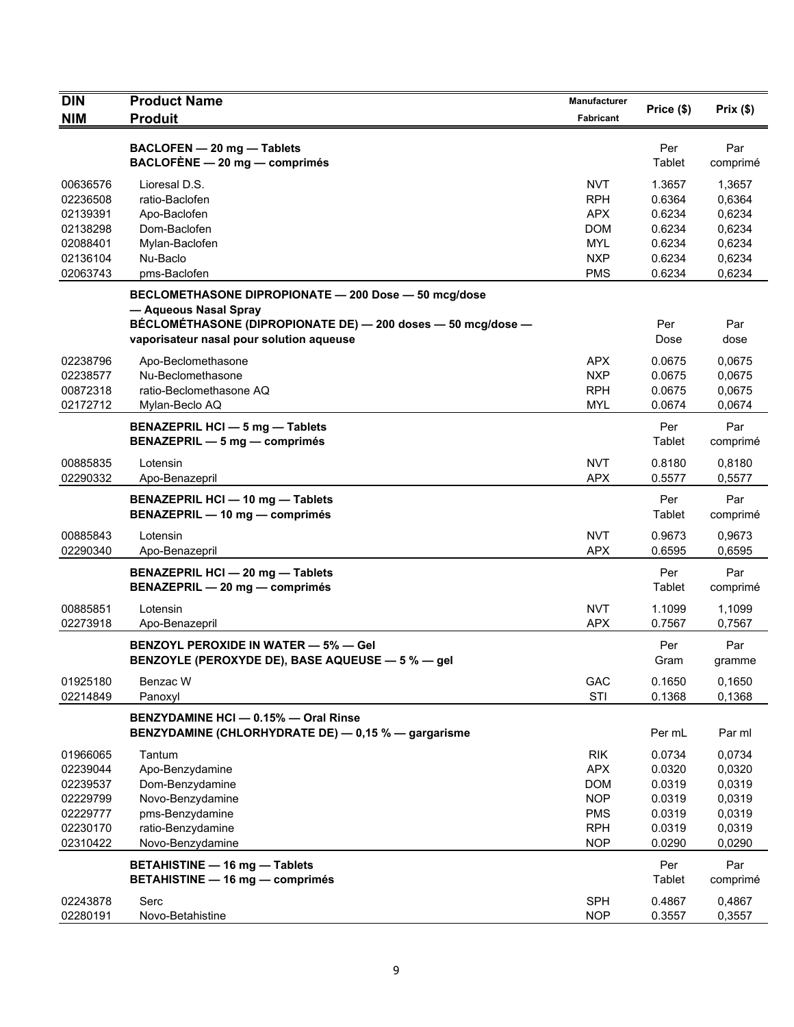| <b>DIN</b> | <b>Product Name</b>                                                                                                                           | Manufacturer     | Price (\$)    | Prix(\$)        |
|------------|-----------------------------------------------------------------------------------------------------------------------------------------------|------------------|---------------|-----------------|
| <b>NIM</b> | <b>Produit</b>                                                                                                                                | <b>Fabricant</b> |               |                 |
|            | BACLOFEN - 20 mg - Tablets<br>$BACLOFÈNE - 20 mg - comprimés$                                                                                 |                  | Per<br>Tablet | Par<br>comprimé |
| 00636576   | Lioresal D.S.                                                                                                                                 | NVT              | 1.3657        | 1,3657          |
| 02236508   | ratio-Baclofen                                                                                                                                | <b>RPH</b>       | 0.6364        | 0,6364          |
| 02139391   | Apo-Baclofen                                                                                                                                  | <b>APX</b>       | 0.6234        | 0,6234          |
| 02138298   | Dom-Baclofen                                                                                                                                  | <b>DOM</b>       | 0.6234        | 0,6234          |
| 02088401   | Mylan-Baclofen                                                                                                                                | <b>MYL</b>       | 0.6234        | 0,6234          |
| 02136104   | Nu-Baclo                                                                                                                                      | <b>NXP</b>       | 0.6234        | 0,6234          |
| 02063743   | pms-Baclofen                                                                                                                                  | <b>PMS</b>       | 0.6234        | 0,6234          |
|            | BECLOMETHASONE DIPROPIONATE - 200 Dose - 50 mcg/dose<br>- Aqueous Nasal Spray<br>BÉCLOMÉTHASONE (DIPROPIONATE DE) - 200 doses - 50 mcg/dose - |                  | Per           | Par             |
|            | vaporisateur nasal pour solution aqueuse                                                                                                      |                  | Dose          | dose            |
| 02238796   | Apo-Beclomethasone                                                                                                                            | <b>APX</b>       | 0.0675        | 0,0675          |
| 02238577   | Nu-Beclomethasone                                                                                                                             | <b>NXP</b>       | 0.0675        | 0,0675          |
| 00872318   | ratio-Beclomethasone AQ                                                                                                                       | <b>RPH</b>       | 0.0675        | 0,0675          |
| 02172712   | Mylan-Beclo AQ                                                                                                                                | <b>MYL</b>       | 0.0674        | 0,0674          |
|            | <b>BENAZEPRIL HCI - 5 mg - Tablets</b><br>BENAZEPRIL - 5 mg - comprimés                                                                       |                  | Per<br>Tablet | Par<br>comprimé |
| 00885835   | Lotensin                                                                                                                                      | <b>NVT</b>       | 0.8180        | 0,8180          |
| 02290332   | Apo-Benazepril                                                                                                                                | <b>APX</b>       | 0.5577        | 0,5577          |
|            | BENAZEPRIL HCI - 10 mg - Tablets<br>BENAZEPRIL - 10 mg - comprimés                                                                            |                  | Per<br>Tablet | Par<br>comprimé |
| 00885843   | Lotensin                                                                                                                                      | <b>NVT</b>       | 0.9673        | 0.9673          |
| 02290340   | Apo-Benazepril                                                                                                                                | <b>APX</b>       | 0.6595        | 0,6595          |
|            | BENAZEPRIL HCI - 20 mg - Tablets<br>BENAZEPRIL - 20 mg - comprimés                                                                            |                  | Per<br>Tablet | Par<br>comprimé |
| 00885851   | Lotensin                                                                                                                                      | <b>NVT</b>       | 1.1099        | 1.1099          |
| 02273918   | Apo-Benazepril                                                                                                                                | <b>APX</b>       | 0.7567        | 0,7567          |
|            | <b>BENZOYL PEROXIDE IN WATER - 5% - Gel</b><br>BENZOYLE (PEROXYDE DE), BASE AQUEUSE - 5 % - gel                                               |                  | Per<br>Gram   | Par<br>gramme   |
| 01925180   | Benzac W                                                                                                                                      | GAC              | 0.1650        | 0,1650          |
| 02214849   | Panoxyl                                                                                                                                       | STI              | 0.1368        | 0,1368          |
|            | BENZYDAMINE HCI-0.15%-Oral Rinse<br>BENZYDAMINE (CHLORHYDRATE DE) - 0,15 % - gargarisme                                                       |                  | Per mL        | Par ml          |
| 01966065   | Tantum                                                                                                                                        | <b>RIK</b>       | 0.0734        | 0,0734          |
| 02239044   | Apo-Benzydamine                                                                                                                               | <b>APX</b>       | 0.0320        | 0,0320          |
| 02239537   | Dom-Benzydamine                                                                                                                               | <b>DOM</b>       | 0.0319        | 0,0319          |
| 02229799   | Novo-Benzydamine                                                                                                                              | <b>NOP</b>       | 0.0319        | 0,0319          |
| 02229777   | pms-Benzydamine                                                                                                                               | <b>PMS</b>       | 0.0319        | 0,0319          |
| 02230170   | ratio-Benzydamine                                                                                                                             | <b>RPH</b>       | 0.0319        | 0,0319          |
| 02310422   | Novo-Benzydamine                                                                                                                              | <b>NOP</b>       | 0.0290        | 0,0290          |
|            | <b>BETAHISTINE - 16 mg - Tablets</b><br><b>BETAHISTINE - 16 mg - comprimés</b>                                                                |                  | Per<br>Tablet | Par<br>comprimé |
| 02243878   | Serc                                                                                                                                          | <b>SPH</b>       | 0.4867        | 0,4867          |
| 02280191   | Novo-Betahistine                                                                                                                              | <b>NOP</b>       | 0.3557        | 0,3557          |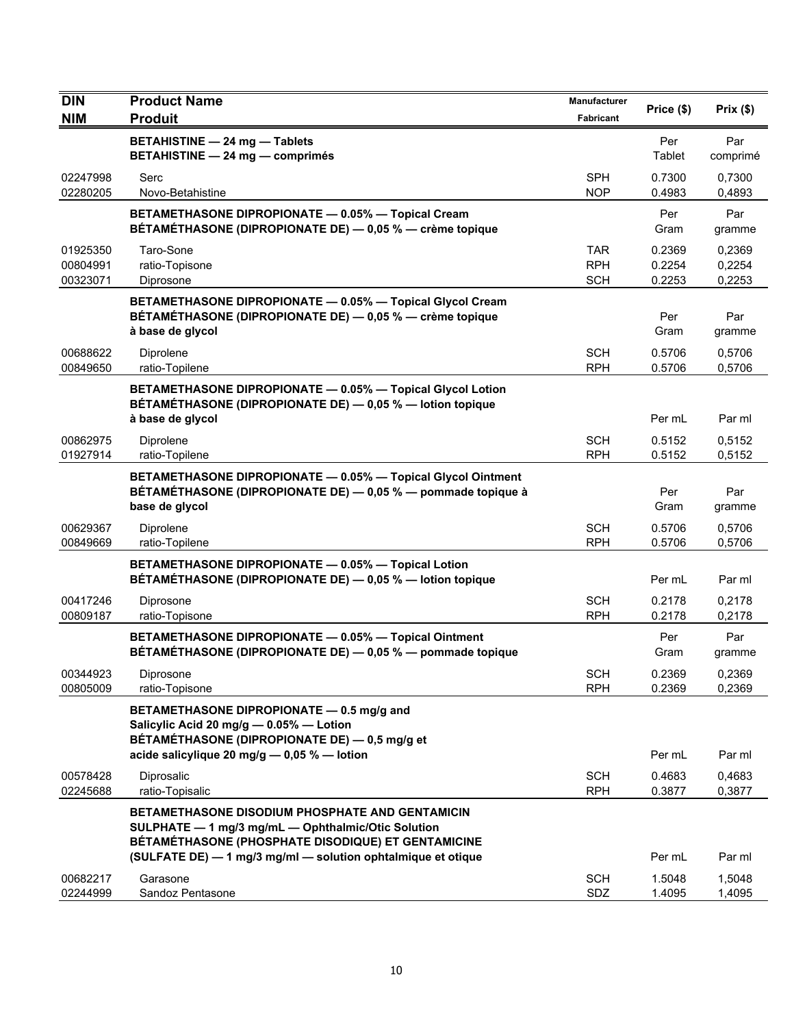| <b>DIN</b>                       | <b>Product Name</b>                                                                                                                                                | Manufacturer                           | Price (\$)                 | Prix(\$)                   |
|----------------------------------|--------------------------------------------------------------------------------------------------------------------------------------------------------------------|----------------------------------------|----------------------------|----------------------------|
| <b>NIM</b>                       | <b>Produit</b>                                                                                                                                                     | <b>Fabricant</b>                       |                            |                            |
|                                  | <b>BETAHISTINE - 24 mg - Tablets</b><br><b>BETAHISTINE - 24 mg - comprimés</b>                                                                                     |                                        | Per<br>Tablet              | Par<br>comprimé            |
| 02247998<br>02280205             | Serc<br>Novo-Betahistine                                                                                                                                           | <b>SPH</b><br><b>NOP</b>               | 0.7300<br>0.4983           | 0,7300<br>0,4893           |
|                                  | BETAMETHASONE DIPROPIONATE - 0.05% - Topical Cream<br>BÉTAMÉTHASONE (DIPROPIONATE DE) — 0,05 % — crème topique                                                     |                                        | Per<br>Gram                | Par<br>gramme              |
| 01925350<br>00804991<br>00323071 | Taro-Sone<br>ratio-Topisone<br>Diprosone                                                                                                                           | <b>TAR</b><br><b>RPH</b><br><b>SCH</b> | 0.2369<br>0.2254<br>0.2253 | 0,2369<br>0,2254<br>0,2253 |
|                                  | BETAMETHASONE DIPROPIONATE - 0.05% - Topical Glycol Cream<br>BÉTAMÉTHASONE (DIPROPIONATE DE) — 0,05 % — crème topique<br>à base de glycol                          |                                        | Per<br>Gram                | Par<br>gramme              |
| 00688622<br>00849650             | Diprolene<br>ratio-Topilene                                                                                                                                        | <b>SCH</b><br><b>RPH</b>               | 0.5706<br>0.5706           | 0,5706<br>0,5706           |
|                                  | BETAMETHASONE DIPROPIONATE - 0.05% - Topical Glycol Lotion<br>BÉTAMÉTHASONE (DIPROPIONATE DE) - 0,05 % - lotion topique<br>à base de glycol                        |                                        | Per mL                     | Par ml                     |
| 00862975<br>01927914             | Diprolene<br>ratio-Topilene                                                                                                                                        | <b>SCH</b><br><b>RPH</b>               | 0.5152<br>0.5152           | 0,5152<br>0,5152           |
|                                  | BETAMETHASONE DIPROPIONATE - 0.05% - Topical Glycol Ointment<br>BÉTAMÉTHASONE (DIPROPIONATE DE) — 0,05 % — pommade topique à<br>base de glycol                     |                                        | Per<br>Gram                | Par<br>gramme              |
| 00629367<br>00849669             | Diprolene<br>ratio-Topilene                                                                                                                                        | <b>SCH</b><br><b>RPH</b>               | 0.5706<br>0.5706           | 0,5706<br>0,5706           |
|                                  | BETAMETHASONE DIPROPIONATE - 0.05% - Topical Lotion<br>BÉTAMÉTHASONE (DIPROPIONATE DE) - 0,05 % - lotion topique                                                   |                                        | Per mL                     | Par ml                     |
| 00417246<br>00809187             | Diprosone<br>ratio-Topisone                                                                                                                                        | <b>SCH</b><br><b>RPH</b>               | 0.2178<br>0.2178           | 0,2178<br>0,2178           |
|                                  | BETAMETHASONE DIPROPIONATE - 0.05% - Topical Ointment<br>BÉTAMÉTHASONE (DIPROPIONATE DE) - 0,05 % - pommade topique                                                |                                        | Per<br>Gram                | Par<br>gramme              |
| 00344923<br>00805009             | Diprosone<br>ratio-Topisone                                                                                                                                        | <b>SCH</b><br><b>RPH</b>               | 0.2369<br>0.2369           | 0,2369<br>0,2369           |
|                                  | BETAMETHASONE DIPROPIONATE - 0.5 mg/g and<br>Salicylic Acid 20 mg/g - 0.05% - Lotion<br>BÉTAMÉTHASONE (DIPROPIONATE DE) - 0,5 mg/g et                              |                                        |                            |                            |
|                                  | acide salicylique 20 mg/g $-$ 0,05 % $-$ lotion                                                                                                                    |                                        | Per mL                     | Par ml                     |
| 00578428<br>02245688             | Diprosalic<br>ratio-Topisalic                                                                                                                                      | <b>SCH</b><br><b>RPH</b>               | 0.4683<br>0.3877           | 0,4683<br>0,3877           |
|                                  | <b>BETAMETHASONE DISODIUM PHOSPHATE AND GENTAMICIN</b><br>SULPHATE - 1 mg/3 mg/mL - Ophthalmic/Otic Solution<br>BÉTAMÉTHASONE (PHOSPHATE DISODIQUE) ET GENTAMICINE |                                        |                            |                            |
|                                  | (SULFATE DE) - 1 mg/3 mg/ml - solution ophtalmique et otique                                                                                                       |                                        | Per mL                     | Par ml                     |
| 00682217<br>02244999             | Garasone<br>Sandoz Pentasone                                                                                                                                       | <b>SCH</b><br>SDZ                      | 1.5048<br>1.4095           | 1,5048<br>1,4095           |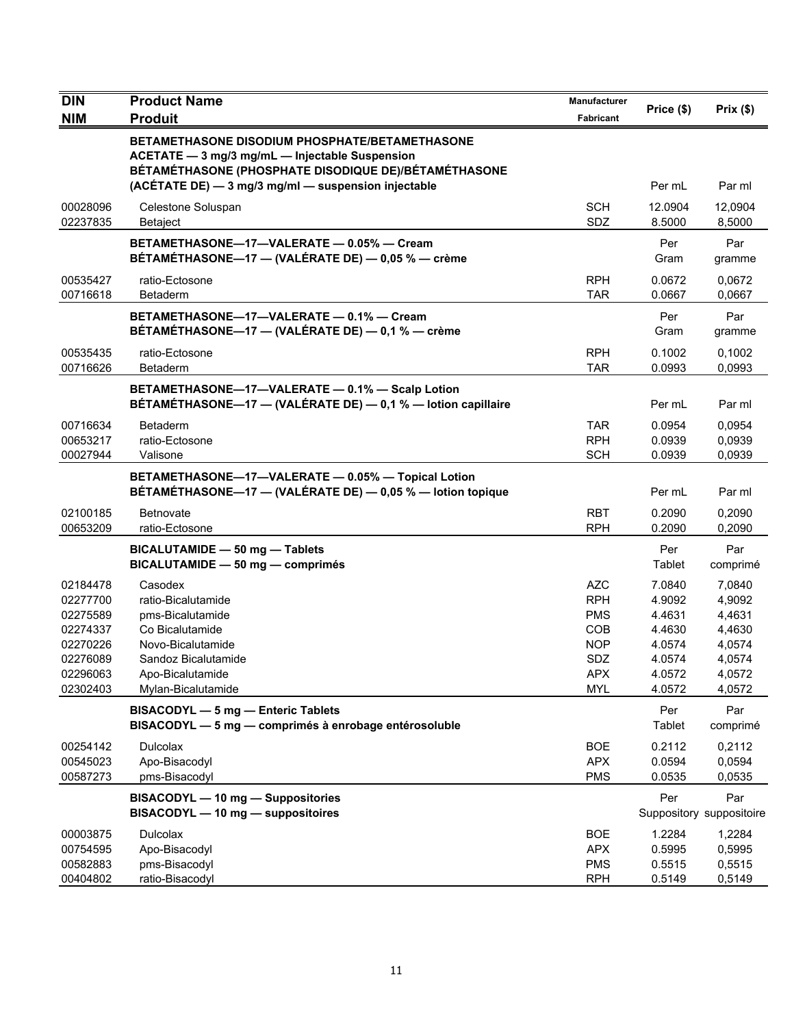| <b>DIN</b>           | <b>Product Name</b>                                                                                                                                      | Manufacturer             | Price (\$)        | Prix(\$)                        |
|----------------------|----------------------------------------------------------------------------------------------------------------------------------------------------------|--------------------------|-------------------|---------------------------------|
| <b>NIM</b>           | <b>Produit</b>                                                                                                                                           | <b>Fabricant</b>         |                   |                                 |
|                      | BETAMETHASONE DISODIUM PHOSPHATE/BETAMETHASONE<br>ACETATE - 3 mg/3 mg/mL - Injectable Suspension<br>BÉTAMÉTHASONE (PHOSPHATE DISODIQUE DE)/BÉTAMÉTHASONE |                          |                   |                                 |
|                      | (ACÉTATE DE) - 3 mg/3 mg/ml - suspension injectable                                                                                                      |                          | Per mL            | Par ml                          |
| 00028096<br>02237835 | Celestone Soluspan<br>Betaject                                                                                                                           | <b>SCH</b><br>SDZ        | 12.0904<br>8.5000 | 12,0904<br>8,5000               |
|                      | BETAMETHASONE-17-VALERATE - 0.05% - Cream<br>BÉTAMÉTHASONE-17 - (VALÉRATE DE) - 0,05 % - crème                                                           |                          | Per<br>Gram       | Par<br>gramme                   |
| 00535427<br>00716618 | ratio-Ectosone<br>Betaderm                                                                                                                               | <b>RPH</b><br><b>TAR</b> | 0.0672<br>0.0667  | 0,0672<br>0,0667                |
|                      | BETAMETHASONE-17-VALERATE - 0.1% - Cream<br>BÉTAMÉTHASONE—17 — (VALÉRATE DE) — 0,1 % — crème                                                             |                          | Per<br>Gram       | Par<br>gramme                   |
| 00535435             | ratio-Ectosone                                                                                                                                           | <b>RPH</b>               | 0.1002            | 0,1002                          |
| 00716626             | Betaderm                                                                                                                                                 | <b>TAR</b>               | 0.0993            | 0,0993                          |
|                      | BETAMETHASONE-17-VALERATE - 0.1% - Scalp Lotion<br>BÉTAMÉTHASONE-17 - (VALÉRATE DE) - 0,1 % - lotion capillaire                                          |                          | Per mL            | Par ml                          |
| 00716634             | <b>Betaderm</b>                                                                                                                                          | <b>TAR</b>               | 0.0954            | 0,0954                          |
| 00653217             | ratio-Ectosone                                                                                                                                           | <b>RPH</b>               | 0.0939            | 0,0939                          |
| 00027944             | Valisone                                                                                                                                                 | <b>SCH</b>               | 0.0939            | 0,0939                          |
|                      | BETAMETHASONE-17-VALERATE - 0.05% - Topical Lotion<br>BÉTAMÉTHASONE-17 - (VALÉRATE DE) - 0,05 % - lotion topique                                         |                          | Per mL            | Par ml                          |
| 02100185             | Betnovate                                                                                                                                                | <b>RBT</b>               | 0.2090            | 0,2090                          |
| 00653209             | ratio-Ectosone                                                                                                                                           | <b>RPH</b>               | 0.2090            | 0,2090                          |
|                      | BICALUTAMIDE - 50 mg - Tablets<br>BICALUTAMIDE - 50 mg - comprimés                                                                                       |                          | Per<br>Tablet     | Par<br>comprimé                 |
| 02184478             | Casodex                                                                                                                                                  | <b>AZC</b>               | 7.0840            | 7,0840                          |
| 02277700             | ratio-Bicalutamide                                                                                                                                       | <b>RPH</b>               | 4.9092            | 4,9092                          |
| 02275589<br>02274337 | pms-Bicalutamide<br>Co Bicalutamide                                                                                                                      | <b>PMS</b><br><b>COB</b> | 4.4631<br>4.4630  | 4,4631<br>4,4630                |
| 02270226             | Novo-Bicalutamide                                                                                                                                        | <b>NOP</b>               | 4.0574            | 4,0574                          |
| 02276089             | Sandoz Bicalutamide                                                                                                                                      | SDZ                      | 4.0574            | 4,0574                          |
| 02296063             | Apo-Bicalutamide                                                                                                                                         | APX.                     | 4.0572            | 4,0572                          |
| 02302403             | Mylan-Bicalutamide                                                                                                                                       | <b>MYL</b>               | 4.0572            | 4,0572                          |
|                      | <b>BISACODYL - 5 mg - Enteric Tablets</b><br>BISACODYL - 5 mg - comprimés à enrobage entérosoluble                                                       |                          | Per<br>Tablet     | Par<br>comprimé                 |
| 00254142             | <b>Dulcolax</b>                                                                                                                                          | <b>BOE</b>               | 0.2112            | 0,2112                          |
| 00545023             | Apo-Bisacodyl                                                                                                                                            | <b>APX</b>               | 0.0594            | 0,0594                          |
| 00587273             | pms-Bisacodyl                                                                                                                                            | <b>PMS</b>               | 0.0535            | 0,0535                          |
|                      | <b>BISACODYL - 10 mg - Suppositories</b><br>BISACODYL - 10 mg - suppositoires                                                                            |                          | Per               | Par<br>Suppository suppositoire |
| 00003875             | Dulcolax                                                                                                                                                 | <b>BOE</b>               | 1.2284            | 1,2284                          |
| 00754595             | Apo-Bisacodyl                                                                                                                                            | <b>APX</b>               | 0.5995            | 0,5995                          |
| 00582883             | pms-Bisacodyl                                                                                                                                            | <b>PMS</b>               | 0.5515            | 0,5515                          |
| 00404802             | ratio-Bisacodyl                                                                                                                                          | <b>RPH</b>               | 0.5149            | 0,5149                          |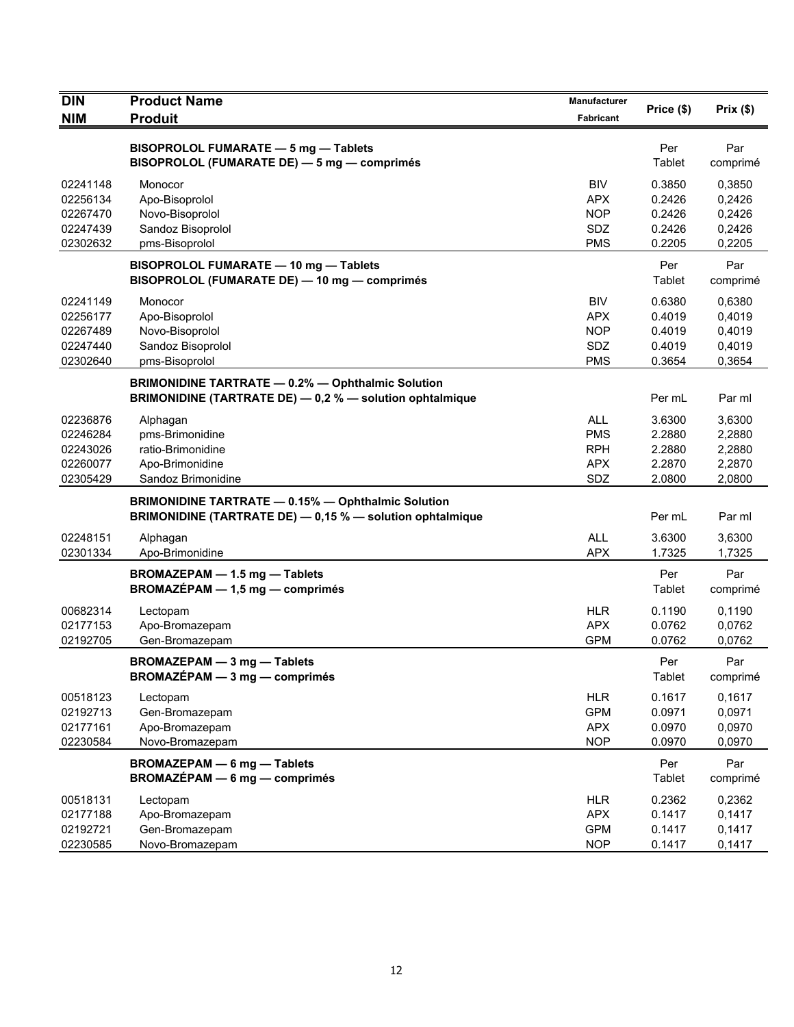| <b>DIN</b>                                               | <b>Product Name</b>                                                                                                    | Manufacturer                                                | Price (\$)                                     | Prix(\$)                                       |
|----------------------------------------------------------|------------------------------------------------------------------------------------------------------------------------|-------------------------------------------------------------|------------------------------------------------|------------------------------------------------|
| <b>NIM</b>                                               | <b>Produit</b>                                                                                                         | Fabricant                                                   |                                                |                                                |
|                                                          | BISOPROLOL FUMARATE - 5 mg - Tablets<br>BISOPROLOL (FUMARATE DE) - 5 mg - comprimés                                    |                                                             | Per<br>Tablet                                  | Par<br>comprimé                                |
| 02241148<br>02256134<br>02267470<br>02247439<br>02302632 | Monocor<br>Apo-Bisoprolol<br>Novo-Bisoprolol<br>Sandoz Bisoprolol<br>pms-Bisoprolol                                    | BIV<br><b>APX</b><br><b>NOP</b><br>SDZ<br><b>PMS</b>        | 0.3850<br>0.2426<br>0.2426<br>0.2426<br>0.2205 | 0,3850<br>0,2426<br>0,2426<br>0,2426<br>0,2205 |
|                                                          | BISOPROLOL FUMARATE - 10 mg - Tablets<br>BISOPROLOL (FUMARATE DE) - 10 mg - comprimés                                  |                                                             | Per<br>Tablet                                  | Par<br>comprimé                                |
| 02241149<br>02256177<br>02267489<br>02247440<br>02302640 | Monocor<br>Apo-Bisoprolol<br>Novo-Bisoprolol<br>Sandoz Bisoprolol<br>pms-Bisoprolol                                    | <b>BIV</b><br><b>APX</b><br><b>NOP</b><br>SDZ<br><b>PMS</b> | 0.6380<br>0.4019<br>0.4019<br>0.4019<br>0.3654 | 0,6380<br>0,4019<br>0,4019<br>0,4019<br>0,3654 |
|                                                          | <b>BRIMONIDINE TARTRATE - 0.2% - Ophthalmic Solution</b><br>BRIMONIDINE (TARTRATE DE) - 0,2 % - solution ophtalmique   |                                                             | Per mL                                         | Par ml                                         |
| 02236876<br>02246284<br>02243026<br>02260077<br>02305429 | Alphagan<br>pms-Brimonidine<br>ratio-Brimonidine<br>Apo-Brimonidine<br>Sandoz Brimonidine                              | <b>ALL</b><br><b>PMS</b><br><b>RPH</b><br><b>APX</b><br>SDZ | 3.6300<br>2.2880<br>2.2880<br>2.2870<br>2.0800 | 3,6300<br>2,2880<br>2,2880<br>2,2870<br>2,0800 |
|                                                          | <b>BRIMONIDINE TARTRATE - 0.15% - Ophthalmic Solution</b><br>BRIMONIDINE (TARTRATE DE) - 0,15 % - solution ophtalmique |                                                             | Per mL                                         | Par ml                                         |
| 02248151<br>02301334                                     | Alphagan<br>Apo-Brimonidine                                                                                            | <b>ALL</b><br><b>APX</b>                                    | 3.6300<br>1.7325                               | 3,6300<br>1,7325                               |
|                                                          | BROMAZEPAM - 1.5 mg - Tablets<br>$BROMAZÉPAM - 1,5 mg - comprimés$                                                     |                                                             | Per<br>Tablet                                  | Par<br>comprimé                                |
| 00682314<br>02177153<br>02192705                         | Lectopam<br>Apo-Bromazepam<br>Gen-Bromazepam                                                                           | <b>HLR</b><br><b>APX</b><br><b>GPM</b>                      | 0.1190<br>0.0762<br>0.0762                     | 0,1190<br>0,0762<br>0,0762                     |
|                                                          | <b>BROMAZEPAM - 3 mg - Tablets</b><br>BROMAZEPAM - 3 mg - comprimés                                                    |                                                             | Per<br>Tablet                                  | Par<br>comprimé                                |
| 00518123<br>02192713<br>02177161<br>02230584             | Lectopam<br>Gen-Bromazepam<br>Apo-Bromazepam<br>Novo-Bromazepam                                                        | <b>HLR</b><br><b>GPM</b><br><b>APX</b><br><b>NOP</b>        | 0.1617<br>0.0971<br>0.0970<br>0.0970           | 0,1617<br>0,0971<br>0,0970<br>0,0970           |
|                                                          | <b>BROMAZEPAM - 6 mg - Tablets</b><br>BROMAZÉPAM - 6 mg - comprimés                                                    |                                                             | Per<br>Tablet                                  | Par<br>comprimé                                |
| 00518131<br>02177188<br>02192721<br>02230585             | Lectopam<br>Apo-Bromazepam<br>Gen-Bromazepam<br>Novo-Bromazepam                                                        | <b>HLR</b><br><b>APX</b><br><b>GPM</b><br><b>NOP</b>        | 0.2362<br>0.1417<br>0.1417<br>0.1417           | 0,2362<br>0,1417<br>0,1417<br>0,1417           |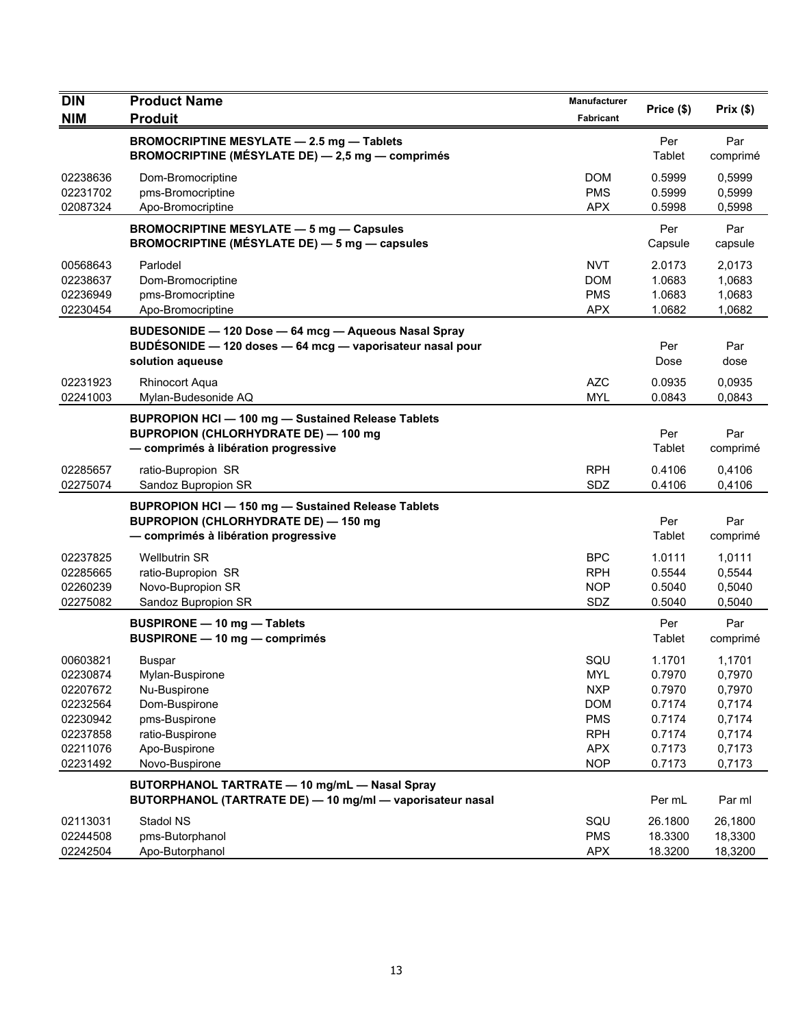| <b>DIN</b>                                                                                   | <b>Product Name</b>                                                                                                                          | Manufacturer                                                                                   | Price (\$)                                                                   | Prix(\$)                                                                     |
|----------------------------------------------------------------------------------------------|----------------------------------------------------------------------------------------------------------------------------------------------|------------------------------------------------------------------------------------------------|------------------------------------------------------------------------------|------------------------------------------------------------------------------|
| <b>NIM</b>                                                                                   | <b>Produit</b>                                                                                                                               | Fabricant                                                                                      |                                                                              |                                                                              |
|                                                                                              | <b>BROMOCRIPTINE MESYLATE - 2.5 mg - Tablets</b><br>BROMOCRIPTINE (MÉSYLATE DE) - 2,5 mg - comprimés                                         |                                                                                                | Per<br>Tablet                                                                | Par<br>comprimé                                                              |
| 02238636<br>02231702<br>02087324                                                             | Dom-Bromocriptine<br>pms-Bromocriptine<br>Apo-Bromocriptine                                                                                  | DOM<br><b>PMS</b><br><b>APX</b>                                                                | 0.5999<br>0.5999<br>0.5998                                                   | 0,5999<br>0,5999<br>0,5998                                                   |
|                                                                                              | <b>BROMOCRIPTINE MESYLATE - 5 mg - Capsules</b><br><b>BROMOCRIPTINE (MÉSYLATE DE) — 5 mg — capsules</b>                                      |                                                                                                | Per<br>Capsule                                                               | Par<br>capsule                                                               |
| 00568643<br>02238637<br>02236949<br>02230454                                                 | Parlodel<br>Dom-Bromocriptine<br>pms-Bromocriptine<br>Apo-Bromocriptine                                                                      | <b>NVT</b><br>DOM<br><b>PMS</b><br><b>APX</b>                                                  | 2.0173<br>1.0683<br>1.0683<br>1.0682                                         | 2,0173<br>1,0683<br>1,0683<br>1,0682                                         |
|                                                                                              | BUDESONIDE - 120 Dose - 64 mcg - Aqueous Nasal Spray<br>BUDÉSONIDE - 120 doses - 64 mcg - vaporisateur nasal pour<br>solution aqueuse        |                                                                                                | Per<br>Dose                                                                  | Par<br>dose                                                                  |
| 02231923<br>02241003                                                                         | <b>Rhinocort Aqua</b><br>Mylan-Budesonide AQ                                                                                                 | <b>AZC</b><br><b>MYL</b>                                                                       | 0.0935<br>0.0843                                                             | 0,0935<br>0,0843                                                             |
|                                                                                              | <b>BUPROPION HCI-100 mg-Sustained Release Tablets</b><br><b>BUPROPION (CHLORHYDRATE DE) - 100 mg</b><br>- comprimés à libération progressive |                                                                                                | Per<br>Tablet                                                                | Par<br>comprimé                                                              |
| 02285657<br>02275074                                                                         | ratio-Bupropion SR<br>Sandoz Bupropion SR                                                                                                    | <b>RPH</b><br>SDZ                                                                              | 0.4106<br>0.4106                                                             | 0,4106<br>0,4106                                                             |
|                                                                                              | <b>BUPROPION HCI-150 mg-Sustained Release Tablets</b><br><b>BUPROPION (CHLORHYDRATE DE) - 150 mg</b><br>- comprimés à libération progressive |                                                                                                | Per<br>Tablet                                                                | Par<br>comprimé                                                              |
| 02237825<br>02285665<br>02260239<br>02275082                                                 | <b>Wellbutrin SR</b><br>ratio-Bupropion SR<br>Novo-Bupropion SR<br>Sandoz Bupropion SR                                                       | <b>BPC</b><br><b>RPH</b><br><b>NOP</b><br>SDZ                                                  | 1.0111<br>0.5544<br>0.5040<br>0.5040                                         | 1,0111<br>0,5544<br>0,5040<br>0,5040                                         |
|                                                                                              | <b>BUSPIRONE - 10 mg - Tablets</b><br>BUSPIRONE - 10 mg - comprimés                                                                          |                                                                                                | Per<br>Tablet                                                                | Par<br>comprimé                                                              |
| 00603821<br>02230874<br>02207672<br>02232564<br>02230942<br>02237858<br>02211076<br>02231492 | <b>Buspar</b><br>Mylan-Buspirone<br>Nu-Buspirone<br>Dom-Buspirone<br>pms-Buspirone<br>ratio-Buspirone<br>Apo-Buspirone<br>Novo-Buspirone     | SQU<br>MYL<br><b>NXP</b><br><b>DOM</b><br><b>PMS</b><br><b>RPH</b><br><b>APX</b><br><b>NOP</b> | 1.1701<br>0.7970<br>0.7970<br>0.7174<br>0.7174<br>0.7174<br>0.7173<br>0.7173 | 1,1701<br>0,7970<br>0,7970<br>0,7174<br>0,7174<br>0,7174<br>0,7173<br>0,7173 |
|                                                                                              | BUTORPHANOL TARTRATE - 10 mg/mL - Nasal Spray<br>BUTORPHANOL (TARTRATE DE) - 10 mg/ml - vaporisateur nasal                                   |                                                                                                | Per mL                                                                       | Par ml                                                                       |
| 02113031<br>02244508<br>02242504                                                             | Stadol NS<br>pms-Butorphanol<br>Apo-Butorphanol                                                                                              | SQU<br><b>PMS</b><br><b>APX</b>                                                                | 26.1800<br>18.3300<br>18.3200                                                | 26,1800<br>18,3300<br>18,3200                                                |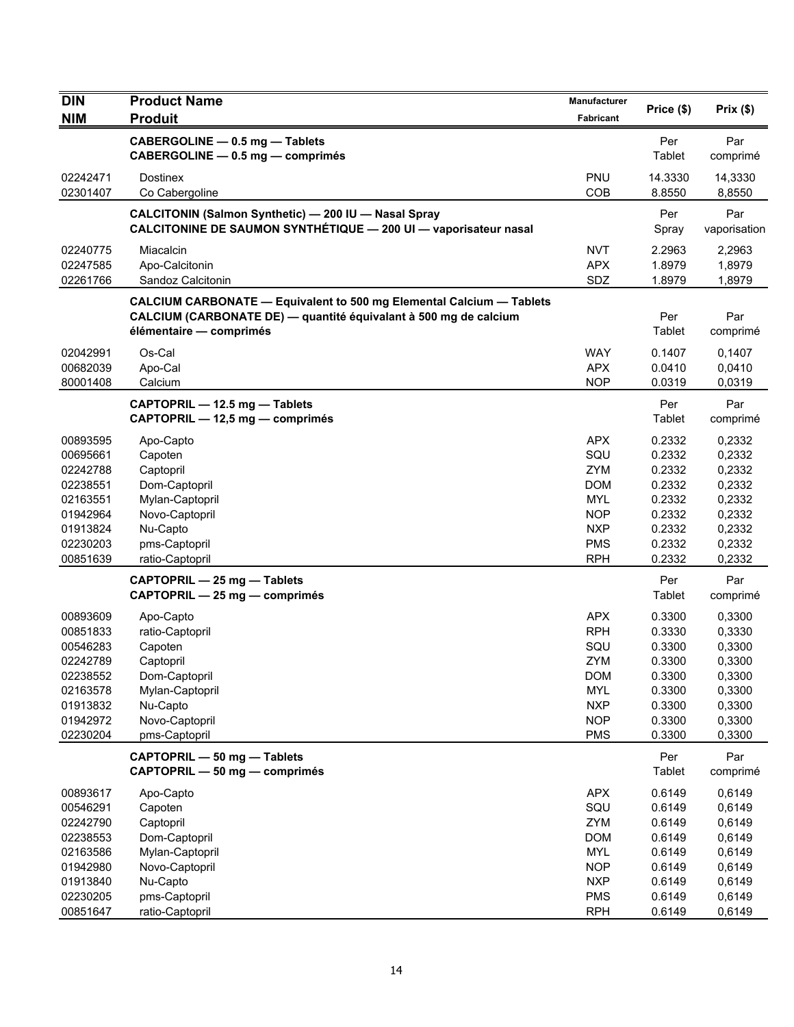| <b>DIN</b>                                                                                               | <b>Product Name</b>                                                                                                                                                        | <b>Manufacturer</b>                                                                                                 | Price (\$)                                                                                       | Prix(\$)                                                                                           |
|----------------------------------------------------------------------------------------------------------|----------------------------------------------------------------------------------------------------------------------------------------------------------------------------|---------------------------------------------------------------------------------------------------------------------|--------------------------------------------------------------------------------------------------|----------------------------------------------------------------------------------------------------|
| <b>NIM</b>                                                                                               | <b>Produit</b>                                                                                                                                                             | <b>Fabricant</b>                                                                                                    |                                                                                                  |                                                                                                    |
|                                                                                                          | CABERGOLINE - 0.5 mg - Tablets<br>CABERGOLINE - 0.5 mg - comprimés                                                                                                         |                                                                                                                     | Per<br>Tablet                                                                                    | Par<br>comprimé                                                                                    |
| 02242471<br>02301407                                                                                     | Dostinex<br>Co Cabergoline                                                                                                                                                 | PNU<br>COB                                                                                                          | 14.3330<br>8.8550                                                                                | 14,3330<br>8,8550                                                                                  |
|                                                                                                          | CALCITONIN (Salmon Synthetic) - 200 IU - Nasal Spray<br>CALCITONINE DE SAUMON SYNTHÉTIQUE - 200 UI - vaporisateur nasal                                                    |                                                                                                                     | Per<br>Spray                                                                                     | Par<br>vaporisation                                                                                |
| 02240775<br>02247585<br>02261766                                                                         | Miacalcin<br>Apo-Calcitonin<br>Sandoz Calcitonin                                                                                                                           | <b>NVT</b><br><b>APX</b><br>SDZ                                                                                     | 2.2963<br>1.8979<br>1.8979                                                                       | 2,2963<br>1,8979<br>1,8979                                                                         |
|                                                                                                          | <b>CALCIUM CARBONATE - Equivalent to 500 mg Elemental Calcium - Tablets</b><br>CALCIUM (CARBONATE DE) — quantité équivalant à 500 mg de calcium<br>élémentaire - comprimés |                                                                                                                     | Per<br>Tablet                                                                                    | Par<br>comprimé                                                                                    |
| 02042991<br>00682039<br>80001408                                                                         | Os-Cal<br>Apo-Cal<br>Calcium                                                                                                                                               | WAY<br><b>APX</b><br><b>NOP</b>                                                                                     | 0.1407<br>0.0410<br>0.0319                                                                       | 0,1407<br>0,0410<br>0,0319                                                                         |
|                                                                                                          | CAPTOPRIL - 12.5 mg - Tablets<br>CAPTOPRIL - 12,5 mg - comprimés                                                                                                           |                                                                                                                     | Per<br>Tablet                                                                                    | Par<br>comprimé                                                                                    |
| 00893595<br>00695661<br>02242788<br>02238551                                                             | Apo-Capto<br>Capoten<br>Captopril<br>Dom-Captopril                                                                                                                         | <b>APX</b><br>SQU<br>ZYM<br><b>DOM</b>                                                                              | 0.2332<br>0.2332<br>0.2332<br>0.2332                                                             | 0,2332<br>0,2332<br>0,2332<br>0,2332                                                               |
| 02163551<br>01942964<br>01913824<br>02230203                                                             | Mylan-Captopril<br>Novo-Captopril<br>Nu-Capto<br>pms-Captopril                                                                                                             | <b>MYL</b><br><b>NOP</b><br><b>NXP</b><br><b>PMS</b>                                                                | 0.2332<br>0.2332<br>0.2332<br>0.2332                                                             | 0,2332<br>0,2332<br>0,2332<br>0,2332                                                               |
| 00851639                                                                                                 | ratio-Captopril<br>CAPTOPRIL - 25 mg - Tablets                                                                                                                             | <b>RPH</b>                                                                                                          | 0.2332<br>Per                                                                                    | 0,2332<br>Par                                                                                      |
| 00893609<br>00851833<br>00546283<br>02242789<br>02238552<br>02163578<br>01913832<br>01942972<br>02230204 | CAPTOPRIL - 25 mg - comprimés<br>Apo-Capto<br>ratio-Captopril<br>Capoten<br>Captopril<br>Dom-Captopril<br>Mylan-Captopril<br>Nu-Capto<br>Novo-Captopril<br>pms-Captopril   | <b>APX</b><br><b>RPH</b><br>SQU<br><b>ZYM</b><br><b>DOM</b><br><b>MYL</b><br><b>NXP</b><br><b>NOP</b><br><b>PMS</b> | Tablet<br>0.3300<br>0.3330<br>0.3300<br>0.3300<br>0.3300<br>0.3300<br>0.3300<br>0.3300<br>0.3300 | comprimé<br>0,3300<br>0,3330<br>0,3300<br>0,3300<br>0,3300<br>0,3300<br>0,3300<br>0,3300<br>0,3300 |
|                                                                                                          | CAPTOPRIL - 50 mg - Tablets<br>CAPTOPRIL - 50 mg - comprimés                                                                                                               |                                                                                                                     | Per<br>Tablet                                                                                    | Par<br>comprimé                                                                                    |
| 00893617<br>00546291<br>02242790<br>02238553<br>02163586<br>01942980                                     | Apo-Capto<br>Capoten<br>Captopril<br>Dom-Captopril<br>Mylan-Captopril<br>Novo-Captopril                                                                                    | <b>APX</b><br>SQU<br>ZYM<br><b>DOM</b><br><b>MYL</b><br><b>NOP</b>                                                  | 0.6149<br>0.6149<br>0.6149<br>0.6149<br>0.6149<br>0.6149                                         | 0,6149<br>0,6149<br>0,6149<br>0,6149<br>0,6149<br>0,6149                                           |
| 01913840<br>02230205<br>00851647                                                                         | Nu-Capto<br>pms-Captopril<br>ratio-Captopril                                                                                                                               | <b>NXP</b><br><b>PMS</b><br><b>RPH</b>                                                                              | 0.6149<br>0.6149<br>0.6149                                                                       | 0,6149<br>0,6149<br>0,6149                                                                         |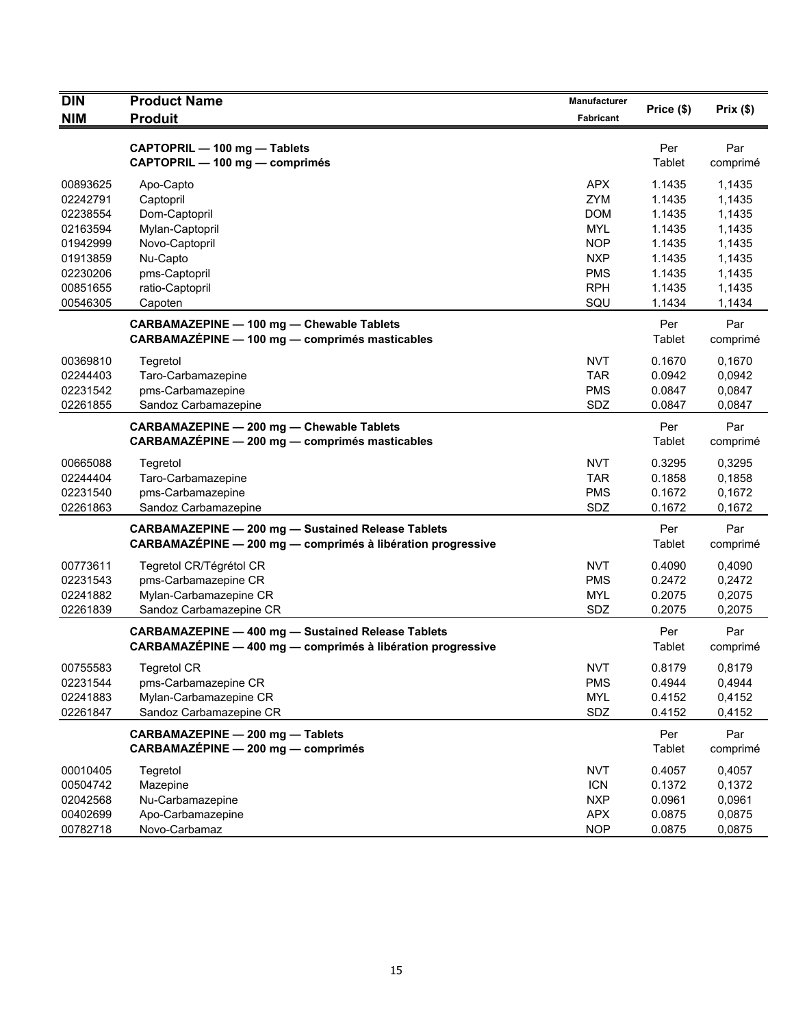| <b>DIN</b>                                                                                   | <b>Product Name</b>                                                                                                          | Manufacturer                                                                                                 | Price (\$)                                                                   | Prix(\$)                                                                     |
|----------------------------------------------------------------------------------------------|------------------------------------------------------------------------------------------------------------------------------|--------------------------------------------------------------------------------------------------------------|------------------------------------------------------------------------------|------------------------------------------------------------------------------|
| <b>NIM</b>                                                                                   | <b>Produit</b>                                                                                                               | <b>Fabricant</b>                                                                                             |                                                                              |                                                                              |
|                                                                                              | CAPTOPRIL - 100 mg - Tablets<br>CAPTOPRIL - 100 mg - comprimés                                                               |                                                                                                              | Per<br>Tablet                                                                | Par<br>comprimé                                                              |
| 00893625<br>02242791<br>02238554<br>02163594<br>01942999<br>01913859<br>02230206<br>00851655 | Apo-Capto<br>Captopril<br>Dom-Captopril<br>Mylan-Captopril<br>Novo-Captopril<br>Nu-Capto<br>pms-Captopril<br>ratio-Captopril | <b>APX</b><br><b>ZYM</b><br><b>DOM</b><br><b>MYL</b><br><b>NOP</b><br><b>NXP</b><br><b>PMS</b><br><b>RPH</b> | 1.1435<br>1.1435<br>1.1435<br>1.1435<br>1.1435<br>1.1435<br>1.1435<br>1.1435 | 1,1435<br>1,1435<br>1,1435<br>1,1435<br>1,1435<br>1,1435<br>1,1435<br>1,1435 |
| 00546305                                                                                     | Capoten                                                                                                                      | SQU                                                                                                          | 1.1434                                                                       | 1,1434                                                                       |
|                                                                                              | CARBAMAZEPINE - 100 mg - Chewable Tablets<br>CARBAMAZEPINE - 100 mg - comprimés masticables                                  |                                                                                                              | Per<br>Tablet                                                                | Par<br>comprimé                                                              |
| 00369810<br>02244403<br>02231542<br>02261855                                                 | Tegretol<br>Taro-Carbamazepine<br>pms-Carbamazepine<br>Sandoz Carbamazepine                                                  | <b>NVT</b><br><b>TAR</b><br><b>PMS</b><br>SDZ                                                                | 0.1670<br>0.0942<br>0.0847<br>0.0847                                         | 0,1670<br>0,0942<br>0,0847<br>0,0847                                         |
|                                                                                              | CARBAMAZEPINE - 200 mg - Chewable Tablets<br>CARBAMAZÉPINE - 200 mg - comprimés masticables                                  |                                                                                                              | Per<br>Tablet                                                                | Par<br>comprimé                                                              |
| 00665088<br>02244404<br>02231540<br>02261863                                                 | Tegretol<br>Taro-Carbamazepine<br>pms-Carbamazepine<br>Sandoz Carbamazepine                                                  | <b>NVT</b><br><b>TAR</b><br><b>PMS</b><br>SDZ                                                                | 0.3295<br>0.1858<br>0.1672<br>0.1672                                         | 0,3295<br>0,1858<br>0,1672<br>0,1672                                         |
|                                                                                              | <b>CARBAMAZEPINE - 200 mg - Sustained Release Tablets</b><br>CARBAMAZÉPINE - 200 mg - comprimés à libération progressive     |                                                                                                              | Per<br>Tablet                                                                | Par<br>comprimé                                                              |
| 00773611<br>02231543<br>02241882<br>02261839                                                 | Tegretol CR/Tégrétol CR<br>pms-Carbamazepine CR<br>Mylan-Carbamazepine CR<br>Sandoz Carbamazepine CR                         | <b>NVT</b><br><b>PMS</b><br><b>MYL</b><br>SDZ                                                                | 0.4090<br>0.2472<br>0.2075<br>0.2075                                         | 0.4090<br>0,2472<br>0,2075<br>0,2075                                         |
|                                                                                              | <b>CARBAMAZEPINE - 400 mg - Sustained Release Tablets</b><br>CARBAMAZÉPINE - 400 mg - comprimés à libération progressive     |                                                                                                              | Per<br>Tablet                                                                | Par<br>comprimé                                                              |
| 00755583<br>02231544<br>02241883<br>02261847                                                 | <b>Tegretol CR</b><br>pms-Carbamazepine CR<br>Mylan-Carbamazepine CR<br>Sandoz Carbamazepine CR                              | <b>NVT</b><br><b>PMS</b><br><b>MYL</b><br>SDZ                                                                | 0.8179<br>0.4944<br>0.4152<br>0.4152                                         | 0,8179<br>0,4944<br>0,4152<br>0,4152                                         |
|                                                                                              | CARBAMAZEPINE - 200 mg - Tablets<br>CARBAMAZÉPINE - 200 mg - comprimés                                                       |                                                                                                              | Per<br>Tablet                                                                | Par<br>comprimé                                                              |
| 00010405<br>00504742<br>02042568<br>00402699<br>00782718                                     | Tegretol<br>Mazepine<br>Nu-Carbamazepine<br>Apo-Carbamazepine<br>Novo-Carbamaz                                               | <b>NVT</b><br><b>ICN</b><br><b>NXP</b><br><b>APX</b><br><b>NOP</b>                                           | 0.4057<br>0.1372<br>0.0961<br>0.0875<br>0.0875                               | 0,4057<br>0,1372<br>0,0961<br>0,0875<br>0,0875                               |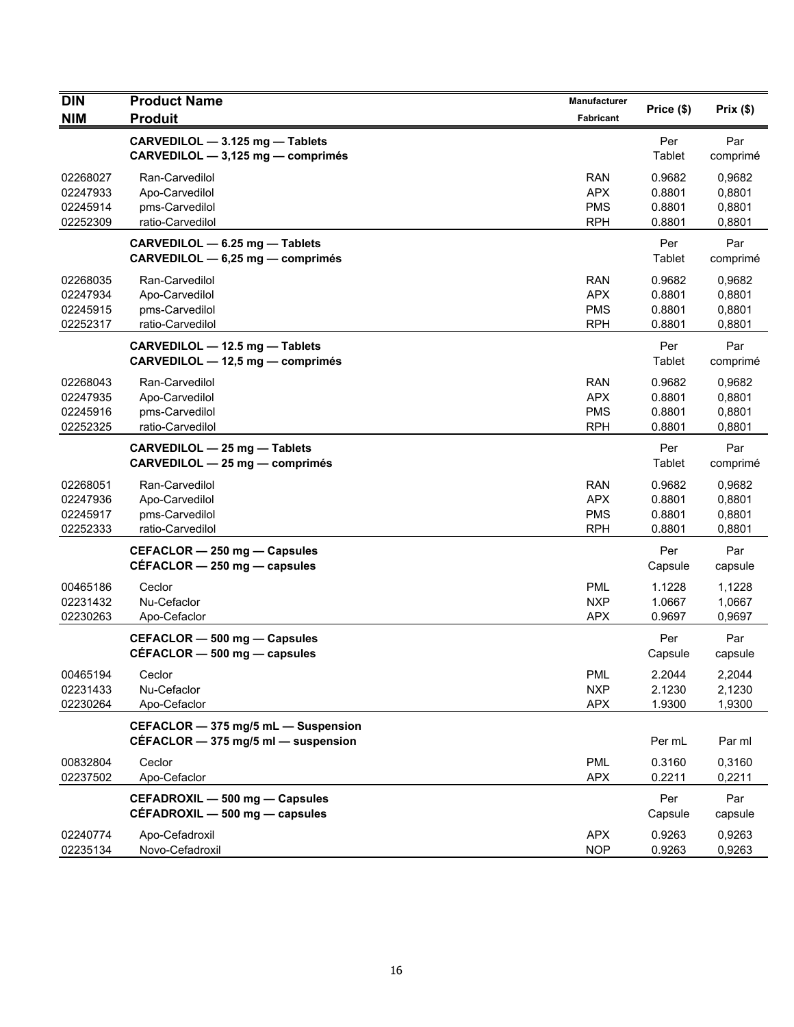| <b>DIN</b><br><b>NIM</b> | <b>Product Name</b>                                                            | Manufacturer<br>Fabricant | Price (\$)       | Prix(\$)         |
|--------------------------|--------------------------------------------------------------------------------|---------------------------|------------------|------------------|
|                          | <b>Produit</b>                                                                 |                           |                  |                  |
|                          | CARVEDILOL - 3.125 mg - Tablets<br>CARVEDILOL - 3,125 mg - comprimés           |                           | Per<br>Tablet    | Par<br>comprimé  |
| 02268027                 | Ran-Carvedilol                                                                 | <b>RAN</b>                | 0.9682           | 0.9682           |
| 02247933                 | Apo-Carvedilol                                                                 | <b>APX</b>                | 0.8801           | 0,8801           |
| 02245914                 | pms-Carvedilol                                                                 | <b>PMS</b>                | 0.8801           | 0,8801           |
| 02252309                 | ratio-Carvedilol                                                               | <b>RPH</b>                | 0.8801           | 0,8801           |
|                          | CARVEDILOL - 6.25 mg - Tablets<br>CARVEDILOL - 6,25 mg - comprimés             |                           | Per<br>Tablet    | Par<br>comprimé  |
| 02268035                 | Ran-Carvedilol                                                                 | <b>RAN</b>                | 0.9682           | 0,9682           |
| 02247934                 | Apo-Carvedilol                                                                 | <b>APX</b>                | 0.8801           | 0,8801           |
| 02245915                 | pms-Carvedilol                                                                 | <b>PMS</b>                | 0.8801           | 0,8801           |
| 02252317                 | ratio-Carvedilol                                                               | <b>RPH</b>                | 0.8801           | 0,8801           |
|                          | CARVEDILOL - 12.5 mg - Tablets<br>CARVEDILOL - 12,5 mg - comprimés             |                           | Per<br>Tablet    | Par<br>comprimé  |
| 02268043                 | Ran-Carvedilol                                                                 | <b>RAN</b>                | 0.9682           | 0,9682           |
| 02247935                 | Apo-Carvedilol                                                                 | <b>APX</b>                | 0.8801           | 0,8801           |
| 02245916                 | pms-Carvedilol                                                                 | <b>PMS</b>                | 0.8801           | 0,8801           |
| 02252325                 | ratio-Carvedilol                                                               | <b>RPH</b>                | 0.8801           | 0,8801           |
|                          | CARVEDILOL - 25 mg - Tablets<br>CARVEDILOL - 25 mg - comprimés                 |                           | Per<br>Tablet    | Par<br>comprimé  |
| 02268051                 | Ran-Carvedilol                                                                 | <b>RAN</b>                | 0.9682           | 0.9682           |
| 02247936                 | Apo-Carvedilol                                                                 | <b>APX</b>                | 0.8801           | 0,8801           |
| 02245917                 | pms-Carvedilol                                                                 | <b>PMS</b>                | 0.8801           | 0,8801           |
| 02252333                 | ratio-Carvedilol                                                               | <b>RPH</b>                | 0.8801           | 0,8801           |
|                          | CEFACLOR - 250 mg - Capsules<br>$CEFACLOR - 250$ mg $-$ capsules               |                           | Per<br>Capsule   | Par<br>capsule   |
| 00465186                 | Ceclor                                                                         | <b>PML</b>                | 1.1228           | 1,1228           |
| 02231432                 | Nu-Cefaclor                                                                    | <b>NXP</b>                | 1.0667           | 1,0667           |
| 02230263                 | Apo-Cefaclor                                                                   | <b>APX</b>                | 0.9697           | 0,9697           |
|                          | CEFACLOR - 500 mg - Capsules<br>$CEFACLOR - 500$ mg $-$ capsules               |                           | Per<br>Capsule   | Par<br>capsule   |
| 00465194                 | Ceclor                                                                         | <b>PML</b>                | 2.2044           | 2,2044           |
| 02231433                 | Nu-Cefaclor                                                                    | <b>NXP</b>                | 2.1230           | 2,1230           |
| 02230264                 | Apo-Cefaclor                                                                   | <b>APX</b>                | 1.9300           | 1,9300           |
|                          | CEFACLOR - 375 mg/5 mL - Suspension<br>CÉFACLOR $-$ 375 mg/5 ml $-$ suspension |                           | Per mL           | Par ml           |
| 00832804                 | Ceclor                                                                         | <b>PML</b>                | 0.3160           | 0,3160           |
| 02237502                 | Apo-Cefaclor                                                                   | <b>APX</b>                | 0.2211           | 0,2211           |
|                          |                                                                                |                           |                  |                  |
|                          | CEFADROXIL - 500 mg - Capsules<br>CÉFADROXIL - 500 mg - capsules               |                           | Per<br>Capsule   | Par<br>capsule   |
| 02240774<br>02235134     | Apo-Cefadroxil<br>Novo-Cefadroxil                                              | <b>APX</b><br><b>NOP</b>  | 0.9263<br>0.9263 | 0,9263<br>0,9263 |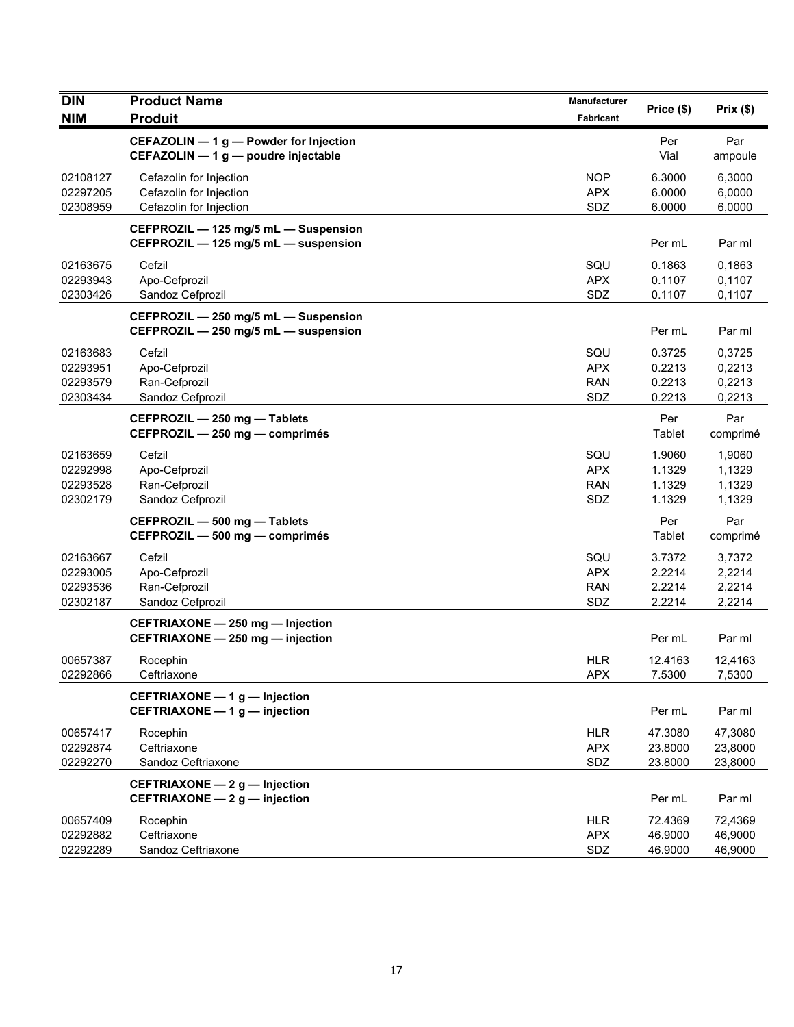| <b>DIN</b>                                   | <b>Product Name</b>                                                           | Manufacturer                           | Price (\$)                           | Prix(\$)                             |
|----------------------------------------------|-------------------------------------------------------------------------------|----------------------------------------|--------------------------------------|--------------------------------------|
| <b>NIM</b>                                   | <b>Produit</b>                                                                | Fabricant                              |                                      |                                      |
|                                              | CEFAZOLIN - 1 g - Powder for Injection<br>CEFAZOLIN - 1 g - poudre injectable |                                        | Per<br>Vial                          | Par<br>ampoule                       |
| 02108127<br>02297205<br>02308959             | Cefazolin for Injection<br>Cefazolin for Injection<br>Cefazolin for Injection | <b>NOP</b><br><b>APX</b><br>SDZ        | 6.3000<br>6.0000<br>6.0000           | 6,3000<br>6,0000<br>6,0000           |
|                                              | CEFPROZIL - 125 mg/5 mL - Suspension<br>CEFPROZIL - 125 mg/5 mL - suspension  |                                        | Per mL                               | Par ml                               |
| 02163675<br>02293943<br>02303426             | Cefzil<br>Apo-Cefprozil<br>Sandoz Cefprozil                                   | SQU<br><b>APX</b><br>SDZ               | 0.1863<br>0.1107<br>0.1107           | 0,1863<br>0,1107<br>0,1107           |
|                                              | CEFPROZIL - 250 mg/5 mL - Suspension<br>CEFPROZIL - 250 mg/5 mL - suspension  |                                        | Per mL                               | Par ml                               |
| 02163683<br>02293951<br>02293579<br>02303434 | Cefzil<br>Apo-Cefprozil<br>Ran-Cefprozil<br>Sandoz Cefprozil                  | SQU<br><b>APX</b><br><b>RAN</b><br>SDZ | 0.3725<br>0.2213<br>0.2213<br>0.2213 | 0,3725<br>0,2213<br>0,2213<br>0,2213 |
|                                              | CEFPROZIL - 250 mg - Tablets<br>CEFPROZIL - 250 mg - comprimés                |                                        | Per<br>Tablet                        | Par<br>comprimé                      |
| 02163659<br>02292998<br>02293528<br>02302179 | Cefzil<br>Apo-Cefprozil<br>Ran-Cefprozil<br>Sandoz Cefprozil                  | SQU<br><b>APX</b><br><b>RAN</b><br>SDZ | 1.9060<br>1.1329<br>1.1329<br>1.1329 | 1,9060<br>1,1329<br>1,1329<br>1,1329 |
|                                              | CEFPROZIL - 500 mg - Tablets<br>CEFPROZIL - 500 mg - comprimés                |                                        | Per<br>Tablet                        | Par<br>comprimé                      |
| 02163667<br>02293005<br>02293536<br>02302187 | Cefzil<br>Apo-Cefprozil<br>Ran-Cefprozil<br>Sandoz Cefprozil                  | SQU<br><b>APX</b><br><b>RAN</b><br>SDZ | 3.7372<br>2.2214<br>2.2214<br>2.2214 | 3,7372<br>2,2214<br>2,2214<br>2,2214 |
|                                              | CEFTRIAXONE - 250 mg - Injection<br>CEFTRIAXONE - 250 mg - injection          |                                        | Per mL                               | Par ml                               |
| 00657387<br>02292866                         | Rocephin<br>Ceftriaxone                                                       | <b>HLR</b><br><b>APX</b>               | 12.4163<br>7.5300                    | 12,4163<br>7,5300                    |
|                                              | CEFTRIAXONE - 1 g - Injection<br>CEFTRIAXONE - 1 g - injection                |                                        | Per mL                               | Par ml                               |
| 00657417<br>02292874<br>02292270             | Rocephin<br>Ceftriaxone<br>Sandoz Ceftriaxone                                 | <b>HLR</b><br><b>APX</b><br>SDZ        | 47.3080<br>23.8000<br>23.8000        | 47,3080<br>23,8000<br>23,8000        |
|                                              | CEFTRIAXONE - 2 g - Injection<br>CEFTRIAXONE - 2 g - injection                |                                        | Per mL                               | Par ml                               |
| 00657409<br>02292882<br>02292289             | Rocephin<br>Ceftriaxone<br>Sandoz Ceftriaxone                                 | <b>HLR</b><br><b>APX</b><br>SDZ        | 72.4369<br>46.9000<br>46.9000        | 72,4369<br>46,9000<br>46,9000        |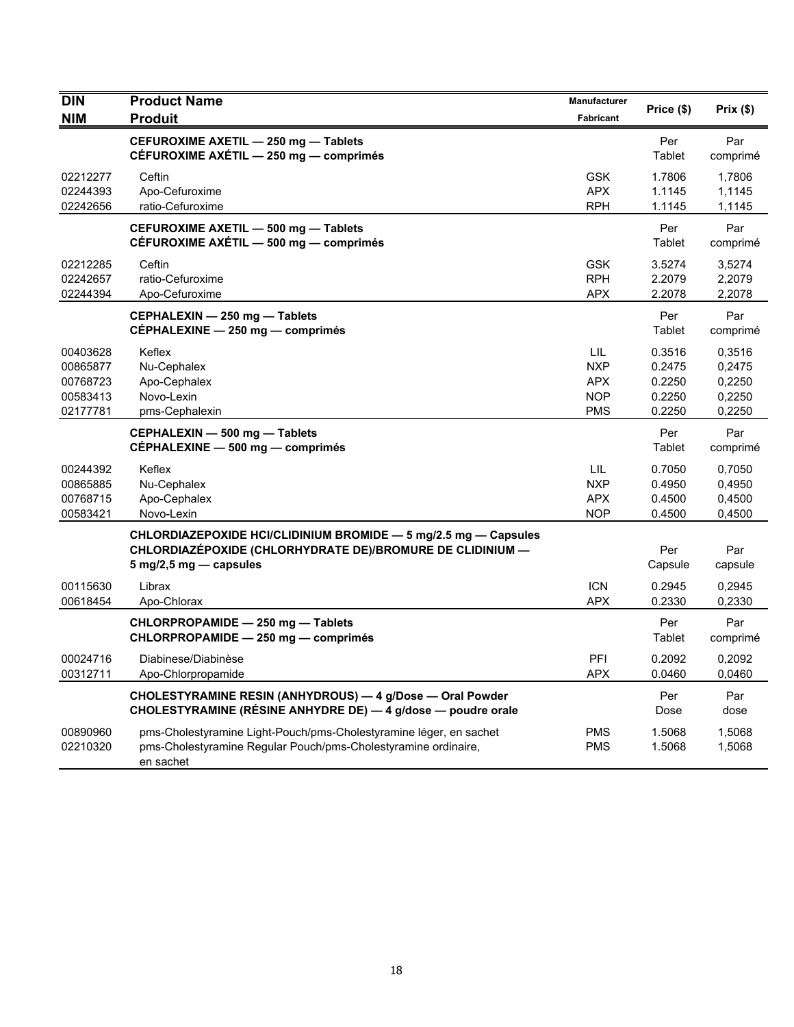| <b>DIN</b><br><b>NIM</b>                                 | <b>Product Name</b><br><b>Produit</b>                                                                                                                                     | Manufacturer<br><b>Fabricant</b>                            | Price (\$)                                     | Prix (\$)                                      |
|----------------------------------------------------------|---------------------------------------------------------------------------------------------------------------------------------------------------------------------------|-------------------------------------------------------------|------------------------------------------------|------------------------------------------------|
|                                                          | CEFUROXIME AXETIL - 250 mg - Tablets<br>CÉFUROXIME AXÉTIL - 250 mg - comprimés                                                                                            |                                                             | Per<br>Tablet                                  | Par<br>comprimé                                |
| 02212277<br>02244393<br>02242656                         | Ceftin<br>Apo-Cefuroxime<br>ratio-Cefuroxime                                                                                                                              | <b>GSK</b><br><b>APX</b><br><b>RPH</b>                      | 1.7806<br>1.1145<br>1.1145                     | 1,7806<br>1,1145<br>1,1145                     |
|                                                          | CEFUROXIME AXETIL - 500 mg - Tablets<br>CÉFUROXIME AXÉTIL - 500 mg - comprimés                                                                                            |                                                             | Per<br>Tablet                                  | Par<br>comprimé                                |
| 02212285<br>02242657<br>02244394                         | Ceftin<br>ratio-Cefuroxime<br>Apo-Cefuroxime                                                                                                                              | <b>GSK</b><br><b>RPH</b><br><b>APX</b>                      | 3.5274<br>2.2079<br>2.2078                     | 3,5274<br>2,2079<br>2,2078                     |
|                                                          | CEPHALEXIN - 250 mg - Tablets<br>CEPHALEXINE - 250 mg - comprimés                                                                                                         |                                                             | Per<br>Tablet                                  | Par<br>comprimé                                |
| 00403628<br>00865877<br>00768723<br>00583413<br>02177781 | Keflex<br>Nu-Cephalex<br>Apo-Cephalex<br>Novo-Lexin<br>pms-Cephalexin                                                                                                     | LIL<br><b>NXP</b><br><b>APX</b><br><b>NOP</b><br><b>PMS</b> | 0.3516<br>0.2475<br>0.2250<br>0.2250<br>0.2250 | 0,3516<br>0,2475<br>0,2250<br>0,2250<br>0,2250 |
|                                                          | CEPHALEXIN - 500 mg - Tablets<br>CEPHALEXINE - 500 mg - comprimés                                                                                                         |                                                             | Per<br>Tablet                                  | Par<br>comprimé                                |
| 00244392<br>00865885<br>00768715<br>00583421             | Keflex<br>Nu-Cephalex<br>Apo-Cephalex<br>Novo-Lexin                                                                                                                       | LIL<br><b>NXP</b><br><b>APX</b><br><b>NOP</b>               | 0.7050<br>0.4950<br>0.4500<br>0.4500           | 0,7050<br>0.4950<br>0,4500<br>0,4500           |
|                                                          | CHLORDIAZEPOXIDE HCI/CLIDINIUM BROMIDE - 5 mg/2.5 mg - Capsules<br>CHLORDIAZEPOXIDE (CHLORHYDRATE DE)/BROMURE DE CLIDINIUM —<br>$5 \text{ mg}/2, 5 \text{ mg}$ - capsules |                                                             | Per<br>Capsule                                 | Par<br>capsule                                 |
| 00115630<br>00618454                                     | Librax<br>Apo-Chlorax                                                                                                                                                     | <b>ICN</b><br><b>APX</b>                                    | 0.2945<br>0.2330                               | 0,2945<br>0,2330                               |
|                                                          | CHLORPROPAMIDE - 250 mg - Tablets<br>CHLORPROPAMIDE - 250 mg - comprimés                                                                                                  |                                                             | Per<br>Tablet                                  | Par<br>comprimé                                |
| 00024716<br>00312711                                     | Diabinese/Diabinèse<br>Apo-Chlorpropamide                                                                                                                                 | PFI<br><b>APX</b>                                           | 0.2092<br>0.0460                               | 0,2092<br>0,0460                               |
|                                                          | CHOLESTYRAMINE RESIN (ANHYDROUS) - 4 g/Dose - Oral Powder<br>CHOLESTYRAMINE (RÉSINE ANHYDRE DE) - 4 g/dose - poudre orale                                                 |                                                             | Per<br>Dose                                    | Par<br>dose                                    |
| 00890960<br>02210320                                     | pms-Cholestyramine Light-Pouch/pms-Cholestyramine léger, en sachet<br>pms-Cholestyramine Regular Pouch/pms-Cholestyramine ordinaire,<br>en sachet                         | PMS<br><b>PMS</b>                                           | 1.5068<br>1.5068                               | 1,5068<br>1,5068                               |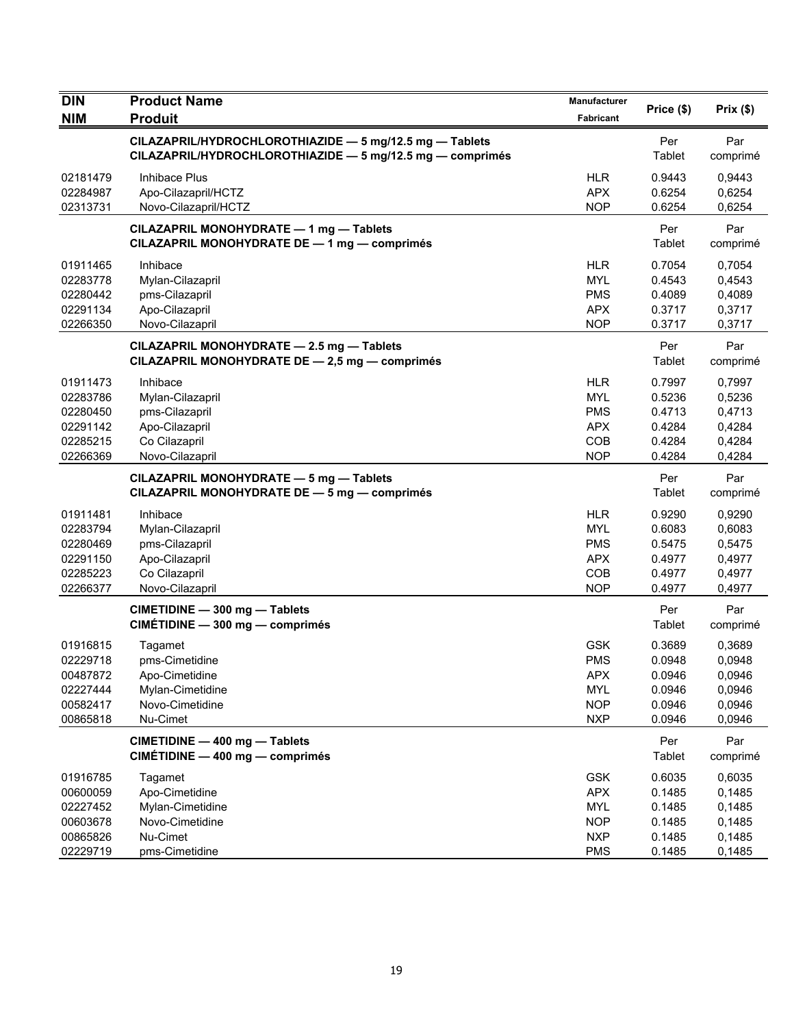| <b>DIN</b>                                                           | <b>Product Name</b>                                                                                                  | Manufacturer                                                                     | Price (\$)                                               | Prix(\$)                                                 |
|----------------------------------------------------------------------|----------------------------------------------------------------------------------------------------------------------|----------------------------------------------------------------------------------|----------------------------------------------------------|----------------------------------------------------------|
| <b>NIM</b>                                                           | <b>Produit</b>                                                                                                       | Fabricant                                                                        |                                                          |                                                          |
|                                                                      | CILAZAPRIL/HYDROCHLOROTHIAZIDE - 5 mg/12.5 mg - Tablets<br>CILAZAPRIL/HYDROCHLOROTHIAZIDE - 5 mg/12.5 mg - comprimés |                                                                                  | Per<br>Tablet                                            | Par<br>comprimé                                          |
| 02181479<br>02284987<br>02313731                                     | Inhibace Plus<br>Apo-Cilazapril/HCTZ<br>Novo-Cilazapril/HCTZ                                                         | <b>HLR</b><br><b>APX</b><br><b>NOP</b>                                           | 0.9443<br>0.6254<br>0.6254                               | 0,9443<br>0,6254<br>0,6254                               |
|                                                                      | CILAZAPRIL MONOHYDRATE - 1 mg - Tablets<br>CILAZAPRIL MONOHYDRATE DE - 1 mg - comprimés                              |                                                                                  | Per<br>Tablet                                            | Par<br>comprimé                                          |
| 01911465<br>02283778<br>02280442<br>02291134<br>02266350             | Inhibace<br>Mylan-Cilazapril<br>pms-Cilazapril<br>Apo-Cilazapril<br>Novo-Cilazapril                                  | <b>HLR</b><br><b>MYL</b><br><b>PMS</b><br><b>APX</b><br><b>NOP</b>               | 0.7054<br>0.4543<br>0.4089<br>0.3717<br>0.3717           | 0,7054<br>0,4543<br>0,4089<br>0,3717<br>0,3717           |
|                                                                      | CILAZAPRIL MONOHYDRATE - 2.5 mg - Tablets<br>CILAZAPRIL MONOHYDRATE DE - 2,5 mg - comprimés                          |                                                                                  | Per<br>Tablet                                            | Par<br>comprimé                                          |
| 01911473<br>02283786<br>02280450<br>02291142<br>02285215<br>02266369 | Inhibace<br>Mylan-Cilazapril<br>pms-Cilazapril<br>Apo-Cilazapril<br>Co Cilazapril<br>Novo-Cilazapril                 | <b>HLR</b><br><b>MYL</b><br><b>PMS</b><br><b>APX</b><br>COB<br><b>NOP</b>        | 0.7997<br>0.5236<br>0.4713<br>0.4284<br>0.4284<br>0.4284 | 0,7997<br>0,5236<br>0,4713<br>0,4284<br>0,4284<br>0,4284 |
|                                                                      | CILAZAPRIL MONOHYDRATE - 5 mg - Tablets<br>CILAZAPRIL MONOHYDRATE DE - 5 mg - comprimés                              |                                                                                  | Per<br>Tablet                                            | Par<br>comprimé                                          |
| 01911481<br>02283794<br>02280469<br>02291150<br>02285223<br>02266377 | Inhibace<br>Mylan-Cilazapril<br>pms-Cilazapril<br>Apo-Cilazapril<br>Co Cilazapril<br>Novo-Cilazapril                 | <b>HLR</b><br><b>MYL</b><br><b>PMS</b><br><b>APX</b><br>COB<br><b>NOP</b>        | 0.9290<br>0.6083<br>0.5475<br>0.4977<br>0.4977<br>0.4977 | 0,9290<br>0,6083<br>0,5475<br>0,4977<br>0,4977<br>0,4977 |
|                                                                      | CIMETIDINE - 300 mg - Tablets<br>CIMÉTIDINE - 300 mg - comprimés                                                     |                                                                                  | Per<br>Tablet                                            | Par<br>comprimé                                          |
| 01916815<br>02229718<br>00487872<br>02227444<br>00582417<br>00865818 | Tagamet<br>pms-Cimetidine<br>Apo-Cimetidine<br>Mylan-Cimetidine<br>Novo-Cimetidine<br>Nu-Cimet                       | <b>GSK</b><br><b>PMS</b><br><b>APX</b><br>MYL<br><b>NOP</b><br><b>NXP</b>        | 0.3689<br>0.0948<br>0.0946<br>0.0946<br>0.0946<br>0.0946 | 0,3689<br>0,0948<br>0,0946<br>0,0946<br>0,0946<br>0,0946 |
|                                                                      | CIMETIDINE - 400 mg - Tablets<br>CIMÉTIDINE - 400 mg - comprimés                                                     |                                                                                  | Per<br>Tablet                                            | Par<br>comprimé                                          |
| 01916785<br>00600059<br>02227452<br>00603678<br>00865826<br>02229719 | Tagamet<br>Apo-Cimetidine<br>Mylan-Cimetidine<br>Novo-Cimetidine<br>Nu-Cimet<br>pms-Cimetidine                       | <b>GSK</b><br><b>APX</b><br><b>MYL</b><br><b>NOP</b><br><b>NXP</b><br><b>PMS</b> | 0.6035<br>0.1485<br>0.1485<br>0.1485<br>0.1485<br>0.1485 | 0,6035<br>0,1485<br>0,1485<br>0,1485<br>0,1485<br>0,1485 |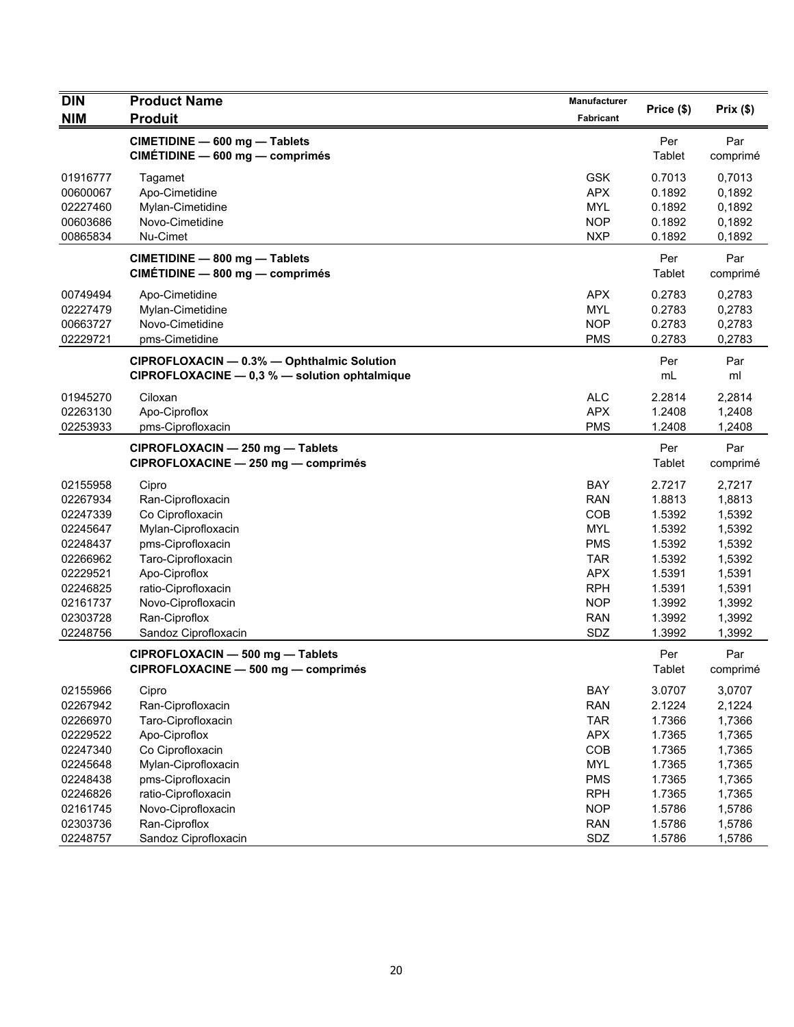| <b>DIN</b><br><b>NIM</b> | <b>Product Name</b><br><b>Produit</b>                                                       | Manufacturer<br>Fabricant | Price (\$)           | Prix $($ \$)    |
|--------------------------|---------------------------------------------------------------------------------------------|---------------------------|----------------------|-----------------|
|                          |                                                                                             |                           |                      |                 |
|                          | CIMETIDINE - 600 mg - Tablets<br>CIMÉTIDINE - 600 mg - comprimés                            |                           | Per<br>Tablet        | Par<br>comprimé |
| 01916777                 | Tagamet                                                                                     | <b>GSK</b>                | 0.7013               | 0,7013          |
| 00600067                 | Apo-Cimetidine                                                                              | <b>APX</b>                | 0.1892               | 0,1892          |
| 02227460                 | Mylan-Cimetidine                                                                            | <b>MYL</b>                | 0.1892               | 0,1892          |
| 00603686                 | Novo-Cimetidine                                                                             | <b>NOP</b>                | 0.1892               | 0,1892          |
| 00865834                 | Nu-Cimet                                                                                    | <b>NXP</b>                | 0.1892               | 0,1892          |
|                          | CIMETIDINE - 800 mg - Tablets<br>CIMÉTIDINE - 800 mg - comprimés                            |                           | Per<br>Tablet        | Par<br>comprimé |
| 00749494                 | Apo-Cimetidine                                                                              | <b>APX</b>                | 0.2783               | 0,2783          |
| 02227479                 | Mylan-Cimetidine                                                                            | <b>MYL</b>                | 0.2783               | 0,2783          |
| 00663727                 | Novo-Cimetidine                                                                             | <b>NOP</b>                | 0.2783               | 0,2783          |
| 02229721                 | pms-Cimetidine                                                                              | <b>PMS</b>                | 0.2783               | 0,2783          |
|                          | CIPROFLOXACIN - 0.3% - Ophthalmic Solution<br>CIPROFLOXACINE - 0,3 % - solution ophtalmique |                           | Per<br>mL            | Par<br>ml       |
| 01945270                 | Ciloxan                                                                                     | <b>ALC</b>                | 2.2814               | 2,2814          |
| 02263130                 | Apo-Ciproflox                                                                               | <b>APX</b>                | 1.2408               | 1,2408          |
| 02253933                 | pms-Ciprofloxacin                                                                           | <b>PMS</b>                | 1.2408               | 1,2408          |
|                          | CIPROFLOXACIN - 250 mg - Tablets<br>CIPROFLOXACINE - 250 mg - comprimés                     |                           | Per<br><b>Tablet</b> | Par<br>comprimé |
| 02155958                 | Cipro                                                                                       | BAY                       | 2.7217               | 2,7217          |
| 02267934                 | Ran-Ciprofloxacin                                                                           | <b>RAN</b>                | 1.8813               | 1,8813          |
| 02247339                 | Co Ciprofloxacin                                                                            | COB                       | 1.5392               | 1,5392          |
| 02245647                 | Mylan-Ciprofloxacin                                                                         | <b>MYL</b>                | 1.5392               | 1,5392          |
| 02248437                 | pms-Ciprofloxacin                                                                           | <b>PMS</b>                | 1.5392               | 1,5392          |
| 02266962                 | Taro-Ciprofloxacin                                                                          | <b>TAR</b>                | 1.5392               | 1,5392          |
| 02229521                 | Apo-Ciproflox                                                                               | <b>APX</b>                | 1.5391               | 1,5391          |
| 02246825                 | ratio-Ciprofloxacin                                                                         | <b>RPH</b>                | 1.5391               | 1,5391          |
| 02161737                 | Novo-Ciprofloxacin                                                                          | <b>NOP</b>                | 1.3992               | 1,3992          |
| 02303728                 | Ran-Ciproflox                                                                               | <b>RAN</b>                | 1.3992               | 1,3992          |
| 02248756                 | Sandoz Ciprofloxacin                                                                        | SDZ                       | 1.3992               | 1,3992          |
|                          | CIPROFLOXACIN - 500 mg - Tablets<br>CIPROFLOXACINE - 500 mg - comprimés                     |                           | Per<br>Tablet        | Par<br>comprimé |
| 02155966                 | Cipro                                                                                       | BAY                       | 3.0707               | 3,0707          |
| 02267942                 | Ran-Ciprofloxacin                                                                           | <b>RAN</b>                | 2.1224               | 2,1224          |
| 02266970                 | Taro-Ciprofloxacin                                                                          | <b>TAR</b>                | 1.7366               | 1,7366          |
| 02229522                 | Apo-Ciproflox                                                                               | <b>APX</b>                | 1.7365               | 1,7365          |
| 02247340                 | Co Ciprofloxacin                                                                            | COB                       | 1.7365               | 1,7365          |
| 02245648                 | Mylan-Ciprofloxacin                                                                         | <b>MYL</b>                | 1.7365               | 1,7365          |
| 02248438                 | pms-Ciprofloxacin                                                                           | <b>PMS</b>                | 1.7365               | 1,7365          |
| 02246826                 | ratio-Ciprofloxacin                                                                         | <b>RPH</b>                | 1.7365               | 1,7365          |
| 02161745                 | Novo-Ciprofloxacin                                                                          | <b>NOP</b>                | 1.5786               | 1,5786          |
| 02303736                 | Ran-Ciproflox                                                                               | <b>RAN</b>                | 1.5786               | 1,5786          |
| 02248757                 | Sandoz Ciprofloxacin                                                                        | SDZ                       | 1.5786               | 1,5786          |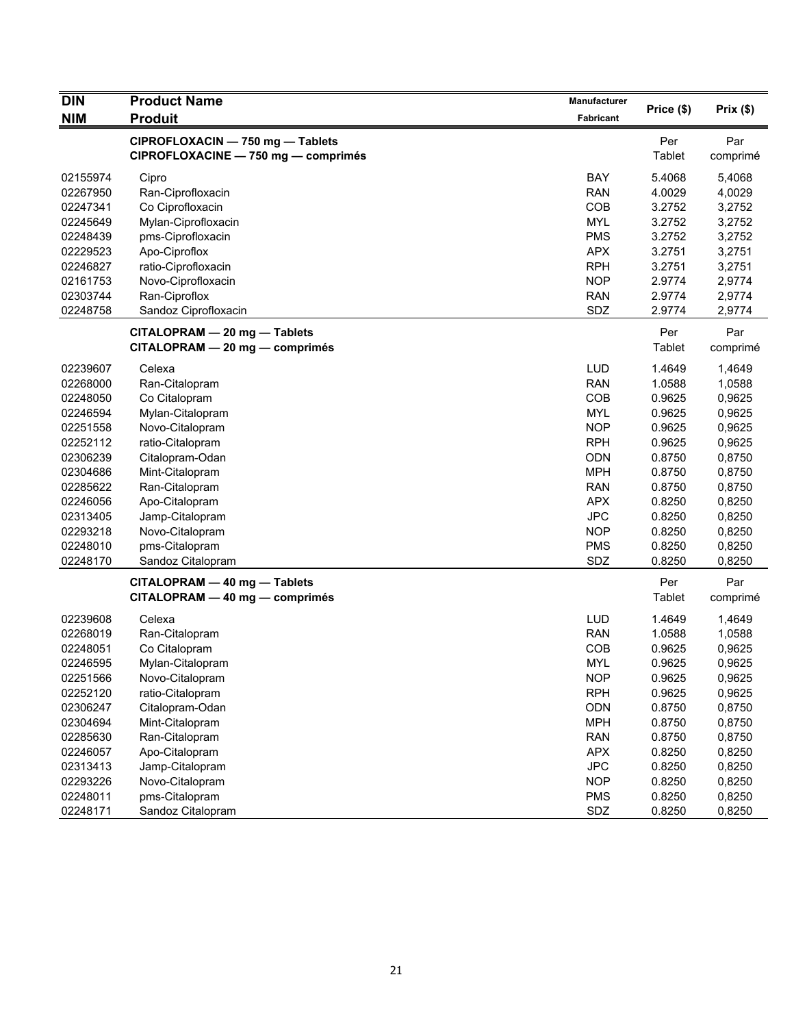| <b>DIN</b> | <b>Product Name</b>                                                     | Manufacturer | Price (\$)    | Prix(\$)        |
|------------|-------------------------------------------------------------------------|--------------|---------------|-----------------|
| <b>NIM</b> | <b>Produit</b>                                                          | Fabricant    |               |                 |
|            | CIPROFLOXACIN - 750 mg - Tablets<br>CIPROFLOXACINE - 750 mg - comprimés |              | Per<br>Tablet | Par<br>comprimé |
| 02155974   | Cipro                                                                   | <b>BAY</b>   | 5.4068        | 5,4068          |
| 02267950   | Ran-Ciprofloxacin                                                       | <b>RAN</b>   | 4.0029        | 4,0029          |
| 02247341   | Co Ciprofloxacin                                                        | COB          | 3.2752        | 3,2752          |
| 02245649   | Mylan-Ciprofloxacin                                                     | <b>MYL</b>   | 3.2752        | 3,2752          |
| 02248439   | pms-Ciprofloxacin                                                       | <b>PMS</b>   | 3.2752        | 3,2752          |
| 02229523   | Apo-Ciproflox                                                           | <b>APX</b>   | 3.2751        | 3,2751          |
| 02246827   | ratio-Ciprofloxacin                                                     | <b>RPH</b>   | 3.2751        | 3,2751          |
| 02161753   | Novo-Ciprofloxacin                                                      | <b>NOP</b>   | 2.9774        | 2,9774          |
| 02303744   | Ran-Ciproflox                                                           | <b>RAN</b>   | 2.9774        | 2,9774          |
| 02248758   | Sandoz Ciprofloxacin                                                    | SDZ          | 2.9774        | 2,9774          |
|            | CITALOPRAM - 20 mg - Tablets                                            |              | Per           | Par             |
|            | CITALOPRAM - 20 mg - comprimés                                          |              | Tablet        | comprimé        |
| 02239607   | Celexa                                                                  | <b>LUD</b>   | 1.4649        | 1,4649          |
| 02268000   | Ran-Citalopram                                                          | <b>RAN</b>   | 1.0588        | 1,0588          |
| 02248050   | Co Citalopram                                                           | COB          | 0.9625        | 0,9625          |
| 02246594   | Mylan-Citalopram                                                        | <b>MYL</b>   | 0.9625        | 0,9625          |
| 02251558   | Novo-Citalopram                                                         | <b>NOP</b>   | 0.9625        | 0,9625          |
| 02252112   | ratio-Citalopram                                                        | <b>RPH</b>   | 0.9625        | 0,9625          |
| 02306239   | Citalopram-Odan                                                         | ODN          | 0.8750        | 0,8750          |
| 02304686   | Mint-Citalopram                                                         | <b>MPH</b>   | 0.8750        | 0,8750          |
| 02285622   | Ran-Citalopram                                                          | <b>RAN</b>   | 0.8750        | 0,8750          |
| 02246056   | Apo-Citalopram                                                          | <b>APX</b>   | 0.8250        | 0,8250          |
| 02313405   | Jamp-Citalopram                                                         | <b>JPC</b>   | 0.8250        | 0,8250          |
| 02293218   | Novo-Citalopram                                                         | <b>NOP</b>   | 0.8250        | 0,8250          |
| 02248010   | pms-Citalopram                                                          | <b>PMS</b>   | 0.8250        | 0,8250          |
| 02248170   | Sandoz Citalopram                                                       | SDZ          | 0.8250        | 0,8250          |
|            | CITALOPRAM - 40 mg - Tablets                                            |              | Per           | Par             |
|            | CITALOPRAM - 40 mg - comprimés                                          |              | <b>Tablet</b> | comprimé        |
| 02239608   | Celexa                                                                  | <b>LUD</b>   | 1.4649        | 1,4649          |
| 02268019   | Ran-Citalopram                                                          | <b>RAN</b>   | 1.0588        | 1,0588          |
| 02248051   | Co Citalopram                                                           | COB          | 0.9625        | 0,9625          |
| 02246595   | Mylan-Citalopram                                                        | <b>MYL</b>   | 0.9625        | 0,9625          |
| 02251566   | Novo-Citalopram                                                         | <b>NOP</b>   | 0.9625        | 0,9625          |
| 02252120   | ratio-Citalopram                                                        | <b>RPH</b>   | 0.9625        | 0,9625          |
| 02306247   | Citalopram-Odan                                                         | <b>ODN</b>   | 0.8750        | 0,8750          |
| 02304694   | Mint-Citalopram                                                         | <b>MPH</b>   | 0.8750        | 0,8750          |
| 02285630   | Ran-Citalopram                                                          | <b>RAN</b>   | 0.8750        | 0,8750          |
| 02246057   | Apo-Citalopram                                                          | <b>APX</b>   | 0.8250        | 0,8250          |
| 02313413   | Jamp-Citalopram                                                         | <b>JPC</b>   | 0.8250        | 0,8250          |
| 02293226   | Novo-Citalopram                                                         | <b>NOP</b>   | 0.8250        | 0,8250          |
| 02248011   | pms-Citalopram                                                          | <b>PMS</b>   | 0.8250        | 0,8250          |
| 02248171   | Sandoz Citalopram                                                       | SDZ          | 0.8250        | 0,8250          |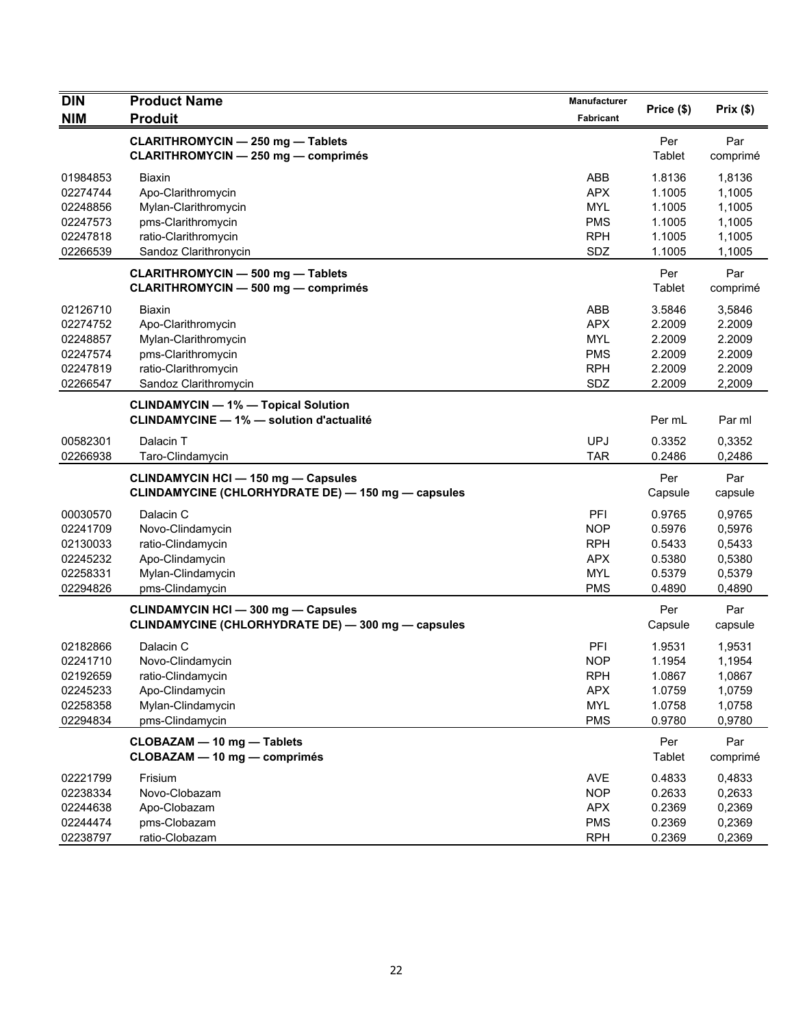| <b>DIN</b> | <b>Product Name</b>                                | <b>Manufacturer</b> | Price (\$) | Prix(\$) |
|------------|----------------------------------------------------|---------------------|------------|----------|
| <b>NIM</b> | <b>Produit</b>                                     | Fabricant           |            |          |
|            | <b>CLARITHROMYCIN - 250 mg - Tablets</b>           |                     | Per        | Par      |
|            | <b>CLARITHROMYCIN - 250 mg - comprimés</b>         |                     | Tablet     | comprimé |
| 01984853   | <b>Biaxin</b>                                      | ABB                 | 1.8136     | 1,8136   |
| 02274744   | Apo-Clarithromycin                                 | <b>APX</b>          | 1.1005     | 1,1005   |
| 02248856   | Mylan-Clarithromycin                               | <b>MYL</b>          | 1.1005     | 1,1005   |
| 02247573   | pms-Clarithromycin                                 | <b>PMS</b>          | 1.1005     | 1,1005   |
| 02247818   | ratio-Clarithromycin                               | <b>RPH</b>          | 1.1005     | 1,1005   |
| 02266539   | Sandoz Clarithronycin                              | SDZ                 | 1.1005     | 1,1005   |
|            | <b>CLARITHROMYCIN - 500 mg - Tablets</b>           |                     | Per        | Par      |
|            | <b>CLARITHROMYCIN - 500 mg - comprimés</b>         |                     | Tablet     | comprimé |
| 02126710   | Biaxin                                             | ABB                 | 3.5846     | 3,5846   |
| 02274752   | Apo-Clarithromycin                                 | <b>APX</b>          | 2.2009     | 2.2009   |
| 02248857   | Mylan-Clarithromycin                               | <b>MYL</b>          | 2.2009     | 2.2009   |
| 02247574   | pms-Clarithromycin                                 | <b>PMS</b>          | 2.2009     | 2.2009   |
| 02247819   | ratio-Clarithromycin                               | <b>RPH</b>          | 2.2009     | 2.2009   |
| 02266547   | Sandoz Clarithromycin                              | SDZ                 | 2.2009     | 2,2009   |
|            | <b>CLINDAMYCIN - 1% - Topical Solution</b>         |                     |            |          |
|            | <b>CLINDAMYCINE - 1% - solution d'actualité</b>    |                     | Per mL     | Par ml   |
| 00582301   | Dalacin T                                          | <b>UPJ</b>          | 0.3352     | 0,3352   |
| 02266938   | Taro-Clindamycin                                   | <b>TAR</b>          | 0.2486     | 0,2486   |
|            | <b>CLINDAMYCIN HCI - 150 mg - Capsules</b>         |                     | Per        | Par      |
|            | CLINDAMYCINE (CHLORHYDRATE DE) - 150 mg - capsules |                     | Capsule    | capsule  |
| 00030570   | Dalacin C                                          | PFI                 | 0.9765     | 0,9765   |
| 02241709   | Novo-Clindamycin                                   | <b>NOP</b>          | 0.5976     | 0,5976   |
| 02130033   | ratio-Clindamycin                                  | <b>RPH</b>          | 0.5433     | 0,5433   |
| 02245232   | Apo-Clindamycin                                    | <b>APX</b>          | 0.5380     | 0,5380   |
| 02258331   | Mylan-Clindamycin                                  | <b>MYL</b>          | 0.5379     | 0,5379   |
| 02294826   | pms-Clindamycin                                    | <b>PMS</b>          | 0.4890     | 0,4890   |
|            | <b>CLINDAMYCIN HCI - 300 mg - Capsules</b>         |                     | Per        | Par      |
|            | CLINDAMYCINE (CHLORHYDRATE DE) - 300 mg - capsules |                     | Capsule    | capsule  |
| 02182866   | Dalacin C                                          | PFI                 | 1.9531     | 1,9531   |
| 02241710   | Novo-Clindamycin                                   | <b>NOP</b>          | 1.1954     | 1,1954   |
| 02192659   | ratio-Clindamycin                                  | <b>RPH</b>          | 1.0867     | 1,0867   |
| 02245233   | Apo-Clindamycin                                    | <b>APX</b>          | 1.0759     | 1,0759   |
| 02258358   | Mylan-Clindamycin                                  | <b>MYL</b>          | 1.0758     | 1,0758   |
| 02294834   | pms-Clindamycin                                    | <b>PMS</b>          | 0.9780     | 0,9780   |
|            | CLOBAZAM - 10 mg - Tablets                         |                     | Per        | Par      |
|            | CLOBAZAM - 10 mg - comprimés                       |                     | Tablet     | comprimé |
| 02221799   | Frisium                                            | AVE                 | 0.4833     | 0,4833   |
| 02238334   | Novo-Clobazam                                      | <b>NOP</b>          | 0.2633     | 0,2633   |
| 02244638   | Apo-Clobazam                                       | <b>APX</b>          | 0.2369     | 0,2369   |
| 02244474   | pms-Clobazam                                       | <b>PMS</b>          | 0.2369     | 0,2369   |
| 02238797   | ratio-Clobazam                                     | <b>RPH</b>          | 0.2369     | 0,2369   |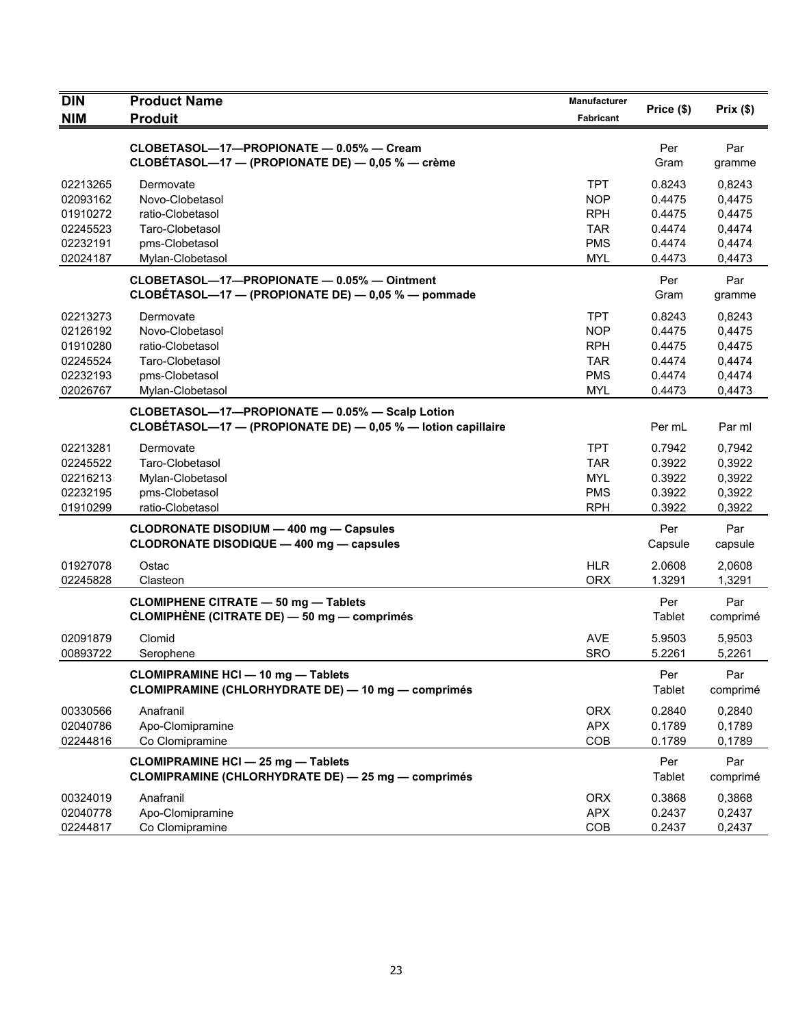| <b>DIN</b>                       | <b>Product Name</b>                                                                                                   | <b>Manufacturer</b>                    | Price (\$)                 | Prix(\$)                   |
|----------------------------------|-----------------------------------------------------------------------------------------------------------------------|----------------------------------------|----------------------------|----------------------------|
| <b>NIM</b>                       | <b>Produit</b>                                                                                                        | Fabricant                              |                            |                            |
|                                  | CLOBETASOL-17-PROPIONATE - 0.05% - Cream<br>CLOBÉTASOL-17 - (PROPIONATE DE) - 0,05 % - crème                          |                                        | Per<br>Gram                | Par<br>gramme              |
| 02213265<br>02093162             | Dermovate<br>Novo-Clobetasol                                                                                          | <b>TPT</b><br><b>NOP</b>               | 0.8243<br>0.4475           | 0,8243<br>0,4475           |
| 01910272<br>02245523<br>02232191 | ratio-Clobetasol<br>Taro-Clobetasol<br>pms-Clobetasol                                                                 | <b>RPH</b><br><b>TAR</b><br><b>PMS</b> | 0.4475<br>0.4474<br>0.4474 | 0,4475<br>0,4474<br>0,4474 |
| 02024187                         | Mylan-Clobetasol<br>CLOBETASOL-17-PROPIONATE - 0.05% - Ointment<br>CLOBÉTASOL-17 - (PROPIONATE DE) - 0,05 % - pommade | <b>MYL</b>                             | 0.4473<br>Per<br>Gram      | 0,4473<br>Par<br>gramme    |
|                                  |                                                                                                                       |                                        |                            |                            |
| 02213273<br>02126192             | Dermovate<br>Novo-Clobetasol                                                                                          | TPT.<br><b>NOP</b>                     | 0.8243<br>0.4475           | 0,8243<br>0,4475           |
| 01910280                         | ratio-Clobetasol                                                                                                      | <b>RPH</b>                             | 0.4475                     | 0,4475                     |
| 02245524                         | Taro-Clobetasol                                                                                                       | <b>TAR</b>                             | 0.4474                     | 0,4474                     |
| 02232193                         | pms-Clobetasol                                                                                                        | <b>PMS</b>                             | 0.4474                     | 0,4474                     |
| 02026767                         | Mylan-Clobetasol                                                                                                      | <b>MYL</b>                             | 0.4473                     | 0,4473                     |
|                                  | CLOBETASOL-17-PROPIONATE - 0.05% - Scalp Lotion<br>CLOBÉTASOL-17 - (PROPIONATE DE) - 0,05 % - lotion capillaire       |                                        | Per mL                     | Par ml                     |
| 02213281                         | Dermovate                                                                                                             | <b>TPT</b>                             | 0.7942                     | 0,7942                     |
| 02245522                         | Taro-Clobetasol                                                                                                       | <b>TAR</b>                             | 0.3922                     | 0,3922                     |
| 02216213                         | Mylan-Clobetasol                                                                                                      | <b>MYL</b>                             | 0.3922                     | 0,3922                     |
| 02232195<br>01910299             | pms-Clobetasol<br>ratio-Clobetasol                                                                                    | <b>PMS</b><br><b>RPH</b>               | 0.3922<br>0.3922           | 0,3922<br>0,3922           |
|                                  | <b>CLODRONATE DISODIUM - 400 mg - Capsules</b><br>CLODRONATE DISODIQUE - 400 mg - capsules                            |                                        | Per<br>Capsule             | Par<br>capsule             |
|                                  |                                                                                                                       |                                        |                            |                            |
| 01927078<br>02245828             | Ostac<br>Clasteon                                                                                                     | <b>HLR</b><br><b>ORX</b>               | 2.0608<br>1.3291           | 2,0608<br>1,3291           |
|                                  | <b>CLOMIPHENE CITRATE - 50 mg - Tablets</b><br>CLOMIPHÈNE (CITRATE DE) — 50 mg — comprimés                            |                                        | Per<br>Tablet              | Par<br>comprimé            |
| 02091879<br>00893722             | Clomid<br>Serophene                                                                                                   | <b>AVE</b><br><b>SRO</b>               | 5.9503<br>5.2261           | 5.9503<br>5,2261           |
|                                  | <b>CLOMIPRAMINE HCI - 10 mg - Tablets</b><br>CLOMIPRAMINE (CHLORHYDRATE DE) - 10 mg - comprimés                       |                                        | Per<br><b>Tablet</b>       | Par<br>comprimé            |
| 00330566                         | Anafranil                                                                                                             | <b>ORX</b>                             | 0.2840                     | 0,2840                     |
| 02040786                         | Apo-Clomipramine                                                                                                      | <b>APX</b>                             | 0.1789                     | 0,1789                     |
| 02244816                         | Co Clomipramine                                                                                                       | COB                                    | 0.1789                     | 0,1789                     |
|                                  | <b>CLOMIPRAMINE HCI - 25 mg - Tablets</b><br><b>CLOMIPRAMINE (CHLORHYDRATE DE) - 25 mg - comprimés</b>                |                                        | Per<br>Tablet              | Par<br>comprimé            |
| 00324019                         | Anafranil                                                                                                             | <b>ORX</b>                             | 0.3868                     | 0,3868                     |
| 02040778                         | Apo-Clomipramine                                                                                                      | <b>APX</b>                             | 0.2437                     | 0,2437                     |
| 02244817                         | Co Clomipramine                                                                                                       | COB                                    | 0.2437                     | 0,2437                     |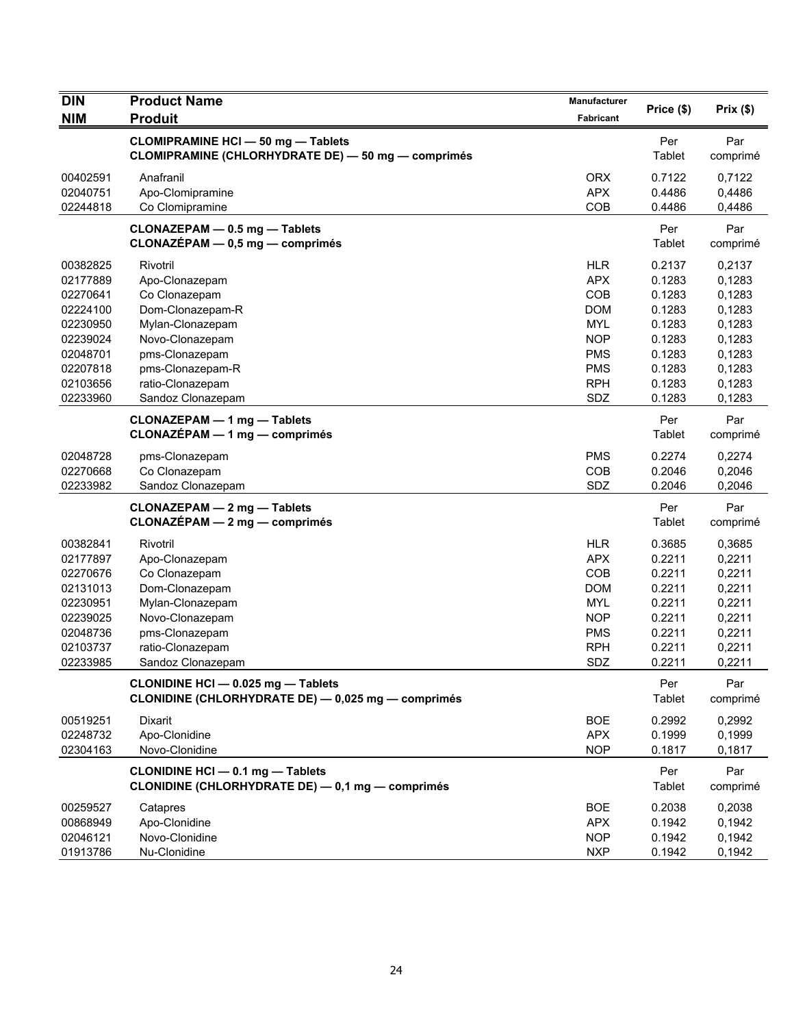| <b>DIN</b>           | <b>Product Name</b>                                                                             | Manufacturer                    | Price (\$)                 | Prix(\$)                   |
|----------------------|-------------------------------------------------------------------------------------------------|---------------------------------|----------------------------|----------------------------|
| <b>NIM</b>           | <b>Produit</b>                                                                                  | Fabricant                       |                            |                            |
|                      | <b>CLOMIPRAMINE HCI - 50 mg - Tablets</b><br>CLOMIPRAMINE (CHLORHYDRATE DE) - 50 mg - comprimés |                                 | Per<br>Tablet              | Par<br>comprimé            |
| 00402591             | Anafranil                                                                                       | <b>ORX</b>                      | 0.7122                     | 0,7122                     |
| 02040751<br>02244818 | Apo-Clomipramine<br>Co Clomipramine                                                             | <b>APX</b><br>COB               | 0.4486<br>0.4486           | 0,4486<br>0,4486           |
|                      | CLONAZEPAM - 0.5 mg - Tablets<br>$CLONAZÉPAM - 0,5 mg - comprimés$                              |                                 | Per<br>Tablet              | Par<br>comprimé            |
| 00382825<br>02177889 | Rivotril<br>Apo-Clonazepam                                                                      | <b>HLR</b><br><b>APX</b>        | 0.2137<br>0.1283           | 0,2137<br>0,1283           |
| 02270641<br>02224100 | Co Clonazepam<br>Dom-Clonazepam-R                                                               | COB<br><b>DOM</b>               | 0.1283<br>0.1283           | 0,1283<br>0,1283           |
| 02230950<br>02239024 | Mylan-Clonazepam<br>Novo-Clonazepam                                                             | <b>MYL</b><br><b>NOP</b>        | 0.1283<br>0.1283           | 0,1283<br>0,1283           |
| 02048701             | pms-Clonazepam                                                                                  | <b>PMS</b>                      | 0.1283                     | 0,1283                     |
| 02207818<br>02103656 | pms-Clonazepam-R<br>ratio-Clonazepam                                                            | <b>PMS</b><br><b>RPH</b><br>SDZ | 0.1283<br>0.1283<br>0.1283 | 0,1283<br>0,1283<br>0,1283 |
| 02233960             | Sandoz Clonazepam<br><b>CLONAZEPAM - 1 mg - Tablets</b><br><b>CLONAZÉPAM - 1 mg - comprimés</b> |                                 | Per                        | Par                        |
|                      |                                                                                                 |                                 | Tablet                     | comprimé                   |
| 02048728<br>02270668 | pms-Clonazepam<br>Co Clonazepam                                                                 | <b>PMS</b><br>COB               | 0.2274<br>0.2046           | 0,2274<br>0,2046           |
| 02233982             | Sandoz Clonazepam                                                                               | SDZ                             | 0.2046                     | 0,2046                     |
|                      | CLONAZEPAM - 2 mg - Tablets<br>$CLONAZÉPAM - 2 mg - comprimés$                                  |                                 | Per<br>Tablet              | Par<br>comprimé            |
| 00382841             | Rivotril                                                                                        | <b>HLR</b>                      | 0.3685                     | 0,3685                     |
| 02177897<br>02270676 | Apo-Clonazepam<br>Co Clonazepam                                                                 | <b>APX</b><br>COB               | 0.2211<br>0.2211           | 0,2211<br>0,2211           |
| 02131013             | Dom-Clonazepam                                                                                  | <b>DOM</b>                      | 0.2211                     | 0,2211                     |
| 02230951             | Mylan-Clonazepam                                                                                | <b>MYL</b>                      | 0.2211                     | 0,2211                     |
| 02239025             | Novo-Clonazepam                                                                                 | <b>NOP</b>                      | 0.2211                     | 0,2211                     |
| 02048736             | pms-Clonazepam                                                                                  | <b>PMS</b>                      | 0.2211                     | 0,2211                     |
| 02103737<br>02233985 | ratio-Clonazepam<br>Sandoz Clonazepam                                                           | <b>RPH</b><br>SDZ               | 0.2211<br>0.2211           | 0,2211<br>0,2211           |
|                      | CLONIDINE HCI - 0.025 mg - Tablets<br>CLONIDINE (CHLORHYDRATE DE) - 0,025 mg - comprimés        |                                 | Per<br>Tablet              | Par<br>comprimé            |
| 00519251             | Dixarit                                                                                         | <b>BOE</b>                      | 0.2992                     | 0,2992                     |
| 02248732<br>02304163 | Apo-Clonidine<br>Novo-Clonidine                                                                 | <b>APX</b><br><b>NOP</b>        | 0.1999<br>0.1817           | 0,1999<br>0,1817           |
|                      | CLONIDINE HCI - 0.1 mg - Tablets<br>CLONIDINE (CHLORHYDRATE DE) - 0,1 mg - comprimés            |                                 | Per<br>Tablet              | Par<br>comprimé            |
| 00259527             | Catapres                                                                                        | <b>BOE</b>                      | 0.2038                     | 0,2038                     |
| 00868949             | Apo-Clonidine                                                                                   | <b>APX</b>                      | 0.1942                     | 0,1942                     |
| 02046121<br>01913786 | Novo-Clonidine<br>Nu-Clonidine                                                                  | <b>NOP</b><br><b>NXP</b>        | 0.1942<br>0.1942           | 0,1942<br>0,1942           |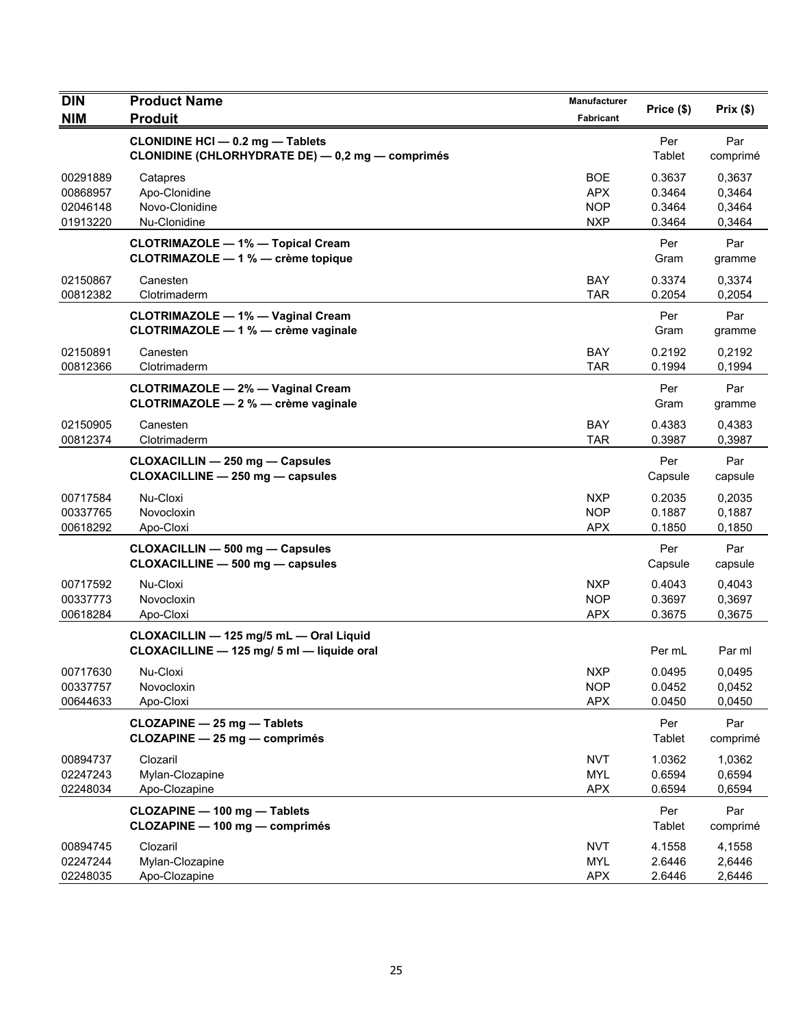| <b>DIN</b>           | <b>Product Name</b>                                                                     | Manufacturer             | Price (\$)       | Prix $(\$)$      |
|----------------------|-----------------------------------------------------------------------------------------|--------------------------|------------------|------------------|
| <b>NIM</b>           | <b>Produit</b>                                                                          | Fabricant                |                  |                  |
|                      | <b>CLONIDINE HCI-0.2 mg-Tablets</b><br>CLONIDINE (CHLORHYDRATE DE) - 0,2 mg - comprimés |                          | Per<br>Tablet    | Par<br>comprimé  |
| 00291889             | Catapres                                                                                | <b>BOE</b>               | 0.3637           | 0,3637           |
| 00868957             | Apo-Clonidine                                                                           | <b>APX</b>               | 0.3464           | 0,3464           |
| 02046148             | Novo-Clonidine                                                                          | <b>NOP</b>               | 0.3464           | 0,3464           |
| 01913220             | Nu-Clonidine                                                                            | <b>NXP</b>               | 0.3464           | 0,3464           |
|                      | <b>CLOTRIMAZOLE - 1% - Topical Cream</b><br>CLOTRIMAZOLE - 1 % - crème topique          |                          | Per<br>Gram      | Par<br>gramme    |
| 02150867<br>00812382 | Canesten<br>Clotrimaderm                                                                | <b>BAY</b><br><b>TAR</b> | 0.3374<br>0.2054 | 0,3374<br>0,2054 |
|                      |                                                                                         |                          |                  |                  |
|                      | <b>CLOTRIMAZOLE - 1% - Vaginal Cream</b><br>CLOTRIMAZOLE - 1 % - crème vaginale         |                          | Per<br>Gram      | Par<br>gramme    |
| 02150891             | Canesten                                                                                | <b>BAY</b>               | 0.2192           | 0,2192           |
| 00812366             | Clotrimaderm                                                                            | <b>TAR</b>               | 0.1994           | 0,1994           |
|                      | <b>CLOTRIMAZOLE - 2% - Vaginal Cream</b><br>CLOTRIMAZOLE - 2 % - crème vaginale         |                          | Per<br>Gram      | Par<br>gramme    |
| 02150905             | Canesten                                                                                | BAY                      | 0.4383           | 0,4383           |
| 00812374             | Clotrimaderm                                                                            | <b>TAR</b>               | 0.3987           | 0,3987           |
|                      | CLOXACILLIN - 250 mg - Capsules                                                         |                          | Per              | Par              |
|                      | CLOXACILLINE - 250 mg - capsules                                                        |                          | Capsule          | capsule          |
|                      |                                                                                         |                          |                  |                  |
| 00717584<br>00337765 | Nu-Cloxi<br>Novocloxin                                                                  | <b>NXP</b><br><b>NOP</b> | 0.2035<br>0.1887 | 0,2035<br>0,1887 |
| 00618292             | Apo-Cloxi                                                                               | <b>APX</b>               | 0.1850           | 0,1850           |
|                      |                                                                                         |                          |                  |                  |
|                      | <b>CLOXACILLIN - 500 mg - Capsules</b><br>CLOXACILLINE - 500 mg - capsules              |                          | Per<br>Capsule   | Par<br>capsule   |
| 00717592             | Nu-Cloxi                                                                                | <b>NXP</b>               | 0.4043           | 0,4043           |
| 00337773             | Novocloxin                                                                              | <b>NOP</b>               | 0.3697           | 0,3697           |
| 00618284             | Apo-Cloxi                                                                               | <b>APX</b>               | 0.3675           | 0,3675           |
|                      | CLOXACILLIN - 125 mg/5 mL - Oral Liquid<br>CLOXACILLINE - 125 mg/ 5 ml - liquide oral   |                          | Per mL           | Par ml           |
| 00717630             | Nu-Cloxi                                                                                | <b>NXP</b>               | 0.0495           | 0,0495           |
| 00337757             | Novocloxin                                                                              | <b>NOP</b>               | 0.0452           | 0,0452           |
| 00644633             | Apo-Cloxi                                                                               | <b>APX</b>               | 0.0450           | 0,0450           |
|                      | CLOZAPINE - 25 mg - Tablets<br>CLOZAPINE - 25 mg - comprimés                            |                          | Per<br>Tablet    | Par<br>comprimé  |
|                      | Clozaril                                                                                | <b>NVT</b>               | 1.0362           |                  |
| 00894737<br>02247243 | Mylan-Clozapine                                                                         | <b>MYL</b>               | 0.6594           | 1,0362<br>0,6594 |
| 02248034             | Apo-Clozapine                                                                           | <b>APX</b>               | 0.6594           | 0,6594           |
|                      |                                                                                         |                          |                  |                  |
|                      | CLOZAPINE - 100 mg - Tablets<br>CLOZAPINE - 100 mg - comprimés                          |                          | Per<br>Tablet    | Par<br>comprimé  |
| 00894745             | Clozaril                                                                                | <b>NVT</b>               | 4.1558           | 4,1558           |
| 02247244             | Mylan-Clozapine                                                                         | <b>MYL</b>               | 2.6446           | 2,6446           |
| 02248035             | Apo-Clozapine                                                                           | <b>APX</b>               | 2.6446           | 2,6446           |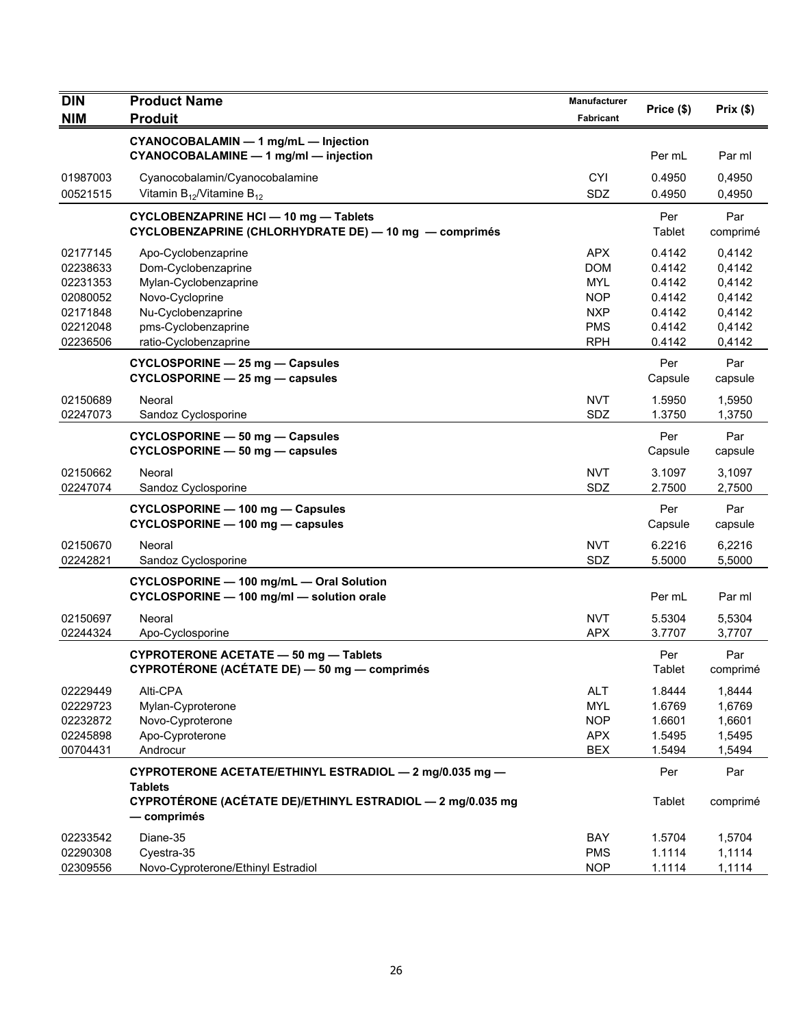| <b>DIN</b> | <b>Product Name</b>                                                                               | <b>Manufacturer</b> |                |                 |
|------------|---------------------------------------------------------------------------------------------------|---------------------|----------------|-----------------|
| <b>NIM</b> | <b>Produit</b>                                                                                    | Fabricant           | Price (\$)     | Prix(\$)        |
|            | CYANOCOBALAMIN - 1 mg/mL - Injection<br>CYANOCOBALAMINE - 1 mg/ml - injection                     |                     | Per mL         | Par ml          |
| 01987003   | Cyanocobalamin/Cyanocobalamine                                                                    | <b>CYI</b>          | 0.4950         | 0,4950          |
| 00521515   | Vitamin $B_{12}$ /Vitamine $B_{12}$                                                               | <b>SDZ</b>          | 0.4950         | 0,4950          |
|            | <b>CYCLOBENZAPRINE HCI-10 mg-Tablets</b><br>CYCLOBENZAPRINE (CHLORHYDRATE DE) - 10 mg - comprimés |                     | Per<br>Tablet  | Par<br>comprimé |
| 02177145   | Apo-Cyclobenzaprine                                                                               | <b>APX</b>          | 0.4142         | 0,4142          |
| 02238633   | Dom-Cyclobenzaprine                                                                               | <b>DOM</b>          | 0.4142         | 0,4142          |
| 02231353   | Mylan-Cyclobenzaprine                                                                             | <b>MYL</b>          | 0.4142         | 0,4142          |
| 02080052   | Novo-Cycloprine                                                                                   | <b>NOP</b>          | 0.4142         | 0,4142          |
| 02171848   | Nu-Cyclobenzaprine                                                                                | <b>NXP</b>          | 0.4142         | 0,4142          |
| 02212048   | pms-Cyclobenzaprine                                                                               | <b>PMS</b>          | 0.4142         | 0,4142          |
| 02236506   | ratio-Cyclobenzaprine                                                                             | <b>RPH</b>          | 0.4142         | 0,4142          |
|            | CYCLOSPORINE - 25 mg - Capsules<br>CYCLOSPORINE - 25 mg - capsules                                |                     | Per<br>Capsule | Par<br>capsule  |
| 02150689   | Neoral                                                                                            | <b>NVT</b>          | 1.5950         | 1,5950          |
| 02247073   | Sandoz Cyclosporine                                                                               | SDZ                 | 1.3750         | 1,3750          |
|            | CYCLOSPORINE - 50 mg - Capsules<br>CYCLOSPORINE - 50 mg - capsules                                |                     | Per<br>Capsule | Par<br>capsule  |
| 02150662   | Neoral                                                                                            | <b>NVT</b>          | 3.1097         | 3,1097          |
| 02247074   | Sandoz Cyclosporine                                                                               | SDZ                 | 2.7500         | 2,7500          |
|            | CYCLOSPORINE - 100 mg - Capsules<br>CYCLOSPORINE - 100 mg - capsules                              |                     | Per<br>Capsule | Par<br>capsule  |
| 02150670   | Neoral                                                                                            | <b>NVT</b>          | 6.2216         | 6,2216          |
| 02242821   | Sandoz Cyclosporine                                                                               | SDZ                 | 5.5000         | 5,5000          |
|            | CYCLOSPORINE - 100 mg/mL - Oral Solution<br>CYCLOSPORINE - 100 mg/ml - solution orale             |                     | Per mL         | Par ml          |
| 02150697   | Neoral                                                                                            | <b>NVT</b>          | 5.5304         | 5,5304          |
| 02244324   | Apo-Cyclosporine                                                                                  | <b>APX</b>          | 3.7707         | 3,7707          |
|            | <b>CYPROTERONE ACETATE - 50 mg - Tablets</b><br>CYPROTÉRONE (ACÉTATE DE) - 50 mg - comprimés      |                     | Per<br>Tablet  | Par<br>comprimé |
| 02229449   | Alti-CPA                                                                                          | <b>ALT</b>          | 1.8444         | 1,8444          |
| 02229723   | Mylan-Cyproterone                                                                                 | <b>MYL</b>          | 1.6769         | 1,6769          |
| 02232872   | Novo-Cyproterone                                                                                  | <b>NOP</b>          | 1.6601         | 1,6601          |
| 02245898   | Apo-Cyproterone                                                                                   | <b>APX</b>          | 1.5495         | 1,5495          |
| 00704431   | Androcur                                                                                          | <b>BEX</b>          | 1.5494         | 1,5494          |
|            | CYPROTERONE ACETATE/ETHINYL ESTRADIOL - 2 mg/0.035 mg -<br><b>Tablets</b>                         |                     | Per            | Par             |
|            | CYPROTÉRONE (ACÉTATE DE)/ETHINYL ESTRADIOL - 2 mg/0.035 mg<br>— comprimés                         |                     | Tablet         | comprimé        |
| 02233542   | Diane-35                                                                                          | BAY                 | 1.5704         | 1,5704          |
| 02290308   | Cyestra-35                                                                                        | <b>PMS</b>          | 1.1114         | 1,1114          |
| 02309556   | Novo-Cyproterone/Ethinyl Estradiol                                                                | <b>NOP</b>          | 1.1114         | 1,1114          |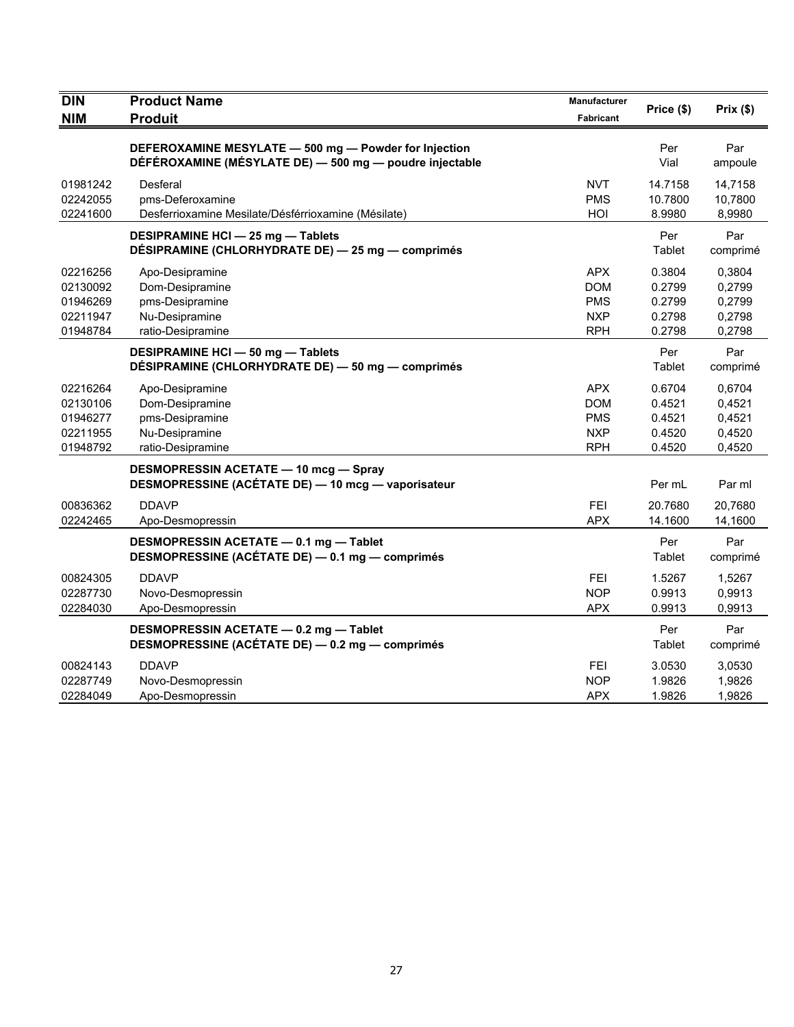| <b>DIN</b>                                               | <b>Product Name</b>                                                                                              | Manufacturer                                                       | Price (\$)                                     | Prix(\$)                                       |
|----------------------------------------------------------|------------------------------------------------------------------------------------------------------------------|--------------------------------------------------------------------|------------------------------------------------|------------------------------------------------|
| <b>NIM</b>                                               | <b>Produit</b>                                                                                                   | Fabricant                                                          |                                                |                                                |
|                                                          | DEFEROXAMINE MESYLATE - 500 mg - Powder for Injection<br>DÉFÉROXAMINE (MÉSYLATE DE) - 500 mg - poudre injectable |                                                                    | Per<br>Vial                                    | Par<br>ampoule                                 |
| 01981242<br>02242055<br>02241600                         | Desferal<br>pms-Deferoxamine<br>Desferrioxamine Mesilate/Désférrioxamine (Mésilate)                              | <b>NVT</b><br><b>PMS</b><br>HOI                                    | 14.7158<br>10.7800<br>8.9980                   | 14,7158<br>10,7800<br>8,9980                   |
|                                                          | <b>DESIPRAMINE HCI - 25 mg - Tablets</b><br>DÉSIPRAMINE (CHLORHYDRATE DE) - 25 mg - comprimés                    |                                                                    | Per<br>Tablet                                  | Par<br>comprimé                                |
| 02216256<br>02130092<br>01946269<br>02211947<br>01948784 | Apo-Desipramine<br>Dom-Desipramine<br>pms-Desipramine<br>Nu-Desipramine<br>ratio-Desipramine                     | <b>APX</b><br><b>DOM</b><br><b>PMS</b><br><b>NXP</b><br><b>RPH</b> | 0.3804<br>0.2799<br>0.2799<br>0.2798<br>0.2798 | 0,3804<br>0,2799<br>0,2799<br>0,2798<br>0,2798 |
|                                                          | <b>DESIPRAMINE HCI - 50 mg - Tablets</b><br>DÉSIPRAMINE (CHLORHYDRATE DE) - 50 mg - comprimés                    |                                                                    | Per<br>Tablet                                  | Par<br>comprimé                                |
| 02216264<br>02130106<br>01946277<br>02211955<br>01948792 | Apo-Desipramine<br>Dom-Desipramine<br>pms-Desipramine<br>Nu-Desipramine<br>ratio-Desipramine                     | <b>APX</b><br><b>DOM</b><br><b>PMS</b><br><b>NXP</b><br><b>RPH</b> | 0.6704<br>0.4521<br>0.4521<br>0.4520<br>0.4520 | 0,6704<br>0,4521<br>0,4521<br>0,4520<br>0,4520 |
|                                                          | <b>DESMOPRESSIN ACETATE - 10 mcg - Spray</b><br>DESMOPRESSINE (ACÉTATE DE) - 10 mcg - vaporisateur               |                                                                    | Per mL                                         | Par ml                                         |
| 00836362<br>02242465                                     | <b>DDAVP</b><br>Apo-Desmopressin                                                                                 | <b>FEI</b><br><b>APX</b>                                           | 20.7680<br>14.1600                             | 20.7680<br>14,1600                             |
|                                                          | DESMOPRESSIN ACETATE - 0.1 mg - Tablet<br>DESMOPRESSINE (ACÉTATE DE) - 0.1 mg - comprimés                        |                                                                    | Per<br>Tablet                                  | Par<br>comprimé                                |
| 00824305<br>02287730<br>02284030                         | <b>DDAVP</b><br>Novo-Desmopressin<br>Apo-Desmopressin                                                            | <b>FEI</b><br><b>NOP</b><br><b>APX</b>                             | 1.5267<br>0.9913<br>0.9913                     | 1,5267<br>0,9913<br>0,9913                     |
|                                                          | DESMOPRESSIN ACETATE - 0.2 mg - Tablet<br>DESMOPRESSINE (ACÉTATE DE) - 0.2 mg - comprimés                        |                                                                    | Per<br>Tablet                                  | Par<br>comprimé                                |
| 00824143<br>02287749<br>02284049                         | <b>DDAVP</b><br>Novo-Desmopressin<br>Apo-Desmopressin                                                            | FEI<br><b>NOP</b><br><b>APX</b>                                    | 3.0530<br>1.9826<br>1.9826                     | 3,0530<br>1,9826<br>1,9826                     |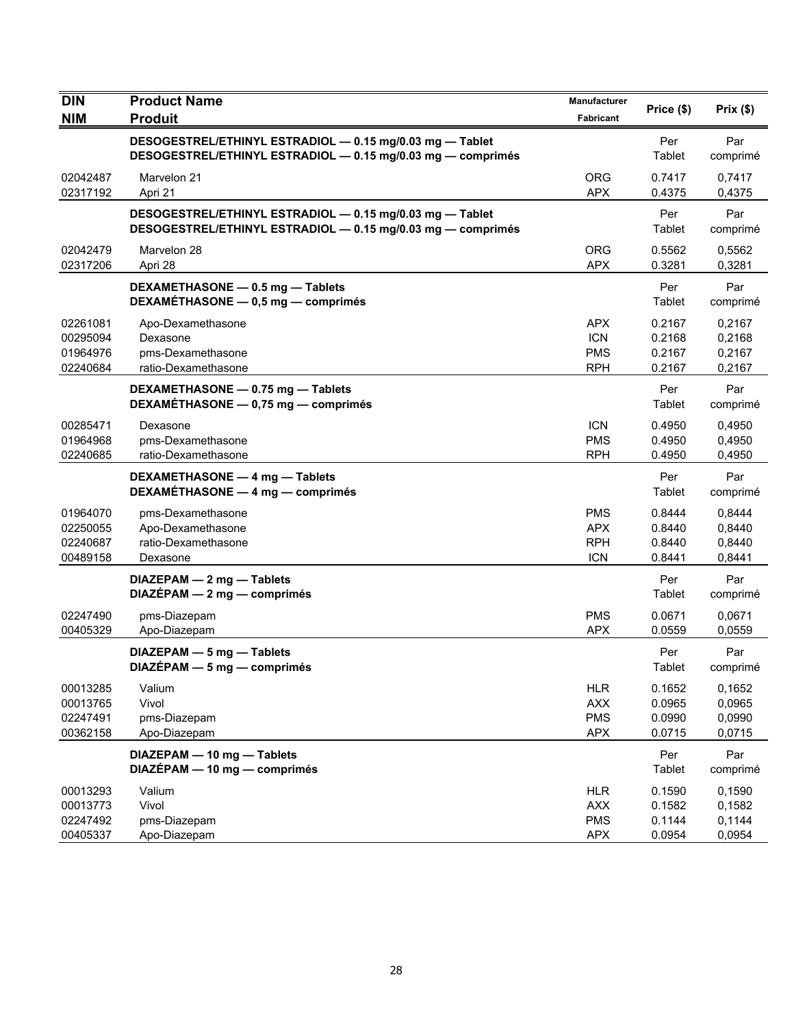| <b>DIN</b><br><b>NIM</b>                     | <b>Product Name</b><br><b>Produit</b>                                                                                   | Manufacturer<br>Fabricant                            | Price (\$)                           | Prix(\$)                             |
|----------------------------------------------|-------------------------------------------------------------------------------------------------------------------------|------------------------------------------------------|--------------------------------------|--------------------------------------|
|                                              | DESOGESTREL/ETHINYL ESTRADIOL - 0.15 mg/0.03 mg - Tablet<br>DESOGESTREL/ETHINYL ESTRADIOL - 0.15 mg/0.03 mg - comprimés |                                                      | Per<br>Tablet                        | Par<br>comprimé                      |
| 02042487<br>02317192                         | Marvelon 21<br>Apri 21                                                                                                  | <b>ORG</b><br><b>APX</b>                             | 0.7417<br>0.4375                     | 0,7417<br>0,4375                     |
|                                              | DESOGESTREL/ETHINYL ESTRADIOL - 0.15 mg/0.03 mg - Tablet<br>DESOGESTREL/ETHINYL ESTRADIOL - 0.15 mg/0.03 mg - comprimés |                                                      | Per<br>Tablet                        | Par<br>comprimé                      |
| 02042479<br>02317206                         | Marvelon 28<br>Apri 28                                                                                                  | <b>ORG</b><br><b>APX</b>                             | 0.5562<br>0.3281                     | 0,5562<br>0,3281                     |
|                                              | DEXAMETHASONE - 0.5 mg - Tablets<br>DEXAMETHASONE - 0,5 mg - comprimés                                                  |                                                      | Per<br>Tablet                        | Par<br>comprimé                      |
| 02261081<br>00295094<br>01964976<br>02240684 | Apo-Dexamethasone<br>Dexasone<br>pms-Dexamethasone<br>ratio-Dexamethasone                                               | <b>APX</b><br><b>ICN</b><br><b>PMS</b><br><b>RPH</b> | 0.2167<br>0.2168<br>0.2167<br>0.2167 | 0,2167<br>0,2168<br>0,2167<br>0,2167 |
|                                              | DEXAMETHASONE - 0.75 mg - Tablets<br>DEXAMÉTHASONE - 0,75 mg - comprimés                                                |                                                      | Per<br>Tablet                        | Par<br>comprimé                      |
| 00285471<br>01964968<br>02240685             | Dexasone<br>pms-Dexamethasone<br>ratio-Dexamethasone                                                                    | <b>ICN</b><br><b>PMS</b><br><b>RPH</b>               | 0.4950<br>0.4950<br>0.4950           | 0,4950<br>0,4950<br>0.4950           |
|                                              | DEXAMETHASONE - 4 mg - Tablets<br>DEXAMÉTHASONE - 4 mg - comprimés                                                      |                                                      | Per<br>Tablet                        | Par<br>comprimé                      |
| 01964070<br>02250055<br>02240687<br>00489158 | pms-Dexamethasone<br>Apo-Dexamethasone<br>ratio-Dexamethasone<br>Dexasone                                               | <b>PMS</b><br><b>APX</b><br><b>RPH</b><br><b>ICN</b> | 0.8444<br>0.8440<br>0.8440<br>0.8441 | 0,8444<br>0,8440<br>0,8440<br>0,8441 |
|                                              | DIAZEPAM - 2 mg - Tablets<br>$DIAZÉPAM - 2 mg - comprimés$                                                              |                                                      | Per<br>Tablet                        | Par<br>comprimé                      |
| 02247490<br>00405329                         | pms-Diazepam<br>Apo-Diazepam                                                                                            | <b>PMS</b><br><b>APX</b>                             | 0.0671<br>0.0559                     | 0,0671<br>0,0559                     |
|                                              | DIAZEPAM - 5 mg - Tablets<br>DIAZÉPAM - 5 mg - comprimés                                                                |                                                      | Per<br>Tablet                        | Par<br>comprimé                      |
| 00013285<br>00013765<br>02247491<br>00362158 | Valium<br>Vivol<br>pms-Diazepam<br>Apo-Diazepam                                                                         | <b>HLR</b><br><b>AXX</b><br><b>PMS</b><br><b>APX</b> | 0.1652<br>0.0965<br>0.0990<br>0.0715 | 0,1652<br>0,0965<br>0,0990<br>0,0715 |
|                                              | DIAZEPAM - 10 mg - Tablets<br>DIAZÉPAM - 10 mg - comprimés                                                              |                                                      | Per<br>Tablet                        | Par<br>comprimé                      |
| 00013293<br>00013773<br>02247492<br>00405337 | Valium<br>Vivol<br>pms-Diazepam<br>Apo-Diazepam                                                                         | <b>HLR</b><br><b>AXX</b><br><b>PMS</b><br><b>APX</b> | 0.1590<br>0.1582<br>0.1144<br>0.0954 | 0,1590<br>0,1582<br>0,1144<br>0,0954 |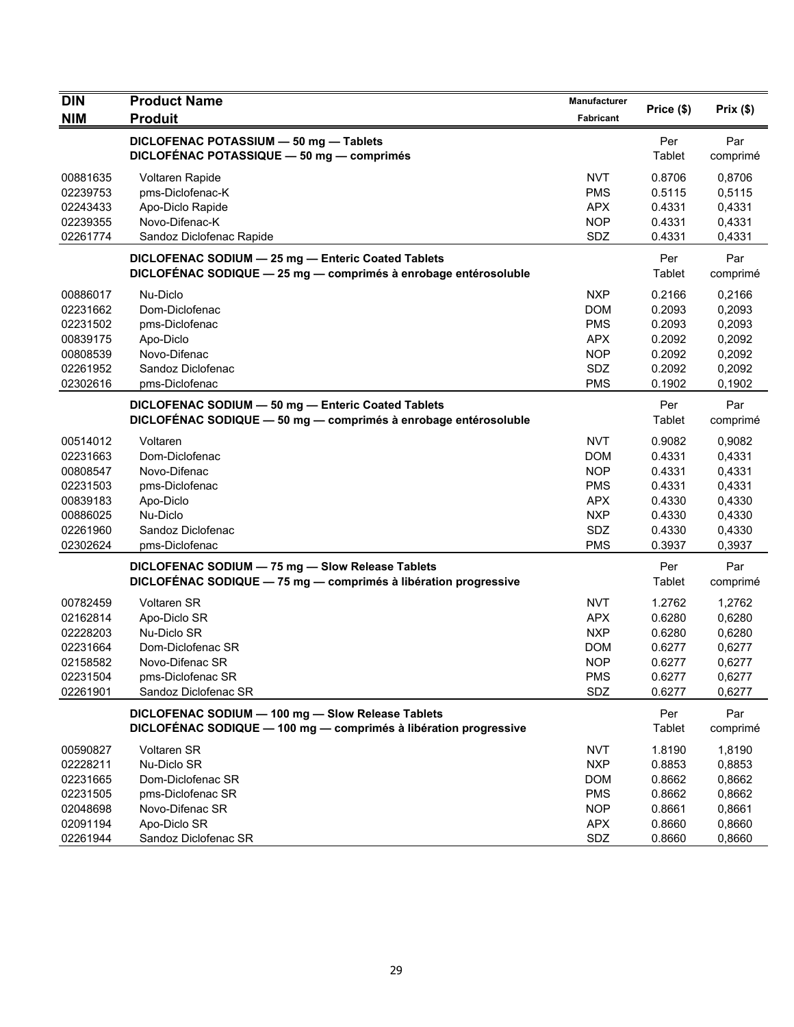| <b>DIN</b> | <b>Product Name</b>                                              | Manufacturer | Price (\$) | Prix(\$) |
|------------|------------------------------------------------------------------|--------------|------------|----------|
| <b>NIM</b> | <b>Produit</b>                                                   | Fabricant    |            |          |
|            | DICLOFENAC POTASSIUM - 50 mg - Tablets                           |              | Per        | Par      |
|            | DICLOFÉNAC POTASSIQUE - 50 mg - comprimés                        |              | Tablet     | comprimé |
| 00881635   | Voltaren Rapide                                                  | NVT          | 0.8706     | 0,8706   |
| 02239753   | pms-Diclofenac-K                                                 | <b>PMS</b>   | 0.5115     | 0,5115   |
| 02243433   | Apo-Diclo Rapide                                                 | <b>APX</b>   | 0.4331     | 0,4331   |
| 02239355   | Novo-Difenac-K                                                   | <b>NOP</b>   | 0.4331     | 0,4331   |
| 02261774   | Sandoz Diclofenac Rapide                                         | SDZ          | 0.4331     | 0,4331   |
|            | DICLOFENAC SODIUM - 25 mg - Enteric Coated Tablets               |              | Per        | Par      |
|            | DICLOFÉNAC SODIQUE - 25 mg - comprimés à enrobage entérosoluble  |              | Tablet     | comprimé |
| 00886017   | Nu-Diclo                                                         | <b>NXP</b>   | 0.2166     | 0,2166   |
| 02231662   | Dom-Diclofenac                                                   | <b>DOM</b>   | 0.2093     | 0,2093   |
| 02231502   | pms-Diclofenac                                                   | <b>PMS</b>   | 0.2093     | 0,2093   |
| 00839175   | Apo-Diclo                                                        | <b>APX</b>   | 0.2092     | 0,2092   |
| 00808539   | Novo-Difenac                                                     | <b>NOP</b>   | 0.2092     | 0,2092   |
| 02261952   | Sandoz Diclofenac                                                | SDZ          | 0.2092     | 0,2092   |
| 02302616   | pms-Diclofenac                                                   | <b>PMS</b>   | 0.1902     | 0,1902   |
|            | DICLOFENAC SODIUM - 50 mg - Enteric Coated Tablets               |              | Per        | Par      |
|            | DICLOFÉNAC SODIQUE - 50 mg - comprimés à enrobage entérosoluble  |              | Tablet     | comprimé |
| 00514012   | Voltaren                                                         | <b>NVT</b>   | 0.9082     | 0,9082   |
| 02231663   | Dom-Diclofenac                                                   | <b>DOM</b>   | 0.4331     | 0,4331   |
| 00808547   | Novo-Difenac                                                     | <b>NOP</b>   | 0.4331     | 0,4331   |
| 02231503   | pms-Diclofenac                                                   | <b>PMS</b>   | 0.4331     | 0,4331   |
| 00839183   | Apo-Diclo                                                        | <b>APX</b>   | 0.4330     | 0,4330   |
| 00886025   | Nu-Diclo                                                         | <b>NXP</b>   | 0.4330     | 0,4330   |
| 02261960   | Sandoz Diclofenac                                                | SDZ          | 0.4330     | 0,4330   |
| 02302624   | pms-Diclofenac                                                   | <b>PMS</b>   | 0.3937     | 0,3937   |
|            | DICLOFENAC SODIUM - 75 mg - Slow Release Tablets                 |              | Per        | Par      |
|            | DICLOFÉNAC SODIQUE - 75 mg - comprimés à libération progressive  |              | Tablet     | comprimé |
| 00782459   | <b>Voltaren SR</b>                                               | NVT          | 1.2762     | 1,2762   |
| 02162814   | Apo-Diclo SR                                                     | <b>APX</b>   | 0.6280     | 0,6280   |
| 02228203   | Nu-Diclo SR                                                      | <b>NXP</b>   | 0.6280     | 0,6280   |
| 02231664   | Dom-Diclofenac SR                                                | <b>DOM</b>   | 0.6277     | 0,6277   |
| 02158582   | Novo-Difenac SR                                                  | <b>NOP</b>   | 0.6277     | 0,6277   |
| 02231504   | pms-Diclofenac SR                                                | <b>PMS</b>   | 0.6277     | 0,6277   |
| 02261901   | Sandoz Diclofenac SR                                             | SDZ          | 0.6277     | 0,6277   |
|            | DICLOFENAC SODIUM - 100 mg - Slow Release Tablets                |              | Per        | Par      |
|            | DICLOFÉNAC SODIQUE - 100 mg - comprimés à libération progressive |              | Tablet     | comprimé |
| 00590827   | <b>Voltaren SR</b>                                               | <b>NVT</b>   | 1.8190     | 1,8190   |
| 02228211   | Nu-Diclo SR                                                      | <b>NXP</b>   | 0.8853     | 0,8853   |
| 02231665   | Dom-Diclofenac SR                                                | <b>DOM</b>   | 0.8662     | 0,8662   |
| 02231505   | pms-Diclofenac SR                                                | <b>PMS</b>   | 0.8662     | 0,8662   |
| 02048698   | Novo-Difenac SR                                                  | <b>NOP</b>   | 0.8661     | 0,8661   |
| 02091194   | Apo-Diclo SR                                                     | <b>APX</b>   | 0.8660     | 0,8660   |
| 02261944   | Sandoz Diclofenac SR                                             | SDZ          | 0.8660     | 0,8660   |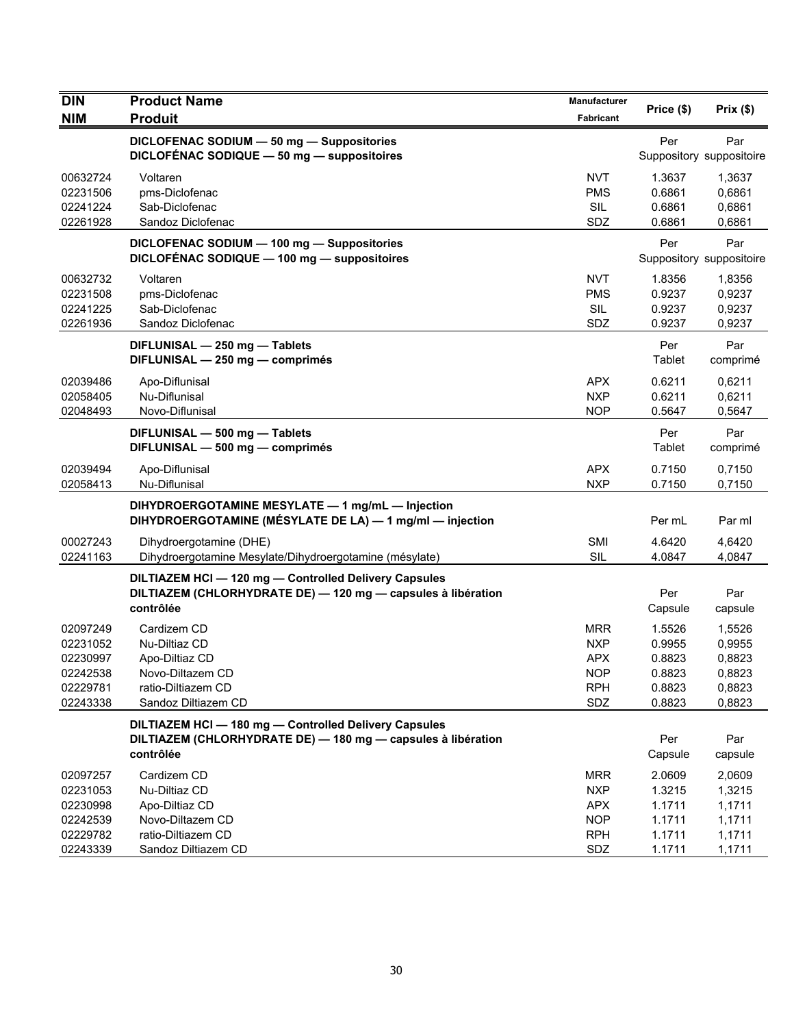| <b>DIN</b>                                                           | <b>Product Name</b>                                                                                                                | <b>Manufacturer</b>                                                       | Price (\$)                                               | Prix(\$)                                                 |
|----------------------------------------------------------------------|------------------------------------------------------------------------------------------------------------------------------------|---------------------------------------------------------------------------|----------------------------------------------------------|----------------------------------------------------------|
| <b>NIM</b>                                                           | <b>Produit</b>                                                                                                                     | Fabricant                                                                 |                                                          |                                                          |
|                                                                      | DICLOFENAC SODIUM - 50 mg - Suppositories<br>DICLOFÉNAC SODIQUE - 50 mg - suppositoires                                            |                                                                           | Per                                                      | Par<br>Suppository suppositoire                          |
| 00632724<br>02231506<br>02241224<br>02261928                         | Voltaren<br>pms-Diclofenac<br>Sab-Diclofenac<br>Sandoz Diclofenac                                                                  | <b>NVT</b><br><b>PMS</b><br>SIL<br>SDZ                                    | 1.3637<br>0.6861<br>0.6861<br>0.6861                     | 1,3637<br>0,6861<br>0,6861<br>0,6861                     |
|                                                                      | DICLOFENAC SODIUM - 100 mg - Suppositories<br>DICLOFÉNAC SODIQUE - 100 mg - suppositoires                                          |                                                                           | Per                                                      | Par<br>Suppository suppositoire                          |
| 00632732<br>02231508<br>02241225<br>02261936                         | Voltaren<br>pms-Diclofenac<br>Sab-Diclofenac<br>Sandoz Diclofenac                                                                  | <b>NVT</b><br><b>PMS</b><br><b>SIL</b><br>SDZ                             | 1.8356<br>0.9237<br>0.9237<br>0.9237                     | 1,8356<br>0,9237<br>0,9237<br>0,9237                     |
|                                                                      | DIFLUNISAL - 250 mg - Tablets<br>DIFLUNISAL - 250 mg - comprimés                                                                   |                                                                           | Per<br>Tablet                                            | Par<br>comprimé                                          |
| 02039486<br>02058405<br>02048493                                     | Apo-Diflunisal<br>Nu-Diflunisal<br>Novo-Diflunisal                                                                                 | APX.<br><b>NXP</b><br><b>NOP</b>                                          | 0.6211<br>0.6211<br>0.5647                               | 0,6211<br>0,6211<br>0,5647                               |
|                                                                      | DIFLUNISAL - 500 mg - Tablets<br>DIFLUNISAL - 500 mg - comprimés                                                                   |                                                                           | Per<br>Tablet                                            | Par<br>comprimé                                          |
| 02039494<br>02058413                                                 | Apo-Diflunisal<br>Nu-Diflunisal                                                                                                    | <b>APX</b><br><b>NXP</b>                                                  | 0.7150<br>0.7150                                         | 0,7150<br>0,7150                                         |
|                                                                      | DIHYDROERGOTAMINE MESYLATE - 1 mg/mL - Injection<br>DIHYDROERGOTAMINE (MÉSYLATE DE LA) - 1 mg/ml - injection                       |                                                                           | Per mL                                                   | Par ml                                                   |
| 00027243<br>02241163                                                 | Dihydroergotamine (DHE)<br>Dihydroergotamine Mesylate/Dihydroergotamine (mésylate)                                                 | SMI<br>SIL                                                                | 4.6420<br>4.0847                                         | 4,6420<br>4,0847                                         |
|                                                                      | DILTIAZEM HCI-120 mg-Controlled Delivery Capsules<br>DILTIAZEM (CHLORHYDRATE DE) - 120 mg - capsules à libération<br>contrôlée     |                                                                           | Per<br>Capsule                                           | Par<br>capsule                                           |
| 02097249<br>02231052<br>02230997<br>02242538<br>02229781<br>02243338 | Cardizem CD<br>Nu-Diltiaz CD<br>Apo-Diltiaz CD<br>Novo-Diltazem CD<br>ratio-Diltiazem CD<br>Sandoz Diltiazem CD                    | <b>MRR</b><br><b>NXP</b><br><b>APX</b><br><b>NOP</b><br><b>RPH</b><br>SDZ | 1.5526<br>0.9955<br>0.8823<br>0.8823<br>0.8823<br>0.8823 | 1,5526<br>0,9955<br>0,8823<br>0,8823<br>0,8823<br>0,8823 |
|                                                                      | DILTIAZEM HCI - 180 mg - Controlled Delivery Capsules<br>DILTIAZEM (CHLORHYDRATE DE) - 180 mg - capsules à libération<br>contrôlée |                                                                           | Per<br>Capsule                                           | Par<br>capsule                                           |
| 02097257<br>02231053<br>02230998<br>02242539<br>02229782             | Cardizem CD<br>Nu-Diltiaz CD<br>Apo-Diltiaz CD<br>Novo-Diltazem CD<br>ratio-Diltiazem CD                                           | <b>MRR</b><br><b>NXP</b><br><b>APX</b><br><b>NOP</b><br><b>RPH</b>        | 2.0609<br>1.3215<br>1.1711<br>1.1711<br>1.1711           | 2,0609<br>1,3215<br>1,1711<br>1,1711<br>1,1711           |
| 02243339                                                             | Sandoz Diltiazem CD                                                                                                                | SDZ                                                                       | 1.1711                                                   | 1,1711                                                   |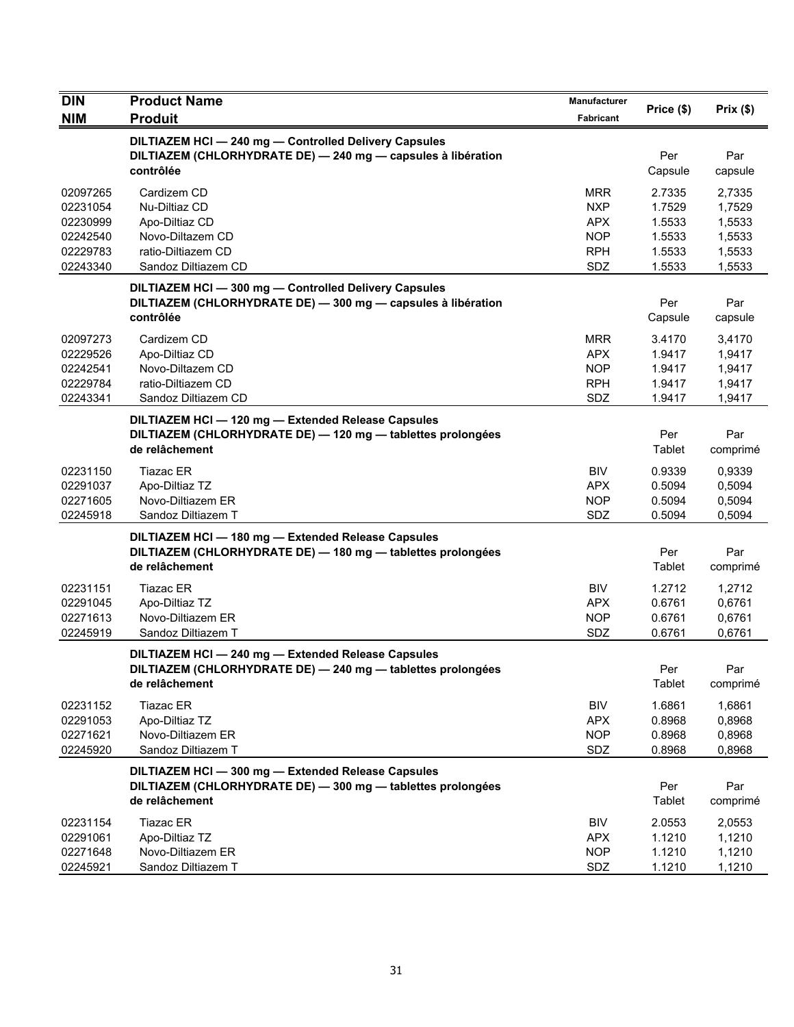| <b>DIN</b>                                                           | <b>Product Name</b>                                                                                                                 | Manufacturer                                                              | Price (\$)                                               | Prix(\$)                                                 |
|----------------------------------------------------------------------|-------------------------------------------------------------------------------------------------------------------------------------|---------------------------------------------------------------------------|----------------------------------------------------------|----------------------------------------------------------|
| <b>NIM</b>                                                           | <b>Produit</b>                                                                                                                      | Fabricant                                                                 |                                                          |                                                          |
|                                                                      | DILTIAZEM HCI-240 mg-Controlled Delivery Capsules<br>DILTIAZEM (CHLORHYDRATE DE) - 240 mg - capsules à libération<br>contrôlée      |                                                                           | Per<br>Capsule                                           | Par<br>capsule                                           |
| 02097265<br>02231054<br>02230999<br>02242540<br>02229783<br>02243340 | Cardizem CD<br>Nu-Diltiaz CD<br>Apo-Diltiaz CD<br>Novo-Diltazem CD<br>ratio-Diltiazem CD<br>Sandoz Diltiazem CD                     | <b>MRR</b><br><b>NXP</b><br><b>APX</b><br><b>NOP</b><br><b>RPH</b><br>SDZ | 2.7335<br>1.7529<br>1.5533<br>1.5533<br>1.5533<br>1.5533 | 2,7335<br>1,7529<br>1,5533<br>1,5533<br>1,5533<br>1,5533 |
|                                                                      | DILTIAZEM HCI-300 mg-Controlled Delivery Capsules<br>DILTIAZEM (CHLORHYDRATE DE) - 300 mg - capsules à libération<br>contrôlée      |                                                                           | Per<br>Capsule                                           | Par<br>capsule                                           |
| 02097273<br>02229526<br>02242541<br>02229784<br>02243341             | Cardizem CD<br>Apo-Diltiaz CD<br>Novo-Diltazem CD<br>ratio-Diltiazem CD<br>Sandoz Diltiazem CD                                      | <b>MRR</b><br><b>APX</b><br><b>NOP</b><br><b>RPH</b><br>SDZ               | 3.4170<br>1.9417<br>1.9417<br>1.9417<br>1.9417           | 3,4170<br>1,9417<br>1,9417<br>1,9417<br>1,9417           |
|                                                                      | DILTIAZEM HCI - 120 mg - Extended Release Capsules<br>DILTIAZEM (CHLORHYDRATE DE) - 120 mg - tablettes prolongées<br>de relâchement |                                                                           | Per<br>Tablet                                            | Par<br>comprimé                                          |
| 02231150<br>02291037<br>02271605<br>02245918                         | Tiazac ER<br>Apo-Diltiaz TZ<br>Novo-Diltiazem ER<br>Sandoz Diltiazem T                                                              | <b>BIV</b><br><b>APX</b><br><b>NOP</b><br>SDZ                             | 0.9339<br>0.5094<br>0.5094<br>0.5094                     | 0,9339<br>0,5094<br>0,5094<br>0,5094                     |
|                                                                      | DILTIAZEM HCI - 180 mg - Extended Release Capsules<br>DILTIAZEM (CHLORHYDRATE DE) - 180 mg - tablettes prolongées<br>de relâchement |                                                                           | Per<br>Tablet                                            | Par<br>comprimé                                          |
| 02231151<br>02291045<br>02271613<br>02245919                         | <b>Tiazac ER</b><br>Apo-Diltiaz TZ<br>Novo-Diltiazem ER<br>Sandoz Diltiazem T                                                       | <b>BIV</b><br><b>APX</b><br><b>NOP</b><br>SDZ                             | 1.2712<br>0.6761<br>0.6761<br>0.6761                     | 1,2712<br>0,6761<br>0,6761<br>0,6761                     |
|                                                                      | DILTIAZEM HCI - 240 mg - Extended Release Capsules<br>DILTIAZEM (CHLORHYDRATE DE) - 240 mg - tablettes prolongées<br>de relâchement |                                                                           | Per<br>Tablet                                            | Par<br>comprimé                                          |
| 02231152<br>02291053<br>02271621<br>02245920                         | <b>Tiazac ER</b><br>Apo-Diltiaz TZ<br>Novo-Diltiazem ER<br>Sandoz Diltiazem T                                                       | <b>BIV</b><br><b>APX</b><br><b>NOP</b><br>SDZ                             | 1.6861<br>0.8968<br>0.8968<br>0.8968                     | 1,6861<br>0,8968<br>0,8968<br>0,8968                     |
|                                                                      | DILTIAZEM HCI - 300 mg - Extended Release Capsules<br>DILTIAZEM (CHLORHYDRATE DE) - 300 mg - tablettes prolongées<br>de relâchement |                                                                           | Per<br>Tablet                                            | Par<br>comprimé                                          |
| 02231154<br>02291061<br>02271648<br>02245921                         | <b>Tiazac ER</b><br>Apo-Diltiaz TZ<br>Novo-Diltiazem ER<br>Sandoz Diltiazem T                                                       | <b>BIV</b><br><b>APX</b><br><b>NOP</b><br>SDZ                             | 2.0553<br>1.1210<br>1.1210<br>1.1210                     | 2,0553<br>1,1210<br>1,1210<br>1,1210                     |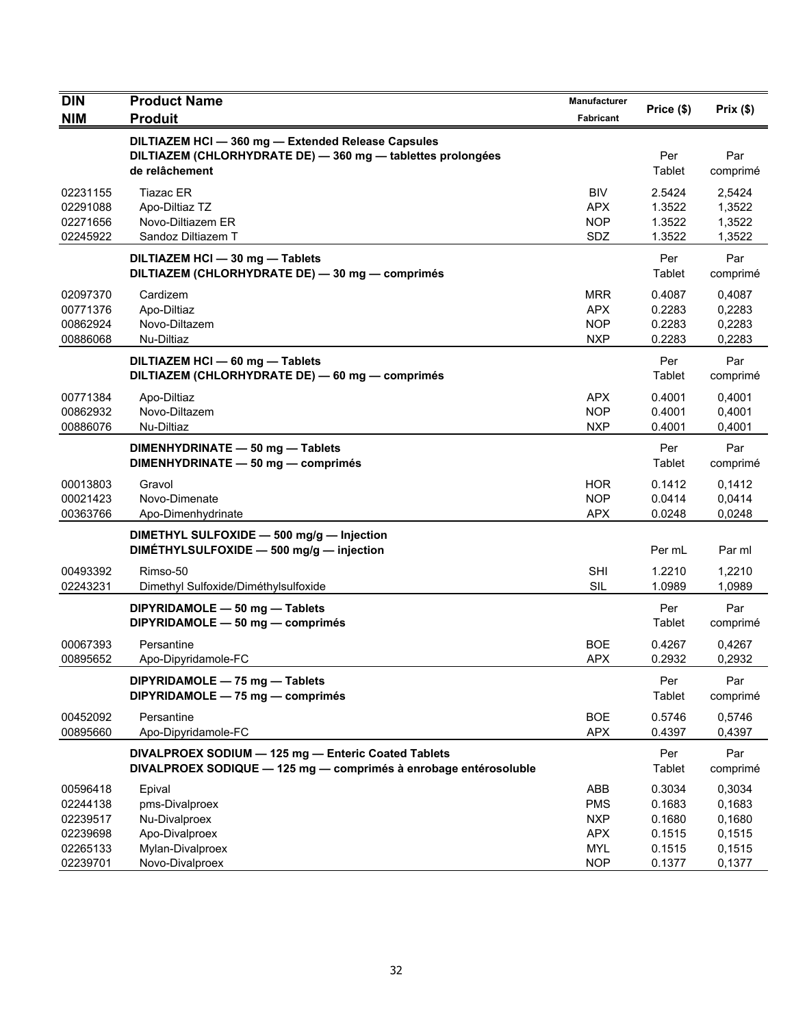| <b>DIN</b>                                                           | <b>Product Name</b>                                                                                                                 | <b>Manufacturer</b>                                                       | Price (\$)                                               | Prix(\$)                                                 |
|----------------------------------------------------------------------|-------------------------------------------------------------------------------------------------------------------------------------|---------------------------------------------------------------------------|----------------------------------------------------------|----------------------------------------------------------|
| <b>NIM</b>                                                           | <b>Produit</b>                                                                                                                      | Fabricant                                                                 |                                                          |                                                          |
|                                                                      | DILTIAZEM HCI - 360 mg - Extended Release Capsules<br>DILTIAZEM (CHLORHYDRATE DE) - 360 mg - tablettes prolongées<br>de relâchement |                                                                           | Per<br>Tablet                                            | Par<br>comprimé                                          |
| 02231155<br>02291088<br>02271656<br>02245922                         | Tiazac ER<br>Apo-Diltiaz TZ<br>Novo-Diltiazem ER<br>Sandoz Diltiazem T                                                              | <b>BIV</b><br><b>APX</b><br><b>NOP</b><br>SDZ                             | 2.5424<br>1.3522<br>1.3522<br>1.3522                     | 2,5424<br>1,3522<br>1,3522<br>1,3522                     |
|                                                                      | DILTIAZEM HCI - 30 mg - Tablets<br>DILTIAZEM (CHLORHYDRATE DE) - 30 mg - comprimés                                                  |                                                                           | Per<br>Tablet                                            | Par<br>comprimé                                          |
| 02097370<br>00771376<br>00862924<br>00886068                         | Cardizem<br>Apo-Diltiaz<br>Novo-Diltazem<br>Nu-Diltiaz                                                                              | <b>MRR</b><br><b>APX</b><br><b>NOP</b><br><b>NXP</b>                      | 0.4087<br>0.2283<br>0.2283<br>0.2283                     | 0,4087<br>0,2283<br>0,2283<br>0,2283                     |
|                                                                      | DILTIAZEM HCI - 60 mg - Tablets<br>DILTIAZEM (CHLORHYDRATE DE) - 60 mg - comprimés                                                  |                                                                           | Per<br>Tablet                                            | Par<br>comprimé                                          |
| 00771384<br>00862932<br>00886076                                     | Apo-Diltiaz<br>Novo-Diltazem<br>Nu-Diltiaz                                                                                          | APX<br><b>NOP</b><br><b>NXP</b>                                           | 0.4001<br>0.4001<br>0.4001                               | 0,4001<br>0,4001<br>0,4001                               |
|                                                                      | DIMENHYDRINATE - 50 mg - Tablets<br>DIMENHYDRINATE - 50 mg - comprimés                                                              |                                                                           | Per<br>Tablet                                            | Par<br>comprimé                                          |
| 00013803<br>00021423<br>00363766                                     | Gravol<br>Novo-Dimenate<br>Apo-Dimenhydrinate                                                                                       | <b>HOR</b><br><b>NOP</b><br><b>APX</b>                                    | 0.1412<br>0.0414<br>0.0248                               | 0,1412<br>0,0414<br>0,0248                               |
|                                                                      | DIMETHYL SULFOXIDE - 500 mg/g - Injection<br>DIMÉTHYLSULFOXIDE - 500 mg/g - injection                                               |                                                                           | Per mL                                                   | Par ml                                                   |
| 00493392<br>02243231                                                 | Rimso-50<br>Dimethyl Sulfoxide/Diméthylsulfoxide                                                                                    | <b>SHI</b><br><b>SIL</b>                                                  | 1.2210<br>1.0989                                         | 1,2210<br>1,0989                                         |
|                                                                      | DIPYRIDAMOLE - 50 mg - Tablets<br>DIPYRIDAMOLE - 50 mg - comprimés                                                                  |                                                                           | Per<br>Tablet                                            | Par<br>comprimé                                          |
| 00067393<br>00895652                                                 | Persantine<br>Apo-Dipyridamole-FC                                                                                                   | <b>BOE</b><br><b>APX</b>                                                  | 0.4267<br>0.2932                                         | 0,4267<br>0,2932                                         |
|                                                                      | DIPYRIDAMOLE - 75 mg - Tablets<br>DIPYRIDAMOLE - 75 mg - comprimés                                                                  |                                                                           | Per<br>Tablet                                            | Par<br>comprimé                                          |
| 00452092<br>00895660                                                 | Persantine<br>Apo-Dipyridamole-FC                                                                                                   | <b>BOE</b><br><b>APX</b>                                                  | 0.5746<br>0.4397                                         | 0,5746<br>0,4397                                         |
|                                                                      | DIVALPROEX SODIUM - 125 mg - Enteric Coated Tablets<br>DIVALPROEX SODIQUE - 125 mg - comprimés à enrobage entérosoluble             |                                                                           | Per<br>Tablet                                            | Par<br>comprimé                                          |
| 00596418<br>02244138<br>02239517<br>02239698<br>02265133<br>02239701 | Epival<br>pms-Divalproex<br>Nu-Divalproex<br>Apo-Divalproex<br>Mylan-Divalproex<br>Novo-Divalproex                                  | ABB<br><b>PMS</b><br><b>NXP</b><br><b>APX</b><br><b>MYL</b><br><b>NOP</b> | 0.3034<br>0.1683<br>0.1680<br>0.1515<br>0.1515<br>0.1377 | 0,3034<br>0,1683<br>0,1680<br>0,1515<br>0,1515<br>0,1377 |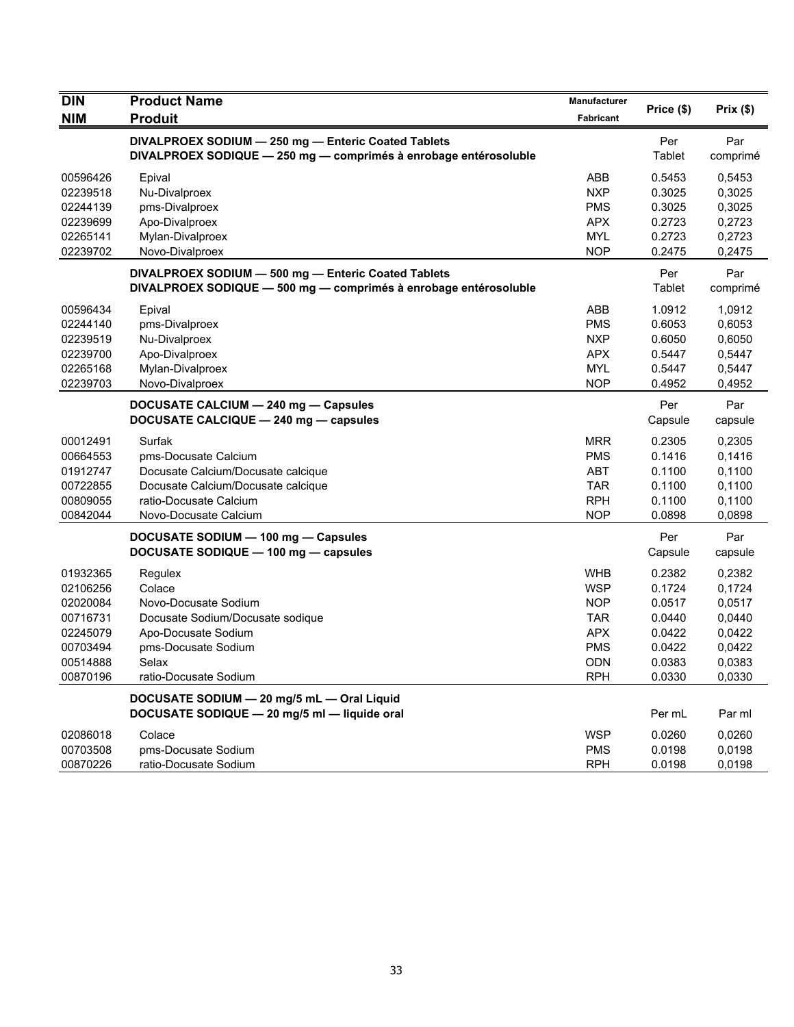| <b>DIN</b><br><b>NIM</b> | <b>Product Name</b><br><b>Produit</b>                            | Manufacturer<br>Fabricant | Price (\$)       | Prix(\$)         |
|--------------------------|------------------------------------------------------------------|---------------------------|------------------|------------------|
|                          | DIVALPROEX SODIUM - 250 mg - Enteric Coated Tablets              |                           | Per              | Par              |
|                          | DIVALPROEX SODIQUE - 250 mg - comprimés à enrobage entérosoluble |                           | Tablet           | comprimé         |
| 00596426                 | Epival                                                           | ABB                       | 0.5453           | 0,5453           |
| 02239518                 | Nu-Divalproex                                                    | <b>NXP</b>                | 0.3025           | 0,3025           |
| 02244139                 | pms-Divalproex                                                   | <b>PMS</b>                | 0.3025           | 0,3025           |
| 02239699                 | Apo-Divalproex                                                   | <b>APX</b>                | 0.2723           | 0,2723           |
| 02265141<br>02239702     | Mylan-Divalproex<br>Novo-Divalproex                              | <b>MYL</b><br><b>NOP</b>  | 0.2723<br>0.2475 | 0,2723<br>0,2475 |
|                          | DIVALPROEX SODIUM - 500 mg - Enteric Coated Tablets              |                           | Per              | Par              |
|                          | DIVALPROEX SODIQUE - 500 mg - comprimés à enrobage entérosoluble |                           | Tablet           | comprimé         |
| 00596434                 | Epival                                                           | ABB                       | 1.0912           | 1,0912           |
| 02244140                 | pms-Divalproex                                                   | <b>PMS</b>                | 0.6053           | 0,6053           |
| 02239519                 | Nu-Divalproex                                                    | <b>NXP</b>                | 0.6050           | 0,6050           |
| 02239700                 | Apo-Divalproex                                                   | <b>APX</b>                | 0.5447           | 0,5447           |
| 02265168                 | Mylan-Divalproex                                                 | <b>MYL</b>                | 0.5447           | 0,5447           |
| 02239703                 | Novo-Divalproex                                                  | <b>NOP</b>                | 0.4952           | 0,4952           |
|                          | DOCUSATE CALCIUM - 240 mg - Capsules                             |                           | Per              | Par              |
|                          | DOCUSATE CALCIQUE - 240 mg - capsules                            |                           | Capsule          | capsule          |
| 00012491                 | Surfak                                                           | <b>MRR</b>                | 0.2305           | 0,2305           |
| 00664553                 | pms-Docusate Calcium                                             | <b>PMS</b>                | 0.1416           | 0,1416           |
| 01912747                 | Docusate Calcium/Docusate calcique                               | <b>ABT</b>                | 0.1100           | 0,1100           |
| 00722855                 | Docusate Calcium/Docusate calcique                               | <b>TAR</b>                | 0.1100           | 0,1100           |
| 00809055                 | ratio-Docusate Calcium                                           | <b>RPH</b>                | 0.1100           | 0,1100           |
| 00842044                 | Novo-Docusate Calcium                                            | <b>NOP</b>                | 0.0898           | 0,0898           |
|                          | DOCUSATE SODIUM - 100 mg - Capsules                              |                           | Per              | Par              |
|                          | DOCUSATE SODIQUE - 100 mg - capsules                             |                           | Capsule          | capsule          |
| 01932365                 | Regulex                                                          | <b>WHB</b>                | 0.2382           | 0,2382           |
| 02106256                 | Colace                                                           | <b>WSP</b>                | 0.1724           | 0,1724           |
| 02020084                 | Novo-Docusate Sodium                                             | <b>NOP</b>                | 0.0517           | 0,0517           |
| 00716731                 | Docusate Sodium/Docusate sodique                                 | <b>TAR</b>                | 0.0440           | 0,0440           |
| 02245079                 | Apo-Docusate Sodium                                              | <b>APX</b>                | 0.0422           | 0,0422           |
| 00703494                 | pms-Docusate Sodium                                              | <b>PMS</b>                | 0.0422           | 0,0422           |
| 00514888                 | Selax                                                            | <b>ODN</b>                | 0.0383           | 0,0383           |
| 00870196                 | ratio-Docusate Sodium                                            | <b>RPH</b>                | 0.0330           | 0,0330           |
|                          | DOCUSATE SODIUM - 20 mg/5 mL - Oral Liquid                       |                           |                  |                  |
|                          | DOCUSATE SODIQUE - 20 mg/5 ml - liquide oral                     |                           | Per mL           | Par ml           |
| 02086018                 | Colace                                                           | <b>WSP</b>                | 0.0260           | 0,0260           |
| 00703508                 | pms-Docusate Sodium                                              | <b>PMS</b>                | 0.0198           | 0,0198           |
| 00870226                 | ratio-Docusate Sodium                                            | <b>RPH</b>                | 0.0198           | 0,0198           |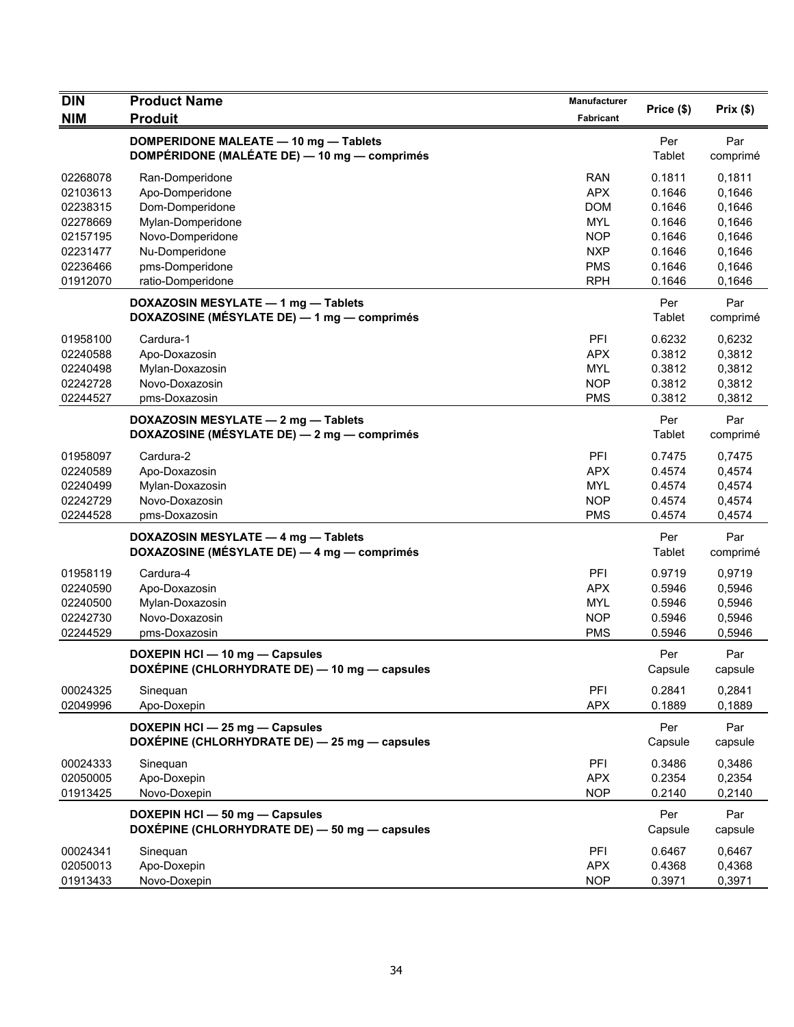| <b>DIN</b>                                               | <b>Product Name</b>                                                                   | Manufacturer                                                | Price (\$)                                     | Prix(\$)                                       |
|----------------------------------------------------------|---------------------------------------------------------------------------------------|-------------------------------------------------------------|------------------------------------------------|------------------------------------------------|
| <b>NIM</b>                                               | <b>Produit</b>                                                                        | <b>Fabricant</b>                                            |                                                |                                                |
|                                                          | DOMPERIDONE MALEATE - 10 mg - Tablets<br>DOMPÉRIDONE (MALÉATE DE) - 10 mg - comprimés |                                                             | Per<br>Tablet                                  | Par<br>comprimé                                |
| 02268078<br>02103613<br>02238315<br>02278669             | Ran-Domperidone<br>Apo-Domperidone<br>Dom-Domperidone<br>Mylan-Domperidone            | <b>RAN</b><br><b>APX</b><br><b>DOM</b><br><b>MYL</b>        | 0.1811<br>0.1646<br>0.1646<br>0.1646           | 0,1811<br>0,1646<br>0,1646<br>0,1646           |
| 02157195<br>02231477<br>02236466                         | Novo-Domperidone<br>Nu-Domperidone<br>pms-Domperidone<br>ratio-Domperidone            | <b>NOP</b><br><b>NXP</b><br><b>PMS</b><br><b>RPH</b>        | 0.1646<br>0.1646<br>0.1646<br>0.1646           | 0,1646<br>0,1646<br>0,1646                     |
| 01912070                                                 | DOXAZOSIN MESYLATE - 1 mg - Tablets<br>DOXAZOSINE (MÉSYLATE DE) - 1 mg - comprimés    |                                                             | Per<br>Tablet                                  | 0,1646<br>Par<br>comprimé                      |
| 01958100<br>02240588<br>02240498<br>02242728<br>02244527 | Cardura-1<br>Apo-Doxazosin<br>Mylan-Doxazosin<br>Novo-Doxazosin<br>pms-Doxazosin      | PFI<br><b>APX</b><br><b>MYL</b><br><b>NOP</b><br><b>PMS</b> | 0.6232<br>0.3812<br>0.3812<br>0.3812<br>0.3812 | 0,6232<br>0,3812<br>0,3812<br>0,3812<br>0,3812 |
|                                                          | DOXAZOSIN MESYLATE - 2 mg - Tablets<br>DOXAZOSINE (MÉSYLATE DE) — 2 mg — comprimés    |                                                             | Per<br>Tablet                                  | Par<br>comprimé                                |
| 01958097<br>02240589<br>02240499<br>02242729<br>02244528 | Cardura-2<br>Apo-Doxazosin<br>Mylan-Doxazosin<br>Novo-Doxazosin<br>pms-Doxazosin      | PFI<br><b>APX</b><br><b>MYL</b><br><b>NOP</b><br><b>PMS</b> | 0.7475<br>0.4574<br>0.4574<br>0.4574<br>0.4574 | 0,7475<br>0,4574<br>0,4574<br>0,4574<br>0,4574 |
|                                                          | DOXAZOSIN MESYLATE - 4 mg - Tablets<br>DOXAZOSINE (MÉSYLATE DE) — 4 mg — comprimés    |                                                             | Per<br>Tablet                                  | Par<br>comprimé                                |
| 01958119<br>02240590<br>02240500<br>02242730<br>02244529 | Cardura-4<br>Apo-Doxazosin<br>Mylan-Doxazosin<br>Novo-Doxazosin<br>pms-Doxazosin      | PFI<br><b>APX</b><br><b>MYL</b><br><b>NOP</b><br><b>PMS</b> | 0.9719<br>0.5946<br>0.5946<br>0.5946<br>0.5946 | 0,9719<br>0,5946<br>0,5946<br>0,5946<br>0,5946 |
|                                                          | DOXEPIN HCI - 10 mg - Capsules<br>DOXEPINE (CHLORHYDRATE DE) — 10 mg — capsules       |                                                             | Per<br>Capsule                                 | Par<br>capsule                                 |
| 00024325<br>02049996                                     | Sineguan<br>Apo-Doxepin                                                               | PFI<br><b>APX</b>                                           | 0.2841<br>0.1889                               | 0,2841<br>0,1889                               |
|                                                          | DOXEPIN HCI - 25 mg - Capsules<br>DOXÉPINE (CHLORHYDRATE DE) - 25 mg - capsules       |                                                             | Per<br>Capsule                                 | Par<br>capsule                                 |
| 00024333<br>02050005<br>01913425                         | Sinequan<br>Apo-Doxepin<br>Novo-Doxepin                                               | PFI<br><b>APX</b><br><b>NOP</b>                             | 0.3486<br>0.2354<br>0.2140                     | 0,3486<br>0,2354<br>0,2140                     |
|                                                          | DOXEPIN HCI - 50 mg - Capsules<br>DOXÉPINE (CHLORHYDRATE DE) - 50 mg - capsules       |                                                             | Per<br>Capsule                                 | Par<br>capsule                                 |
| 00024341<br>02050013<br>01913433                         | Sinequan<br>Apo-Doxepin<br>Novo-Doxepin                                               | PFI<br><b>APX</b><br><b>NOP</b>                             | 0.6467<br>0.4368<br>0.3971                     | 0,6467<br>0,4368<br>0,3971                     |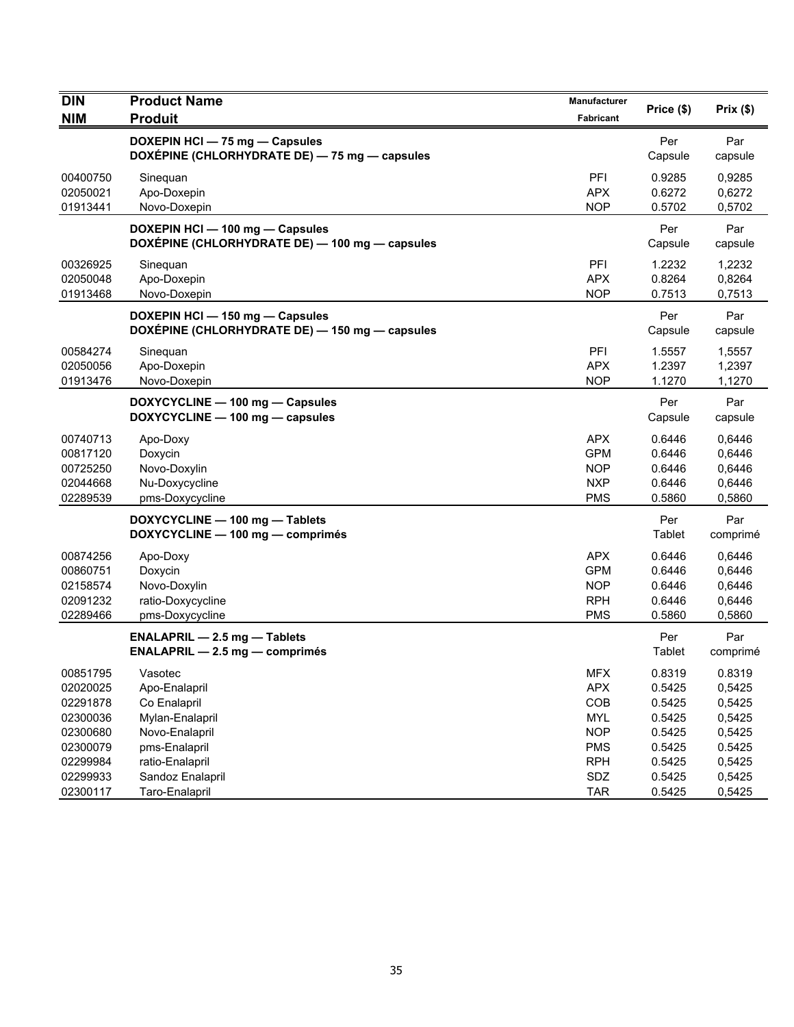| <b>DIN</b> | <b>Product Name</b>                                                               | <b>Manufacturer</b> | Price (\$)     | Prix(\$)        |
|------------|-----------------------------------------------------------------------------------|---------------------|----------------|-----------------|
| <b>NIM</b> | <b>Produit</b>                                                                    | Fabricant           |                |                 |
|            | DOXEPIN HCI - 75 mg - Capsules<br>DOXÉPINE (CHLORHYDRATE DE) - 75 mg - capsules   |                     | Per<br>Capsule | Par<br>capsule  |
| 00400750   | Sinequan                                                                          | PFI                 | 0.9285         | 0,9285          |
| 02050021   | Apo-Doxepin                                                                       | <b>APX</b>          | 0.6272         | 0,6272          |
| 01913441   | Novo-Doxepin                                                                      | <b>NOP</b>          | 0.5702         | 0,5702          |
|            | DOXEPIN HCI - 100 mg - Capsules<br>DOXÉPINE (CHLORHYDRATE DE) - 100 mg - capsules |                     | Per<br>Capsule | Par<br>capsule  |
| 00326925   | Sinequan                                                                          | PFI                 | 1.2232         | 1,2232          |
| 02050048   | Apo-Doxepin                                                                       | <b>APX</b>          | 0.8264         | 0,8264          |
| 01913468   | Novo-Doxepin                                                                      | <b>NOP</b>          | 0.7513         | 0,7513          |
|            | DOXEPIN HCI - 150 mg - Capsules<br>DOXÉPINE (CHLORHYDRATE DE) - 150 mg - capsules |                     | Per<br>Capsule | Par<br>capsule  |
| 00584274   | Sineguan                                                                          | PFI                 | 1.5557         | 1,5557          |
| 02050056   | Apo-Doxepin                                                                       | <b>APX</b>          | 1.2397         | 1,2397          |
| 01913476   | Novo-Doxepin                                                                      | <b>NOP</b>          | 1.1270         | 1,1270          |
|            | DOXYCYCLINE - 100 mg - Capsules<br>DOXYCYCLINE - 100 mg - capsules                |                     | Per<br>Capsule | Par<br>capsule  |
| 00740713   | Apo-Doxy                                                                          | <b>APX</b>          | 0.6446         | 0,6446          |
| 00817120   | Doxycin                                                                           | <b>GPM</b>          | 0.6446         | 0,6446          |
| 00725250   | Novo-Doxylin                                                                      | <b>NOP</b>          | 0.6446         | 0,6446          |
| 02044668   | Nu-Doxycycline                                                                    | <b>NXP</b>          | 0.6446         | 0,6446          |
| 02289539   | pms-Doxycycline                                                                   | <b>PMS</b>          | 0.5860         | 0,5860          |
|            | DOXYCYCLINE - 100 mg - Tablets<br>DOXYCYCLINE - 100 mg - comprimés                |                     | Per<br>Tablet  | Par<br>comprimé |
| 00874256   | Apo-Doxy                                                                          | <b>APX</b>          | 0.6446         | 0,6446          |
| 00860751   | Doxycin                                                                           | <b>GPM</b>          | 0.6446         | 0,6446          |
| 02158574   | Novo-Doxylin                                                                      | <b>NOP</b>          | 0.6446         | 0,6446          |
| 02091232   | ratio-Doxycycline                                                                 | <b>RPH</b>          | 0.6446         | 0,6446          |
| 02289466   | pms-Doxycycline                                                                   | <b>PMS</b>          | 0.5860         | 0,5860          |
|            | <b>ENALAPRIL - 2.5 mg - Tablets</b><br><b>ENALAPRIL - 2.5 mg - comprimés</b>      |                     | Per<br>Tablet  | Par<br>comprimé |
| 00851795   | Vasotec                                                                           | MFX                 | 0.8319         | 0.8319          |
| 02020025   | Apo-Enalapril                                                                     | <b>APX</b>          | 0.5425         | 0,5425          |
| 02291878   | Co Enalapril                                                                      | COB                 | 0.5425         | 0,5425          |
| 02300036   | Mylan-Enalapril                                                                   | <b>MYL</b>          | 0.5425         | 0,5425          |
| 02300680   | Novo-Enalapril                                                                    | <b>NOP</b>          | 0.5425         | 0,5425          |
| 02300079   | pms-Enalapril                                                                     | <b>PMS</b>          | 0.5425         | 0.5425          |
| 02299984   | ratio-Enalapril                                                                   | <b>RPH</b>          | 0.5425         | 0,5425          |
| 02299933   | Sandoz Enalapril                                                                  | SDZ                 | 0.5425         | 0,5425          |
| 02300117   | Taro-Enalapril                                                                    | <b>TAR</b>          | 0.5425         | 0,5425          |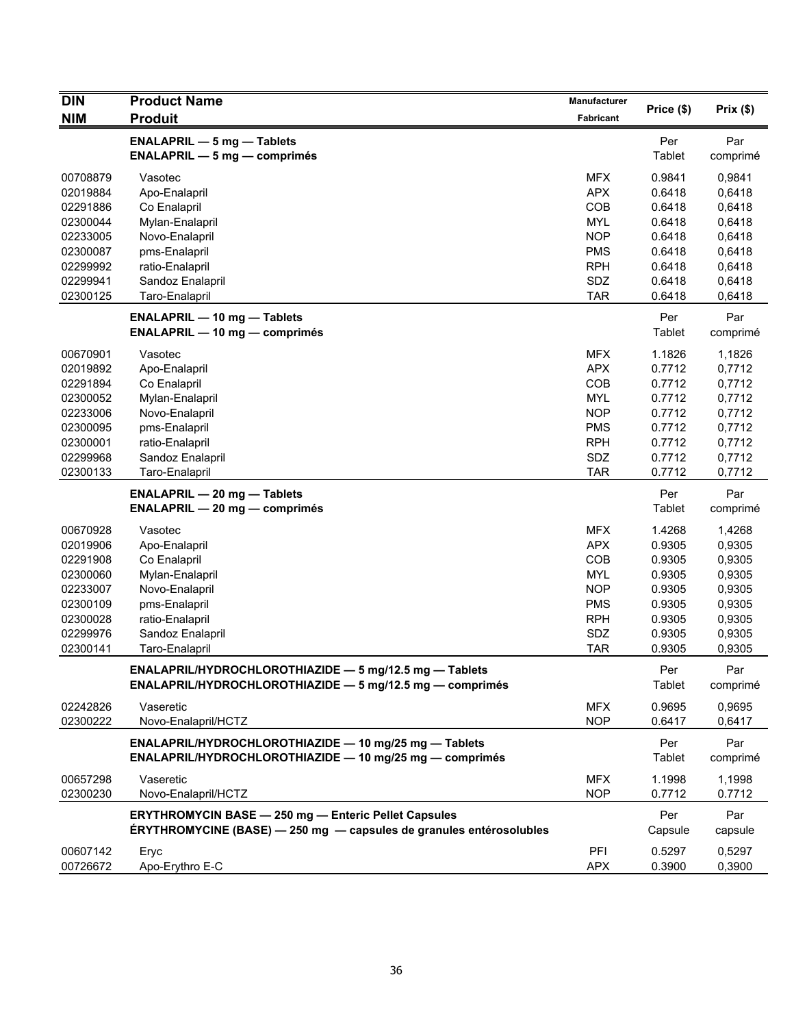| <b>DIN</b>                                               | <b>Product Name</b>                                                                                                                | Manufacturer                                                | Price (\$)                                               | Prix(\$)                                       |
|----------------------------------------------------------|------------------------------------------------------------------------------------------------------------------------------------|-------------------------------------------------------------|----------------------------------------------------------|------------------------------------------------|
| <b>NIM</b>                                               | <b>Produit</b>                                                                                                                     | Fabricant                                                   |                                                          |                                                |
|                                                          | <b>ENALAPRIL - 5 mg - Tablets</b><br>$ENALAPRIL - 5 mg - comprimés$                                                                |                                                             | Per<br>Tablet                                            | Par<br>comprimé                                |
| 00708879<br>02019884<br>02291886<br>02300044             | Vasotec<br>Apo-Enalapril<br>Co Enalapril<br>Mylan-Enalapril                                                                        | <b>MFX</b><br><b>APX</b><br>COB<br><b>MYL</b>               | 0.9841<br>0.6418<br>0.6418<br>0.6418                     | 0,9841<br>0,6418<br>0,6418<br>0,6418           |
| 02233005<br>02300087<br>02299992                         | Novo-Enalapril<br>pms-Enalapril<br>ratio-Enalapril                                                                                 | <b>NOP</b><br><b>PMS</b><br><b>RPH</b>                      | 0.6418<br>0.6418<br>0.6418                               | 0,6418<br>0,6418<br>0,6418                     |
| 02299941<br>02300125                                     | Sandoz Enalapril<br>Taro-Enalapril                                                                                                 | SDZ<br><b>TAR</b>                                           | 0.6418<br>0.6418                                         | 0,6418<br>0,6418                               |
|                                                          | <b>ENALAPRIL - 10 mg - Tablets</b><br><b>ENALAPRIL - 10 mg - comprimés</b>                                                         |                                                             | Per<br>Tablet                                            | Par<br>comprimé                                |
| 00670901<br>02019892<br>02291894                         | Vasotec<br>Apo-Enalapril<br>Co Enalapril                                                                                           | <b>MFX</b><br><b>APX</b><br>COB                             | 1.1826<br>0.7712<br>0.7712                               | 1,1826<br>0,7712<br>0,7712                     |
| 02300052<br>02233006<br>02300095                         | Mylan-Enalapril<br>Novo-Enalapril<br>pms-Enalapril                                                                                 | <b>MYL</b><br><b>NOP</b><br><b>PMS</b>                      | 0.7712<br>0.7712<br>0.7712                               | 0,7712<br>0,7712<br>0,7712                     |
| 02300001<br>02299968<br>02300133                         | ratio-Enalapril<br>Sandoz Enalapril<br>Taro-Enalapril                                                                              | <b>RPH</b><br>SDZ<br><b>TAR</b>                             | 0.7712<br>0.7712<br>0.7712                               | 0,7712<br>0,7712<br>0,7712                     |
|                                                          | <b>ENALAPRIL - 20 mg - Tablets</b><br><b>ENALAPRIL - 20 mg - comprimés</b>                                                         |                                                             | Per<br>Tablet                                            | Par<br>comprimé                                |
| 00670928<br>02019906<br>02291908<br>02300060<br>02233007 | Vasotec<br>Apo-Enalapril<br>Co Enalapril<br>Mylan-Enalapril<br>Novo-Enalapril                                                      | <b>MFX</b><br><b>APX</b><br>COB<br><b>MYL</b><br><b>NOP</b> | 1.4268<br>0.9305<br>0.9305<br>0.9305<br>0.9305<br>0.9305 | 1,4268<br>0,9305<br>0,9305<br>0,9305<br>0,9305 |
| 02300109<br>02300028<br>02299976<br>02300141             | pms-Enalapril<br>ratio-Enalapril<br>Sandoz Enalapril<br>Taro-Enalapril                                                             | <b>PMS</b><br><b>RPH</b><br>SDZ<br><b>TAR</b>               | 0.9305<br>0.9305<br>0.9305                               | 0,9305<br>0,9305<br>0,9305<br>0,9305           |
|                                                          | ENALAPRIL/HYDROCHLOROTHIAZIDE - 5 mg/12.5 mg - Tablets<br>ENALAPRIL/HYDROCHLOROTHIAZIDE - 5 mg/12.5 mg - comprimés                 |                                                             | Per<br>Tablet                                            | Par<br>comprimé                                |
| 02242826<br>02300222                                     | Vaseretic<br>Novo-Enalapril/HCTZ                                                                                                   | <b>MFX</b><br><b>NOP</b>                                    | 0.9695<br>0.6417                                         | 0.9695<br>0,6417                               |
|                                                          | ENALAPRIL/HYDROCHLOROTHIAZIDE - 10 mg/25 mg - Tablets<br>ENALAPRIL/HYDROCHLOROTHIAZIDE - 10 mg/25 mg - comprimés                   |                                                             | Per<br>Tablet                                            | Par<br>comprimé                                |
| 00657298<br>02300230                                     | Vaseretic<br>Novo-Enalapril/HCTZ                                                                                                   | <b>MFX</b><br><b>NOP</b>                                    | 1.1998<br>0.7712                                         | 1,1998<br>0.7712                               |
|                                                          | <b>ERYTHROMYCIN BASE - 250 mg - Enteric Pellet Capsules</b><br>ÉRYTHROMYCINE (BASE) - 250 mg - capsules de granules entérosolubles |                                                             | Per<br>Capsule                                           | Par<br>capsule                                 |
| 00607142<br>00726672                                     | Eryc<br>Apo-Erythro E-C                                                                                                            | PFI<br>APX                                                  | 0.5297<br>0.3900                                         | 0,5297<br>0,3900                               |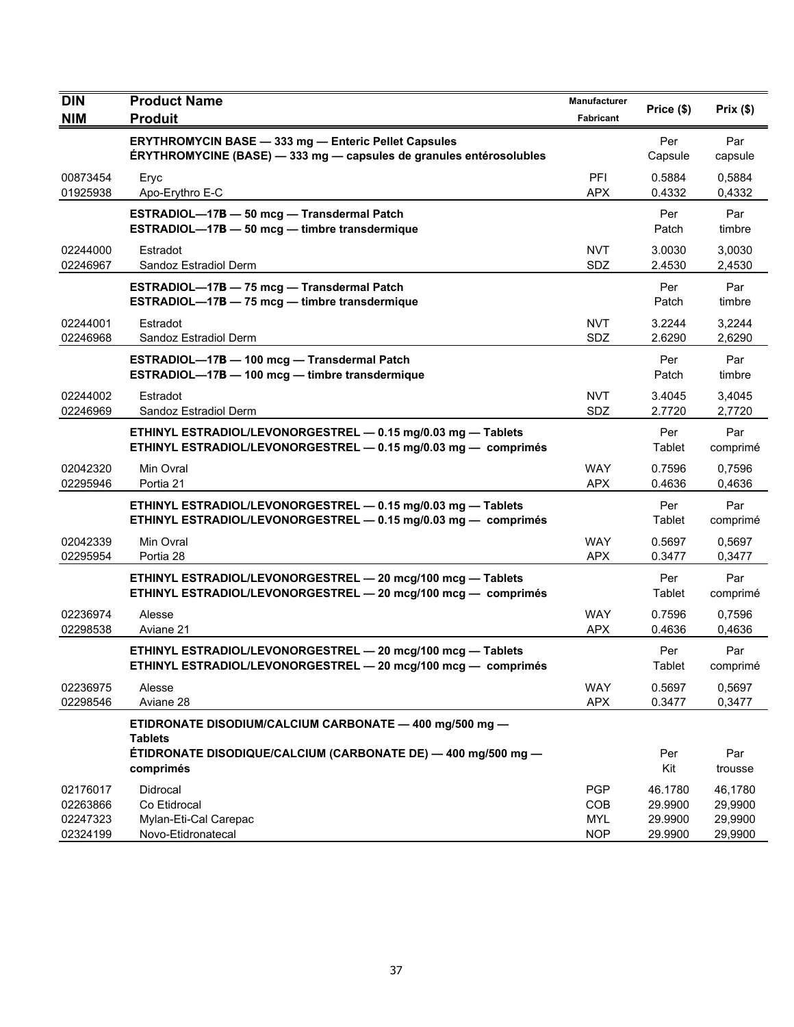| <b>DIN</b>                                   | <b>Product Name</b>                                                                                                                | Manufacturer                                  | Price (\$)                               | Prix(\$)                                 |
|----------------------------------------------|------------------------------------------------------------------------------------------------------------------------------------|-----------------------------------------------|------------------------------------------|------------------------------------------|
| <b>NIM</b>                                   | <b>Produit</b>                                                                                                                     | <b>Fabricant</b>                              |                                          |                                          |
|                                              | <b>ERYTHROMYCIN BASE - 333 mg - Enteric Pellet Capsules</b><br>ÉRYTHROMYCINE (BASE) - 333 mg - capsules de granules entérosolubles |                                               | Per<br>Capsule                           | Par<br>capsule                           |
| 00873454<br>01925938                         | Eryc<br>Apo-Erythro E-C                                                                                                            | PFI<br><b>APX</b>                             | 0.5884<br>0.4332                         | 0,5884<br>0,4332                         |
|                                              | ESTRADIOL-17B - 50 mcg - Transdermal Patch<br>ESTRADIOL-17B - 50 mcg - timbre transdermique                                        |                                               | Per<br>Patch                             | Par<br>timbre                            |
| 02244000<br>02246967                         | Estradot<br>Sandoz Estradiol Derm                                                                                                  | <b>NVT</b><br>SDZ                             | 3.0030<br>2.4530                         | 3,0030<br>2,4530                         |
|                                              | ESTRADIOL-17B - 75 mcg - Transdermal Patch<br>ESTRADIOL-17B - 75 mcg - timbre transdermique                                        |                                               | Per<br>Patch                             | Par<br>timbre                            |
| 02244001<br>02246968                         | Estradot<br>Sandoz Estradiol Derm                                                                                                  | <b>NVT</b><br>SDZ                             | 3.2244<br>2.6290                         | 3,2244<br>2,6290                         |
|                                              | ESTRADIOL-17B - 100 mcg - Transdermal Patch<br>ESTRADIOL-17B - 100 mcg - timbre transdermique                                      |                                               | Per<br>Patch                             | Par<br>timbre                            |
| 02244002<br>02246969                         | Estradot<br>Sandoz Estradiol Derm                                                                                                  | <b>NVT</b><br>SDZ                             | 3.4045<br>2.7720                         | 3,4045<br>2,7720                         |
|                                              | ETHINYL ESTRADIOL/LEVONORGESTREL - 0.15 mg/0.03 mg - Tablets<br>ETHINYL ESTRADIOL/LEVONORGESTREL - 0.15 mg/0.03 mg - comprimés     |                                               | Per<br>Tablet                            | Par<br>comprimé                          |
| 02042320<br>02295946                         | Min Ovral<br>Portia 21                                                                                                             | <b>WAY</b><br><b>APX</b>                      | 0.7596<br>0.4636                         | 0,7596<br>0,4636                         |
|                                              | ETHINYL ESTRADIOL/LEVONORGESTREL - 0.15 mg/0.03 mg - Tablets<br>ETHINYL ESTRADIOL/LEVONORGESTREL - 0.15 mg/0.03 mg - comprimés     |                                               | Per<br>Tablet                            | Par<br>comprimé                          |
| 02042339<br>02295954                         | Min Ovral<br>Portia 28                                                                                                             | <b>WAY</b><br><b>APX</b>                      | 0.5697<br>0.3477                         | 0,5697<br>0,3477                         |
|                                              | ETHINYL ESTRADIOL/LEVONORGESTREL - 20 mcg/100 mcg - Tablets<br>ETHINYL ESTRADIOL/LEVONORGESTREL - 20 mcg/100 mcg - comprimés       |                                               | Per<br>Tablet                            | Par<br>comprimé                          |
| 02236974<br>02298538                         | Alesse<br>Aviane 21                                                                                                                | <b>WAY</b><br>APX                             | 0.7596<br>0.4636                         | 0,7596<br>0,4636                         |
|                                              | ETHINYL ESTRADIOL/LEVONORGESTREL - 20 mcg/100 mcg - Tablets<br>ETHINYL ESTRADIOL/LEVONORGESTREL - 20 mcg/100 mcg - comprimés       |                                               | Per<br>Tablet                            | Par<br>comprimé                          |
| 02236975<br>02298546                         | Alesse<br>Aviane 28                                                                                                                | <b>WAY</b><br><b>APX</b>                      | 0.5697<br>0.3477                         | 0,5697<br>0,3477                         |
|                                              | ETIDRONATE DISODIUM/CALCIUM CARBONATE - 400 mg/500 mg -<br><b>Tablets</b>                                                          |                                               |                                          |                                          |
|                                              | ÉTIDRONATE DISODIQUE/CALCIUM (CARBONATE DE) — 400 mg/500 mg —<br>comprimés                                                         |                                               | Per<br>Kit                               | Par<br>trousse                           |
| 02176017<br>02263866<br>02247323<br>02324199 | Didrocal<br>Co Etidrocal<br>Mylan-Eti-Cal Carepac<br>Novo-Etidronatecal                                                            | <b>PGP</b><br>COB<br><b>MYL</b><br><b>NOP</b> | 46.1780<br>29.9900<br>29.9900<br>29.9900 | 46,1780<br>29,9900<br>29,9900<br>29,9900 |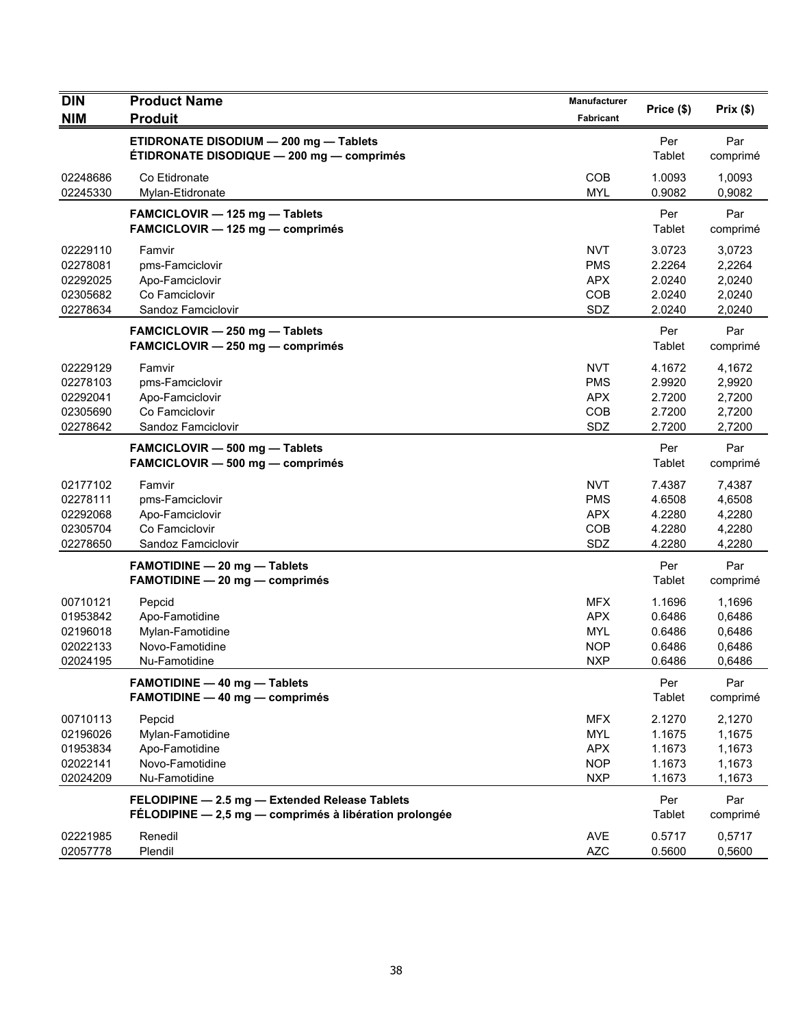| <b>DIN</b>                                               | <b>Product Name</b>                                                                                      | Manufacturer                                                       | Price (\$)                                     | Prix(\$)                                       |
|----------------------------------------------------------|----------------------------------------------------------------------------------------------------------|--------------------------------------------------------------------|------------------------------------------------|------------------------------------------------|
| <b>NIM</b>                                               | <b>Produit</b>                                                                                           | <b>Fabricant</b>                                                   |                                                |                                                |
|                                                          | ETIDRONATE DISODIUM - 200 mg - Tablets<br>ÉTIDRONATE DISODIQUE - 200 mg - comprimés                      |                                                                    | Per<br>Tablet                                  | Par<br>comprimé                                |
| 02248686<br>02245330                                     | Co Etidronate<br>Mylan-Etidronate                                                                        | <b>COB</b><br><b>MYL</b>                                           | 1.0093<br>0.9082                               | 1,0093<br>0,9082                               |
|                                                          | FAMCICLOVIR - 125 mg - Tablets<br>FAMCICLOVIR - 125 mg - comprimés                                       |                                                                    | Per<br>Tablet                                  | Par<br>comprimé                                |
| 02229110<br>02278081<br>02292025<br>02305682<br>02278634 | Famvir<br>pms-Famciclovir<br>Apo-Famciclovir<br>Co Famciclovir<br>Sandoz Famciclovir                     | <b>NVT</b><br><b>PMS</b><br><b>APX</b><br>COB<br>SDZ               | 3.0723<br>2.2264<br>2.0240<br>2.0240<br>2.0240 | 3,0723<br>2,2264<br>2,0240<br>2,0240<br>2,0240 |
|                                                          | FAMCICLOVIR - 250 mg - Tablets<br>FAMCICLOVIR - 250 mg - comprimés                                       |                                                                    | Per<br>Tablet                                  | Par<br>comprimé                                |
| 02229129<br>02278103<br>02292041<br>02305690<br>02278642 | Famvir<br>pms-Famciclovir<br>Apo-Famciclovir<br>Co Famciclovir<br>Sandoz Famciclovir                     | <b>NVT</b><br><b>PMS</b><br><b>APX</b><br>COB<br>SDZ               | 4.1672<br>2.9920<br>2.7200<br>2.7200<br>2.7200 | 4,1672<br>2,9920<br>2,7200<br>2,7200<br>2,7200 |
|                                                          | FAMCICLOVIR - 500 mg - Tablets<br>FAMCICLOVIR - 500 mg - comprimés                                       |                                                                    | Per<br>Tablet                                  | Par<br>comprimé                                |
| 02177102<br>02278111<br>02292068<br>02305704<br>02278650 | Famvir<br>pms-Famciclovir<br>Apo-Famciclovir<br>Co Famciclovir<br>Sandoz Famciclovir                     | <b>NVT</b><br><b>PMS</b><br><b>APX</b><br>COB<br>SDZ               | 7.4387<br>4.6508<br>4.2280<br>4.2280<br>4.2280 | 7,4387<br>4,6508<br>4,2280<br>4,2280<br>4,2280 |
|                                                          | <b>FAMOTIDINE - 20 mg - Tablets</b><br>FAMOTIDINE - 20 mg - comprimés                                    |                                                                    | Per<br>Tablet                                  | Par<br>comprimé                                |
| 00710121<br>01953842<br>02196018<br>02022133<br>02024195 | Pepcid<br>Apo-Famotidine<br>Mylan-Famotidine<br>Novo-Famotidine<br>Nu-Famotidine                         | <b>MFX</b><br><b>APX</b><br><b>MYL</b><br><b>NOP</b><br><b>NXP</b> | 1.1696<br>0.6486<br>0.6486<br>0.6486<br>0.6486 | 1,1696<br>0,6486<br>0,6486<br>0,6486<br>0,6486 |
|                                                          | FAMOTIDINE - 40 mg - Tablets<br>FAMOTIDINE - 40 mg - comprimés                                           |                                                                    | Per<br>Tablet                                  | Par<br>comprimé                                |
| 00710113<br>02196026<br>01953834<br>02022141<br>02024209 | Pepcid<br>Mylan-Famotidine<br>Apo-Famotidine<br>Novo-Famotidine<br>Nu-Famotidine                         | <b>MFX</b><br><b>MYL</b><br><b>APX</b><br><b>NOP</b><br><b>NXP</b> | 2.1270<br>1.1675<br>1.1673<br>1.1673<br>1.1673 | 2,1270<br>1,1675<br>1,1673<br>1,1673<br>1,1673 |
|                                                          | FELODIPINE - 2.5 mg - Extended Release Tablets<br>FÉLODIPINE - 2,5 mg - comprimés à libération prolongée |                                                                    | Per<br>Tablet                                  | Par<br>comprimé                                |
| 02221985<br>02057778                                     | Renedil<br>Plendil                                                                                       | AVE<br><b>AZC</b>                                                  | 0.5717<br>0.5600                               | 0,5717<br>0,5600                               |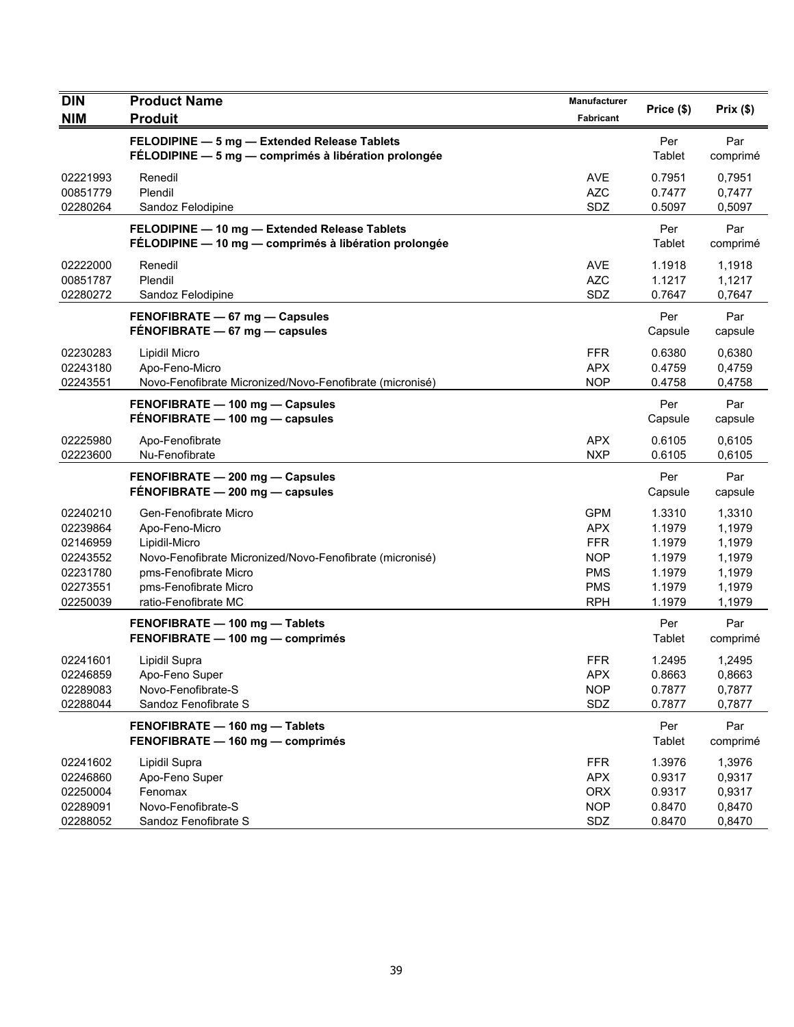| <b>DIN</b><br><b>NIM</b>                                                         | <b>Product Name</b><br><b>Produit</b>                                                                                                                                                          | Manufacturer<br>Fabricant                                                                      | Price (\$)                                                         | Prix(\$)                                                           |
|----------------------------------------------------------------------------------|------------------------------------------------------------------------------------------------------------------------------------------------------------------------------------------------|------------------------------------------------------------------------------------------------|--------------------------------------------------------------------|--------------------------------------------------------------------|
|                                                                                  | FELODIPINE - 5 mg - Extended Release Tablets<br>FÉLODIPINE - 5 mg - comprimés à libération prolongée                                                                                           |                                                                                                | Per<br>Tablet                                                      | Par<br>comprimé                                                    |
| 02221993<br>00851779<br>02280264                                                 | Renedil<br>Plendil<br>Sandoz Felodipine                                                                                                                                                        | <b>AVE</b><br><b>AZC</b><br>SDZ                                                                | 0.7951<br>0.7477<br>0.5097                                         | 0,7951<br>0,7477<br>0,5097                                         |
|                                                                                  | FELODIPINE - 10 mg - Extended Release Tablets<br>FÉLODIPINE - 10 mg - comprimés à libération prolongée                                                                                         |                                                                                                | Per<br>Tablet                                                      | Par<br>comprimé                                                    |
| 02222000<br>00851787<br>02280272                                                 | Renedil<br>Plendil<br>Sandoz Felodipine                                                                                                                                                        | <b>AVE</b><br><b>AZC</b><br>SDZ                                                                | 1.1918<br>1.1217<br>0.7647                                         | 1,1918<br>1,1217<br>0,7647                                         |
|                                                                                  | FENOFIBRATE - 67 mg - Capsules<br>FENOFIBRATE - 67 mg - capsules                                                                                                                               |                                                                                                | Per<br>Capsule                                                     | Par<br>capsule                                                     |
| 02230283<br>02243180<br>02243551                                                 | Lipidil Micro<br>Apo-Feno-Micro<br>Novo-Fenofibrate Micronized/Novo-Fenofibrate (micronisé)                                                                                                    | <b>FFR</b><br><b>APX</b><br><b>NOP</b>                                                         | 0.6380<br>0.4759<br>0.4758                                         | 0,6380<br>0,4759<br>0,4758                                         |
|                                                                                  | FENOFIBRATE - 100 mg - Capsules<br>FENOFIBRATE - 100 mg - capsules                                                                                                                             |                                                                                                | Per<br>Capsule                                                     | Par<br>capsule                                                     |
| 02225980<br>02223600                                                             | Apo-Fenofibrate<br>Nu-Fenofibrate                                                                                                                                                              | <b>APX</b><br><b>NXP</b>                                                                       | 0.6105<br>0.6105                                                   | 0,6105<br>0,6105                                                   |
|                                                                                  | FENOFIBRATE - 200 mg - Capsules<br>FÉNOFIBRATE - 200 mg - capsules                                                                                                                             |                                                                                                | Per<br>Capsule                                                     | Par<br>capsule                                                     |
| 02240210<br>02239864<br>02146959<br>02243552<br>02231780<br>02273551<br>02250039 | Gen-Fenofibrate Micro<br>Apo-Feno-Micro<br>Lipidil-Micro<br>Novo-Fenofibrate Micronized/Novo-Fenofibrate (micronisé)<br>pms-Fenofibrate Micro<br>pms-Fenofibrate Micro<br>ratio-Fenofibrate MC | <b>GPM</b><br><b>APX</b><br><b>FFR</b><br><b>NOP</b><br><b>PMS</b><br><b>PMS</b><br><b>RPH</b> | 1.3310<br>1.1979<br>1.1979<br>1.1979<br>1.1979<br>1.1979<br>1.1979 | 1,3310<br>1,1979<br>1,1979<br>1,1979<br>1,1979<br>1,1979<br>1,1979 |
|                                                                                  | FENOFIBRATE - 100 mg - Tablets<br>FENOFIBRATE - 100 mg - comprimés                                                                                                                             |                                                                                                | Per<br>Tablet                                                      | Par<br>comprimé                                                    |
| 02241601<br>02246859<br>02289083<br>02288044                                     | Lipidil Supra<br>Apo-Feno Super<br>Novo-Fenofibrate-S<br>Sandoz Fenofibrate S                                                                                                                  | <b>FFR</b><br>APX.<br><b>NOP</b><br>SDZ                                                        | 1.2495<br>0.8663<br>0.7877<br>0.7877                               | 1,2495<br>0,8663<br>0,7877<br>0,7877                               |
|                                                                                  | FENOFIBRATE - 160 mg - Tablets<br>FENOFIBRATE - 160 mg - comprimés                                                                                                                             |                                                                                                | Per<br>Tablet                                                      | Par<br>comprimé                                                    |
| 02241602<br>02246860<br>02250004<br>02289091<br>02288052                         | Lipidil Supra<br>Apo-Feno Super<br>Fenomax<br>Novo-Fenofibrate-S<br>Sandoz Fenofibrate S                                                                                                       | <b>FFR</b><br><b>APX</b><br><b>ORX</b><br><b>NOP</b><br>SDZ                                    | 1.3976<br>0.9317<br>0.9317<br>0.8470<br>0.8470                     | 1,3976<br>0,9317<br>0,9317<br>0,8470<br>0,8470                     |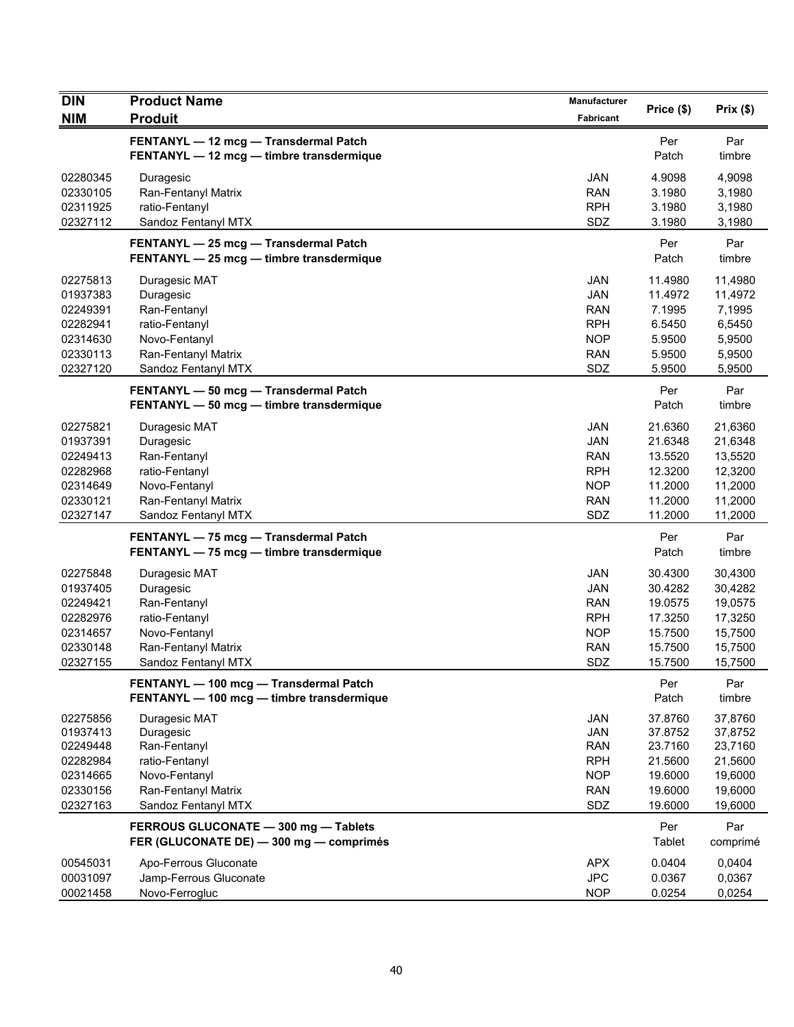| <b>DIN</b>           | <b>Product Name</b>                        | <b>Manufacturer</b>      | Price (\$)         | Prix(\$)           |
|----------------------|--------------------------------------------|--------------------------|--------------------|--------------------|
| <b>NIM</b>           | <b>Produit</b>                             | Fabricant                |                    |                    |
|                      | FENTANYL - 12 mcg - Transdermal Patch      |                          | Per                | Par                |
|                      | FENTANYL - 12 mcg - timbre transdermique   |                          | Patch              | timbre             |
| 02280345             | Duragesic                                  | JAN                      | 4.9098             | 4,9098             |
| 02330105             | Ran-Fentanyl Matrix                        | <b>RAN</b>               | 3.1980             | 3,1980             |
| 02311925             | ratio-Fentanyl                             | <b>RPH</b>               | 3.1980             | 3,1980             |
| 02327112             | Sandoz Fentanyl MTX                        | SDZ                      | 3.1980             | 3,1980             |
|                      | FENTANYL - 25 mcg - Transdermal Patch      |                          | Per                | Par                |
|                      | FENTANYL - 25 mcg - timbre transdermique   |                          | Patch              | timbre             |
| 02275813             | Duragesic MAT                              | JAN                      | 11.4980            | 11,4980            |
| 01937383             | Duragesic                                  | <b>JAN</b>               | 11.4972            | 11,4972            |
| 02249391             | Ran-Fentanyl                               | <b>RAN</b>               | 7.1995             | 7,1995             |
| 02282941             | ratio-Fentanyl                             | <b>RPH</b>               | 6.5450             | 6,5450             |
| 02314630             | Novo-Fentanyl                              | <b>NOP</b>               | 5.9500             | 5,9500             |
| 02330113             | Ran-Fentanyl Matrix                        | <b>RAN</b>               | 5.9500             | 5,9500             |
| 02327120             | Sandoz Fentanyl MTX                        | SDZ                      | 5.9500             | 5,9500             |
|                      | FENTANYL - 50 mcg - Transdermal Patch      |                          | Per                | Par                |
|                      | FENTANYL - 50 mcg - timbre transdermique   |                          | Patch              | timbre             |
| 02275821             | Duragesic MAT                              | JAN                      | 21.6360            | 21,6360            |
| 01937391             | Duragesic                                  | JAN                      | 21.6348            | 21,6348            |
| 02249413             | Ran-Fentanyl                               | <b>RAN</b>               | 13.5520            | 13,5520            |
| 02282968             | ratio-Fentanyl                             | <b>RPH</b>               | 12.3200            | 12,3200            |
| 02314649             | Novo-Fentanyl                              | <b>NOP</b>               | 11.2000            | 11,2000            |
| 02330121             | Ran-Fentanyl Matrix                        | <b>RAN</b>               | 11.2000            | 11,2000            |
| 02327147             | Sandoz Fentanyl MTX                        | SDZ                      | 11.2000            | 11,2000            |
|                      | FENTANYL - 75 mcg - Transdermal Patch      |                          | Per                | Par                |
|                      | FENTANYL - 75 mcg - timbre transdermique   |                          | Patch              | timbre             |
| 02275848             | Duragesic MAT                              | <b>JAN</b>               | 30.4300            | 30,4300            |
| 01937405             | Duragesic                                  | <b>JAN</b>               | 30.4282            | 30,4282            |
| 02249421             | Ran-Fentanyl                               | <b>RAN</b>               | 19.0575            | 19,0575            |
| 02282976             | ratio-Fentanyl                             | <b>RPH</b>               | 17.3250            | 17,3250            |
| 02314657             | Novo-Fentanyl                              | <b>NOP</b>               | 15.7500            | 15,7500            |
| 02330148             | Ran-Fentanyl Matrix                        | <b>RAN</b>               | 15.7500            | 15,7500            |
| 02327155             | Sandoz Fentanyl MTX                        | SDZ                      | 15.7500            | 15,7500            |
|                      | FENTANYL - 100 mcg - Transdermal Patch     |                          | Per                | Par                |
|                      | FENTANYL - 100 mcg - timbre transdermique  |                          | Patch              | timbre             |
| 02275856             | Duragesic MAT                              | <b>JAN</b>               | 37.8760            | 37,8760            |
| 01937413             | Duragesic                                  | <b>JAN</b>               | 37.8752            | 37,8752            |
| 02249448             | Ran-Fentanyl                               | <b>RAN</b>               | 23.7160            | 23,7160            |
| 02282984             | ratio-Fentanyl                             | <b>RPH</b>               | 21.5600            | 21,5600            |
| 02314665             | Novo-Fentanyl                              | <b>NOP</b><br><b>RAN</b> | 19.6000<br>19.6000 | 19,6000<br>19,6000 |
| 02330156<br>02327163 | Ran-Fentanyl Matrix<br>Sandoz Fentanyl MTX | SDZ                      | 19.6000            | 19,6000            |
|                      |                                            |                          |                    |                    |
|                      | FERROUS GLUCONATE - 300 mg - Tablets       |                          | Per<br>Tablet      | Par                |
|                      | FER (GLUCONATE DE) - 300 mg - comprimés    |                          |                    | comprimé           |
| 00545031             | Apo-Ferrous Gluconate                      | <b>APX</b>               | 0.0404             | 0,0404             |
| 00031097             | Jamp-Ferrous Gluconate                     | <b>JPC</b>               | 0.0367             | 0,0367             |
| 00021458             | Novo-Ferrogluc                             | <b>NOP</b>               | 0.0254             | 0,0254             |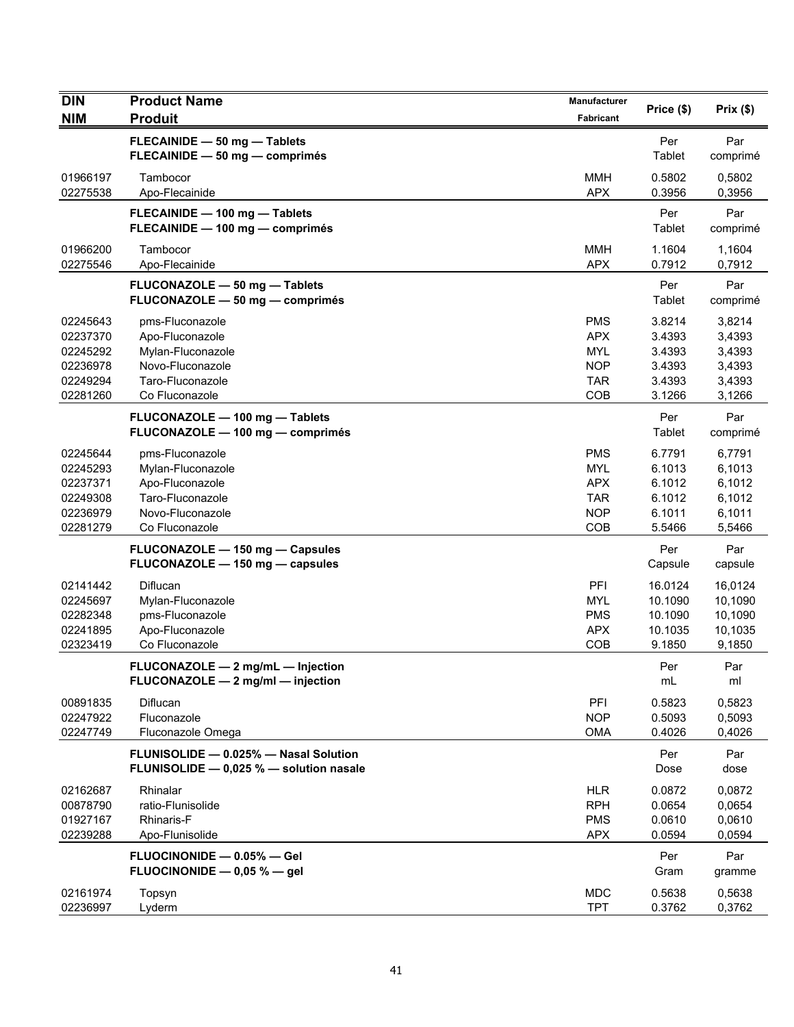| <b>DIN</b>                                                           | <b>Product Name</b>                                                                                               | <b>Manufacturer</b>                                                       | Price (\$)                                               | Prix(\$)                                                 |
|----------------------------------------------------------------------|-------------------------------------------------------------------------------------------------------------------|---------------------------------------------------------------------------|----------------------------------------------------------|----------------------------------------------------------|
| <b>NIM</b>                                                           | <b>Produit</b>                                                                                                    | Fabricant                                                                 |                                                          |                                                          |
|                                                                      | FLECAINIDE - 50 mg - Tablets<br>FLECAINIDE - 50 mg - comprimés                                                    |                                                                           | Per<br>Tablet                                            | Par<br>comprimé                                          |
| 01966197<br>02275538                                                 | Tambocor<br>Apo-Flecainide                                                                                        | <b>MMH</b><br><b>APX</b>                                                  | 0.5802<br>0.3956                                         | 0,5802<br>0,3956                                         |
|                                                                      | FLECAINIDE - 100 mg - Tablets<br>FLECAINIDE - 100 mg - comprimés                                                  |                                                                           | Per<br>Tablet                                            | Par<br>comprimé                                          |
| 01966200<br>02275546                                                 | Tambocor<br>Apo-Flecainide                                                                                        | <b>MMH</b><br><b>APX</b>                                                  | 1.1604<br>0.7912                                         | 1,1604<br>0,7912                                         |
|                                                                      | FLUCONAZOLE - 50 mg - Tablets<br>FLUCONAZOLE - 50 mg - comprimés                                                  |                                                                           | Per<br>Tablet                                            | Par<br>comprimé                                          |
| 02245643<br>02237370<br>02245292<br>02236978<br>02249294<br>02281260 | pms-Fluconazole<br>Apo-Fluconazole<br>Mylan-Fluconazole<br>Novo-Fluconazole<br>Taro-Fluconazole<br>Co Fluconazole | <b>PMS</b><br><b>APX</b><br><b>MYL</b><br><b>NOP</b><br><b>TAR</b><br>COB | 3.8214<br>3.4393<br>3.4393<br>3.4393<br>3.4393<br>3.1266 | 3,8214<br>3,4393<br>3,4393<br>3,4393<br>3,4393<br>3,1266 |
|                                                                      | FLUCONAZOLE - 100 mg - Tablets<br>FLUCONAZOLE - 100 mg - comprimés                                                |                                                                           | Per<br>Tablet                                            | Par<br>comprimé                                          |
| 02245644<br>02245293<br>02237371<br>02249308<br>02236979<br>02281279 | pms-Fluconazole<br>Mylan-Fluconazole<br>Apo-Fluconazole<br>Taro-Fluconazole<br>Novo-Fluconazole<br>Co Fluconazole | <b>PMS</b><br><b>MYL</b><br><b>APX</b><br><b>TAR</b><br><b>NOP</b><br>COB | 6.7791<br>6.1013<br>6.1012<br>6.1012<br>6.1011<br>5.5466 | 6,7791<br>6,1013<br>6,1012<br>6,1012<br>6,1011<br>5,5466 |
|                                                                      | FLUCONAZOLE - 150 mg - Capsules<br>FLUCONAZOLE - 150 mg - capsules                                                |                                                                           | Per<br>Capsule                                           | Par<br>capsule                                           |
| 02141442<br>02245697<br>02282348<br>02241895<br>02323419             | Diflucan<br>Mylan-Fluconazole<br>pms-Fluconazole<br>Apo-Fluconazole<br>Co Fluconazole                             | PFI<br><b>MYL</b><br><b>PMS</b><br><b>APX</b><br><b>COB</b>               | 16.0124<br>10.1090<br>10.1090<br>10.1035<br>9.1850       | 16,0124<br>10,1090<br>10,1090<br>10,1035<br>9,1850       |
|                                                                      | FLUCONAZOLE - 2 mg/mL - Injection<br>FLUCONAZOLE - 2 mg/ml - injection                                            |                                                                           | Per<br>mL                                                | Par<br>ml                                                |
| 00891835<br>02247922<br>02247749                                     | Diflucan<br>Fluconazole<br>Fluconazole Omega                                                                      | PFI<br><b>NOP</b><br><b>OMA</b>                                           | 0.5823<br>0.5093<br>0.4026                               | 0,5823<br>0,5093<br>0,4026                               |
|                                                                      | FLUNISOLIDE - 0.025% - Nasal Solution<br>FLUNISOLIDE - 0,025 % - solution nasale                                  |                                                                           | Per<br>Dose                                              | Par<br>dose                                              |
| 02162687<br>00878790<br>01927167<br>02239288                         | Rhinalar<br>ratio-Flunisolide<br><b>Rhinaris-F</b><br>Apo-Flunisolide                                             | <b>HLR</b><br><b>RPH</b><br><b>PMS</b><br><b>APX</b>                      | 0.0872<br>0.0654<br>0.0610<br>0.0594                     | 0,0872<br>0,0654<br>0,0610<br>0,0594                     |
|                                                                      | FLUOCINONIDE - 0.05% - Gel<br>FLUOCINONIDE $-$ 0,05 % $-$ gel                                                     |                                                                           | Per<br>Gram                                              | Par<br>gramme                                            |
| 02161974<br>02236997                                                 | Topsyn<br>Lyderm                                                                                                  | <b>MDC</b><br>TPT                                                         | 0.5638<br>0.3762                                         | 0,5638<br>0,3762                                         |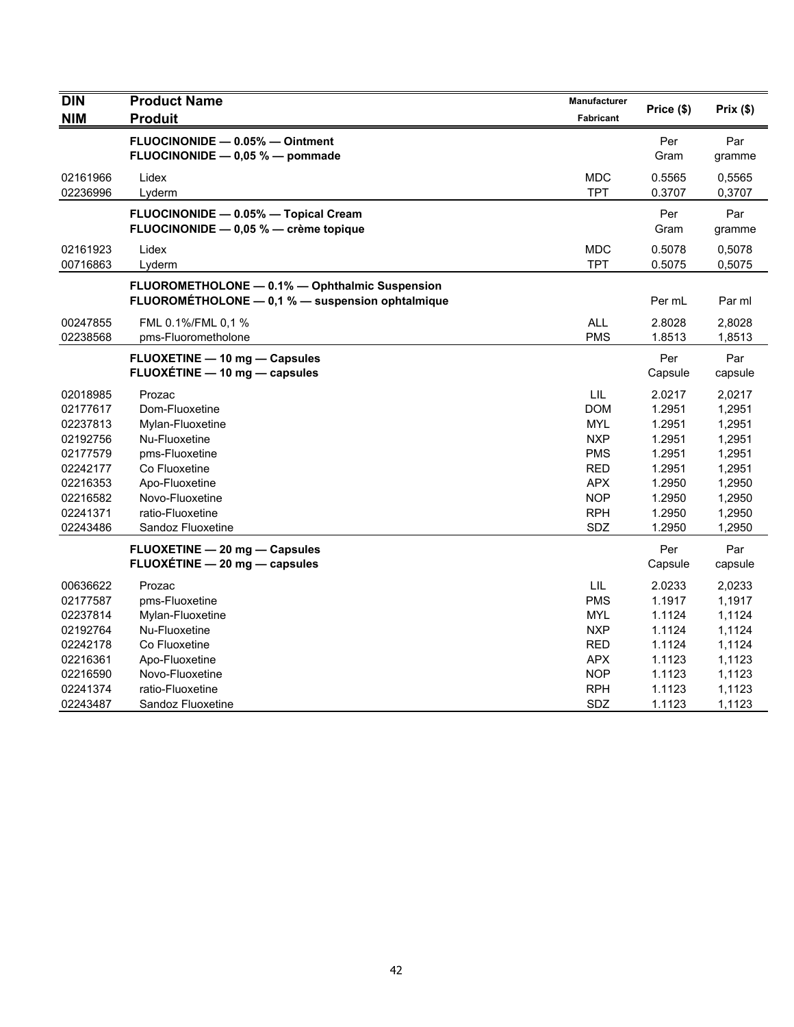| <b>DIN</b><br><b>NIM</b>                                                                                             | <b>Product Name</b><br><b>Produit</b>                                                                                                                                          | Manufacturer<br><b>Fabricant</b>                                                                                    | Price (\$)                                                                                       | Prix(\$)                                                                                         |
|----------------------------------------------------------------------------------------------------------------------|--------------------------------------------------------------------------------------------------------------------------------------------------------------------------------|---------------------------------------------------------------------------------------------------------------------|--------------------------------------------------------------------------------------------------|--------------------------------------------------------------------------------------------------|
|                                                                                                                      | FLUOCINONIDE - 0.05% - Ointment<br>FLUOCINONIDE - 0,05 % - pommade                                                                                                             |                                                                                                                     | Per<br>Gram                                                                                      | Par<br>gramme                                                                                    |
| 02161966<br>02236996                                                                                                 | Lidex<br>Lyderm                                                                                                                                                                | <b>MDC</b><br><b>TPT</b>                                                                                            | 0.5565<br>0.3707                                                                                 | 0,5565<br>0,3707                                                                                 |
|                                                                                                                      | FLUOCINONIDE - 0.05% - Topical Cream<br>FLUOCINONIDE - 0,05 % - crème topique                                                                                                  |                                                                                                                     | Per<br>Gram                                                                                      | Par<br>gramme                                                                                    |
| 02161923<br>00716863                                                                                                 | Lidex<br>Lyderm                                                                                                                                                                | <b>MDC</b><br><b>TPT</b>                                                                                            | 0.5078<br>0.5075                                                                                 | 0,5078<br>0,5075                                                                                 |
|                                                                                                                      | FLUOROMETHOLONE - 0.1% - Ophthalmic Suspension<br>FLUOROMÉTHOLONE - 0,1 % - suspension ophtalmique                                                                             |                                                                                                                     | Per mL                                                                                           | Par ml                                                                                           |
| 00247855<br>02238568                                                                                                 | FML 0.1%/FML 0.1 %<br>pms-Fluorometholone                                                                                                                                      | <b>ALL</b><br><b>PMS</b>                                                                                            | 2.8028<br>1.8513                                                                                 | 2,8028<br>1,8513                                                                                 |
|                                                                                                                      | FLUOXETINE - 10 mg - Capsules<br>FLUOXETINE - 10 mg - capsules                                                                                                                 |                                                                                                                     | Per<br>Capsule                                                                                   | Par<br>capsule                                                                                   |
| 02018985<br>02177617<br>02237813<br>02192756<br>02177579<br>02242177<br>02216353<br>02216582<br>02241371<br>02243486 | Prozac<br>Dom-Fluoxetine<br>Mylan-Fluoxetine<br>Nu-Fluoxetine<br>pms-Fluoxetine<br>Co Fluoxetine<br>Apo-Fluoxetine<br>Novo-Fluoxetine<br>ratio-Fluoxetine<br>Sandoz Fluoxetine | LIL<br><b>DOM</b><br>MYL<br><b>NXP</b><br><b>PMS</b><br><b>RED</b><br><b>APX</b><br><b>NOP</b><br><b>RPH</b><br>SDZ | 2.0217<br>1.2951<br>1.2951<br>1.2951<br>1.2951<br>1.2951<br>1.2950<br>1.2950<br>1.2950<br>1.2950 | 2,0217<br>1,2951<br>1,2951<br>1,2951<br>1,2951<br>1,2951<br>1,2950<br>1,2950<br>1,2950<br>1,2950 |
|                                                                                                                      | FLUOXETINE - 20 mg - Capsules<br>FLUOXÉTINE - 20 mg - capsules                                                                                                                 |                                                                                                                     | Per<br>Capsule                                                                                   | Par<br>capsule                                                                                   |
| 00636622<br>02177587<br>02237814<br>02192764<br>02242178<br>02216361<br>02216590<br>02241374<br>02243487             | Prozac<br>pms-Fluoxetine<br>Mylan-Fluoxetine<br>Nu-Fluoxetine<br>Co Fluoxetine<br>Apo-Fluoxetine<br>Novo-Fluoxetine<br>ratio-Fluoxetine<br>Sandoz Fluoxetine                   | LIL<br><b>PMS</b><br><b>MYL</b><br><b>NXP</b><br><b>RED</b><br><b>APX</b><br><b>NOP</b><br><b>RPH</b><br>SDZ        | 2.0233<br>1.1917<br>1.1124<br>1.1124<br>1.1124<br>1.1123<br>1.1123<br>1.1123<br>1.1123           | 2,0233<br>1,1917<br>1,1124<br>1,1124<br>1,1124<br>1,1123<br>1,1123<br>1,1123<br>1,1123           |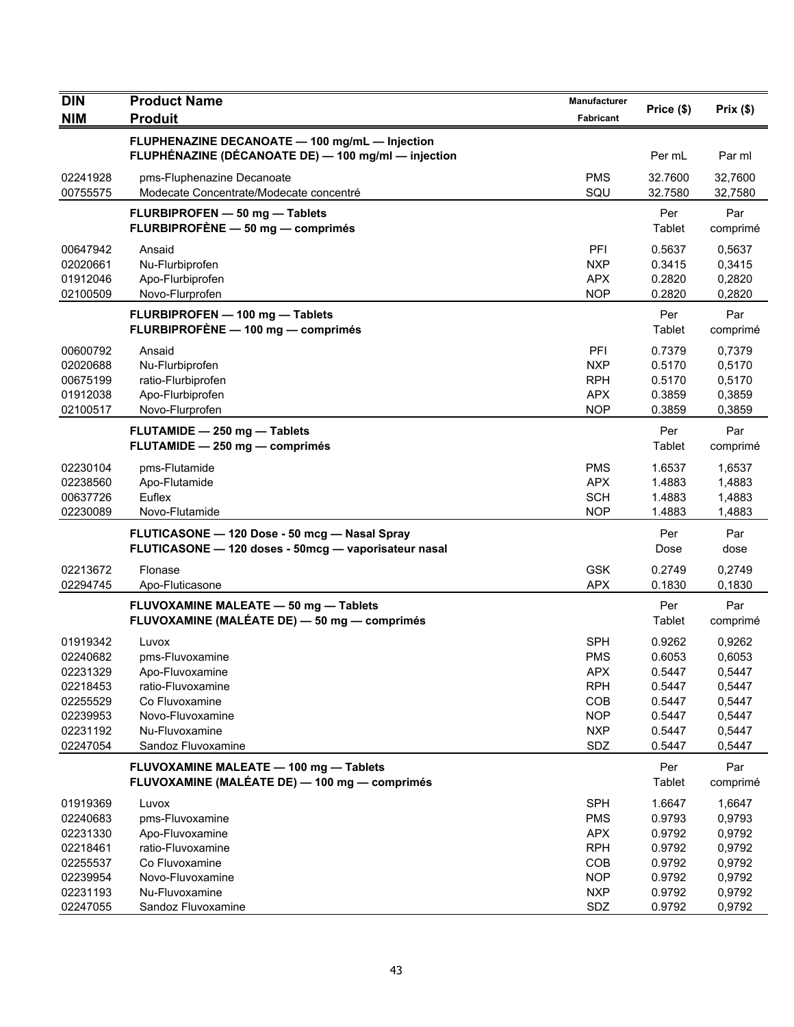| <b>DIN</b>                                                                                   | <b>Product Name</b>                                                                                                                            | <b>Manufacturer</b>                                                                            |                                                                              |                                                                              |
|----------------------------------------------------------------------------------------------|------------------------------------------------------------------------------------------------------------------------------------------------|------------------------------------------------------------------------------------------------|------------------------------------------------------------------------------|------------------------------------------------------------------------------|
| <b>NIM</b>                                                                                   | <b>Produit</b>                                                                                                                                 | Fabricant                                                                                      | Price (\$)                                                                   | Prix(\$)                                                                     |
|                                                                                              | FLUPHENAZINE DECANOATE - 100 mg/mL - Injection<br>FLUPHÉNAZINE (DÉCANOATE DE) - 100 mg/ml - injection                                          |                                                                                                | Per mL                                                                       | Par ml                                                                       |
| 02241928<br>00755575                                                                         | pms-Fluphenazine Decanoate<br>Modecate Concentrate/Modecate concentré                                                                          | <b>PMS</b><br>SQU                                                                              | 32.7600<br>32.7580                                                           | 32,7600<br>32,7580                                                           |
|                                                                                              | FLURBIPROFEN - 50 mg - Tablets<br>FLURBIPROFÈNE - 50 mg - comprimés                                                                            |                                                                                                | Per<br>Tablet                                                                | Par<br>comprimé                                                              |
| 00647942<br>02020661<br>01912046<br>02100509                                                 | Ansaid<br>Nu-Flurbiprofen<br>Apo-Flurbiprofen<br>Novo-Flurprofen                                                                               | PFI<br><b>NXP</b><br><b>APX</b><br><b>NOP</b>                                                  | 0.5637<br>0.3415<br>0.2820<br>0.2820                                         | 0,5637<br>0,3415<br>0,2820<br>0,2820                                         |
|                                                                                              | FLURBIPROFEN - 100 mg - Tablets<br>FLURBIPROFÈNE - 100 mg - comprimés                                                                          |                                                                                                | Per<br>Tablet                                                                | Par<br>comprimé                                                              |
| 00600792<br>02020688<br>00675199<br>01912038<br>02100517                                     | Ansaid<br>Nu-Flurbiprofen<br>ratio-Flurbiprofen<br>Apo-Flurbiprofen<br>Novo-Flurprofen                                                         | <b>PFI</b><br><b>NXP</b><br><b>RPH</b><br><b>APX</b><br><b>NOP</b>                             | 0.7379<br>0.5170<br>0.5170<br>0.3859<br>0.3859                               | 0,7379<br>0,5170<br>0,5170<br>0,3859<br>0,3859                               |
|                                                                                              | FLUTAMIDE - 250 mg - Tablets<br>FLUTAMIDE - 250 mg - comprimés                                                                                 |                                                                                                | Per<br>Tablet                                                                | Par<br>comprimé                                                              |
| 02230104<br>02238560<br>00637726<br>02230089                                                 | pms-Flutamide<br>Apo-Flutamide<br>Euflex<br>Novo-Flutamide                                                                                     | <b>PMS</b><br><b>APX</b><br><b>SCH</b><br><b>NOP</b>                                           | 1.6537<br>1.4883<br>1.4883<br>1.4883                                         | 1,6537<br>1,4883<br>1,4883<br>1,4883                                         |
|                                                                                              | FLUTICASONE - 120 Dose - 50 mcg - Nasal Spray<br>FLUTICASONE - 120 doses - 50mcg - vaporisateur nasal                                          |                                                                                                | Per<br>Dose                                                                  | Par<br>dose                                                                  |
| 02213672<br>02294745                                                                         | Flonase<br>Apo-Fluticasone                                                                                                                     | <b>GSK</b><br><b>APX</b>                                                                       | 0.2749<br>0.1830                                                             | 0,2749<br>0,1830                                                             |
|                                                                                              | FLUVOXAMINE MALEATE - 50 mg - Tablets<br>FLUVOXAMINE (MALÉATE DE) - 50 mg - comprimés                                                          |                                                                                                | Per<br>Tablet                                                                | Par<br>comprimé                                                              |
| 01919342<br>02240682<br>02231329<br>02218453<br>02255529<br>02239953<br>02231192<br>02247054 | Luvox<br>pms-Fluvoxamine<br>Apo-Fluvoxamine<br>ratio-Fluvoxamine<br>Co Fluvoxamine<br>Novo-Fluvoxamine<br>Nu-Fluvoxamine<br>Sandoz Fluvoxamine | <b>SPH</b><br><b>PMS</b><br><b>APX</b><br><b>RPH</b><br>COB<br><b>NOP</b><br><b>NXP</b><br>SDZ | 0.9262<br>0.6053<br>0.5447<br>0.5447<br>0.5447<br>0.5447<br>0.5447<br>0.5447 | 0,9262<br>0,6053<br>0,5447<br>0,5447<br>0,5447<br>0,5447<br>0,5447<br>0,5447 |
|                                                                                              | FLUVOXAMINE MALEATE - 100 mg - Tablets<br>FLUVOXAMINE (MALÉATE DE) - 100 mg - comprimés                                                        |                                                                                                | Per<br>Tablet                                                                | Par<br>comprimé                                                              |
| 01919369<br>02240683<br>02231330<br>02218461<br>02255537<br>02239954<br>02231193             | Luvox<br>pms-Fluvoxamine<br>Apo-Fluvoxamine<br>ratio-Fluvoxamine<br>Co Fluvoxamine<br>Novo-Fluvoxamine<br>Nu-Fluvoxamine                       | <b>SPH</b><br><b>PMS</b><br><b>APX</b><br><b>RPH</b><br>COB<br><b>NOP</b><br><b>NXP</b>        | 1.6647<br>0.9793<br>0.9792<br>0.9792<br>0.9792<br>0.9792<br>0.9792           | 1,6647<br>0,9793<br>0,9792<br>0,9792<br>0,9792<br>0,9792<br>0,9792           |
| 02247055                                                                                     | Sandoz Fluvoxamine                                                                                                                             | SDZ                                                                                            | 0.9792                                                                       | 0,9792                                                                       |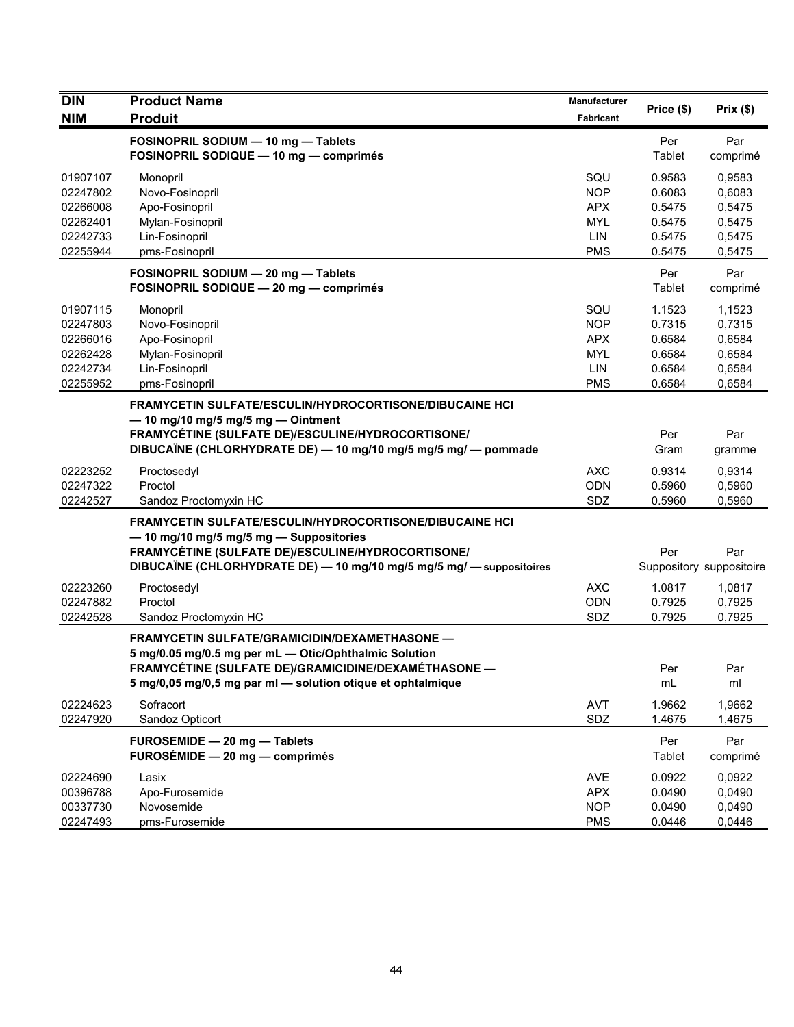| <b>DIN</b><br><b>NIM</b>                                             | <b>Product Name</b><br><b>Produit</b>                                                                                                                                                                                                  | Manufacturer<br>Fabricant                                          | Price (\$)                                               | Prix(\$)                                                 |
|----------------------------------------------------------------------|----------------------------------------------------------------------------------------------------------------------------------------------------------------------------------------------------------------------------------------|--------------------------------------------------------------------|----------------------------------------------------------|----------------------------------------------------------|
|                                                                      | FOSINOPRIL SODIUM - 10 mg - Tablets<br>FOSINOPRIL SODIQUE - 10 mg - comprimés                                                                                                                                                          |                                                                    | Per<br>Tablet                                            | Par<br>comprimé                                          |
| 01907107<br>02247802<br>02266008<br>02262401<br>02242733<br>02255944 | Monopril<br>Novo-Fosinopril<br>Apo-Fosinopril<br>Mylan-Fosinopril<br>Lin-Fosinopril<br>pms-Fosinopril                                                                                                                                  | SQU<br><b>NOP</b><br><b>APX</b><br><b>MYL</b><br>LIN<br><b>PMS</b> | 0.9583<br>0.6083<br>0.5475<br>0.5475<br>0.5475<br>0.5475 | 0.9583<br>0,6083<br>0,5475<br>0,5475<br>0,5475<br>0,5475 |
|                                                                      | FOSINOPRIL SODIUM - 20 mg - Tablets<br>FOSINOPRIL SODIQUE - 20 mg - comprimés                                                                                                                                                          |                                                                    | Per<br>Tablet                                            | Par<br>comprimé                                          |
| 01907115<br>02247803<br>02266016<br>02262428<br>02242734<br>02255952 | Monopril<br>Novo-Fosinopril<br>Apo-Fosinopril<br>Mylan-Fosinopril<br>Lin-Fosinopril<br>pms-Fosinopril                                                                                                                                  | SQU<br><b>NOP</b><br><b>APX</b><br><b>MYL</b><br>LIN<br><b>PMS</b> | 1.1523<br>0.7315<br>0.6584<br>0.6584<br>0.6584<br>0.6584 | 1,1523<br>0,7315<br>0,6584<br>0,6584<br>0,6584<br>0,6584 |
|                                                                      | <b>FRAMYCETIN SULFATE/ESCULIN/HYDROCORTISONE/DIBUCAINE HCI</b><br>$-$ 10 mg/10 mg/5 mg/5 mg $-$ Ointment<br>FRAMYCÉTINE (SULFATE DE)/ESCULINE/HYDROCORTISONE/<br>DIBUCAÏNE (CHLORHYDRATE DE) - 10 mg/10 mg/5 mg/5 mg/ - pommade        |                                                                    | Per<br>Gram                                              | Par<br>gramme                                            |
| 02223252<br>02247322<br>02242527                                     | Proctosedyl<br>Proctol<br>Sandoz Proctomyxin HC                                                                                                                                                                                        | <b>AXC</b><br><b>ODN</b><br>SDZ                                    | 0.9314<br>0.5960<br>0.5960                               | 0,9314<br>0,5960<br>0,5960                               |
|                                                                      | <b>FRAMYCETIN SULFATE/ESCULIN/HYDROCORTISONE/DIBUCAINE HCI</b><br>- 10 mg/10 mg/5 mg/5 mg - Suppositories<br>FRAMYCÉTINE (SULFATE DE)/ESCULINE/HYDROCORTISONE/<br>DIBUCAÏNE (CHLORHYDRATE DE) — 10 mg/10 mg/5 mg/5 mg/ — suppositoires |                                                                    | Per                                                      | Par<br>Suppository suppositoire                          |
| 02223260<br>02247882<br>02242528                                     | Proctosedyl<br>Proctol<br>Sandoz Proctomyxin HC                                                                                                                                                                                        | <b>AXC</b><br><b>ODN</b><br>SDZ                                    | 1.0817<br>0.7925<br>0.7925                               | 1,0817<br>0,7925<br>0,7925                               |
|                                                                      | FRAMYCETIN SULFATE/GRAMICIDIN/DEXAMETHASONE -<br>5 mg/0.05 mg/0.5 mg per mL - Otic/Ophthalmic Solution<br>FRAMYCÉTINE (SULFATE DE)/GRAMICIDINE/DEXAMÉTHASONE —<br>5 mg/0,05 mg/0,5 mg par ml - solution otique et ophtalmique          |                                                                    | Per<br>mL                                                | Par<br>ml                                                |
| 02224623<br>02247920                                                 | Sofracort<br>Sandoz Opticort                                                                                                                                                                                                           | AVT<br>SDZ                                                         | 1.9662<br>1.4675                                         | 1,9662<br>1,4675                                         |
|                                                                      | FUROSEMIDE - 20 mg - Tablets<br>FUROSÉMIDE - 20 mg - comprimés                                                                                                                                                                         |                                                                    | Per<br>Tablet                                            | Par<br>comprimé                                          |
| 02224690<br>00396788<br>00337730<br>02247493                         | Lasix<br>Apo-Furosemide<br>Novosemide<br>pms-Furosemide                                                                                                                                                                                | AVE<br><b>APX</b><br><b>NOP</b><br><b>PMS</b>                      | 0.0922<br>0.0490<br>0.0490<br>0.0446                     | 0,0922<br>0,0490<br>0,0490<br>0,0446                     |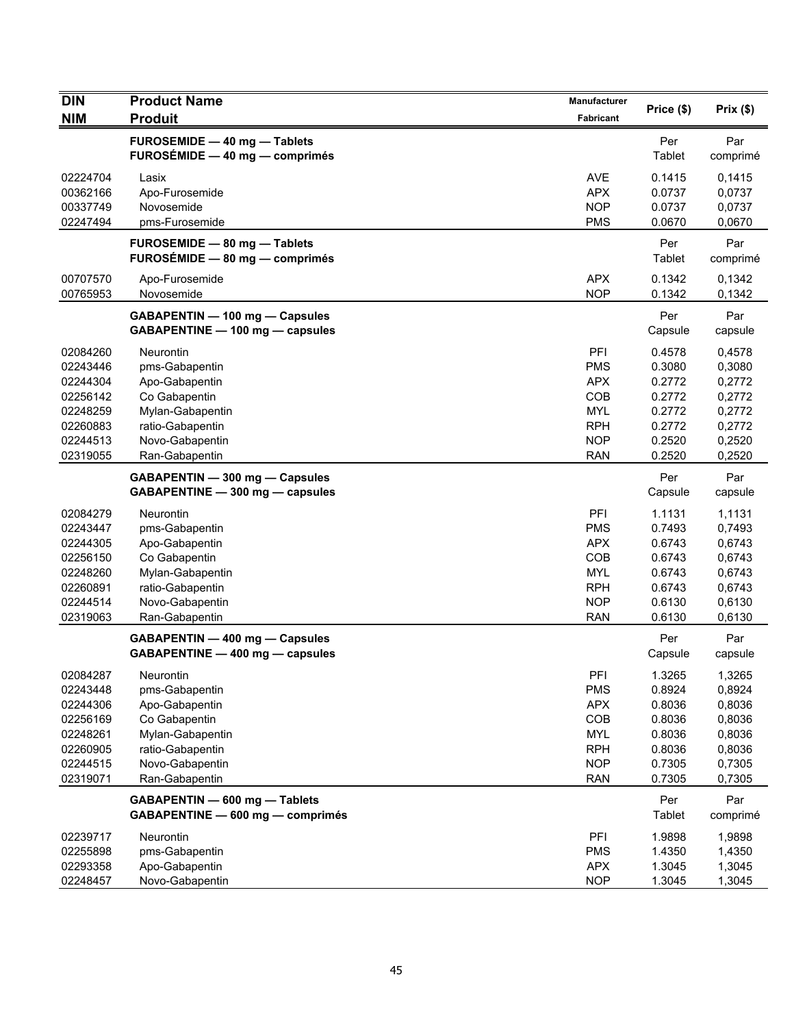| <b>DIN</b>                                                                                   | <b>Product Name</b>                                                                                                                         | Manufacturer                                                                                   | Price (\$)                                                                   | Prix(\$)                                                                     |
|----------------------------------------------------------------------------------------------|---------------------------------------------------------------------------------------------------------------------------------------------|------------------------------------------------------------------------------------------------|------------------------------------------------------------------------------|------------------------------------------------------------------------------|
| <b>NIM</b>                                                                                   | <b>Produit</b>                                                                                                                              | Fabricant                                                                                      |                                                                              |                                                                              |
|                                                                                              | FUROSEMIDE - 40 mg - Tablets<br>FUROSÉMIDE - 40 mg - comprimés                                                                              |                                                                                                | Per<br>Tablet                                                                | Par<br>comprimé                                                              |
| 02224704<br>00362166<br>00337749<br>02247494                                                 | Lasix<br>Apo-Furosemide<br>Novosemide<br>pms-Furosemide                                                                                     | <b>AVE</b><br><b>APX</b><br><b>NOP</b><br><b>PMS</b>                                           | 0.1415<br>0.0737<br>0.0737<br>0.0670                                         | 0,1415<br>0,0737<br>0,0737<br>0,0670                                         |
|                                                                                              | FUROSEMIDE - 80 mg - Tablets<br>FUROSÉMIDE - 80 mg - comprimés                                                                              |                                                                                                | Per<br>Tablet                                                                | Par<br>comprimé                                                              |
| 00707570<br>00765953                                                                         | Apo-Furosemide<br>Novosemide                                                                                                                | <b>APX</b><br><b>NOP</b>                                                                       | 0.1342<br>0.1342                                                             | 0,1342<br>0,1342                                                             |
|                                                                                              | GABAPENTIN - 100 mg - Capsules<br>GABAPENTINE - 100 mg - capsules                                                                           |                                                                                                | Per<br>Capsule                                                               | Par<br>capsule                                                               |
| 02084260<br>02243446<br>02244304<br>02256142                                                 | <b>Neurontin</b><br>pms-Gabapentin<br>Apo-Gabapentin<br>Co Gabapentin                                                                       | PFI<br><b>PMS</b><br><b>APX</b><br>COB                                                         | 0.4578<br>0.3080<br>0.2772<br>0.2772                                         | 0,4578<br>0,3080<br>0,2772<br>0,2772                                         |
| 02248259<br>02260883<br>02244513<br>02319055                                                 | Mylan-Gabapentin<br>ratio-Gabapentin<br>Novo-Gabapentin<br>Ran-Gabapentin                                                                   | MYL<br><b>RPH</b><br><b>NOP</b><br><b>RAN</b>                                                  | 0.2772<br>0.2772<br>0.2520<br>0.2520                                         | 0,2772<br>0,2772<br>0,2520<br>0,2520                                         |
|                                                                                              | GABAPENTIN - 300 mg - Capsules<br>GABAPENTINE - 300 mg - capsules                                                                           |                                                                                                | Per<br>Capsule                                                               | Par<br>capsule                                                               |
| 02084279<br>02243447<br>02244305<br>02256150<br>02248260<br>02260891<br>02244514<br>02319063 | Neurontin<br>pms-Gabapentin<br>Apo-Gabapentin<br>Co Gabapentin<br>Mylan-Gabapentin<br>ratio-Gabapentin<br>Novo-Gabapentin<br>Ran-Gabapentin | PFI<br><b>PMS</b><br><b>APX</b><br>COB<br><b>MYL</b><br><b>RPH</b><br><b>NOP</b><br><b>RAN</b> | 1.1131<br>0.7493<br>0.6743<br>0.6743<br>0.6743<br>0.6743<br>0.6130<br>0.6130 | 1,1131<br>0,7493<br>0,6743<br>0,6743<br>0,6743<br>0,6743<br>0,6130<br>0,6130 |
|                                                                                              | GABAPENTIN - 400 mg - Capsules<br>GABAPENTINE - 400 mg - capsules                                                                           |                                                                                                | Per<br>Capsule                                                               | Par<br>capsule                                                               |
| 02084287<br>02243448<br>02244306<br>02256169<br>02248261<br>02260905<br>02244515<br>02319071 | Neurontin<br>pms-Gabapentin<br>Apo-Gabapentin<br>Co Gabapentin<br>Mylan-Gabapentin<br>ratio-Gabapentin<br>Novo-Gabapentin<br>Ran-Gabapentin | PFI<br><b>PMS</b><br><b>APX</b><br>COB<br><b>MYL</b><br><b>RPH</b><br><b>NOP</b><br><b>RAN</b> | 1.3265<br>0.8924<br>0.8036<br>0.8036<br>0.8036<br>0.8036<br>0.7305<br>0.7305 | 1,3265<br>0,8924<br>0,8036<br>0,8036<br>0,8036<br>0,8036<br>0,7305<br>0,7305 |
|                                                                                              | GABAPENTIN - 600 mg - Tablets<br>GABAPENTINE - 600 mg - comprimés                                                                           |                                                                                                | Per<br>Tablet                                                                | Par<br>comprimé                                                              |
| 02239717<br>02255898<br>02293358<br>02248457                                                 | Neurontin<br>pms-Gabapentin<br>Apo-Gabapentin<br>Novo-Gabapentin                                                                            | PFI<br><b>PMS</b><br><b>APX</b><br><b>NOP</b>                                                  | 1.9898<br>1.4350<br>1.3045<br>1.3045                                         | 1,9898<br>1,4350<br>1,3045<br>1,3045                                         |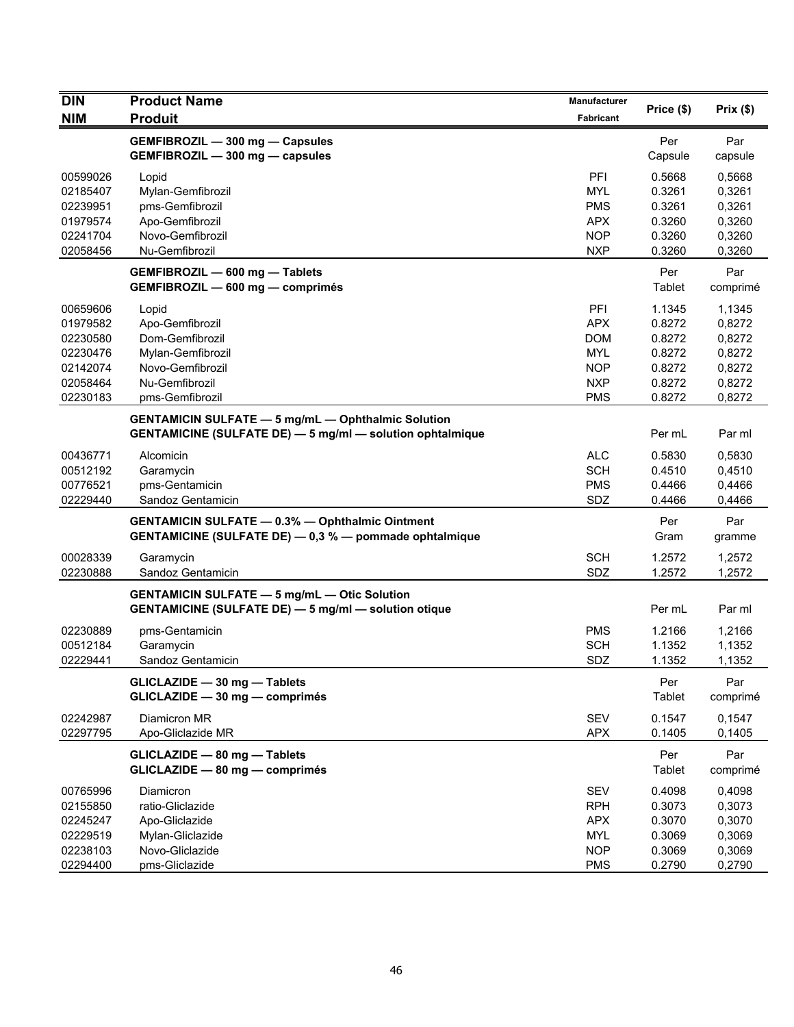| <b>DIN</b> | <b>Product Name</b>                                              | Manufacturer | Price (\$) | Prix(\$) |
|------------|------------------------------------------------------------------|--------------|------------|----------|
| <b>NIM</b> | <b>Produit</b>                                                   | Fabricant    |            |          |
|            | <b>GEMFIBROZIL - 300 mg - Capsules</b>                           |              | Per        | Par      |
|            | GEMFIBROZIL - 300 mg - capsules                                  |              | Capsule    | capsule  |
| 00599026   | Lopid                                                            | PFI          | 0.5668     | 0,5668   |
| 02185407   | Mylan-Gemfibrozil                                                | <b>MYL</b>   | 0.3261     | 0,3261   |
| 02239951   | pms-Gemfibrozil                                                  | <b>PMS</b>   | 0.3261     | 0,3261   |
| 01979574   | Apo-Gemfibrozil                                                  | <b>APX</b>   | 0.3260     | 0,3260   |
| 02241704   | Novo-Gemfibrozil                                                 | <b>NOP</b>   | 0.3260     | 0,3260   |
| 02058456   | Nu-Gemfibrozil                                                   | <b>NXP</b>   | 0.3260     | 0,3260   |
|            | GEMFIBROZIL - 600 mg - Tablets                                   |              | Per        | Par      |
|            | GEMFIBROZIL - 600 mg - comprimés                                 |              | Tablet     | comprimé |
| 00659606   | Lopid                                                            | PFI          | 1.1345     | 1,1345   |
| 01979582   | Apo-Gemfibrozil                                                  | APX          | 0.8272     | 0,8272   |
| 02230580   | Dom-Gemfibrozil                                                  | <b>DOM</b>   | 0.8272     | 0,8272   |
| 02230476   | Mylan-Gemfibrozil                                                | <b>MYL</b>   | 0.8272     | 0,8272   |
| 02142074   | Novo-Gemfibrozil                                                 | <b>NOP</b>   | 0.8272     | 0,8272   |
| 02058464   | Nu-Gemfibrozil                                                   | <b>NXP</b>   | 0.8272     | 0,8272   |
| 02230183   | pms-Gemfibrozil                                                  | <b>PMS</b>   | 0.8272     | 0,8272   |
|            | <b>GENTAMICIN SULFATE - 5 mg/mL - Ophthalmic Solution</b>        |              |            |          |
|            | <b>GENTAMICINE (SULFATE DE) - 5 mg/ml - solution ophtalmique</b> |              | Per mL     | Par ml   |
| 00436771   | Alcomicin                                                        | <b>ALC</b>   | 0.5830     | 0,5830   |
| 00512192   | Garamycin                                                        | <b>SCH</b>   | 0.4510     | 0,4510   |
| 00776521   | pms-Gentamicin                                                   | <b>PMS</b>   | 0.4466     | 0,4466   |
| 02229440   | Sandoz Gentamicin                                                | SDZ          | 0.4466     | 0,4466   |
|            | <b>GENTAMICIN SULFATE - 0.3% - Ophthalmic Ointment</b>           |              | Per        | Par      |
|            | GENTAMICINE (SULFATE DE) - 0,3 % - pommade ophtalmique           |              | Gram       | gramme   |
| 00028339   | Garamycin                                                        | <b>SCH</b>   | 1.2572     | 1,2572   |
| 02230888   | Sandoz Gentamicin                                                | SDZ          | 1.2572     | 1,2572   |
|            | <b>GENTAMICIN SULFATE - 5 mg/mL - Otic Solution</b>              |              |            |          |
|            | <b>GENTAMICINE (SULFATE DE) - 5 mg/ml - solution otique</b>      |              | Per mL     | Par ml   |
| 02230889   | pms-Gentamicin                                                   | <b>PMS</b>   | 1.2166     | 1,2166   |
| 00512184   | Garamycin                                                        | <b>SCH</b>   | 1.1352     | 1,1352   |
| 02229441   | Sandoz Gentamicin                                                | SDZ          | 1.1352     | 1,1352   |
|            | GLICLAZIDE - 30 mg - Tablets                                     |              | Per        | Par      |
|            | GLICLAZIDE - 30 mg - comprimés                                   |              | Tablet     | comprimé |
| 02242987   | Diamicron MR                                                     | <b>SEV</b>   | 0.1547     | 0,1547   |
| 02297795   | Apo-Gliclazide MR                                                | <b>APX</b>   | 0.1405     | 0,1405   |
|            | GLICLAZIDE - 80 mg - Tablets                                     |              | Per        | Par      |
|            | GLICLAZIDE - 80 mg - comprimés                                   |              | Tablet     | comprimé |
| 00765996   | Diamicron                                                        | <b>SEV</b>   | 0.4098     | 0,4098   |
| 02155850   | ratio-Gliclazide                                                 | <b>RPH</b>   | 0.3073     | 0,3073   |
| 02245247   | Apo-Gliclazide                                                   | <b>APX</b>   | 0.3070     | 0,3070   |
| 02229519   | Mylan-Gliclazide                                                 | <b>MYL</b>   | 0.3069     | 0,3069   |
| 02238103   | Novo-Gliclazide                                                  | <b>NOP</b>   | 0.3069     | 0,3069   |
| 02294400   | pms-Gliclazide                                                   | <b>PMS</b>   | 0.2790     | 0,2790   |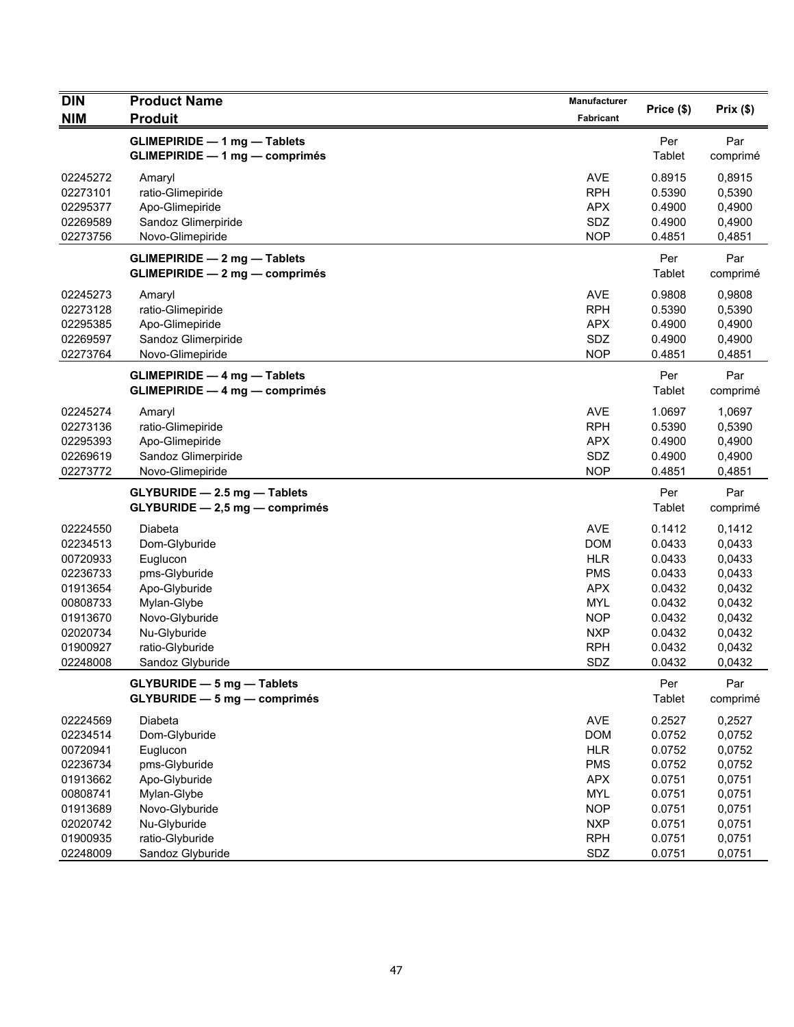| <b>DIN</b>                                                                                                           | <b>Product Name</b>                                                                                                                                            | Manufacturer                                                                                                                      | Price (\$)                                                                                       | Prix(\$)                                                                                         |
|----------------------------------------------------------------------------------------------------------------------|----------------------------------------------------------------------------------------------------------------------------------------------------------------|-----------------------------------------------------------------------------------------------------------------------------------|--------------------------------------------------------------------------------------------------|--------------------------------------------------------------------------------------------------|
| <b>NIM</b>                                                                                                           | <b>Produit</b>                                                                                                                                                 | Fabricant                                                                                                                         |                                                                                                  |                                                                                                  |
|                                                                                                                      | <b>GLIMEPIRIDE - 1 mg - Tablets</b><br><b>GLIMEPIRIDE - 1 mg - comprimés</b>                                                                                   |                                                                                                                                   | Per<br>Tablet                                                                                    | Par<br>comprimé                                                                                  |
| 02245272<br>02273101<br>02295377<br>02269589<br>02273756                                                             | Amaryl<br>ratio-Glimepiride<br>Apo-Glimepiride<br>Sandoz Glimerpiride<br>Novo-Glimepiride                                                                      | <b>AVE</b><br><b>RPH</b><br><b>APX</b><br>SDZ<br><b>NOP</b>                                                                       | 0.8915<br>0.5390<br>0.4900<br>0.4900<br>0.4851                                                   | 0,8915<br>0,5390<br>0,4900<br>0,4900<br>0,4851                                                   |
|                                                                                                                      | <b>GLIMEPIRIDE - 2 mg - Tablets</b><br><b>GLIMEPIRIDE - 2 mg - comprimés</b>                                                                                   |                                                                                                                                   | Per<br>Tablet                                                                                    | Par<br>comprimé                                                                                  |
| 02245273<br>02273128<br>02295385<br>02269597<br>02273764                                                             | Amaryl<br>ratio-Glimepiride<br>Apo-Glimepiride<br>Sandoz Glimerpiride<br>Novo-Glimepiride                                                                      | <b>AVE</b><br><b>RPH</b><br><b>APX</b><br>SDZ<br><b>NOP</b>                                                                       | 0.9808<br>0.5390<br>0.4900<br>0.4900<br>0.4851                                                   | 0,9808<br>0,5390<br>0,4900<br>0,4900<br>0,4851                                                   |
|                                                                                                                      | <b>GLIMEPIRIDE - 4 mg - Tablets</b><br><b>GLIMEPIRIDE - 4 mg - comprimés</b>                                                                                   |                                                                                                                                   | Per<br>Tablet                                                                                    | Par<br>comprimé                                                                                  |
| 02245274<br>02273136<br>02295393<br>02269619<br>02273772                                                             | Amaryl<br>ratio-Glimepiride<br>Apo-Glimepiride<br>Sandoz Glimerpiride<br>Novo-Glimepiride                                                                      | <b>AVE</b><br><b>RPH</b><br><b>APX</b><br>SDZ<br><b>NOP</b>                                                                       | 1.0697<br>0.5390<br>0.4900<br>0.4900<br>0.4851                                                   | 1,0697<br>0,5390<br>0,4900<br>0,4900<br>0,4851                                                   |
|                                                                                                                      | GLYBURIDE - 2.5 mg - Tablets<br>GLYBURIDE - 2,5 mg - comprimés                                                                                                 |                                                                                                                                   | Per<br>Tablet                                                                                    | Par<br>comprimé                                                                                  |
| 02224550<br>02234513<br>00720933<br>02236733<br>01913654<br>00808733<br>01913670<br>02020734<br>01900927<br>02248008 | Diabeta<br>Dom-Glyburide<br>Euglucon<br>pms-Glyburide<br>Apo-Glyburide<br>Mylan-Glybe<br>Novo-Glyburide<br>Nu-Glyburide<br>ratio-Glyburide<br>Sandoz Glyburide | <b>AVE</b><br><b>DOM</b><br><b>HLR</b><br><b>PMS</b><br><b>APX</b><br><b>MYL</b><br><b>NOP</b><br><b>NXP</b><br><b>RPH</b><br>SDZ | 0.1412<br>0.0433<br>0.0433<br>0.0433<br>0.0432<br>0.0432<br>0.0432<br>0.0432<br>0.0432<br>0.0432 | 0,1412<br>0,0433<br>0,0433<br>0,0433<br>0,0432<br>0,0432<br>0,0432<br>0,0432<br>0,0432<br>0,0432 |
|                                                                                                                      | <b>GLYBURIDE - 5 mg - Tablets</b><br><b>GLYBURIDE - 5 mg - comprimés</b>                                                                                       |                                                                                                                                   | Per<br>Tablet                                                                                    | Par<br>comprimé                                                                                  |
| 02224569<br>02234514<br>00720941<br>02236734<br>01913662<br>00808741<br>01913689<br>02020742                         | Diabeta<br>Dom-Glyburide<br>Euglucon<br>pms-Glyburide<br>Apo-Glyburide<br>Mylan-Glybe<br>Novo-Glyburide<br>Nu-Glyburide                                        | AVE<br><b>DOM</b><br><b>HLR</b><br><b>PMS</b><br><b>APX</b><br><b>MYL</b><br><b>NOP</b><br><b>NXP</b>                             | 0.2527<br>0.0752<br>0.0752<br>0.0752<br>0.0751<br>0.0751<br>0.0751<br>0.0751                     | 0,2527<br>0,0752<br>0,0752<br>0,0752<br>0,0751<br>0,0751<br>0,0751<br>0,0751                     |
| 01900935<br>02248009                                                                                                 | ratio-Glyburide<br>Sandoz Glyburide                                                                                                                            | <b>RPH</b><br>SDZ                                                                                                                 | 0.0751<br>0.0751                                                                                 | 0,0751<br>0,0751                                                                                 |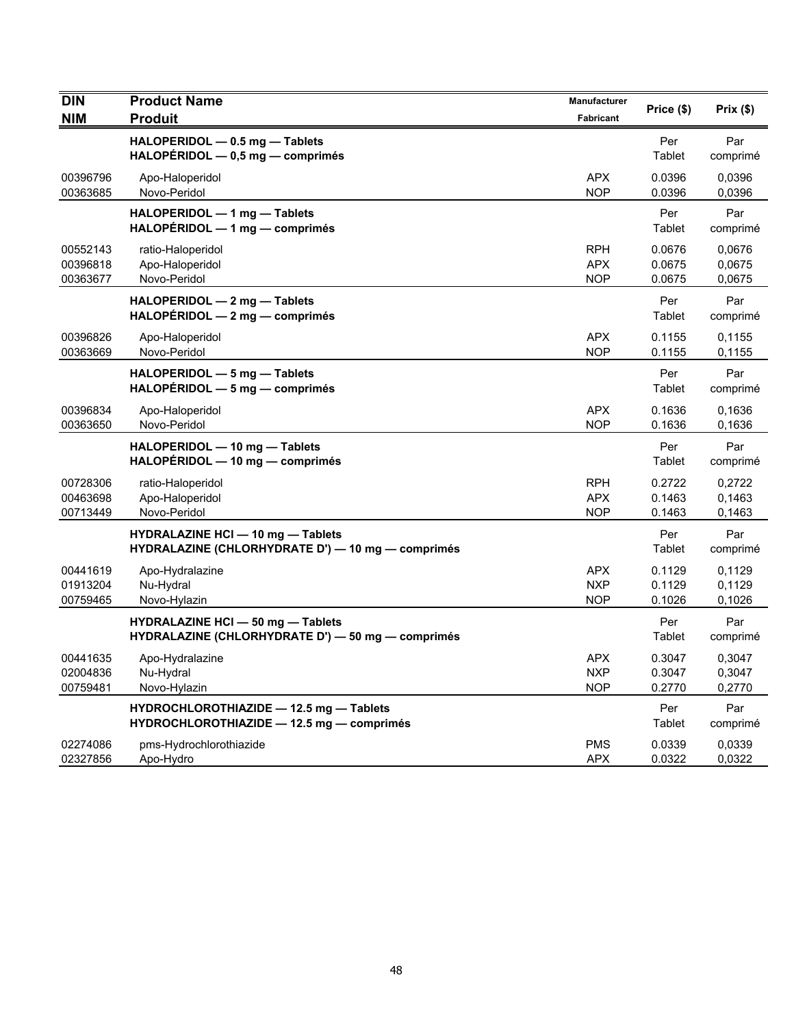| <b>DIN</b><br><b>NIM</b>         | <b>Product Name</b><br><b>Produit</b>                                                         | Manufacturer<br><b>Fabricant</b>       | Price (\$)                 | Prix (\$)                  |
|----------------------------------|-----------------------------------------------------------------------------------------------|----------------------------------------|----------------------------|----------------------------|
|                                  | HALOPERIDOL - 0.5 mg - Tablets<br>HALOPÉRIDOL - 0,5 mg - comprimés                            |                                        | Per<br>Tablet              | Par<br>comprimé            |
| 00396796<br>00363685             | Apo-Haloperidol<br>Novo-Peridol                                                               | <b>APX</b><br><b>NOP</b>               | 0.0396<br>0.0396           | 0,0396<br>0,0396           |
|                                  | HALOPERIDOL - 1 mg - Tablets<br>HALOPERIDOL - 1 mg - comprimés                                |                                        | Per<br>Tablet              | Par<br>comprimé            |
| 00552143<br>00396818<br>00363677 | ratio-Haloperidol<br>Apo-Haloperidol<br>Novo-Peridol                                          | <b>RPH</b><br><b>APX</b><br><b>NOP</b> | 0.0676<br>0.0675<br>0.0675 | 0.0676<br>0,0675<br>0,0675 |
|                                  | HALOPERIDOL - 2 mg - Tablets<br>$HALOPÉRIDOL - 2 mg - comprimés$                              |                                        | Per<br>Tablet              | Par<br>comprimé            |
| 00396826<br>00363669             | Apo-Haloperidol<br>Novo-Peridol                                                               | <b>APX</b><br><b>NOP</b>               | 0.1155<br>0.1155           | 0.1155<br>0,1155           |
|                                  | HALOPERIDOL - 5 mg - Tablets<br>HALOPERIDOL - 5 mg - comprimés                                |                                        | Per<br>Tablet              | Par<br>comprimé            |
| 00396834<br>00363650             | Apo-Haloperidol<br>Novo-Peridol                                                               | <b>APX</b><br><b>NOP</b>               | 0.1636<br>0.1636           | 0.1636<br>0,1636           |
|                                  | HALOPERIDOL - 10 mg - Tablets<br>HALOPERIDOL - 10 mg - comprimés                              |                                        | Per<br>Tablet              | Par<br>comprimé            |
| 00728306<br>00463698<br>00713449 | ratio-Haloperidol<br>Apo-Haloperidol<br>Novo-Peridol                                          | <b>RPH</b><br><b>APX</b><br><b>NOP</b> | 0.2722<br>0.1463<br>0.1463 | 0,2722<br>0,1463<br>0,1463 |
|                                  | <b>HYDRALAZINE HCI - 10 mg - Tablets</b><br>HYDRALAZINE (CHLORHYDRATE D') - 10 mg - comprimés |                                        | Per<br>Tablet              | Par<br>comprimé            |
| 00441619<br>01913204<br>00759465 | Apo-Hydralazine<br>Nu-Hydral<br>Novo-Hylazin                                                  | <b>APX</b><br><b>NXP</b><br><b>NOP</b> | 0.1129<br>0.1129<br>0.1026 | 0,1129<br>0,1129<br>0,1026 |
|                                  | <b>HYDRALAZINE HCI - 50 mg - Tablets</b><br>HYDRALAZINE (CHLORHYDRATE D') - 50 mg - comprimés |                                        | Per<br>Tablet              | Par<br>comprimé            |
| 00441635<br>02004836<br>00759481 | Apo-Hydralazine<br>Nu-Hydral<br>Novo-Hylazin                                                  | <b>APX</b><br><b>NXP</b><br><b>NOP</b> | 0.3047<br>0.3047<br>0.2770 | 0,3047<br>0,3047<br>0,2770 |
|                                  | HYDROCHLOROTHIAZIDE - 12.5 mg - Tablets<br>HYDROCHLOROTHIAZIDE - 12.5 mg - comprimés          |                                        | Per<br>Tablet              | Par<br>comprimé            |
| 02274086<br>02327856             | pms-Hydrochlorothiazide<br>Apo-Hydro                                                          | <b>PMS</b><br><b>APX</b>               | 0.0339<br>0.0322           | 0.0339<br>0,0322           |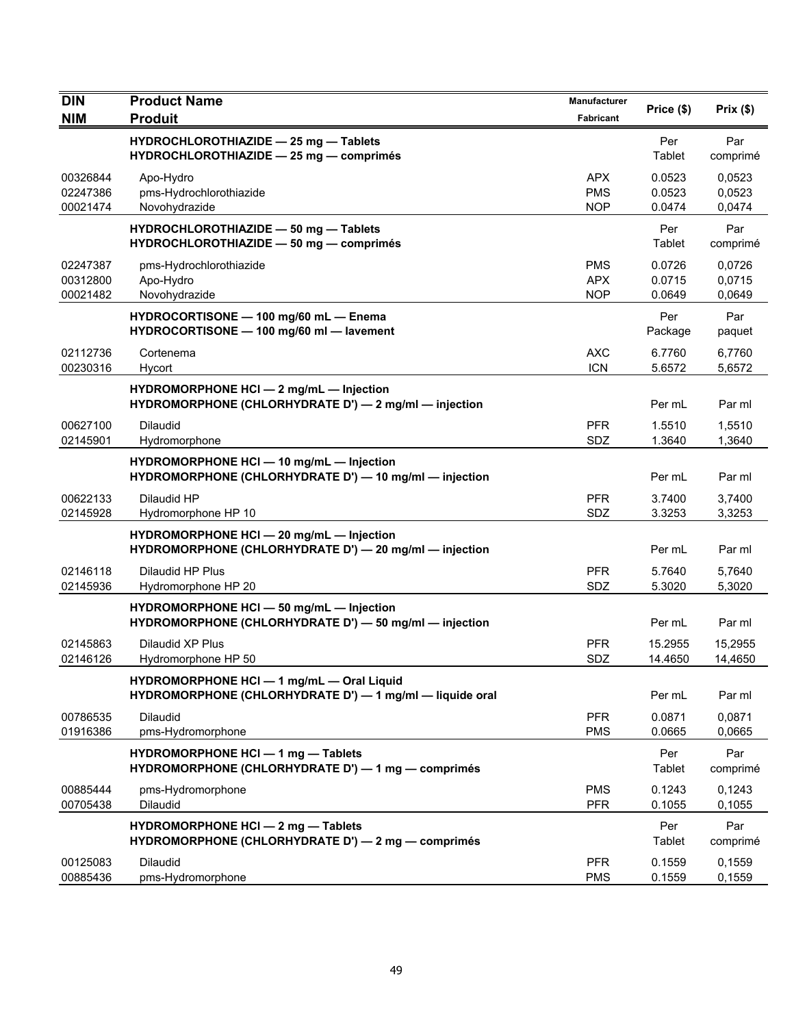| <b>DIN</b>                       | <b>Product Name</b>                                                                                   | <b>Manufacturer</b>                    | Price (\$)                 | Prix(\$)                   |
|----------------------------------|-------------------------------------------------------------------------------------------------------|----------------------------------------|----------------------------|----------------------------|
| <b>NIM</b>                       | <b>Produit</b>                                                                                        | <b>Fabricant</b>                       |                            |                            |
|                                  | HYDROCHLOROTHIAZIDE - 25 mg - Tablets<br>HYDROCHLOROTHIAZIDE - 25 mg - comprimés                      |                                        | Per<br>Tablet              | Par<br>comprimé            |
| 00326844<br>02247386<br>00021474 | Apo-Hydro<br>pms-Hydrochlorothiazide<br>Novohydrazide                                                 | <b>APX</b><br><b>PMS</b><br><b>NOP</b> | 0.0523<br>0.0523<br>0.0474 | 0,0523<br>0,0523<br>0,0474 |
|                                  | HYDROCHLOROTHIAZIDE - 50 mg - Tablets<br>HYDROCHLOROTHIAZIDE - 50 mg - comprimés                      |                                        | Per<br>Tablet              | Par<br>comprimé            |
| 02247387<br>00312800<br>00021482 | pms-Hydrochlorothiazide<br>Apo-Hydro<br>Novohydrazide                                                 | <b>PMS</b><br><b>APX</b><br><b>NOP</b> | 0.0726<br>0.0715<br>0.0649 | 0,0726<br>0,0715<br>0,0649 |
|                                  | HYDROCORTISONE - 100 mg/60 mL - Enema<br>HYDROCORTISONE - 100 mg/60 ml - lavement                     |                                        | Per<br>Package             | Par<br>paquet              |
| 02112736<br>00230316             | Cortenema<br>Hycort                                                                                   | <b>AXC</b><br><b>ICN</b>               | 6.7760<br>5.6572           | 6,7760<br>5,6572           |
|                                  | HYDROMORPHONE HCI - 2 mg/mL - Injection<br>HYDROMORPHONE (CHLORHYDRATE D') — 2 mg/ml — injection      |                                        | Per mL                     | Par ml                     |
| 00627100<br>02145901             | Dilaudid<br>Hydromorphone                                                                             | <b>PFR</b><br>SDZ                      | 1.5510<br>1.3640           | 1.5510<br>1,3640           |
|                                  | HYDROMORPHONE HCI - 10 mg/mL - Injection<br>HYDROMORPHONE (CHLORHYDRATE D') - 10 mg/ml - injection    |                                        | Per mL                     | Par ml                     |
| 00622133<br>02145928             | Dilaudid HP<br>Hydromorphone HP 10                                                                    | <b>PFR</b><br>SDZ                      | 3.7400<br>3.3253           | 3,7400<br>3,3253           |
|                                  | HYDROMORPHONE HCI - 20 mg/mL - Injection<br>HYDROMORPHONE (CHLORHYDRATE D') - 20 mg/ml - injection    |                                        | Per mL                     | Par ml                     |
| 02146118<br>02145936             | Dilaudid HP Plus<br>Hydromorphone HP 20                                                               | <b>PFR</b><br>SDZ                      | 5.7640<br>5.3020           | 5,7640<br>5,3020           |
|                                  | HYDROMORPHONE HCI - 50 mg/mL - Injection<br>HYDROMORPHONE (CHLORHYDRATE D') - 50 mg/ml - injection    |                                        | Per mL                     | Par ml                     |
| 02145863<br>02146126             | Dilaudid XP Plus<br>Hydromorphone HP 50                                                               | <b>PFR</b><br>SDZ                      | 15.2955<br>14.4650         | 15,2955<br>14,4650         |
|                                  | HYDROMORPHONE HCI - 1 mg/mL - Oral Liquid<br>HYDROMORPHONE (CHLORHYDRATE D') - 1 mg/ml - liquide oral |                                        | Per mL                     | Par ml                     |
| 00786535<br>01916386             | Dilaudid<br>pms-Hydromorphone                                                                         | <b>PFR</b><br><b>PMS</b>               | 0.0871<br>0.0665           | 0,0871<br>0,0665           |
|                                  | HYDROMORPHONE HCI - 1 mg - Tablets<br>HYDROMORPHONE (CHLORHYDRATE D') - 1 mg - comprimés              |                                        | Per<br>Tablet              | Par<br>comprimé            |
| 00885444<br>00705438             | pms-Hydromorphone<br>Dilaudid                                                                         | <b>PMS</b><br><b>PFR</b>               | 0.1243<br>0.1055           | 0,1243<br>0,1055           |
|                                  | HYDROMORPHONE HCI - 2 mg - Tablets<br>HYDROMORPHONE (CHLORHYDRATE D') - 2 mg - comprimés              |                                        | Per<br>Tablet              | Par<br>comprimé            |
| 00125083<br>00885436             | Dilaudid<br>pms-Hydromorphone                                                                         | <b>PFR</b><br><b>PMS</b>               | 0.1559<br>0.1559           | 0,1559<br>0,1559           |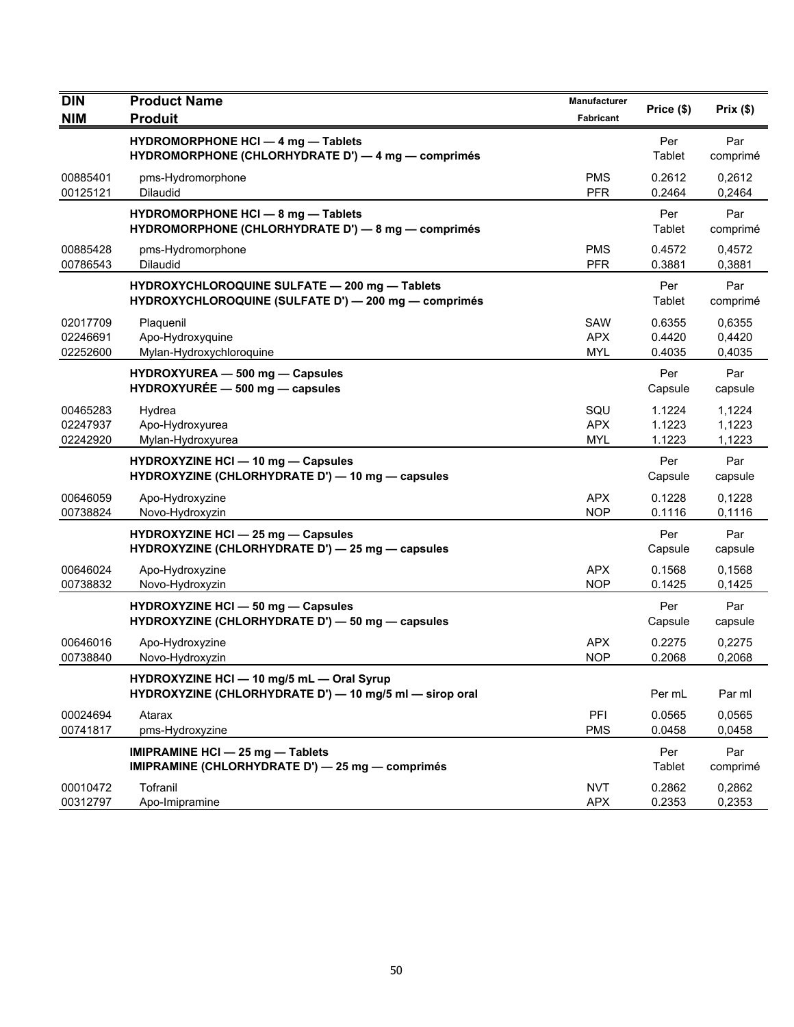| <b>DIN</b><br><b>NIM</b>         | <b>Product Name</b><br><b>Produit</b>                                                                 | Manufacturer<br>Fabricant       | Price (\$)                 | Prix(\$)                   |
|----------------------------------|-------------------------------------------------------------------------------------------------------|---------------------------------|----------------------------|----------------------------|
|                                  | <b>HYDROMORPHONE HCI - 4 mg - Tablets</b><br>HYDROMORPHONE (CHLORHYDRATE D') - 4 mg - comprimés       |                                 | Per<br>Tablet              | Par<br>comprimé            |
| 00885401<br>00125121             | pms-Hydromorphone<br>Dilaudid                                                                         | <b>PMS</b><br><b>PFR</b>        | 0.2612<br>0.2464           | 0,2612<br>0,2464           |
|                                  | HYDROMORPHONE HCI - 8 mg - Tablets<br>HYDROMORPHONE (CHLORHYDRATE D') - 8 mg - comprimés              |                                 | Per<br>Tablet              | Par<br>comprimé            |
| 00885428<br>00786543             | pms-Hydromorphone<br>Dilaudid                                                                         | <b>PMS</b><br><b>PFR</b>        | 0.4572<br>0.3881           | 0,4572<br>0,3881           |
|                                  | HYDROXYCHLOROQUINE SULFATE - 200 mg - Tablets<br>HYDROXYCHLOROQUINE (SULFATE D') - 200 mg - comprimés |                                 | Per<br>Tablet              | Par<br>comprimé            |
| 02017709<br>02246691<br>02252600 | Plaquenil<br>Apo-Hydroxyquine<br>Mylan-Hydroxychloroquine                                             | SAW<br><b>APX</b><br>MYL        | 0.6355<br>0.4420<br>0.4035 | 0,6355<br>0,4420<br>0,4035 |
|                                  | HYDROXYUREA - 500 mg - Capsules<br>$HYDROXYUREE - 500 mg - capsules$                                  |                                 | Per<br>Capsule             | Par<br>capsule             |
| 00465283<br>02247937<br>02242920 | Hydrea<br>Apo-Hydroxyurea<br>Mylan-Hydroxyurea                                                        | SQU<br><b>APX</b><br><b>MYL</b> | 1.1224<br>1.1223<br>1.1223 | 1,1224<br>1,1223<br>1,1223 |
|                                  | <b>HYDROXYZINE HCI - 10 mg - Capsules</b><br>HYDROXYZINE (CHLORHYDRATE D') - 10 mg - capsules         |                                 | Per<br>Capsule             | Par<br>capsule             |
| 00646059<br>00738824             | Apo-Hydroxyzine<br>Novo-Hydroxyzin                                                                    | <b>APX</b><br><b>NOP</b>        | 0.1228<br>0.1116           | 0,1228<br>0,1116           |
|                                  | <b>HYDROXYZINE HCI - 25 mg - Capsules</b><br>HYDROXYZINE (CHLORHYDRATE D') - 25 mg - capsules         |                                 | Per<br>Capsule             | Par<br>capsule             |
| 00646024<br>00738832             | Apo-Hydroxyzine<br>Novo-Hydroxyzin                                                                    | APX<br><b>NOP</b>               | 0.1568<br>0.1425           | 0,1568<br>0,1425           |
|                                  | HYDROXYZINE HCI - 50 mg - Capsules<br>HYDROXYZINE (CHLORHYDRATE D') - 50 mg - capsules                |                                 | Per<br>Capsule             | Par<br>capsule             |
| 00646016<br>00738840             | Apo-Hydroxyzine<br>Novo-Hydroxyzin                                                                    | <b>APX</b><br><b>NOP</b>        | 0.2275<br>0.2068           | 0,2275<br>0,2068           |
|                                  | HYDROXYZINE HCI - 10 mg/5 mL - Oral Syrup<br>HYDROXYZINE (CHLORHYDRATE D') - 10 mg/5 ml - sirop oral  |                                 | Per mL                     | Par ml                     |
| 00024694<br>00741817             | Atarax<br>pms-Hydroxyzine                                                                             | PFI<br><b>PMS</b>               | 0.0565<br>0.0458           | 0,0565<br>0,0458           |
|                                  | IMIPRAMINE HCI - 25 mg - Tablets<br>IMIPRAMINE (CHLORHYDRATE D') - 25 mg - comprimés                  |                                 | Per<br>Tablet              | Par<br>comprimé            |
| 00010472<br>00312797             | Tofranil<br>Apo-Imipramine                                                                            | <b>NVT</b><br><b>APX</b>        | 0.2862<br>0.2353           | 0,2862<br>0,2353           |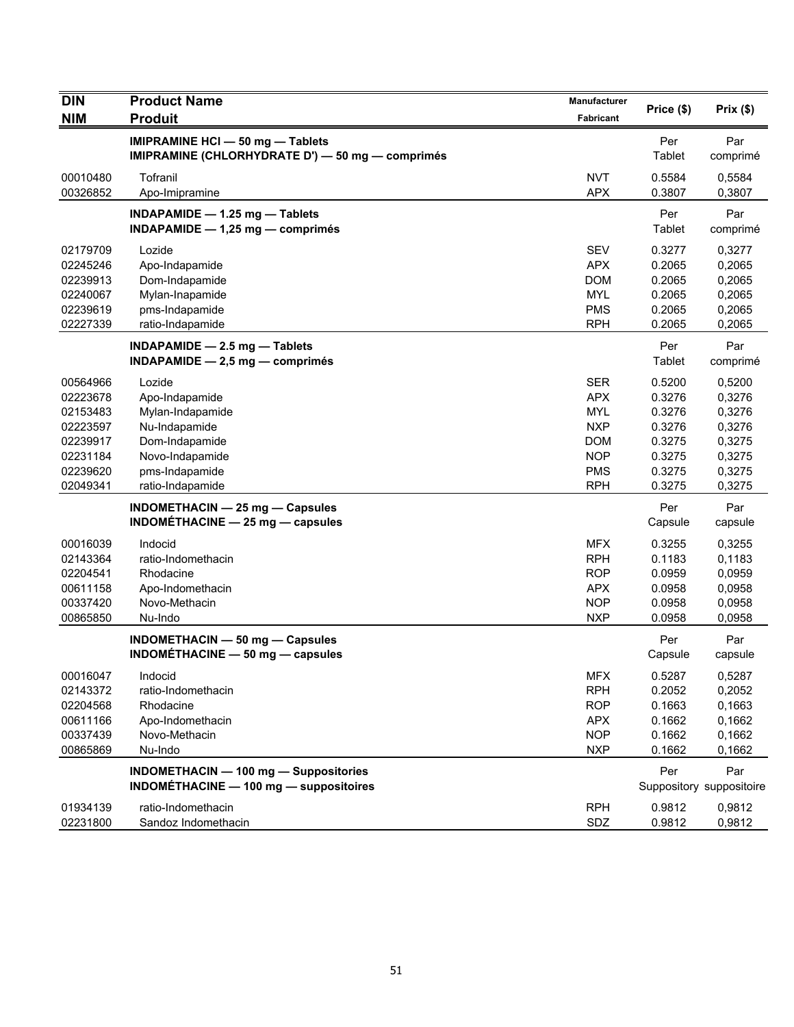| <b>DIN</b><br><b>NIM</b> | <b>Product Name</b><br><b>Produit</b>            | Manufacturer<br>Fabricant | Price (\$) | Prix(\$)                 |
|--------------------------|--------------------------------------------------|---------------------------|------------|--------------------------|
|                          | IMIPRAMINE HCI - 50 mg - Tablets                 |                           | Per        | Par                      |
|                          | IMIPRAMINE (CHLORHYDRATE D') - 50 mg - comprimés |                           | Tablet     | comprimé                 |
| 00010480                 | Tofranil                                         | <b>NVT</b>                | 0.5584     | 0,5584                   |
| 00326852                 | Apo-Imipramine                                   | <b>APX</b>                | 0.3807     | 0,3807                   |
|                          | INDAPAMIDE - 1.25 mg - Tablets                   |                           | Per        | Par                      |
|                          | INDAPAMIDE $- 1,25$ mg $-$ comprimés             |                           | Tablet     | comprimé                 |
| 02179709                 | Lozide                                           | <b>SEV</b>                | 0.3277     | 0,3277                   |
| 02245246                 | Apo-Indapamide                                   | <b>APX</b>                | 0.2065     | 0,2065                   |
| 02239913                 | Dom-Indapamide                                   | <b>DOM</b>                | 0.2065     | 0,2065                   |
| 02240067                 | Mylan-Inapamide                                  | <b>MYL</b>                | 0.2065     | 0,2065                   |
| 02239619                 | pms-Indapamide                                   | <b>PMS</b>                | 0.2065     | 0,2065                   |
| 02227339                 | ratio-Indapamide                                 | <b>RPH</b>                | 0.2065     | 0,2065                   |
|                          | INDAPAMIDE - 2.5 mg - Tablets                    |                           | Per        | Par                      |
|                          | $INDAPAMIDE - 2,5 mg - comprimés$                |                           | Tablet     | comprimé                 |
| 00564966                 | Lozide                                           | <b>SER</b>                | 0.5200     | 0,5200                   |
| 02223678                 | Apo-Indapamide                                   | <b>APX</b>                | 0.3276     | 0,3276                   |
| 02153483                 | Mylan-Indapamide                                 | <b>MYL</b>                | 0.3276     | 0,3276                   |
| 02223597                 | Nu-Indapamide                                    | <b>NXP</b>                | 0.3276     | 0,3276                   |
| 02239917                 | Dom-Indapamide                                   | <b>DOM</b>                | 0.3275     | 0,3275                   |
| 02231184                 | Novo-Indapamide                                  | <b>NOP</b>                | 0.3275     | 0,3275                   |
| 02239620                 | pms-Indapamide                                   | <b>PMS</b>                | 0.3275     | 0,3275                   |
| 02049341                 | ratio-Indapamide                                 | <b>RPH</b>                | 0.3275     | 0,3275                   |
|                          | INDOMETHACIN - 25 mg - Capsules                  |                           | Per        | Par                      |
|                          | $INDOMÉTHACINE - 25 mg - capsules$               |                           | Capsule    | capsule                  |
| 00016039                 | Indocid                                          | <b>MFX</b>                | 0.3255     | 0,3255                   |
| 02143364                 | ratio-Indomethacin                               | <b>RPH</b>                | 0.1183     | 0,1183                   |
| 02204541                 | Rhodacine                                        | <b>ROP</b>                | 0.0959     | 0,0959                   |
| 00611158                 | Apo-Indomethacin                                 | <b>APX</b>                | 0.0958     | 0,0958                   |
| 00337420                 | Novo-Methacin                                    | <b>NOP</b>                | 0.0958     | 0,0958                   |
| 00865850                 | Nu-Indo                                          | <b>NXP</b>                | 0.0958     | 0,0958                   |
|                          | INDOMETHACIN - 50 mg - Capsules                  |                           | Per        | Par                      |
|                          | INDOMÉTHACINE $-$ 50 mg $-$ capsules             |                           | Capsule    | capsule                  |
| 00016047                 | Indocid                                          | <b>MFX</b>                | 0.5287     | 0,5287                   |
| 02143372                 | ratio-Indomethacin                               | <b>RPH</b>                | 0.2052     | 0,2052                   |
| 02204568                 | Rhodacine                                        | <b>ROP</b>                | 0.1663     | 0,1663                   |
| 00611166                 | Apo-Indomethacin                                 | <b>APX</b>                | 0.1662     | 0,1662                   |
| 00337439                 | Novo-Methacin                                    | <b>NOP</b>                | 0.1662     | 0,1662                   |
| 00865869                 | Nu-Indo                                          | <b>NXP</b>                | 0.1662     | 0,1662                   |
|                          | <b>INDOMETHACIN - 100 mg - Suppositories</b>     |                           | Per        | Par                      |
|                          | INDOMÉTHACINE - 100 mg - suppositoires           |                           |            | Suppository suppositoire |
| 01934139                 | ratio-Indomethacin                               | <b>RPH</b>                | 0.9812     | 0,9812                   |
| 02231800                 | Sandoz Indomethacin                              | SDZ                       | 0.9812     | 0,9812                   |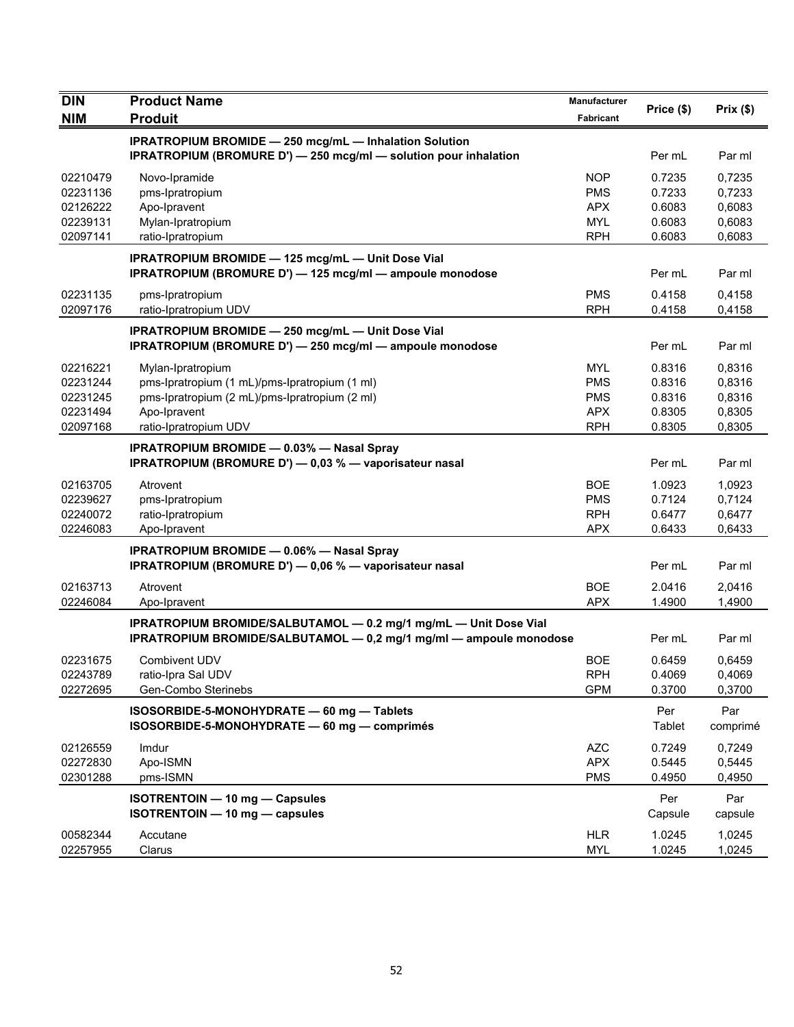| <b>DIN</b><br><b>NIM</b> | <b>Product Name</b><br><b>Produit</b>                                                                         | Manufacturer<br>Fabricant | Price (\$) | Prix(\$) |
|--------------------------|---------------------------------------------------------------------------------------------------------------|---------------------------|------------|----------|
|                          | <b>IPRATROPIUM BROMIDE - 250 mcg/mL - Inhalation Solution</b>                                                 |                           |            |          |
|                          | IPRATROPIUM (BROMURE D') - 250 mcg/ml - solution pour inhalation                                              |                           | Per mL     | Par ml   |
| 02210479                 | Novo-Ipramide                                                                                                 | <b>NOP</b>                | 0.7235     | 0,7235   |
| 02231136                 | pms-Ipratropium                                                                                               | <b>PMS</b>                | 0.7233     | 0,7233   |
| 02126222                 | Apo-Ipravent                                                                                                  | <b>APX</b>                | 0.6083     | 0,6083   |
| 02239131                 | Mylan-Ipratropium                                                                                             | <b>MYL</b>                | 0.6083     | 0,6083   |
| 02097141                 | ratio-Ipratropium                                                                                             | <b>RPH</b>                | 0.6083     | 0,6083   |
|                          | IPRATROPIUM BROMIDE - 125 mcg/mL - Unit Dose Vial<br>IPRATROPIUM (BROMURE D') - 125 mcg/ml - ampoule monodose |                           | Per mL     | Par ml   |
| 02231135                 | pms-Ipratropium                                                                                               | <b>PMS</b>                | 0.4158     | 0,4158   |
| 02097176                 | ratio-Ipratropium UDV                                                                                         | <b>RPH</b>                | 0.4158     | 0,4158   |
|                          | <b>IPRATROPIUM BROMIDE - 250 mcg/mL - Unit Dose Vial</b>                                                      |                           |            |          |
|                          | IPRATROPIUM (BROMURE D') - 250 mcg/ml - ampoule monodose                                                      |                           | Per mL     | Par ml   |
| 02216221                 | Mylan-Ipratropium                                                                                             | <b>MYL</b>                | 0.8316     | 0,8316   |
| 02231244                 | pms-Ipratropium (1 mL)/pms-Ipratropium (1 ml)                                                                 | <b>PMS</b>                | 0.8316     | 0,8316   |
| 02231245                 | pms-Ipratropium (2 mL)/pms-Ipratropium (2 ml)                                                                 | <b>PMS</b>                | 0.8316     | 0,8316   |
| 02231494                 | Apo-Ipravent                                                                                                  | <b>APX</b>                | 0.8305     | 0,8305   |
| 02097168                 | ratio-Ipratropium UDV                                                                                         | <b>RPH</b>                | 0.8305     | 0,8305   |
|                          | <b>IPRATROPIUM BROMIDE - 0.03% - Nasal Spray</b>                                                              |                           |            |          |
|                          | IPRATROPIUM (BROMURE D') - 0,03 % - vaporisateur nasal                                                        |                           | Per mL     | Par ml   |
| 02163705                 | Atrovent                                                                                                      | <b>BOE</b>                | 1.0923     | 1,0923   |
| 02239627                 | pms-Ipratropium                                                                                               | <b>PMS</b>                | 0.7124     | 0,7124   |
| 02240072                 | ratio-Ipratropium                                                                                             | <b>RPH</b>                | 0.6477     | 0,6477   |
| 02246083                 | Apo-Ipravent                                                                                                  | <b>APX</b>                | 0.6433     | 0,6433   |
|                          | <b>IPRATROPIUM BROMIDE - 0.06% - Nasal Spray</b>                                                              |                           |            |          |
|                          | IPRATROPIUM (BROMURE D') - 0,06 % - vaporisateur nasal                                                        |                           | Per mL     | Par ml   |
| 02163713                 | Atrovent                                                                                                      | <b>BOE</b>                | 2.0416     | 2,0416   |
| 02246084                 | Apo-Ipravent                                                                                                  | <b>APX</b>                | 1.4900     | 1,4900   |
|                          | IPRATROPIUM BROMIDE/SALBUTAMOL - 0.2 mg/1 mg/mL - Unit Dose Vial                                              |                           |            |          |
|                          | IPRATROPIUM BROMIDE/SALBUTAMOL - 0,2 mg/1 mg/ml - ampoule monodose                                            |                           | Per mL     | Par ml   |
| 02231675                 | Combivent UDV                                                                                                 | <b>BOE</b>                | 0.6459     | 0,6459   |
| 02243789                 | ratio-Ipra Sal UDV                                                                                            | <b>RPH</b>                | 0.4069     | 0,4069   |
| 02272695                 | Gen-Combo Sterinebs                                                                                           | <b>GPM</b>                | 0.3700     | 0,3700   |
|                          | ISOSORBIDE-5-MONOHYDRATE - 60 mg - Tablets                                                                    |                           | Per        | Par      |
|                          | ISOSORBIDE-5-MONOHYDRATE - 60 mg - comprimés                                                                  |                           | Tablet     | comprimé |
| 02126559                 | Imdur                                                                                                         | <b>AZC</b>                | 0.7249     | 0,7249   |
| 02272830                 | Apo-ISMN                                                                                                      | <b>APX</b>                | 0.5445     | 0,5445   |
| 02301288                 | pms-ISMN                                                                                                      | <b>PMS</b>                | 0.4950     | 0,4950   |
|                          | <b>ISOTRENTOIN - 10 mg - Capsules</b>                                                                         |                           | Per        | Par      |
|                          | ISOTRENTOIN - 10 mg - capsules                                                                                |                           | Capsule    | capsule  |
| 00582344                 | Accutane                                                                                                      | <b>HLR</b>                | 1.0245     | 1,0245   |
| 02257955                 | Clarus                                                                                                        | <b>MYL</b>                | 1.0245     | 1,0245   |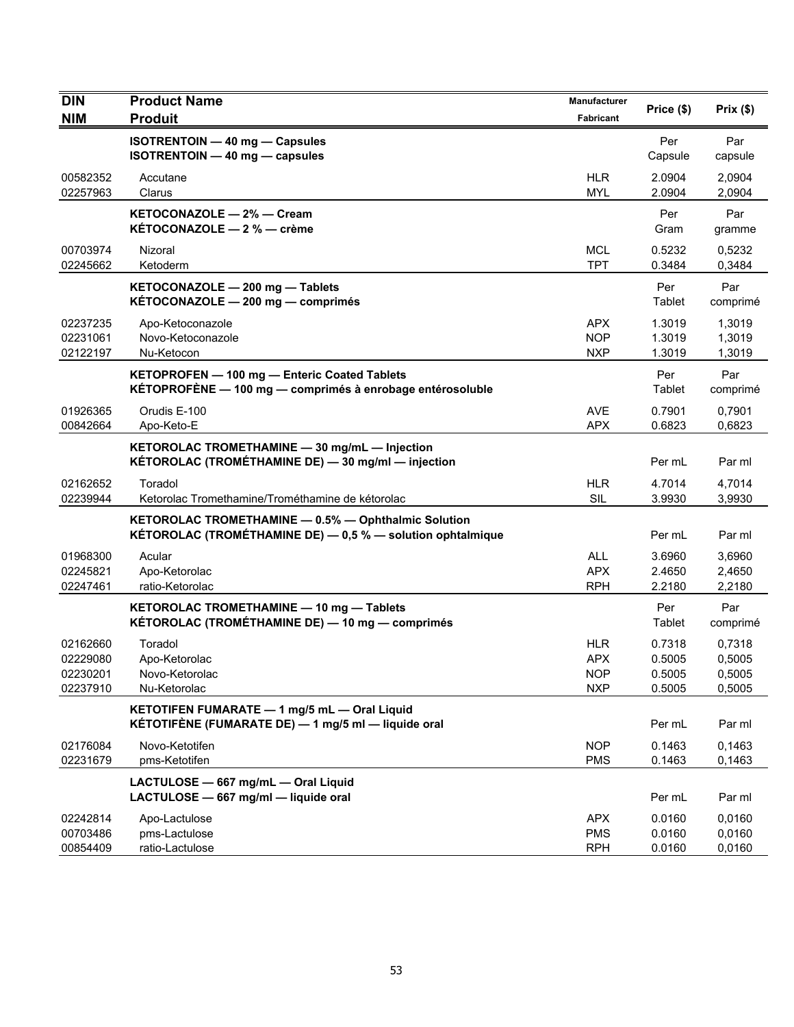| <b>DIN</b>                                   | <b>Product Name</b>                                                                                               | <b>Manufacturer</b>                           | Price (\$)                           | Prix(\$)                             |
|----------------------------------------------|-------------------------------------------------------------------------------------------------------------------|-----------------------------------------------|--------------------------------------|--------------------------------------|
| <b>NIM</b>                                   | <b>Produit</b>                                                                                                    | Fabricant                                     |                                      |                                      |
|                                              | <b>ISOTRENTOIN - 40 mg - Capsules</b><br>ISOTRENTOIN - 40 mg - capsules                                           |                                               | Per<br>Capsule                       | Par<br>capsule                       |
| 00582352<br>02257963                         | Accutane<br>Clarus                                                                                                | <b>HLR</b><br><b>MYL</b>                      | 2.0904<br>2.0904                     | 2,0904<br>2,0904                     |
|                                              | KETOCONAZOLE - 2% - Cream<br>KÉTOCONAZOLE - 2 % - crème                                                           |                                               | Per<br>Gram                          | Par<br>gramme                        |
| 00703974<br>02245662                         | Nizoral<br>Ketoderm                                                                                               | <b>MCL</b><br><b>TPT</b>                      | 0.5232<br>0.3484                     | 0,5232<br>0,3484                     |
|                                              | KETOCONAZOLE - 200 mg - Tablets<br>KÉTOCONAZOLE - 200 mg - comprimés                                              |                                               | Per<br>Tablet                        | Par<br>comprimé                      |
| 02237235<br>02231061<br>02122197             | Apo-Ketoconazole<br>Novo-Ketoconazole<br>Nu-Ketocon                                                               | APX<br><b>NOP</b><br><b>NXP</b>               | 1.3019<br>1.3019<br>1.3019           | 1,3019<br>1,3019<br>1,3019           |
|                                              | KETOPROFEN - 100 mg - Enteric Coated Tablets<br>KÉTOPROFÈNE - 100 mg - comprimés à enrobage entérosoluble         |                                               | Per<br>Tablet                        | Par<br>comprimé                      |
| 01926365<br>00842664                         | Orudis E-100<br>Apo-Keto-E                                                                                        | <b>AVE</b><br>APX                             | 0.7901<br>0.6823                     | 0,7901<br>0,6823                     |
|                                              | KETOROLAC TROMETHAMINE - 30 mg/mL - Injection<br>KÉTOROLAC (TROMÉTHAMINE DE) - 30 mg/ml - injection               |                                               | Per mL                               | Par ml                               |
| 02162652<br>02239944                         | Toradol<br>Ketorolac Tromethamine/Trométhamine de kétorolac                                                       | <b>HLR</b><br><b>SIL</b>                      | 4.7014<br>3.9930                     | 4,7014<br>3,9930                     |
|                                              | KETOROLAC TROMETHAMINE - 0.5% - Ophthalmic Solution<br>KÉTOROLAC (TROMÉTHAMINE DE) - 0,5 % - solution ophtalmique |                                               | Per mL                               | Par ml                               |
| 01968300<br>02245821<br>02247461             | Acular<br>Apo-Ketorolac<br>ratio-Ketorolac                                                                        | <b>ALL</b><br><b>APX</b><br><b>RPH</b>        | 3.6960<br>2.4650<br>2.2180           | 3,6960<br>2,4650<br>2,2180           |
|                                              | KETOROLAC TROMETHAMINE - 10 mg - Tablets<br>KÉTOROLAC (TROMÉTHAMINE DE) — 10 mg — comprimés                       |                                               | Per<br>Tablet                        | Par<br>comprimé                      |
| 02162660<br>02229080<br>02230201<br>02237910 | Toradol<br>Apo-Ketorolac<br>Novo-Ketorolac<br>Nu-Ketorolac                                                        | HLR<br><b>APX</b><br><b>NOP</b><br><b>NXP</b> | 0.7318<br>0.5005<br>0.5005<br>0.5005 | 0,7318<br>0,5005<br>0,5005<br>0,5005 |
|                                              | KETOTIFEN FUMARATE - 1 mg/5 mL - Oral Liquid<br>KÉTOTIFÈNE (FUMARATE DE) — 1 mg/5 ml — liquide oral               |                                               | Per mL                               | Par ml                               |
| 02176084<br>02231679                         | Novo-Ketotifen<br>pms-Ketotifen                                                                                   | <b>NOP</b><br><b>PMS</b>                      | 0.1463<br>0.1463                     | 0,1463<br>0,1463                     |
|                                              | LACTULOSE - 667 mg/mL - Oral Liquid<br>LACTULOSE - 667 mg/ml - liquide oral                                       |                                               | Per mL                               | Par ml                               |
| 02242814<br>00703486<br>00854409             | Apo-Lactulose<br>pms-Lactulose<br>ratio-Lactulose                                                                 | <b>APX</b><br><b>PMS</b><br><b>RPH</b>        | 0.0160<br>0.0160<br>0.0160           | 0,0160<br>0,0160<br>0,0160           |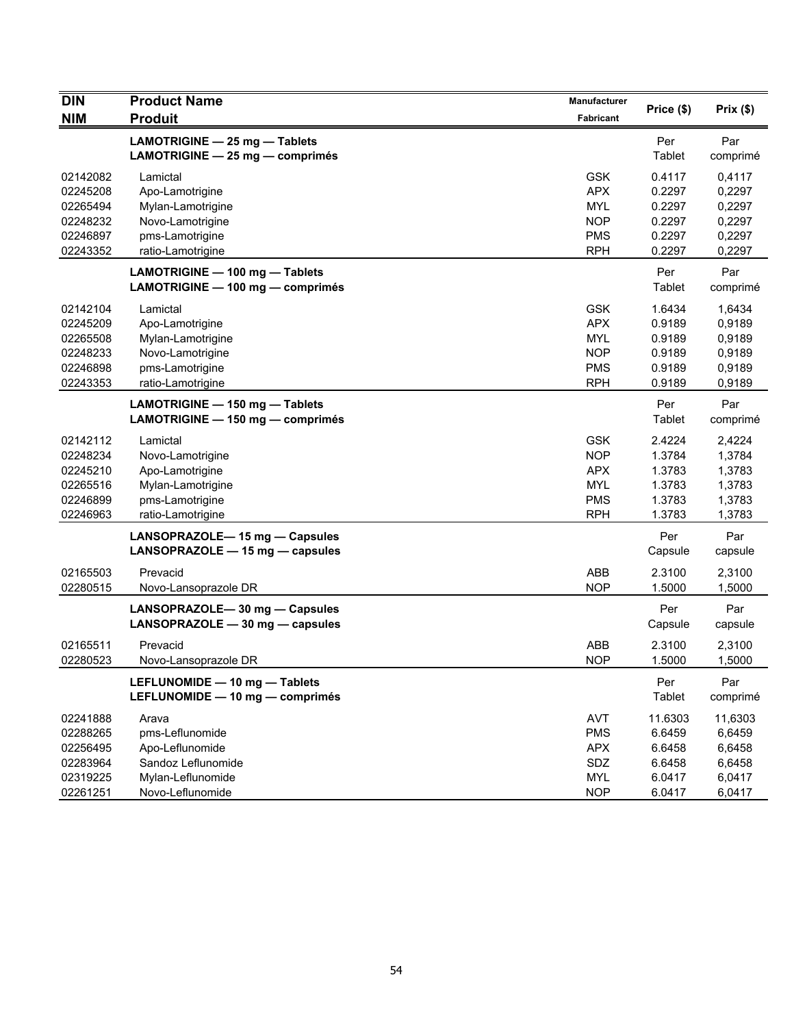| <b>DIN</b> | <b>Product Name</b><br><b>Produit</b> | <b>Manufacturer</b> |            | Prix(\$) |
|------------|---------------------------------------|---------------------|------------|----------|
| <b>NIM</b> |                                       | Fabricant           | Price (\$) |          |
|            | LAMOTRIGINE - 25 mg - Tablets         |                     | Per        | Par      |
|            | LAMOTRIGINE - 25 mg - comprimés       |                     | Tablet     | comprimé |
| 02142082   | Lamictal                              | <b>GSK</b>          | 0.4117     | 0,4117   |
| 02245208   | Apo-Lamotrigine                       | <b>APX</b>          | 0.2297     | 0,2297   |
| 02265494   | Mylan-Lamotrigine                     | <b>MYL</b>          | 0.2297     | 0,2297   |
| 02248232   | Novo-Lamotrigine                      | <b>NOP</b>          | 0.2297     | 0,2297   |
| 02246897   | pms-Lamotrigine                       | <b>PMS</b>          | 0.2297     | 0,2297   |
| 02243352   | ratio-Lamotrigine                     | <b>RPH</b>          | 0.2297     | 0,2297   |
|            | LAMOTRIGINE - 100 mg - Tablets        |                     | Per        | Par      |
|            | LAMOTRIGINE - 100 mg - comprimés      |                     | Tablet     | comprimé |
| 02142104   | Lamictal                              | <b>GSK</b>          | 1.6434     | 1,6434   |
| 02245209   | Apo-Lamotrigine                       | <b>APX</b>          | 0.9189     | 0,9189   |
| 02265508   | Mylan-Lamotrigine                     | <b>MYL</b>          | 0.9189     | 0,9189   |
| 02248233   | Novo-Lamotrigine                      | <b>NOP</b>          | 0.9189     | 0,9189   |
| 02246898   | pms-Lamotrigine                       | <b>PMS</b>          | 0.9189     | 0,9189   |
| 02243353   | ratio-Lamotrigine                     | <b>RPH</b>          | 0.9189     | 0,9189   |
|            | LAMOTRIGINE - 150 mg - Tablets        |                     | Per        | Par      |
|            | LAMOTRIGINE - 150 mg - comprimés      |                     | Tablet     | comprimé |
| 02142112   | Lamictal                              | <b>GSK</b>          | 2.4224     | 2,4224   |
| 02248234   | Novo-Lamotrigine                      | <b>NOP</b>          | 1.3784     | 1,3784   |
| 02245210   | Apo-Lamotrigine                       | <b>APX</b>          | 1.3783     | 1,3783   |
| 02265516   | Mylan-Lamotrigine                     | <b>MYL</b>          | 1.3783     | 1,3783   |
| 02246899   | pms-Lamotrigine                       | <b>PMS</b>          | 1.3783     | 1,3783   |
| 02246963   | ratio-Lamotrigine                     | <b>RPH</b>          | 1.3783     | 1,3783   |
|            | LANSOPRAZOLE-15 mg - Capsules         |                     | Per        | Par      |
|            | LANSOPRAZOLE - 15 mg - capsules       |                     | Capsule    | capsule  |
| 02165503   | Prevacid                              | ABB                 | 2.3100     | 2,3100   |
| 02280515   | Novo-Lansoprazole DR                  | <b>NOP</b>          | 1.5000     | 1,5000   |
|            | LANSOPRAZOLE-30 mg - Capsules         |                     | Per        | Par      |
|            | LANSOPRAZOLE - 30 mg - capsules       |                     | Capsule    | capsule  |
| 02165511   | Prevacid                              | ABB                 | 2.3100     | 2,3100   |
| 02280523   | Novo-Lansoprazole DR                  | <b>NOP</b>          | 1.5000     | 1,5000   |
|            | LEFLUNOMIDE - 10 mg - Tablets         |                     | Per        | Par      |
|            | LEFLUNOMIDE - 10 mg - comprimés       |                     | Tablet     | comprimé |
| 02241888   | Arava                                 | <b>AVT</b>          | 11.6303    | 11,6303  |
| 02288265   | pms-Leflunomide                       | <b>PMS</b>          | 6.6459     | 6,6459   |
| 02256495   | Apo-Leflunomide                       | <b>APX</b>          | 6.6458     | 6,6458   |
| 02283964   | Sandoz Leflunomide                    | SDZ                 | 6.6458     | 6,6458   |
| 02319225   | Mylan-Leflunomide                     | <b>MYL</b>          | 6.0417     | 6,0417   |
| 02261251   | Novo-Leflunomide                      | <b>NOP</b>          | 6.0417     | 6,0417   |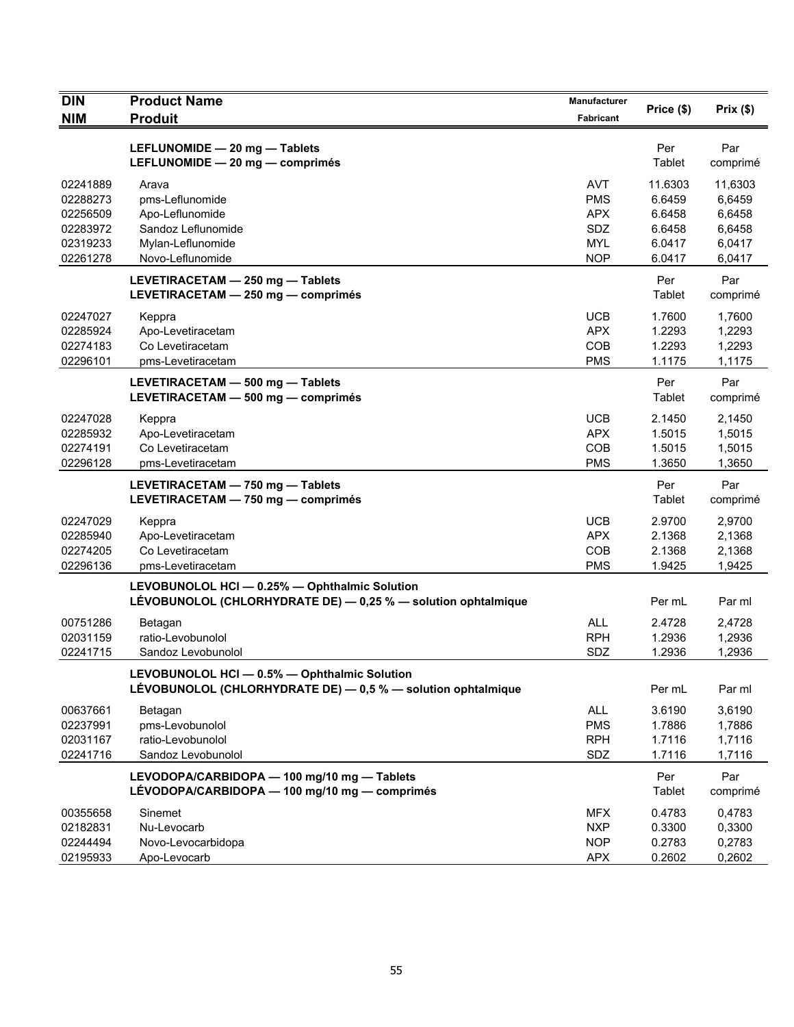| <b>DIN</b>                                   | <b>Product Name</b>                                                                                            | Manufacturer                                         | Price (\$)                           | Prix(\$)                             |
|----------------------------------------------|----------------------------------------------------------------------------------------------------------------|------------------------------------------------------|--------------------------------------|--------------------------------------|
| <b>NIM</b>                                   | <b>Produit</b>                                                                                                 | Fabricant                                            |                                      |                                      |
|                                              | LEFLUNOMIDE - 20 mg - Tablets<br>LEFLUNOMIDE - 20 mg - comprimés                                               |                                                      | Per<br>Tablet                        | Par<br>comprimé                      |
| 02241889<br>02288273<br>02256509             | Arava<br>pms-Leflunomide<br>Apo-Leflunomide                                                                    | AVT<br><b>PMS</b><br><b>APX</b>                      | 11.6303<br>6.6459<br>6.6458          | 11,6303<br>6,6459<br>6,6458          |
| 02283972<br>02319233<br>02261278             | Sandoz Leflunomide<br>Mylan-Leflunomide<br>Novo-Leflunomide                                                    | SDZ<br><b>MYL</b><br><b>NOP</b>                      | 6.6458<br>6.0417<br>6.0417           | 6,6458<br>6,0417<br>6,0417           |
|                                              | LEVETIRACETAM - 250 mg - Tablets<br>LEVETIRACETAM - 250 mg - comprimés                                         |                                                      | Per<br>Tablet                        | Par<br>comprimé                      |
| 02247027<br>02285924<br>02274183<br>02296101 | Keppra<br>Apo-Levetiracetam<br>Co Levetiracetam<br>pms-Levetiracetam                                           | <b>UCB</b><br><b>APX</b><br>COB<br><b>PMS</b>        | 1.7600<br>1.2293<br>1.2293<br>1.1175 | 1,7600<br>1,2293<br>1,2293<br>1,1175 |
|                                              | LEVETIRACETAM - 500 mg - Tablets<br>LEVETIRACETAM - 500 mg - comprimés                                         |                                                      | Per<br>Tablet                        | Par<br>comprimé                      |
| 02247028<br>02285932<br>02274191<br>02296128 | Keppra<br>Apo-Levetiracetam<br>Co Levetiracetam<br>pms-Levetiracetam                                           | <b>UCB</b><br><b>APX</b><br>COB<br><b>PMS</b>        | 2.1450<br>1.5015<br>1.5015<br>1.3650 | 2,1450<br>1,5015<br>1,5015<br>1,3650 |
|                                              | LEVETIRACETAM - 750 mg - Tablets<br>LEVETIRACETAM - 750 mg - comprimés                                         |                                                      | Per<br>Tablet                        | Par<br>comprimé                      |
| 02247029<br>02285940<br>02274205<br>02296136 | Keppra<br>Apo-Levetiracetam<br>Co Levetiracetam<br>pms-Levetiracetam                                           | <b>UCB</b><br><b>APX</b><br><b>COB</b><br><b>PMS</b> | 2.9700<br>2.1368<br>2.1368<br>1.9425 | 2,9700<br>2,1368<br>2,1368<br>1,9425 |
|                                              | LEVOBUNOLOL HCI - 0.25% - Ophthalmic Solution<br>LEVOBUNOLOL (CHLORHYDRATE DE) - 0,25 % - solution ophtalmique |                                                      | Per mL                               | Par ml                               |
| 00751286<br>02031159<br>02241715             | Betagan<br>ratio-Levobunolol<br>Sandoz Levobunolol                                                             | <b>ALL</b><br><b>RPH</b><br>SDZ                      | 2.4728<br>1.2936<br>1.2936           | 2,4728<br>1,2936<br>1,2936           |
|                                              | LEVOBUNOLOL HCI - 0.5% - Ophthalmic Solution<br>LÉVOBUNOLOL (CHLORHYDRATE DE) - 0,5 % - solution ophtalmique   |                                                      | Per mL                               | Par ml                               |
| 00637661<br>02237991<br>02031167<br>02241716 | Betagan<br>pms-Levobunolol<br>ratio-Levobunolol<br>Sandoz Levobunolol                                          | <b>ALL</b><br><b>PMS</b><br><b>RPH</b><br>SDZ        | 3.6190<br>1.7886<br>1.7116<br>1.7116 | 3,6190<br>1,7886<br>1,7116<br>1,7116 |
|                                              | LEVODOPA/CARBIDOPA - 100 mg/10 mg - Tablets<br>LÉVODOPA/CARBIDOPA - 100 mg/10 mg - comprimés                   |                                                      | Per<br>Tablet                        | Par<br>comprimé                      |
| 00355658<br>02182831<br>02244494<br>02195933 | Sinemet<br>Nu-Levocarb<br>Novo-Levocarbidopa<br>Apo-Levocarb                                                   | <b>MFX</b><br><b>NXP</b><br><b>NOP</b><br><b>APX</b> | 0.4783<br>0.3300<br>0.2783<br>0.2602 | 0,4783<br>0,3300<br>0,2783<br>0,2602 |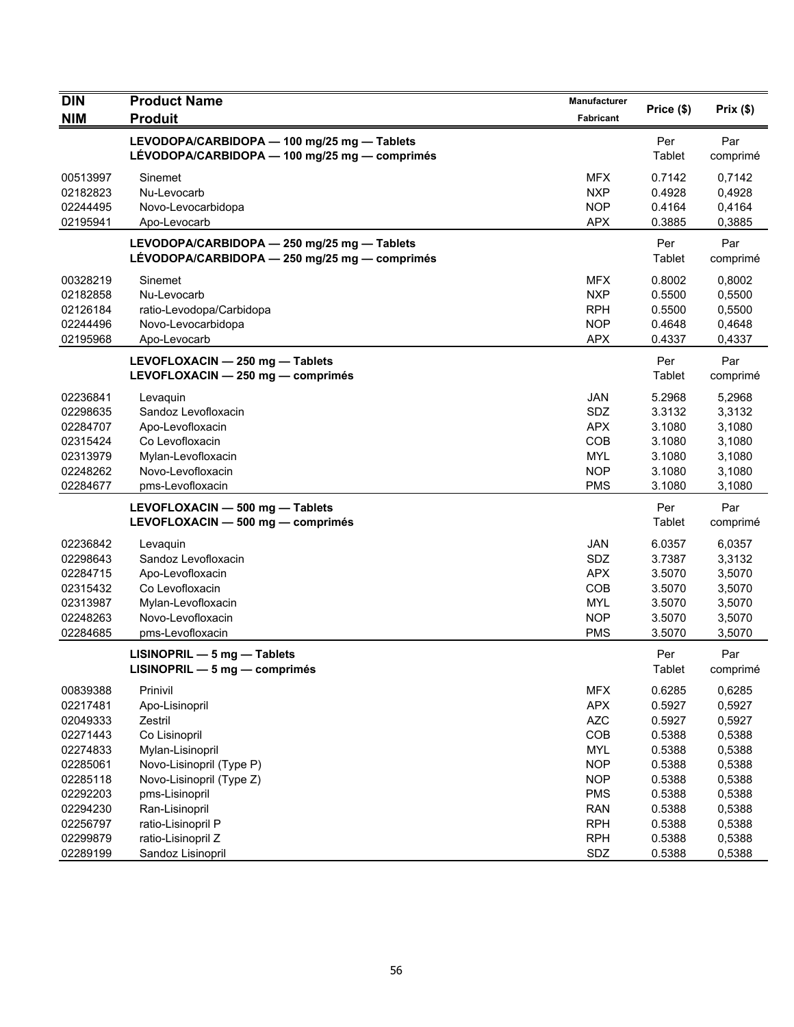| <b>DIN</b>                                                                       | <b>Product Name</b>                                                                                                                   | Manufacturer                                                                            | Price (\$)                                                         | Prix(\$)                                                           |
|----------------------------------------------------------------------------------|---------------------------------------------------------------------------------------------------------------------------------------|-----------------------------------------------------------------------------------------|--------------------------------------------------------------------|--------------------------------------------------------------------|
| <b>NIM</b>                                                                       | <b>Produit</b>                                                                                                                        | Fabricant                                                                               |                                                                    |                                                                    |
|                                                                                  | LEVODOPA/CARBIDOPA - 100 mg/25 mg - Tablets<br>LÉVODOPA/CARBIDOPA - 100 mg/25 mg - comprimés                                          |                                                                                         | Per<br>Tablet                                                      | Par<br>comprimé                                                    |
| 00513997<br>02182823<br>02244495<br>02195941                                     | Sinemet<br>Nu-Levocarb<br>Novo-Levocarbidopa<br>Apo-Levocarb                                                                          | <b>MFX</b><br><b>NXP</b><br><b>NOP</b><br><b>APX</b>                                    | 0.7142<br>0.4928<br>0.4164<br>0.3885                               | 0,7142<br>0,4928<br>0,4164<br>0,3885                               |
|                                                                                  | LEVODOPA/CARBIDOPA - 250 mg/25 mg - Tablets<br>LÉVODOPA/CARBIDOPA - 250 mg/25 mg - comprimés                                          |                                                                                         | Per<br>Tablet                                                      | Par<br>comprimé                                                    |
| 00328219<br>02182858<br>02126184<br>02244496<br>02195968                         | Sinemet<br>Nu-Levocarb<br>ratio-Levodopa/Carbidopa<br>Novo-Levocarbidopa<br>Apo-Levocarb                                              | <b>MFX</b><br><b>NXP</b><br><b>RPH</b><br><b>NOP</b><br><b>APX</b>                      | 0.8002<br>0.5500<br>0.5500<br>0.4648<br>0.4337                     | 0,8002<br>0,5500<br>0,5500<br>0,4648<br>0,4337                     |
|                                                                                  | LEVOFLOXACIN - 250 mg - Tablets<br>LEVOFLOXACIN - 250 mg - comprimés                                                                  |                                                                                         | Per<br>Tablet                                                      | Par<br>comprimé                                                    |
| 02236841<br>02298635<br>02284707<br>02315424<br>02313979<br>02248262<br>02284677 | Levaguin<br>Sandoz Levofloxacin<br>Apo-Levofloxacin<br>Co Levofloxacin<br>Mylan-Levofloxacin<br>Novo-Levofloxacin<br>pms-Levofloxacin | <b>JAN</b><br><b>SDZ</b><br><b>APX</b><br>COB<br><b>MYL</b><br><b>NOP</b><br><b>PMS</b> | 5.2968<br>3.3132<br>3.1080<br>3.1080<br>3.1080<br>3.1080<br>3.1080 | 5,2968<br>3,3132<br>3,1080<br>3,1080<br>3,1080<br>3,1080<br>3,1080 |
|                                                                                  | LEVOFLOXACIN - 500 mg - Tablets<br>LEVOFLOXACIN - 500 mg - comprimés                                                                  |                                                                                         | Per<br>Tablet                                                      | Par<br>comprimé                                                    |
| 02236842<br>02298643<br>02284715<br>02315432<br>02313987<br>02248263<br>02284685 | Levaquin<br>Sandoz Levofloxacin<br>Apo-Levofloxacin<br>Co Levofloxacin<br>Mylan-Levofloxacin<br>Novo-Levofloxacin<br>pms-Levofloxacin | <b>JAN</b><br>SDZ<br><b>APX</b><br>COB<br><b>MYL</b><br><b>NOP</b><br><b>PMS</b>        | 6.0357<br>3.7387<br>3.5070<br>3.5070<br>3.5070<br>3.5070<br>3.5070 | 6,0357<br>3,3132<br>3,5070<br>3,5070<br>3,5070<br>3,5070<br>3,5070 |
|                                                                                  | $LISINOPRIL - 5 mg - Tables$<br>LISINOPRIL - 5 mg - comprimés                                                                         |                                                                                         | Per<br>Tablet                                                      | Par<br>comprimé                                                    |
| 00839388<br>02217481<br>02049333<br>02271443<br>02274833<br>02285061             | Prinivil<br>Apo-Lisinopril<br>Zestril<br>Co Lisinopril<br>Mylan-Lisinopril<br>Novo-Lisinopril (Type P)                                | <b>MFX</b><br><b>APX</b><br><b>AZC</b><br>COB<br><b>MYL</b><br><b>NOP</b>               | 0.6285<br>0.5927<br>0.5927<br>0.5388<br>0.5388<br>0.5388           | 0,6285<br>0,5927<br>0,5927<br>0,5388<br>0,5388<br>0,5388           |
| 02285118<br>02292203<br>02294230<br>02256797<br>02299879                         | Novo-Lisinopril (Type Z)<br>pms-Lisinopril<br>Ran-Lisinopril<br>ratio-Lisinopril P<br>ratio-Lisinopril Z                              | <b>NOP</b><br><b>PMS</b><br><b>RAN</b><br><b>RPH</b><br><b>RPH</b>                      | 0.5388<br>0.5388<br>0.5388<br>0.5388<br>0.5388                     | 0,5388<br>0,5388<br>0,5388<br>0,5388<br>0,5388                     |
| 02289199                                                                         | Sandoz Lisinopril                                                                                                                     | SDZ                                                                                     | 0.5388                                                             | 0,5388                                                             |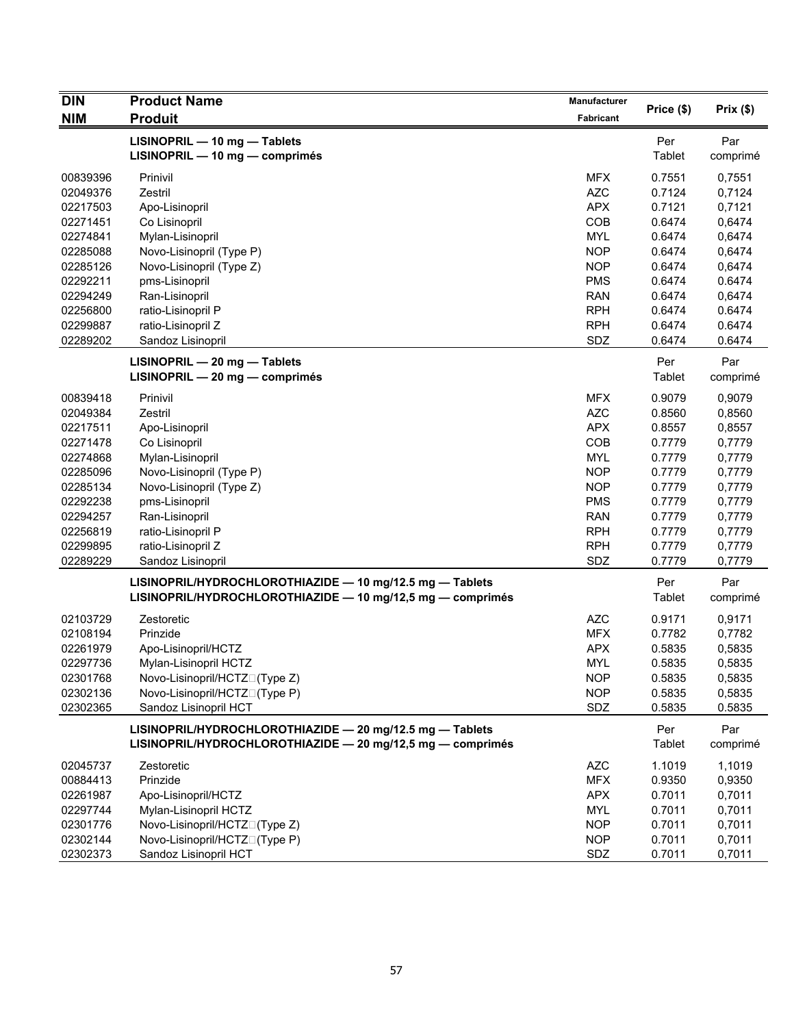| <b>DIN</b> | <b>Product Name</b>                                                                                                    | Manufacturer | Price (\$)    | Prix(\$)        |
|------------|------------------------------------------------------------------------------------------------------------------------|--------------|---------------|-----------------|
| <b>NIM</b> | <b>Produit</b>                                                                                                         | Fabricant    |               |                 |
|            | LISINOPRIL - 10 mg - Tablets<br>LISINOPRIL - 10 mg - comprimés                                                         |              | Per<br>Tablet | Par<br>comprimé |
| 00839396   | Prinivil                                                                                                               | <b>MFX</b>   | 0.7551        | 0,7551          |
| 02049376   | Zestril                                                                                                                | <b>AZC</b>   | 0.7124        | 0,7124          |
| 02217503   | Apo-Lisinopril                                                                                                         | <b>APX</b>   | 0.7121        | 0,7121          |
| 02271451   | Co Lisinopril                                                                                                          | COB          | 0.6474        | 0,6474          |
| 02274841   | Mylan-Lisinopril                                                                                                       | <b>MYL</b>   | 0.6474        | 0,6474          |
| 02285088   | Novo-Lisinopril (Type P)                                                                                               | <b>NOP</b>   | 0.6474        | 0,6474          |
| 02285126   | Novo-Lisinopril (Type Z)                                                                                               | <b>NOP</b>   | 0.6474        | 0,6474          |
| 02292211   | pms-Lisinopril                                                                                                         | <b>PMS</b>   | 0.6474        | 0.6474          |
| 02294249   | Ran-Lisinopril                                                                                                         | <b>RAN</b>   | 0.6474        | 0,6474          |
| 02256800   | ratio-Lisinopril P                                                                                                     | <b>RPH</b>   | 0.6474        | 0.6474          |
| 02299887   | ratio-Lisinopril Z                                                                                                     | <b>RPH</b>   | 0.6474        | 0.6474          |
| 02289202   | Sandoz Lisinopril                                                                                                      | SDZ          | 0.6474        | 0.6474          |
|            | LISINOPRIL - 20 mg - Tablets<br>LISINOPRIL - 20 mg - comprimés                                                         |              | Per<br>Tablet | Par<br>comprimé |
| 00839418   | Prinivil                                                                                                               | <b>MFX</b>   | 0.9079        | 0,9079          |
| 02049384   | Zestril                                                                                                                | <b>AZC</b>   | 0.8560        | 0,8560          |
| 02217511   | Apo-Lisinopril                                                                                                         | <b>APX</b>   | 0.8557        | 0,8557          |
| 02271478   | Co Lisinopril                                                                                                          | COB          | 0.7779        | 0,7779          |
| 02274868   | Mylan-Lisinopril                                                                                                       | <b>MYL</b>   | 0.7779        | 0,7779          |
| 02285096   | Novo-Lisinopril (Type P)                                                                                               | <b>NOP</b>   | 0.7779        | 0,7779          |
| 02285134   | Novo-Lisinopril (Type Z)                                                                                               | <b>NOP</b>   | 0.7779        | 0,7779          |
| 02292238   | pms-Lisinopril                                                                                                         | <b>PMS</b>   | 0.7779        | 0,7779          |
| 02294257   | Ran-Lisinopril                                                                                                         | <b>RAN</b>   | 0.7779        | 0,7779          |
| 02256819   | ratio-Lisinopril P                                                                                                     | <b>RPH</b>   | 0.7779        | 0,7779          |
| 02299895   | ratio-Lisinopril Z                                                                                                     | <b>RPH</b>   | 0.7779        | 0,7779          |
| 02289229   | Sandoz Lisinopril                                                                                                      | SDZ          | 0.7779        | 0,7779          |
|            | LISINOPRIL/HYDROCHLOROTHIAZIDE - 10 mg/12.5 mg - Tablets<br>LISINOPRIL/HYDROCHLOROTHIAZIDE - 10 mg/12,5 mg - comprimés |              | Per<br>Tablet | Par<br>comprimé |
| 02103729   | Zestoretic                                                                                                             | <b>AZC</b>   | 0.9171        | 0,9171          |
| 02108194   | Prinzide                                                                                                               | <b>MFX</b>   | 0.7782        | 0,7782          |
| 02261979   | Apo-Lisinopril/HCTZ                                                                                                    | <b>APX</b>   | 0.5835        | 0,5835          |
| 02297736   | Mylan-Lisinopril HCTZ                                                                                                  | <b>MYL</b>   | 0.5835        | 0,5835          |
| 02301768   | Novo-Lisinopril/HCTZN(Type Z)                                                                                          | <b>NOP</b>   | 0.5835        | 0,5835          |
| 02302136   | Novo-Lisinopril/HCTZN(Type P)                                                                                          | <b>NOP</b>   | 0.5835        | 0,5835          |
| 02302365   | Sandoz Lisinopril HCT                                                                                                  | SDZ          | 0.5835        | 0.5835          |
|            | LISINOPRIL/HYDROCHLOROTHIAZIDE - 20 mg/12.5 mg - Tablets                                                               |              | Per           | Par             |
|            | LISINOPRIL/HYDROCHLOROTHIAZIDE - 20 mg/12,5 mg - comprimés                                                             |              | Tablet        | comprimé        |
| 02045737   | Zestoretic                                                                                                             | <b>AZC</b>   | 1.1019        | 1,1019          |
| 00884413   | Prinzide                                                                                                               | <b>MFX</b>   | 0.9350        | 0,9350          |
| 02261987   | Apo-Lisinopril/HCTZ                                                                                                    | <b>APX</b>   | 0.7011        | 0,7011          |
| 02297744   | Mylan-Lisinopril HCTZ                                                                                                  | <b>MYL</b>   | 0.7011        | 0,7011          |
| 02301776   | Novo-Lisinopril/HCTZN(Type Z)                                                                                          | <b>NOP</b>   | 0.7011        | 0,7011          |
| 02302144   | Novo-Lisinopril/HCTZN(Type P)                                                                                          | <b>NOP</b>   | 0.7011        | 0,7011          |
| 02302373   | Sandoz Lisinopril HCT                                                                                                  | SDZ          | 0.7011        | 0,7011          |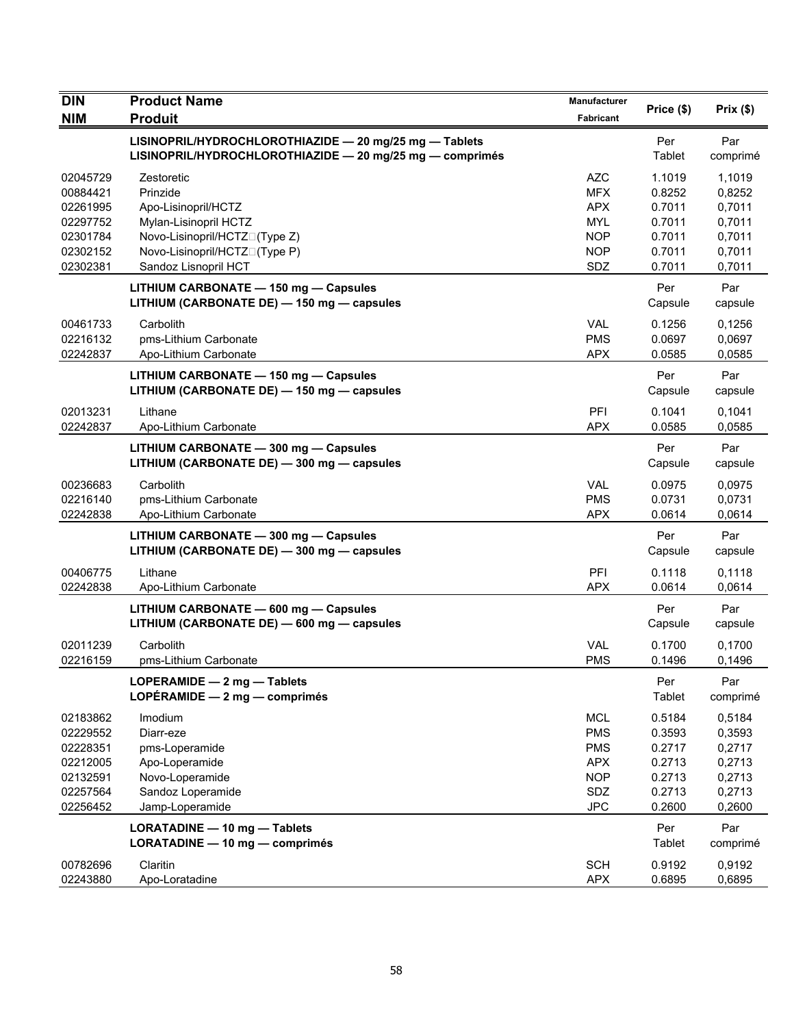| <b>DIN</b>                                                                       | <b>Product Name</b>                                                                                                                                              | <b>Manufacturer</b>                                                                     | Price (\$)                                                         | Prix(\$)                                                           |
|----------------------------------------------------------------------------------|------------------------------------------------------------------------------------------------------------------------------------------------------------------|-----------------------------------------------------------------------------------------|--------------------------------------------------------------------|--------------------------------------------------------------------|
| <b>NIM</b>                                                                       | <b>Produit</b>                                                                                                                                                   | <b>Fabricant</b>                                                                        |                                                                    |                                                                    |
|                                                                                  | LISINOPRIL/HYDROCHLOROTHIAZIDE - 20 mg/25 mg - Tablets<br>LISINOPRIL/HYDROCHLOROTHIAZIDE - 20 mg/25 mg - comprimés                                               |                                                                                         | Per<br>Tablet                                                      | Par<br>comprimé                                                    |
| 02045729<br>00884421<br>02261995<br>02297752<br>02301784<br>02302152<br>02302381 | Zestoretic<br>Prinzide<br>Apo-Lisinopril/HCTZ<br>Mylan-Lisinopril HCTZ<br>Novo-Lisinopril/HCTZN(Type Z)<br>Novo-Lisinopril/HCTZN(Type P)<br>Sandoz Lisnopril HCT | <b>AZC</b><br><b>MFX</b><br><b>APX</b><br><b>MYL</b><br><b>NOP</b><br><b>NOP</b><br>SDZ | 1.1019<br>0.8252<br>0.7011<br>0.7011<br>0.7011<br>0.7011<br>0.7011 | 1.1019<br>0,8252<br>0,7011<br>0,7011<br>0,7011<br>0,7011<br>0,7011 |
|                                                                                  | LITHIUM CARBONATE - 150 mg - Capsules<br>LITHIUM (CARBONATE DE) - 150 mg - capsules                                                                              |                                                                                         | Per<br>Capsule                                                     | Par<br>capsule                                                     |
| 00461733<br>02216132<br>02242837                                                 | Carbolith<br>pms-Lithium Carbonate<br>Apo-Lithium Carbonate                                                                                                      | <b>VAL</b><br><b>PMS</b><br><b>APX</b>                                                  | 0.1256<br>0.0697<br>0.0585                                         | 0,1256<br>0,0697<br>0,0585                                         |
|                                                                                  | LITHIUM CARBONATE - 150 mg - Capsules<br>LITHIUM (CARBONATE DE) - 150 mg - capsules                                                                              |                                                                                         | Per<br>Capsule                                                     | Par<br>capsule                                                     |
| 02013231<br>02242837                                                             | Lithane<br>Apo-Lithium Carbonate                                                                                                                                 | PFI<br><b>APX</b>                                                                       | 0.1041<br>0.0585                                                   | 0.1041<br>0.0585                                                   |
|                                                                                  | LITHIUM CARBONATE - 300 mg - Capsules<br>LITHIUM (CARBONATE DE) - 300 mg - capsules                                                                              |                                                                                         | Per<br>Capsule                                                     | Par<br>capsule                                                     |
| 00236683<br>02216140<br>02242838                                                 | Carbolith<br>pms-Lithium Carbonate<br>Apo-Lithium Carbonate                                                                                                      | <b>VAL</b><br><b>PMS</b><br><b>APX</b>                                                  | 0.0975<br>0.0731<br>0.0614                                         | 0,0975<br>0,0731<br>0,0614                                         |
|                                                                                  | LITHIUM CARBONATE - 300 mg - Capsules<br>LITHIUM (CARBONATE DE) - 300 mg - capsules                                                                              |                                                                                         | Per<br>Capsule                                                     | Par<br>capsule                                                     |
| 00406775<br>02242838                                                             | Lithane<br>Apo-Lithium Carbonate                                                                                                                                 | PFI<br><b>APX</b>                                                                       | 0.1118<br>0.0614                                                   | 0,1118<br>0,0614                                                   |
|                                                                                  | LITHIUM CARBONATE - 600 mg - Capsules<br>LITHIUM (CARBONATE DE) - 600 mg - capsules                                                                              |                                                                                         | Per<br>Capsule                                                     | Par<br>capsule                                                     |
| 02011239<br>02216159                                                             | Carbolith<br>pms-Lithium Carbonate                                                                                                                               | <b>VAL</b><br><b>PMS</b>                                                                | 0.1700<br>0.1496                                                   | 0,1700<br>0,1496                                                   |
|                                                                                  | LOPERAMIDE - 2 mg - Tablets<br>LOPÉRAMIDE $-2$ mg $-$ comprimés                                                                                                  |                                                                                         | Per<br>Tablet                                                      | Par<br>comprimé                                                    |
| 02183862<br>02229552<br>02228351<br>02212005<br>02132591<br>02257564<br>02256452 | Imodium<br>Diarr-eze<br>pms-Loperamide<br>Apo-Loperamide<br>Novo-Loperamide<br>Sandoz Loperamide<br>Jamp-Loperamide                                              | <b>MCL</b><br><b>PMS</b><br><b>PMS</b><br><b>APX</b><br><b>NOP</b><br>SDZ<br><b>JPC</b> | 0.5184<br>0.3593<br>0.2717<br>0.2713<br>0.2713<br>0.2713<br>0.2600 | 0,5184<br>0,3593<br>0,2717<br>0,2713<br>0,2713<br>0,2713<br>0,2600 |
|                                                                                  | LORATADINE - 10 mg - Tablets<br>LORATADINE - 10 mg - comprimés                                                                                                   |                                                                                         | Per<br>Tablet                                                      | Par<br>comprimé                                                    |
| 00782696<br>02243880                                                             | Claritin<br>Apo-Loratadine                                                                                                                                       | <b>SCH</b><br><b>APX</b>                                                                | 0.9192<br>0.6895                                                   | 0,9192<br>0,6895                                                   |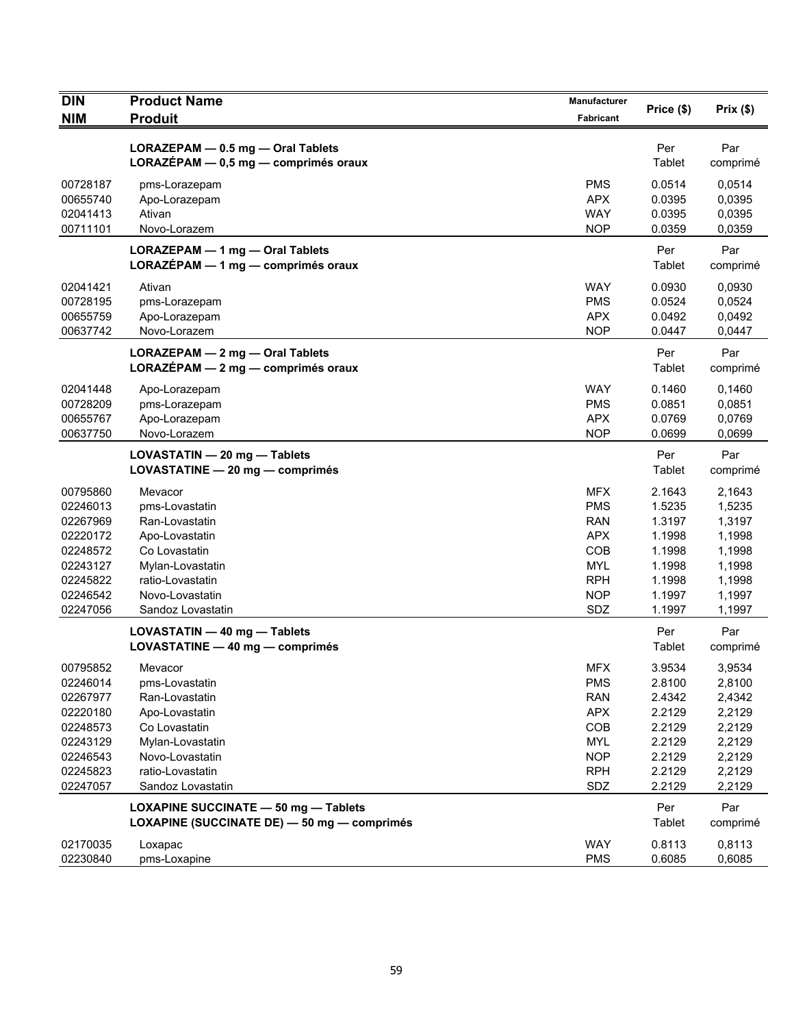| <b>DIN</b><br><b>NIM</b> | <b>Product Name</b><br><b>Produit</b>                                                      | <b>Manufacturer</b><br>Fabricant | Price (\$)       | Prix(\$)         |
|--------------------------|--------------------------------------------------------------------------------------------|----------------------------------|------------------|------------------|
|                          |                                                                                            |                                  |                  |                  |
|                          | LORAZEPAM - 0.5 mg - Oral Tablets<br>$LORAZÉPAM - 0,5 mg - comprimés oraux$                |                                  | Per<br>Tablet    | Par<br>comprimé  |
| 00728187<br>00655740     | pms-Lorazepam<br>Apo-Lorazepam                                                             | <b>PMS</b><br><b>APX</b>         | 0.0514<br>0.0395 | 0,0514<br>0,0395 |
| 02041413<br>00711101     | Ativan<br>Novo-Lorazem                                                                     | <b>WAY</b><br><b>NOP</b>         | 0.0395<br>0.0359 | 0,0395<br>0,0359 |
|                          | LORAZEPAM - 1 mg - Oral Tablets<br>LORAZÉPAM - 1 mg - comprimés oraux                      |                                  | Per<br>Tablet    | Par<br>comprimé  |
| 02041421                 | Ativan                                                                                     | <b>WAY</b>                       | 0.0930           | 0,0930           |
| 00728195                 | pms-Lorazepam                                                                              | <b>PMS</b>                       | 0.0524           | 0,0524           |
| 00655759                 | Apo-Lorazepam                                                                              | <b>APX</b>                       | 0.0492           | 0,0492           |
| 00637742                 | Novo-Lorazem                                                                               | <b>NOP</b>                       | 0.0447           | 0,0447           |
|                          | LORAZEPAM - 2 mg - Oral Tablets<br>$LORAZÉPAM - 2 mg - comprimés oraux$                    |                                  | Per<br>Tablet    | Par<br>comprimé  |
| 02041448                 | Apo-Lorazepam                                                                              | <b>WAY</b>                       | 0.1460           | 0,1460           |
| 00728209                 | pms-Lorazepam                                                                              | <b>PMS</b>                       | 0.0851           | 0,0851           |
| 00655767                 | Apo-Lorazepam                                                                              | <b>APX</b>                       | 0.0769           | 0,0769           |
| 00637750                 | Novo-Lorazem                                                                               | <b>NOP</b>                       | 0.0699           | 0,0699           |
|                          | LOVASTATIN - 20 mg - Tablets<br>LOVASTATINE - 20 mg - comprimés                            |                                  | Per<br>Tablet    | Par<br>comprimé  |
| 00795860                 | Mevacor                                                                                    | <b>MFX</b>                       | 2.1643           | 2,1643           |
| 02246013                 | pms-Lovastatin                                                                             | <b>PMS</b>                       | 1.5235           | 1,5235           |
| 02267969                 | Ran-Lovastatin                                                                             | <b>RAN</b>                       | 1.3197           | 1,3197           |
| 02220172                 | Apo-Lovastatin                                                                             | <b>APX</b>                       | 1.1998           | 1,1998           |
| 02248572                 | Co Lovastatin                                                                              | COB                              | 1.1998           | 1,1998           |
| 02243127                 | Mylan-Lovastatin                                                                           | <b>MYL</b>                       | 1.1998           | 1,1998           |
| 02245822                 | ratio-Lovastatin                                                                           | <b>RPH</b>                       | 1.1998           | 1,1998           |
| 02246542<br>02247056     | Novo-Lovastatin<br>Sandoz Lovastatin                                                       | <b>NOP</b><br>SDZ                | 1.1997<br>1.1997 | 1,1997<br>1,1997 |
|                          |                                                                                            |                                  |                  |                  |
|                          | LOVASTATIN - 40 mg - Tablets<br>LOVASTATINE - 40 mg - comprimés                            |                                  | Per<br>Tablet    | Par<br>comprimé  |
| 00795852                 | Mevacor                                                                                    | <b>MFX</b>                       | 3.9534           | 3,9534           |
| 02246014                 | pms-Lovastatin                                                                             | <b>PMS</b>                       | 2.8100           | 2,8100           |
| 02267977                 | Ran-Lovastatin                                                                             | <b>RAN</b>                       | 2.4342           | 2,4342           |
| 02220180                 | Apo-Lovastatin                                                                             | <b>APX</b>                       | 2.2129           | 2,2129           |
| 02248573                 | Co Lovastatin                                                                              | COB                              | 2.2129           | 2,2129           |
| 02243129                 | Mylan-Lovastatin                                                                           | <b>MYL</b>                       | 2.2129           | 2,2129           |
| 02246543                 | Novo-Lovastatin                                                                            | <b>NOP</b>                       | 2.2129           | 2,2129           |
| 02245823                 | ratio-Lovastatin                                                                           | <b>RPH</b>                       | 2.2129           | 2,2129           |
| 02247057                 | Sandoz Lovastatin                                                                          | SDZ                              | 2.2129           | 2,2129           |
|                          | <b>LOXAPINE SUCCINATE - 50 mg - Tablets</b><br>LOXAPINE (SUCCINATE DE) - 50 mg - comprimés |                                  | Per<br>Tablet    | Par<br>comprimé  |
| 02170035                 | Loxapac                                                                                    | <b>WAY</b>                       | 0.8113           | 0,8113           |
| 02230840                 | pms-Loxapine                                                                               | <b>PMS</b>                       | 0.6085           | 0,6085           |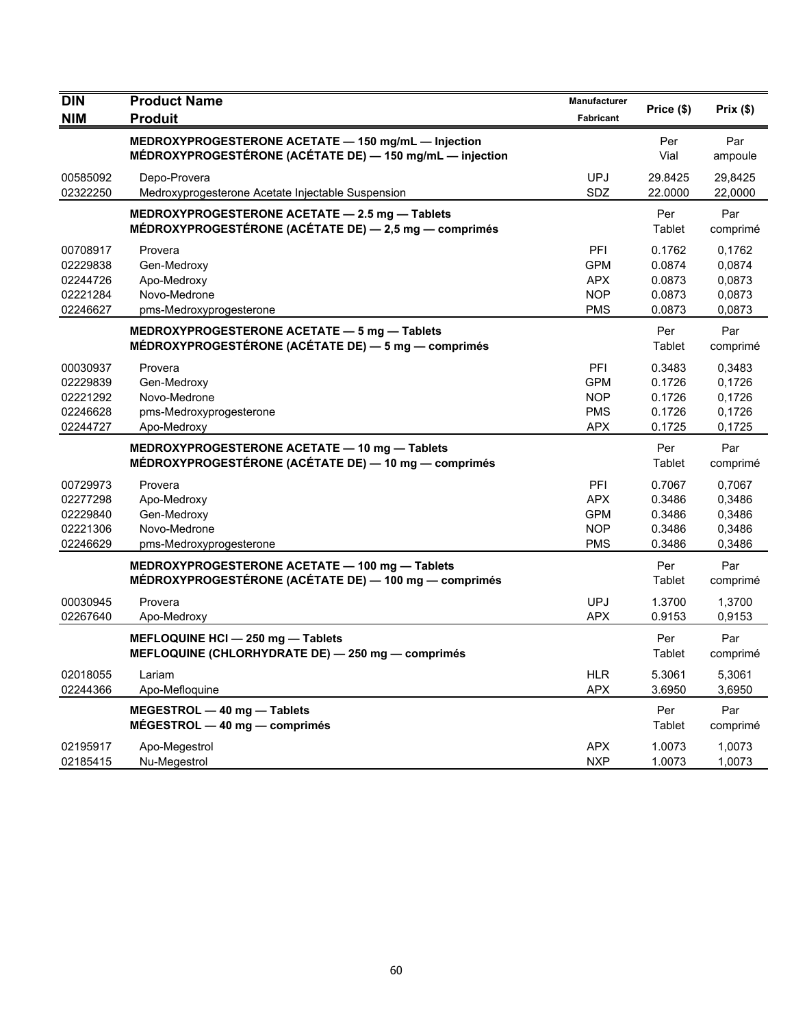| <b>DIN</b> | <b>Product Name</b>                                      | Manufacturer     | Price (\$) | Prix(\$) |
|------------|----------------------------------------------------------|------------------|------------|----------|
| <b>NIM</b> | <b>Produit</b>                                           | <b>Fabricant</b> |            |          |
|            | MEDROXYPROGESTERONE ACETATE - 150 mg/mL - Injection      |                  | Per        | Par      |
|            | MÉDROXYPROGESTÉRONE (ACÉTATE DE) - 150 mg/mL - injection |                  | Vial       | ampoule  |
| 00585092   | Depo-Provera                                             | <b>UPJ</b>       | 29.8425    | 29,8425  |
| 02322250   | Medroxyprogesterone Acetate Injectable Suspension        | SDZ              | 22.0000    | 22,0000  |
|            | MEDROXYPROGESTERONE ACETATE - 2.5 mg - Tablets           |                  | Per        | Par      |
|            | MÉDROXYPROGESTÉRONE (ACÉTATE DE) - 2,5 mg - comprimés    |                  | Tablet     | comprimé |
| 00708917   | Provera                                                  | PFI              | 0.1762     | 0,1762   |
| 02229838   | Gen-Medroxy                                              | <b>GPM</b>       | 0.0874     | 0,0874   |
| 02244726   | Apo-Medroxy                                              | <b>APX</b>       | 0.0873     | 0.0873   |
| 02221284   | Novo-Medrone                                             | <b>NOP</b>       | 0.0873     | 0,0873   |
| 02246627   | pms-Medroxyprogesterone                                  | <b>PMS</b>       | 0.0873     | 0.0873   |
|            | MEDROXYPROGESTERONE ACETATE - 5 mg - Tablets             |                  | Per        | Par      |
|            | MÉDROXYPROGESTÉRONE (ACÉTATE DE) — 5 mg — comprimés      |                  | Tablet     | comprimé |
| 00030937   | Provera                                                  | PFI              | 0.3483     | 0,3483   |
| 02229839   | Gen-Medroxy                                              | <b>GPM</b>       | 0.1726     | 0,1726   |
| 02221292   | Novo-Medrone                                             | <b>NOP</b>       | 0.1726     | 0,1726   |
| 02246628   | pms-Medroxyprogesterone                                  | <b>PMS</b>       | 0.1726     | 0,1726   |
| 02244727   | Apo-Medroxy                                              | APX              | 0.1725     | 0,1725   |
|            | MEDROXYPROGESTERONE ACETATE - 10 mg - Tablets            |                  | Per        | Par      |
|            | MÉDROXYPROGESTÉRONE (ACÉTATE DE) - 10 mg - comprimés     |                  | Tablet     | comprimé |
| 00729973   | Provera                                                  | PFI              | 0.7067     | 0,7067   |
| 02277298   | Apo-Medroxy                                              | <b>APX</b>       | 0.3486     | 0,3486   |
| 02229840   | Gen-Medroxy                                              | <b>GPM</b>       | 0.3486     | 0,3486   |
| 02221306   | Novo-Medrone                                             | <b>NOP</b>       | 0.3486     | 0,3486   |
| 02246629   | pms-Medroxyprogesterone                                  | <b>PMS</b>       | 0.3486     | 0,3486   |
|            | MEDROXYPROGESTERONE ACETATE - 100 mg - Tablets           |                  | Per        | Par      |
|            | MÉDROXYPROGESTÉRONE (ACÉTATE DE) - 100 mg - comprimés    |                  | Tablet     | comprimé |
| 00030945   | Provera                                                  | <b>UPJ</b>       | 1.3700     | 1,3700   |
| 02267640   | Apo-Medroxy                                              | <b>APX</b>       | 0.9153     | 0,9153   |
|            | MEFLOQUINE HCI - 250 mg - Tablets                        |                  | Per        | Par      |
|            | MEFLOQUINE (CHLORHYDRATE DE) - 250 mg - comprimés        |                  | Tablet     | comprimé |
| 02018055   | Lariam                                                   | <b>HLR</b>       | 5.3061     | 5,3061   |
| 02244366   | Apo-Mefloquine                                           | <b>APX</b>       | 3.6950     | 3,6950   |
|            | MEGESTROL - 40 mg - Tablets                              |                  | Per        | Par      |
|            | $MÉGESTROL - 40 mg - comprimés$                          |                  | Tablet     | comprimé |
| 02195917   | Apo-Megestrol                                            | <b>APX</b>       | 1.0073     | 1,0073   |
| 02185415   | Nu-Megestrol                                             | <b>NXP</b>       | 1.0073     | 1,0073   |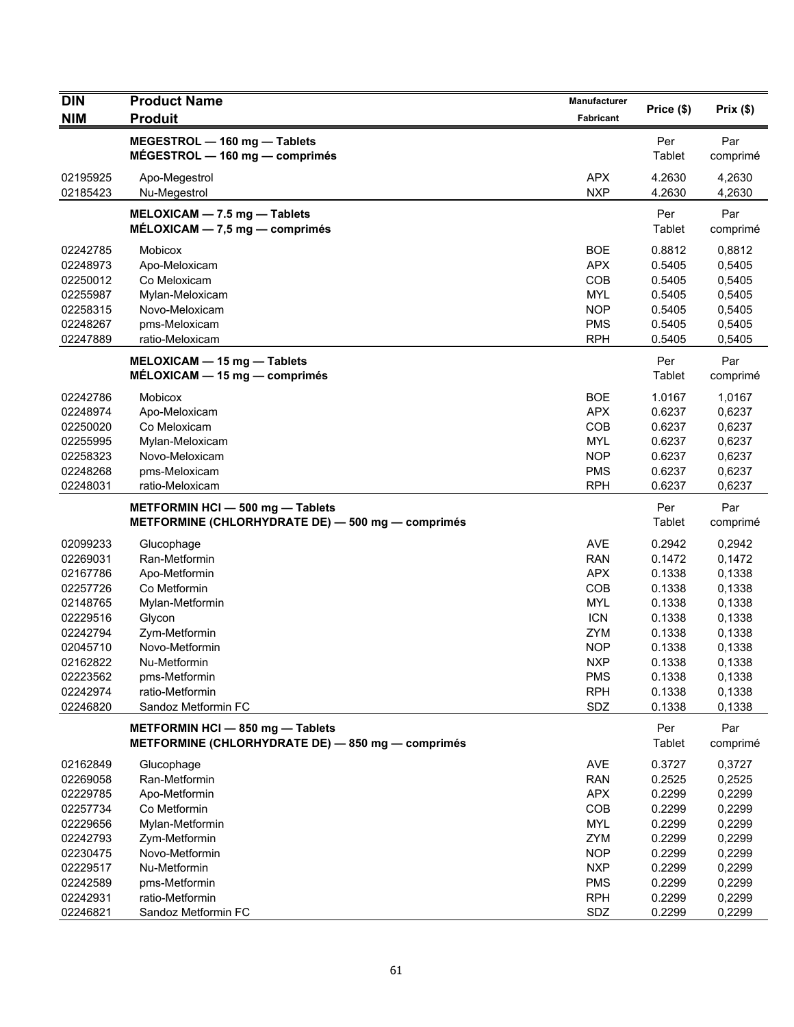| <b>DIN</b> | <b>Product Name</b>                               | Manufacturer      | Price (\$) | Prix(\$)         |
|------------|---------------------------------------------------|-------------------|------------|------------------|
| <b>NIM</b> | <b>Produit</b>                                    | Fabricant         |            |                  |
|            | MEGESTROL - 160 mg - Tablets                      |                   | Per        | Par              |
|            | $MÉGESTROL - 160 mg - comprimés$                  |                   | Tablet     | comprimé         |
| 02195925   | Apo-Megestrol                                     | <b>APX</b>        | 4.2630     | 4,2630           |
| 02185423   | Nu-Megestrol                                      | <b>NXP</b>        | 4.2630     | 4,2630           |
|            | MELOXICAM - 7.5 mg - Tablets                      |                   | Per        | Par              |
|            | $MÉLOXICAM - 7.5 mg - comprimés$                  |                   | Tablet     | comprimé         |
| 02242785   | Mobicox                                           | <b>BOE</b>        | 0.8812     | 0,8812           |
| 02248973   | Apo-Meloxicam                                     | <b>APX</b>        | 0.5405     | 0,5405           |
| 02250012   | Co Meloxicam                                      | COB               | 0.5405     | 0,5405           |
| 02255987   | Mylan-Meloxicam                                   | <b>MYL</b>        | 0.5405     | 0,5405           |
| 02258315   | Novo-Meloxicam                                    | <b>NOP</b>        | 0.5405     | 0,5405           |
| 02248267   | pms-Meloxicam                                     | <b>PMS</b>        | 0.5405     | 0,5405           |
| 02247889   | ratio-Meloxicam                                   | <b>RPH</b>        | 0.5405     | 0,5405           |
|            | MELOXICAM - 15 mg - Tablets                       |                   | Per        | Par              |
|            | MÉLOXICAM - 15 mg - comprimés                     |                   | Tablet     | comprimé         |
| 02242786   | Mobicox                                           | <b>BOE</b>        | 1.0167     | 1,0167           |
| 02248974   | Apo-Meloxicam                                     | <b>APX</b>        | 0.6237     | 0,6237           |
| 02250020   | Co Meloxicam                                      | COB               | 0.6237     | 0,6237           |
| 02255995   | Mylan-Meloxicam                                   | <b>MYL</b>        | 0.6237     | 0,6237           |
| 02258323   | Novo-Meloxicam                                    | <b>NOP</b>        | 0.6237     | 0,6237           |
| 02248268   | pms-Meloxicam                                     | <b>PMS</b>        | 0.6237     | 0,6237           |
| 02248031   | ratio-Meloxicam                                   | <b>RPH</b>        | 0.6237     | 0,6237           |
|            | METFORMIN HCI - 500 mg - Tablets                  |                   | Per        | Par              |
|            | METFORMINE (CHLORHYDRATE DE) - 500 mg - comprimés |                   | Tablet     | comprimé         |
| 02099233   | Glucophage                                        | <b>AVE</b>        | 0.2942     | 0,2942           |
| 02269031   | Ran-Metformin                                     | <b>RAN</b>        | 0.1472     | 0,1472           |
| 02167786   | Apo-Metformin                                     | <b>APX</b>        | 0.1338     | 0,1338           |
| 02257726   | Co Metformin                                      | COB               | 0.1338     | 0,1338           |
| 02148765   | Mylan-Metformin                                   | <b>MYL</b>        | 0.1338     | 0,1338           |
| 02229516   | Glycon                                            | <b>ICN</b>        | 0.1338     | 0,1338           |
| 02242794   | Zym-Metformin                                     | <b>ZYM</b>        | 0.1338     | 0,1338           |
| 02045710   | Novo-Metformin                                    | <b>NOP</b>        | 0.1338     | 0,1338           |
| 02162822   | Nu-Metformin                                      | <b>NXP</b>        | 0.1338     | 0,1338           |
| 02223562   | pms-Metformin                                     | <b>PMS</b>        | 0.1338     | 0,1338           |
| 02242974   | ratio-Metformin                                   | <b>RPH</b>        | 0.1338     | 0,1338           |
| 02246820   | Sandoz Metformin FC                               | SDZ               | 0.1338     | 0,1338           |
|            | METFORMIN HCI - 850 mg - Tablets                  |                   | Per        | Par              |
|            | METFORMINE (CHLORHYDRATE DE) - 850 mg - comprimés |                   | Tablet     | comprimé         |
| 02162849   | Glucophage                                        | <b>AVE</b>        | 0.3727     | 0,3727           |
| 02269058   | Ran-Metformin                                     | <b>RAN</b>        | 0.2525     | 0,2525           |
| 02229785   | Apo-Metformin                                     | <b>APX</b>        | 0.2299     | 0,2299           |
| 02257734   | Co Metformin                                      | COB               | 0.2299     | 0,2299           |
| 02229656   | Mylan-Metformin                                   | <b>MYL</b>        | 0.2299     | 0,2299           |
| 02242793   | Zym-Metformin                                     | ZYM               | 0.2299     | 0,2299           |
| 02230475   | Novo-Metformin                                    | <b>NOP</b>        | 0.2299     | 0,2299           |
| 02229517   | Nu-Metformin                                      | <b>NXP</b>        | 0.2299     | 0,2299           |
| 02242589   | pms-Metformin                                     | <b>PMS</b>        | 0.2299     | 0,2299           |
| 02242931   | ratio-Metformin                                   | <b>RPH</b><br>SDZ | 0.2299     | 0,2299<br>0,2299 |
| 02246821   | Sandoz Metformin FC                               |                   | 0.2299     |                  |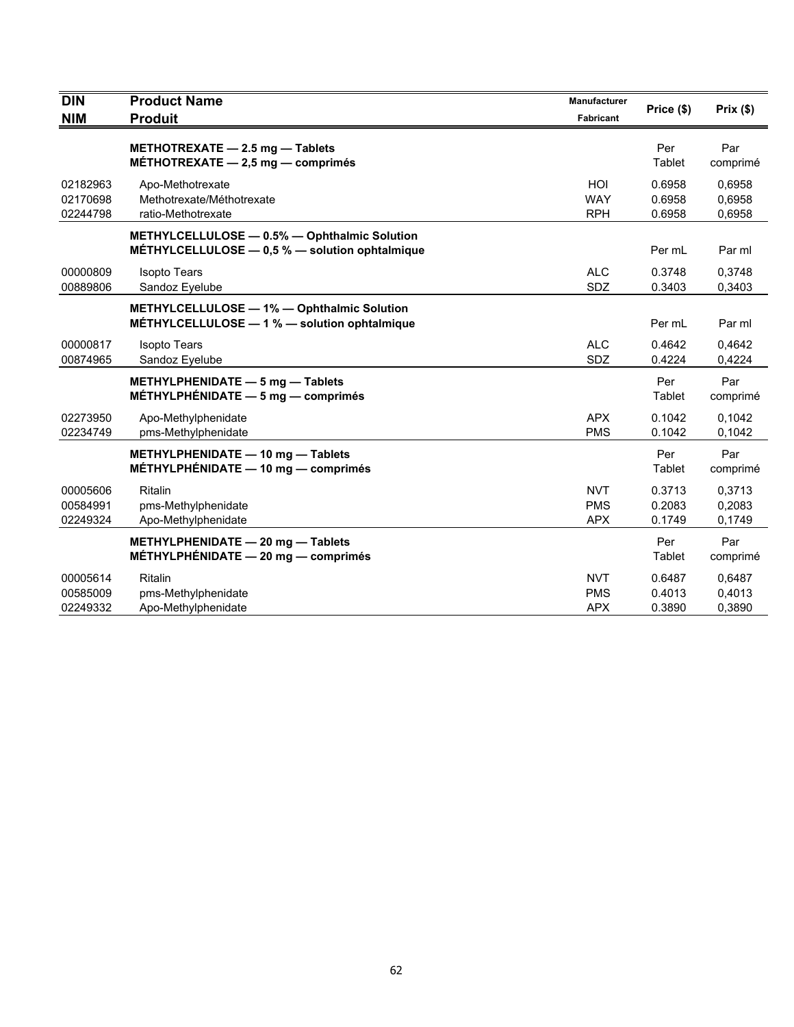| <b>DIN</b>                       | <b>Product Name</b>                                                                            | <b>Manufacturer</b>                    | Price (\$)                 | Prix(\$)                   |
|----------------------------------|------------------------------------------------------------------------------------------------|----------------------------------------|----------------------------|----------------------------|
| <b>NIM</b>                       | <b>Produit</b>                                                                                 | <b>Fabricant</b>                       |                            |                            |
|                                  | METHOTREXATE - 2.5 mg - Tablets<br>MÉTHOTREXATE $-2,5$ mg $-$ comprimés                        |                                        | Per<br>Tablet              | Par<br>comprimé            |
| 02182963<br>02170698<br>02244798 | Apo-Methotrexate<br>Methotrexate/Méthotrexate<br>ratio-Methotrexate                            | HOI<br><b>WAY</b><br><b>RPH</b>        | 0.6958<br>0.6958<br>0.6958 | 0,6958<br>0,6958<br>0,6958 |
|                                  | METHYLCELLULOSE - 0.5% - Ophthalmic Solution<br>MÉTHYLCELLULOSE - 0,5 % - solution ophtalmique |                                        | Per mL                     | Par ml                     |
| 00000809<br>00889806             | <b>Isopto Tears</b><br>Sandoz Eyelube                                                          | <b>ALC</b><br><b>SDZ</b>               | 0.3748<br>0.3403           | 0,3748<br>0,3403           |
|                                  | METHYLCELLULOSE - 1% - Ophthalmic Solution<br>MÉTHYLCELLULOSE - 1 % - solution ophtalmique     |                                        | Per mL                     | Par ml                     |
| 00000817<br>00874965             | <b>Isopto Tears</b><br>Sandoz Eyelube                                                          | <b>ALC</b><br>SDZ                      | 0.4642<br>0.4224           | 0,4642<br>0,4224           |
|                                  | METHYLPHENIDATE - 5 mg - Tablets<br>MÉTHYLPHÉNIDATE $-5$ mg $-$ comprimés                      |                                        | Per<br>Tablet              | Par<br>comprimé            |
| 02273950<br>02234749             | Apo-Methylphenidate<br>pms-Methylphenidate                                                     | <b>APX</b><br><b>PMS</b>               | 0.1042<br>0.1042           | 0,1042<br>0,1042           |
|                                  | METHYLPHENIDATE - 10 mg - Tablets<br>MÉTHYLPHÉNIDATE $-$ 10 mg $-$ comprimés                   |                                        | Per<br>Tablet              | Par<br>comprimé            |
| 00005606<br>00584991<br>02249324 | Ritalin<br>pms-Methylphenidate<br>Apo-Methylphenidate                                          | <b>NVT</b><br><b>PMS</b><br><b>APX</b> | 0.3713<br>0.2083<br>0.1749 | 0,3713<br>0,2083<br>0,1749 |
|                                  | METHYLPHENIDATE - 20 mg - Tablets<br>MÉTHYLPHÉNIDATE $-20$ mg $-$ comprimés                    |                                        | Per<br>Tablet              | Par<br>comprimé            |
| 00005614<br>00585009<br>02249332 | Ritalin<br>pms-Methylphenidate<br>Apo-Methylphenidate                                          | <b>NVT</b><br><b>PMS</b><br><b>APX</b> | 0.6487<br>0.4013<br>0.3890 | 0,6487<br>0,4013<br>0,3890 |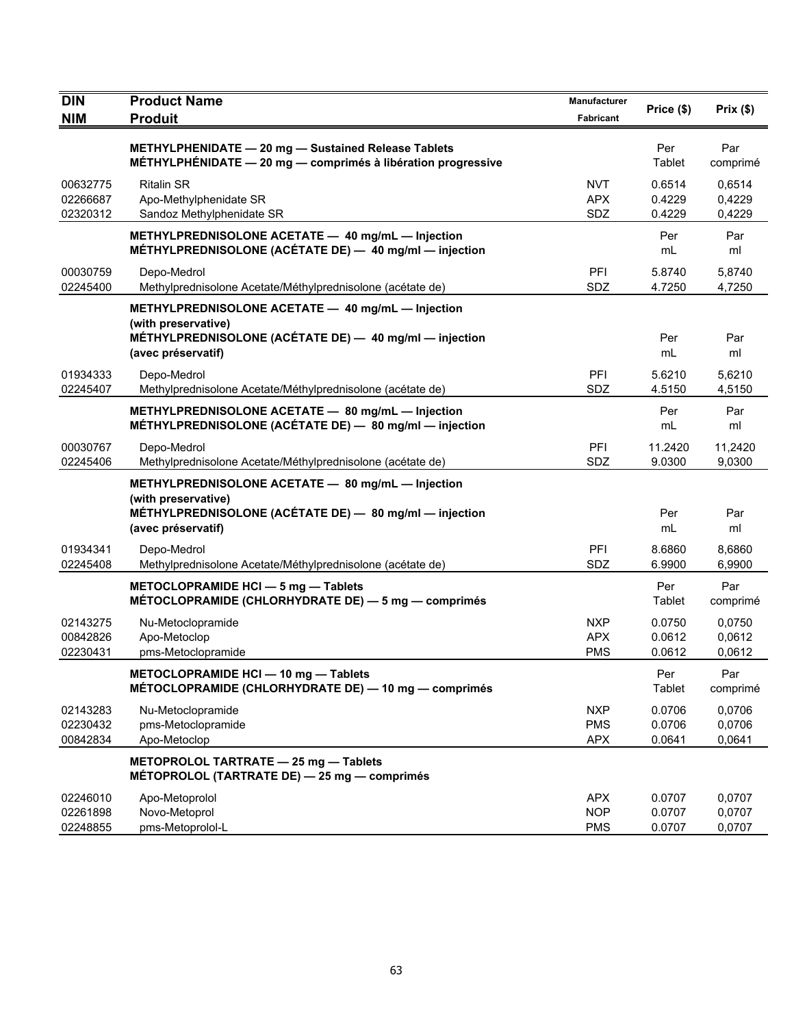| <b>DIN</b><br><b>NIM</b>         | <b>Product Name</b><br><b>Produit</b>                                                                                                                    | Manufacturer<br>Fabricant              | Price (\$)                 | Prix $(\$)$                |
|----------------------------------|----------------------------------------------------------------------------------------------------------------------------------------------------------|----------------------------------------|----------------------------|----------------------------|
|                                  | METHYLPHENIDATE - 20 mg - Sustained Release Tablets<br>$METHYLPHENIDATE - 20 mg - comprimés à libération progressive$                                    |                                        | Per<br>Tablet              | Par<br>comprimé            |
| 00632775<br>02266687<br>02320312 | <b>Ritalin SR</b><br>Apo-Methylphenidate SR<br>Sandoz Methylphenidate SR                                                                                 | <b>NVT</b><br><b>APX</b><br>SDZ        | 0.6514<br>0.4229<br>0.4229 | 0,6514<br>0,4229<br>0,4229 |
|                                  | METHYLPREDNISOLONE ACETATE - 40 mg/mL - Injection<br>MÉTHYLPREDNISOLONE (ACÉTATE DE) - 40 mg/ml - injection                                              |                                        | Per<br>mL                  | Par<br>ml                  |
| 00030759<br>02245400             | Depo-Medrol<br>Methylprednisolone Acetate/Méthylprednisolone (acétate de)                                                                                | PFI<br>SDZ                             | 5.8740<br>4.7250           | 5,8740<br>4,7250           |
|                                  | METHYLPREDNISOLONE ACETATE - 40 mg/mL - Injection<br>(with preservative)<br>MÉTHYLPREDNISOLONE (ACÉTATE DE) - 40 mg/ml - injection<br>(avec préservatif) |                                        | Per<br>mL                  | Par<br>ml                  |
| 01934333<br>02245407             | Depo-Medrol<br>Methylprednisolone Acetate/Méthylprednisolone (acétate de)                                                                                | PFI<br>SDZ                             | 5.6210<br>4.5150           | 5,6210<br>4,5150           |
|                                  | METHYLPREDNISOLONE ACETATE - 80 mg/mL - Injection<br>MÉTHYLPREDNISOLONE (ACÉTATE DE) - 80 mg/ml - injection                                              |                                        | Per<br>mL                  | Par<br>ml                  |
| 00030767<br>02245406             | Depo-Medrol<br>Methylprednisolone Acetate/Méthylprednisolone (acétate de)                                                                                | <b>PFI</b><br>SDZ                      | 11.2420<br>9.0300          | 11,2420<br>9,0300          |
|                                  | METHYLPREDNISOLONE ACETATE - 80 mg/mL - Injection<br>(with preservative)<br>MÉTHYLPREDNISOLONE (ACÉTATE DE) - 80 mg/ml - injection<br>(avec préservatif) |                                        | Per<br>mL                  | Par<br>ml                  |
| 01934341<br>02245408             | Depo-Medrol<br>Methylprednisolone Acetate/Méthylprednisolone (acétate de)                                                                                | PFI<br>SDZ                             | 8.6860<br>6.9900           | 8,6860<br>6,9900           |
|                                  | METOCLOPRAMIDE HCI - 5 mg - Tablets<br>MÉTOCLOPRAMIDE (CHLORHYDRATE DE) - 5 mg - comprimés                                                               |                                        | Per<br>Tablet              | Par<br>comprimé            |
| 02143275<br>00842826<br>02230431 | Nu-Metoclopramide<br>Apo-Metoclop<br>pms-Metoclopramide                                                                                                  | <b>NXP</b><br><b>APX</b><br><b>PMS</b> | 0.0750<br>0.0612<br>0.0612 | 0,0750<br>0,0612<br>0,0612 |
|                                  | METOCLOPRAMIDE HCI - 10 mg - Tablets<br>MÉTOCLOPRAMIDE (CHLORHYDRATE DE) — 10 mg — comprimés                                                             |                                        | Per<br>Tablet              | Par<br>comprimé            |
| 02143283<br>02230432<br>00842834 | Nu-Metoclopramide<br>pms-Metoclopramide<br>Apo-Metoclop                                                                                                  | <b>NXP</b><br><b>PMS</b><br><b>APX</b> | 0.0706<br>0.0706<br>0.0641 | 0,0706<br>0,0706<br>0,0641 |
|                                  | METOPROLOL TARTRATE - 25 mg - Tablets<br>MÉTOPROLOL (TARTRATE DE) - 25 mg - comprimés                                                                    |                                        |                            |                            |
| 02246010<br>02261898<br>02248855 | Apo-Metoprolol<br>Novo-Metoprol<br>pms-Metoprolol-L                                                                                                      | <b>APX</b><br><b>NOP</b><br><b>PMS</b> | 0.0707<br>0.0707<br>0.0707 | 0,0707<br>0,0707<br>0,0707 |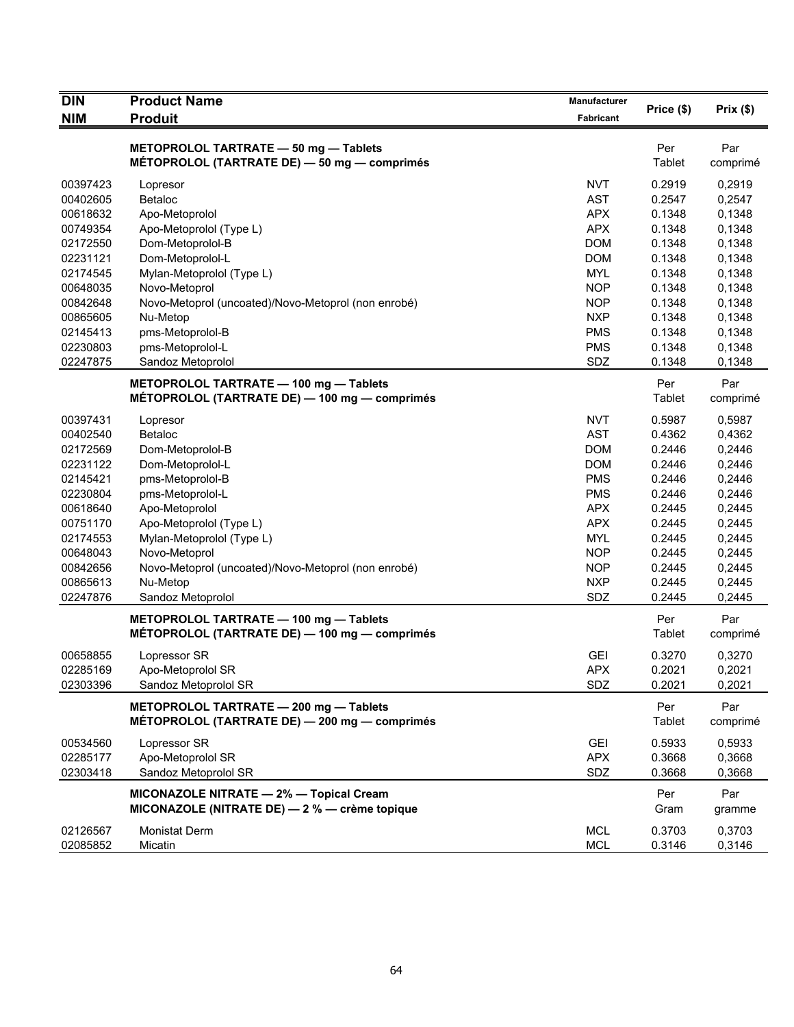| <b>DIN</b>           | <b>Product Name</b>                                                                     | Manufacturer      | Price (\$)       | Prix(\$)         |
|----------------------|-----------------------------------------------------------------------------------------|-------------------|------------------|------------------|
| <b>NIM</b>           | <b>Produit</b>                                                                          | Fabricant         |                  |                  |
|                      | METOPROLOL TARTRATE - 50 mg - Tablets<br>MÉTOPROLOL (TARTRATE DE) - 50 mg - comprimés   |                   | Per<br>Tablet    | Par<br>comprimé  |
| 00397423             | Lopresor                                                                                | <b>NVT</b>        | 0.2919           | 0,2919           |
| 00402605             | <b>Betaloc</b>                                                                          | <b>AST</b>        | 0.2547           | 0,2547           |
| 00618632             | Apo-Metoprolol                                                                          | <b>APX</b>        | 0.1348           | 0,1348           |
| 00749354             | Apo-Metoprolol (Type L)                                                                 | <b>APX</b>        | 0.1348           | 0,1348           |
| 02172550             | Dom-Metoprolol-B                                                                        | <b>DOM</b>        | 0.1348           | 0,1348           |
| 02231121             | Dom-Metoprolol-L                                                                        | <b>DOM</b>        | 0.1348           | 0,1348           |
| 02174545             | Mylan-Metoprolol (Type L)                                                               | <b>MYL</b>        | 0.1348           | 0,1348           |
| 00648035             | Novo-Metoprol                                                                           | <b>NOP</b>        | 0.1348           | 0,1348           |
| 00842648             | Novo-Metoprol (uncoated)/Novo-Metoprol (non enrobé)                                     | <b>NOP</b>        | 0.1348           | 0,1348           |
| 00865605             | Nu-Metop                                                                                | <b>NXP</b>        | 0.1348           | 0,1348           |
| 02145413             | pms-Metoprolol-B                                                                        | <b>PMS</b>        | 0.1348           | 0,1348           |
| 02230803             | pms-Metoprolol-L                                                                        | <b>PMS</b>        | 0.1348           | 0,1348           |
| 02247875             | Sandoz Metoprolol                                                                       | SDZ               | 0.1348           | 0,1348           |
|                      |                                                                                         |                   |                  |                  |
|                      | METOPROLOL TARTRATE - 100 mg - Tablets<br>MÉTOPROLOL (TARTRATE DE) - 100 mg - comprimés |                   | Per<br>Tablet    | Par<br>comprimé  |
| 00397431             | Lopresor                                                                                | <b>NVT</b>        | 0.5987           | 0,5987           |
| 00402540             | Betaloc                                                                                 | <b>AST</b>        | 0.4362           | 0,4362           |
| 02172569             | Dom-Metoprolol-B                                                                        | <b>DOM</b>        | 0.2446           | 0,2446           |
| 02231122             | Dom-Metoprolol-L                                                                        | <b>DOM</b>        | 0.2446           | 0,2446           |
| 02145421             | pms-Metoprolol-B                                                                        | <b>PMS</b>        | 0.2446           | 0,2446           |
| 02230804             | pms-Metoprolol-L                                                                        | <b>PMS</b>        | 0.2446           | 0,2446           |
| 00618640             | Apo-Metoprolol                                                                          | <b>APX</b>        | 0.2445           | 0,2445           |
| 00751170             | Apo-Metoprolol (Type L)                                                                 | <b>APX</b>        | 0.2445           | 0,2445           |
| 02174553             | Mylan-Metoprolol (Type L)                                                               | <b>MYL</b>        | 0.2445           | 0,2445           |
| 00648043             | Novo-Metoprol                                                                           | <b>NOP</b>        | 0.2445           | 0,2445           |
| 00842656             | Novo-Metoprol (uncoated)/Novo-Metoprol (non enrobé)                                     | <b>NOP</b>        | 0.2445           | 0,2445           |
| 00865613             | Nu-Metop                                                                                | <b>NXP</b>        | 0.2445           | 0,2445           |
| 02247876             | Sandoz Metoprolol                                                                       | SDZ               | 0.2445           | 0,2445           |
|                      | METOPROLOL TARTRATE - 100 mg - Tablets                                                  |                   | Per              | Par              |
|                      | MÉTOPROLOL (TARTRATE DE) — 100 mg — comprimés                                           |                   | <b>Tablet</b>    | comprimé         |
| 00658855             | Lopressor SR                                                                            | <b>GEI</b>        | 0.3270           | 0,3270           |
| 02285169             | Apo-Metoprolol SR                                                                       | <b>APX</b>        | 0.2021           | 0,2021           |
| 02303396             | Sandoz Metoprolol SR                                                                    | SDZ               | 0.2021           | 0,2021           |
|                      | METOPROLOL TARTRATE - 200 mg - Tablets<br>MÉTOPROLOL (TARTRATE DE) - 200 mg - comprimés |                   | Per<br>Tablet    | Par<br>comprimé  |
|                      |                                                                                         |                   |                  |                  |
| 00534560             | Lopressor SR                                                                            | GEI               | 0.5933           | 0,5933           |
| 02285177<br>02303418 | Apo-Metoprolol SR<br>Sandoz Metoprolol SR                                               | <b>APX</b><br>SDZ | 0.3668<br>0.3668 | 0,3668<br>0,3668 |
|                      |                                                                                         |                   |                  |                  |
|                      | MICONAZOLE NITRATE - 2% - Topical Cream                                                 |                   | Per              | Par              |
|                      | MICONAZOLE (NITRATE DE) - 2 % - crème topique                                           |                   | Gram             | gramme           |
| 02126567             | <b>Monistat Derm</b>                                                                    | <b>MCL</b>        | 0.3703           | 0,3703           |
| 02085852             | Micatin                                                                                 | <b>MCL</b>        | 0.3146           | 0,3146           |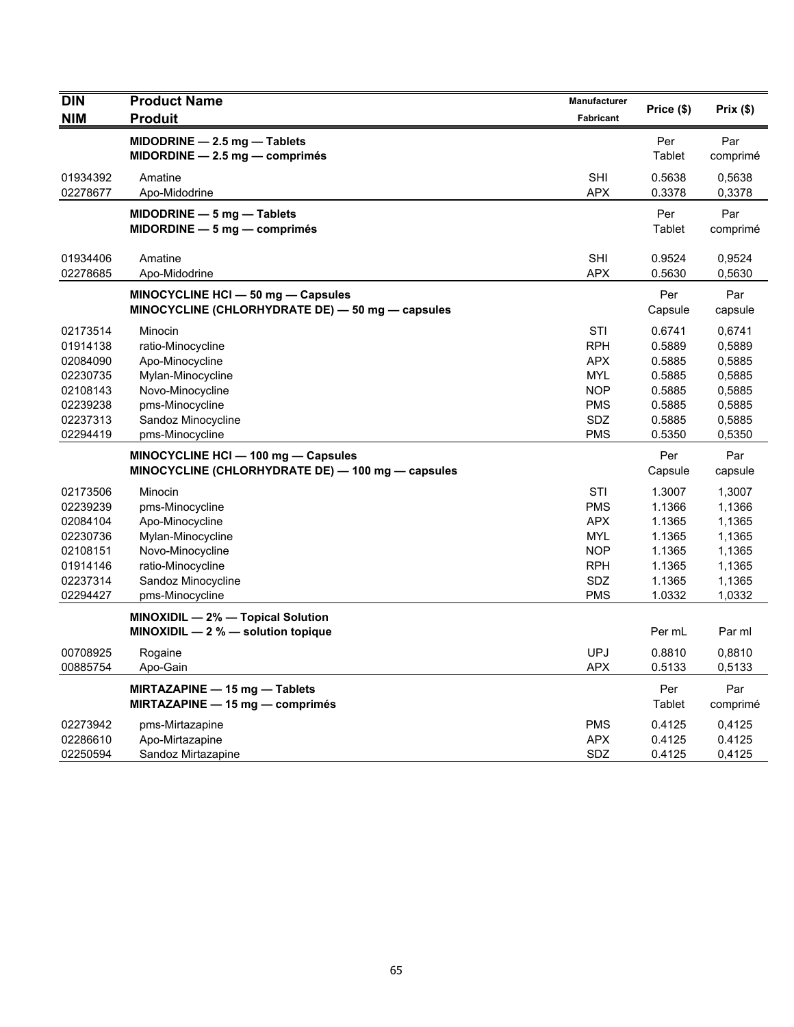| <b>DIN</b> | <b>Product Name</b>                               | Manufacturer | Price (\$) | Prix(\$) |
|------------|---------------------------------------------------|--------------|------------|----------|
| <b>NIM</b> | <b>Produit</b>                                    | Fabricant    |            |          |
|            | $MIDODRINE - 2.5 mg - Tables$                     |              | Per        | Par      |
|            | $MIDORDINE - 2.5 mg - comprimés$                  |              | Tablet     | comprimé |
| 01934392   | Amatine                                           | <b>SHI</b>   | 0.5638     | 0,5638   |
| 02278677   | Apo-Midodrine                                     | <b>APX</b>   | 0.3378     | 0,3378   |
|            | $MIDODRINE - 5 mg - Tables$                       |              | Per        | Par      |
|            | $MIDORDINE - 5 mg - comprimés$                    |              | Tablet     | comprimé |
| 01934406   | Amatine                                           | <b>SHI</b>   | 0.9524     | 0,9524   |
| 02278685   | Apo-Midodrine                                     | <b>APX</b>   | 0.5630     | 0,5630   |
|            | MINOCYCLINE HCI - 50 mg - Capsules                |              | Per        | Par      |
|            | MINOCYCLINE (CHLORHYDRATE DE) - 50 mg - capsules  |              | Capsule    | capsule  |
| 02173514   | Minocin                                           | STI          | 0.6741     | 0,6741   |
| 01914138   | ratio-Minocycline                                 | <b>RPH</b>   | 0.5889     | 0,5889   |
| 02084090   | Apo-Minocycline                                   | <b>APX</b>   | 0.5885     | 0,5885   |
| 02230735   | Mylan-Minocycline                                 | MYL          | 0.5885     | 0,5885   |
| 02108143   | Novo-Minocycline                                  | <b>NOP</b>   | 0.5885     | 0,5885   |
| 02239238   | pms-Minocycline                                   | <b>PMS</b>   | 0.5885     | 0,5885   |
| 02237313   | Sandoz Minocycline                                | <b>SDZ</b>   | 0.5885     | 0,5885   |
| 02294419   | pms-Minocycline                                   | <b>PMS</b>   | 0.5350     | 0,5350   |
|            | MINOCYCLINE HCI - 100 mg - Capsules               |              | Per        | Par      |
|            | MINOCYCLINE (CHLORHYDRATE DE) - 100 mg - capsules |              | Capsule    | capsule  |
| 02173506   | Minocin                                           | STI          | 1.3007     | 1,3007   |
| 02239239   | pms-Minocycline                                   | <b>PMS</b>   | 1.1366     | 1,1366   |
| 02084104   | Apo-Minocycline                                   | <b>APX</b>   | 1.1365     | 1,1365   |
| 02230736   | Mylan-Minocycline                                 | <b>MYL</b>   | 1.1365     | 1,1365   |
| 02108151   | Novo-Minocycline                                  | <b>NOP</b>   | 1.1365     | 1,1365   |
| 01914146   | ratio-Minocycline                                 | <b>RPH</b>   | 1.1365     | 1,1365   |
| 02237314   | Sandoz Minocycline                                | <b>SDZ</b>   | 1.1365     | 1,1365   |
| 02294427   | pms-Minocycline                                   | <b>PMS</b>   | 1.0332     | 1,0332   |
|            | MINOXIDIL - 2% - Topical Solution                 |              |            |          |
|            | MINOXIDIL $-2$ % $-$ solution topique             |              | Per mL     | Par ml   |
| 00708925   | Rogaine                                           | <b>UPJ</b>   | 0.8810     | 0,8810   |
| 00885754   | Apo-Gain                                          | <b>APX</b>   | 0.5133     | 0,5133   |
|            | MIRTAZAPINE - 15 mg - Tablets                     |              | Per        | Par      |
|            | MIRTAZAPINE - 15 mg - comprimés                   |              | Tablet     | comprimé |
| 02273942   | pms-Mirtazapine                                   | <b>PMS</b>   | 0.4125     | 0,4125   |
| 02286610   | Apo-Mirtazapine                                   | <b>APX</b>   | 0.4125     | 0.4125   |
| 02250594   | Sandoz Mirtazapine                                | SDZ          | 0.4125     | 0,4125   |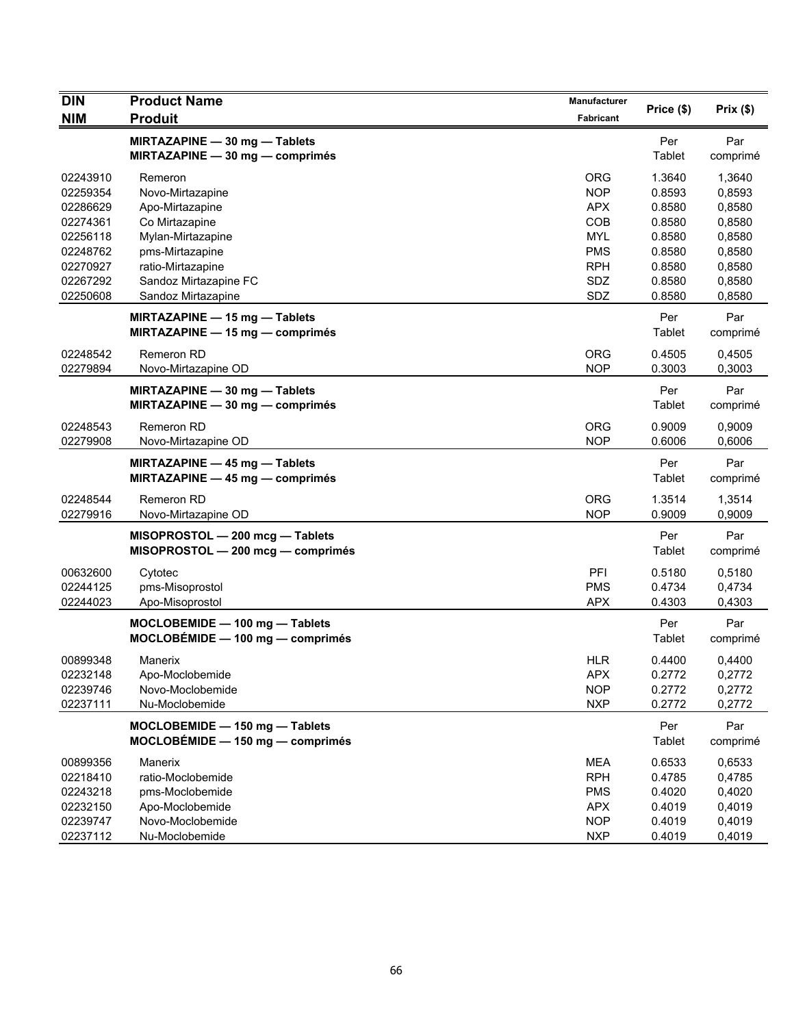| <b>DIN</b>                                                                                                           | <b>Product Name</b>                                                                                                                                                                                                                                                       | Manufacturer                                                                                                                             | Price (\$)                                                                                                        | Prix(\$)                                                                                                  |
|----------------------------------------------------------------------------------------------------------------------|---------------------------------------------------------------------------------------------------------------------------------------------------------------------------------------------------------------------------------------------------------------------------|------------------------------------------------------------------------------------------------------------------------------------------|-------------------------------------------------------------------------------------------------------------------|-----------------------------------------------------------------------------------------------------------|
| <b>NIM</b>                                                                                                           | <b>Produit</b>                                                                                                                                                                                                                                                            | Fabricant                                                                                                                                |                                                                                                                   |                                                                                                           |
|                                                                                                                      | MIRTAZAPINE - 30 mg - Tablets<br>MIRTAZAPINE - 30 mg - comprimés                                                                                                                                                                                                          |                                                                                                                                          | Per<br>Tablet                                                                                                     | Par<br>comprimé                                                                                           |
| 02243910<br>02259354<br>02286629<br>02274361<br>02256118<br>02248762<br>02270927<br>02267292<br>02250608<br>02248542 | Remeron<br>Novo-Mirtazapine<br>Apo-Mirtazapine<br>Co Mirtazapine<br>Mylan-Mirtazapine<br>pms-Mirtazapine<br>ratio-Mirtazapine<br>Sandoz Mirtazapine FC<br>Sandoz Mirtazapine<br>MIRTAZAPINE - 15 mg - Tablets<br>MIRTAZAPINE $-$ 15 mg $-$ comprimes<br><b>Remeron RD</b> | <b>ORG</b><br><b>NOP</b><br><b>APX</b><br><b>COB</b><br><b>MYL</b><br><b>PMS</b><br><b>RPH</b><br><b>SDZ</b><br><b>SDZ</b><br><b>ORG</b> | 1.3640<br>0.8593<br>0.8580<br>0.8580<br>0.8580<br>0.8580<br>0.8580<br>0.8580<br>0.8580<br>Per<br>Tablet<br>0.4505 | 1,3640<br>0,8593<br>0,8580<br>0,8580<br>0,8580<br>0,8580<br>0,8580<br>0,8580<br>0,8580<br>Par<br>comprimé |
| 02279894                                                                                                             | Novo-Mirtazapine OD                                                                                                                                                                                                                                                       | <b>NOP</b>                                                                                                                               | 0.3003                                                                                                            | 0,4505<br>0,3003                                                                                          |
|                                                                                                                      | MIRTAZAPINE - 30 mg - Tablets<br>MIRTAZAPINE - 30 mg - comprimés                                                                                                                                                                                                          |                                                                                                                                          | Per<br>Tablet                                                                                                     | Par<br>comprimé                                                                                           |
| 02248543<br>02279908                                                                                                 | <b>Remeron RD</b><br>Novo-Mirtazapine OD                                                                                                                                                                                                                                  | <b>ORG</b><br><b>NOP</b>                                                                                                                 | 0.9009<br>0.6006                                                                                                  | 0,9009<br>0,6006                                                                                          |
|                                                                                                                      | MIRTAZAPINE - 45 mg - Tablets<br>MIRTAZAPINE $-$ 45 mg $-$ comprimes                                                                                                                                                                                                      |                                                                                                                                          | Per<br>Tablet                                                                                                     | Par<br>comprimé                                                                                           |
| 02248544<br>02279916                                                                                                 | Remeron RD<br>Novo-Mirtazapine OD                                                                                                                                                                                                                                         | <b>ORG</b><br><b>NOP</b>                                                                                                                 | 1.3514<br>0.9009                                                                                                  | 1,3514<br>0,9009                                                                                          |
|                                                                                                                      | MISOPROSTOL - 200 mcg - Tablets<br>MISOPROSTOL - 200 mcg - comprimés                                                                                                                                                                                                      |                                                                                                                                          | Per<br><b>Tablet</b>                                                                                              | Par<br>comprimé                                                                                           |
| 00632600<br>02244125<br>02244023                                                                                     | Cytotec<br>pms-Misoprostol<br>Apo-Misoprostol                                                                                                                                                                                                                             | PFI<br><b>PMS</b><br><b>APX</b>                                                                                                          | 0.5180<br>0.4734<br>0.4303                                                                                        | 0,5180<br>0,4734<br>0,4303                                                                                |
|                                                                                                                      | MOCLOBEMIDE - 100 mg - Tablets<br>$MOCLOBÉMIDE - 100 mg - comprimés$                                                                                                                                                                                                      |                                                                                                                                          | Per<br>Tablet                                                                                                     | Par<br>comprimé                                                                                           |
| 00899348<br>02232148<br>02239746<br>02237111                                                                         | Manerix<br>Apo-Moclobemide<br>Novo-Moclobemide<br>Nu-Moclobemide                                                                                                                                                                                                          | <b>HLR</b><br>APX<br><b>NOP</b><br><b>NXP</b>                                                                                            | 0.4400<br>0.2772<br>0.2772<br>0.2772                                                                              | 0,4400<br>0,2772<br>0,2772<br>0,2772                                                                      |
|                                                                                                                      | MOCLOBEMIDE - 150 mg - Tablets<br>$MOCLOBÉMIDE - 150 mg - comprimés$                                                                                                                                                                                                      |                                                                                                                                          | Per<br>Tablet                                                                                                     | Par<br>comprimé                                                                                           |
| 00899356<br>02218410<br>02243218<br>02232150<br>02239747<br>02237112                                                 | Manerix<br>ratio-Moclobemide<br>pms-Moclobemide<br>Apo-Moclobemide<br>Novo-Moclobemide<br>Nu-Moclobemide                                                                                                                                                                  | <b>MEA</b><br><b>RPH</b><br><b>PMS</b><br><b>APX</b><br><b>NOP</b><br><b>NXP</b>                                                         | 0.6533<br>0.4785<br>0.4020<br>0.4019<br>0.4019<br>0.4019                                                          | 0,6533<br>0,4785<br>0,4020<br>0,4019<br>0,4019<br>0,4019                                                  |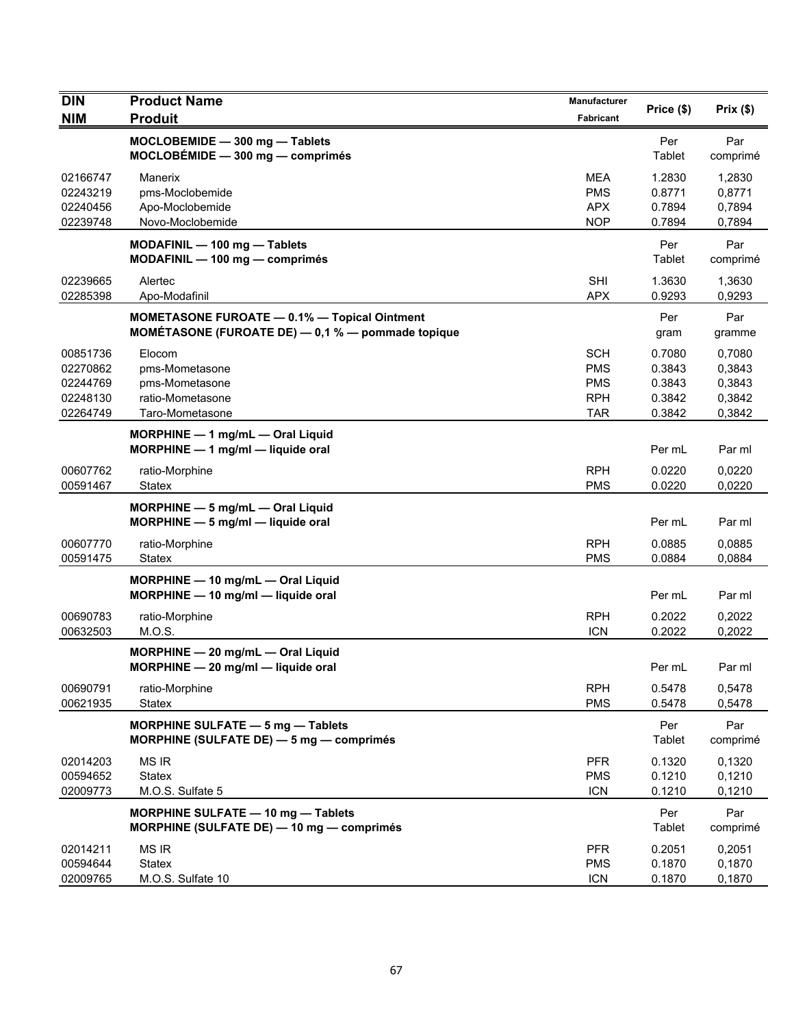| <b>DIN</b>                                               | <b>Product Name</b>                                                                                          | Manufacturer                                                       | Price (\$)                                     | Prix(\$)                                       |
|----------------------------------------------------------|--------------------------------------------------------------------------------------------------------------|--------------------------------------------------------------------|------------------------------------------------|------------------------------------------------|
| <b>NIM</b>                                               | <b>Produit</b>                                                                                               | <b>Fabricant</b>                                                   |                                                |                                                |
|                                                          | MOCLOBEMIDE - 300 mg - Tablets<br>$MOCLOBÉMIDE - 300 mg - comprimés$                                         |                                                                    | Per<br>Tablet                                  | Par<br>comprimé                                |
| 02166747<br>02243219<br>02240456<br>02239748             | Manerix<br>pms-Moclobemide<br>Apo-Moclobemide<br>Novo-Moclobemide                                            | <b>MEA</b><br><b>PMS</b><br><b>APX</b><br><b>NOP</b>               | 1.2830<br>0.8771<br>0.7894<br>0.7894           | 1,2830<br>0,8771<br>0,7894<br>0,7894           |
|                                                          | MODAFINIL - 100 mg - Tablets<br>MODAFINIL - 100 mg - comprimés                                               |                                                                    | Per<br>Tablet                                  | Par<br>comprimé                                |
| 02239665<br>02285398                                     | Alertec<br>Apo-Modafinil                                                                                     | <b>SHI</b><br><b>APX</b>                                           | 1.3630<br>0.9293                               | 1,3630<br>0,9293                               |
|                                                          | <b>MOMETASONE FUROATE - 0.1% - Topical Ointment</b><br>MOMÉTASONE (FUROATE DE) $-$ 0,1 % $-$ pommade topique |                                                                    | Per<br>gram                                    | Par<br>gramme                                  |
| 00851736<br>02270862<br>02244769<br>02248130<br>02264749 | Elocom<br>pms-Mometasone<br>pms-Mometasone<br>ratio-Mometasone<br>Taro-Mometasone                            | <b>SCH</b><br><b>PMS</b><br><b>PMS</b><br><b>RPH</b><br><b>TAR</b> | 0.7080<br>0.3843<br>0.3843<br>0.3842<br>0.3842 | 0,7080<br>0,3843<br>0,3843<br>0,3842<br>0,3842 |
|                                                          | MORPHINE - 1 mg/mL - Oral Liquid<br>MORPHINE $-1$ mg/ml $-$ liquide oral                                     |                                                                    | Per mL                                         | Par ml                                         |
| 00607762<br>00591467                                     | ratio-Morphine<br><b>Statex</b>                                                                              | <b>RPH</b><br><b>PMS</b>                                           | 0.0220<br>0.0220                               | 0,0220<br>0,0220                               |
|                                                          | MORPHINE $-5$ mg/mL $-$ Oral Liquid<br>$MORPHINE - 5$ mg/ml - liquide oral                                   |                                                                    | Per mL                                         | Par ml                                         |
| 00607770<br>00591475                                     | ratio-Morphine<br>Statex                                                                                     | <b>RPH</b><br><b>PMS</b>                                           | 0.0885<br>0.0884                               | 0.0885<br>0,0884                               |
|                                                          | MORPHINE - 10 mg/mL - Oral Liquid<br>MORPHINE - 10 mg/ml - liquide oral                                      |                                                                    | Per mL                                         | Par ml                                         |
| 00690783<br>00632503                                     | ratio-Morphine<br>M.O.S.                                                                                     | <b>RPH</b><br><b>ICN</b>                                           | 0.2022<br>0.2022                               | 0,2022<br>0,2022                               |
|                                                          | MORPHINE - 20 mg/mL - Oral Liquid<br>$MORPHINE - 20$ mg/ml - liquide oral                                    |                                                                    | Per mL                                         | Par ml                                         |
| 00690791<br>00621935                                     | ratio-Morphine<br>Statex                                                                                     | <b>RPH</b><br><b>PMS</b>                                           | 0.5478<br>0.5478                               | 0,5478<br>0,5478                               |
|                                                          | MORPHINE SULFATE - 5 mg - Tablets<br>MORPHINE (SULFATE DE) - 5 mg - comprimés                                |                                                                    | Per<br>Tablet                                  | Par<br>comprimé                                |
| 02014203<br>00594652<br>02009773                         | <b>MS IR</b><br><b>Statex</b><br>M.O.S. Sulfate 5                                                            | <b>PFR</b><br><b>PMS</b><br><b>ICN</b>                             | 0.1320<br>0.1210<br>0.1210                     | 0,1320<br>0,1210<br>0,1210                     |
|                                                          | MORPHINE SULFATE - 10 mg - Tablets<br>MORPHINE (SULFATE DE) - 10 mg - comprimés                              |                                                                    | Per<br>Tablet                                  | Par<br>comprimé                                |
| 02014211<br>00594644<br>02009765                         | <b>MS IR</b><br><b>Statex</b><br>M.O.S. Sulfate 10                                                           | <b>PFR</b><br><b>PMS</b><br><b>ICN</b>                             | 0.2051<br>0.1870<br>0.1870                     | 0,2051<br>0,1870<br>0,1870                     |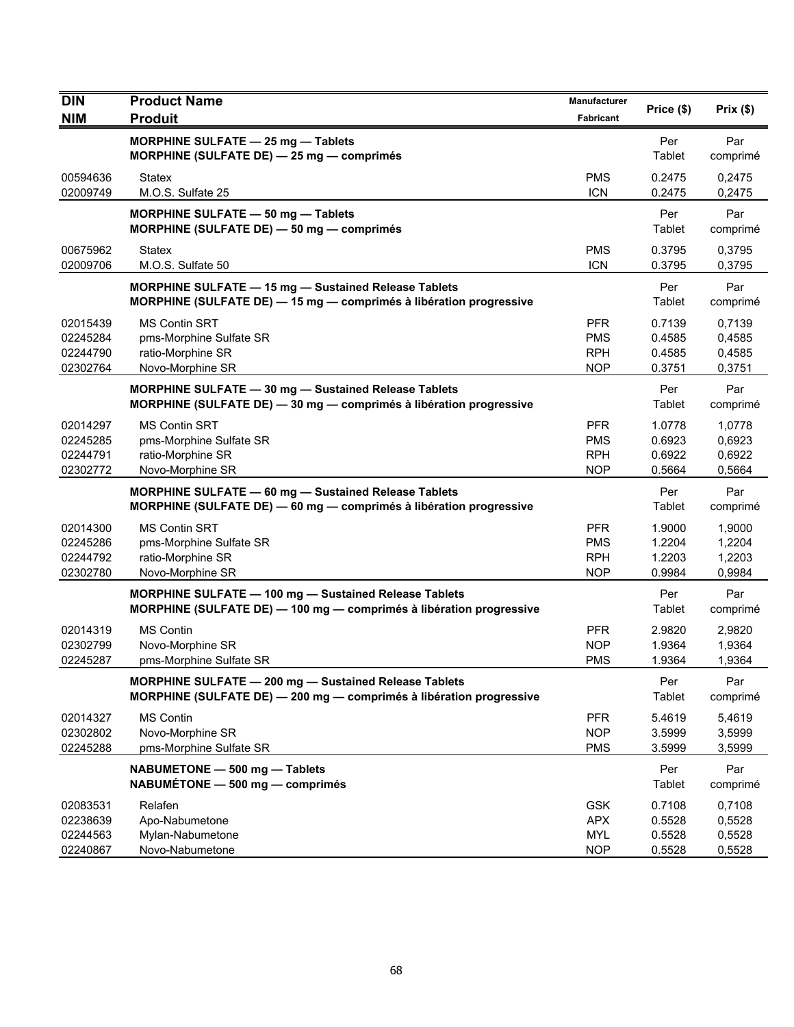| <b>DIN</b>                                   | <b>Product Name</b>                                                                                                               | Manufacturer                                         | Price (\$)                           | Prix(\$)                             |
|----------------------------------------------|-----------------------------------------------------------------------------------------------------------------------------------|------------------------------------------------------|--------------------------------------|--------------------------------------|
| <b>NIM</b>                                   | <b>Produit</b>                                                                                                                    | <b>Fabricant</b>                                     |                                      |                                      |
|                                              | MORPHINE SULFATE - 25 mg - Tablets<br>MORPHINE (SULFATE DE) - 25 mg - comprimés                                                   |                                                      | Per<br>Tablet                        | Par<br>comprimé                      |
| 00594636<br>02009749                         | <b>Statex</b><br>M.O.S. Sulfate 25                                                                                                | <b>PMS</b><br><b>ICN</b>                             | 0.2475<br>0.2475                     | 0,2475<br>0,2475                     |
|                                              | MORPHINE SULFATE - 50 mg - Tablets<br>MORPHINE (SULFATE DE) - 50 mg - comprimés                                                   |                                                      | Per<br>Tablet                        | Par<br>comprimé                      |
| 00675962<br>02009706                         | <b>Statex</b><br>M.O.S. Sulfate 50                                                                                                | <b>PMS</b><br><b>ICN</b>                             | 0.3795<br>0.3795                     | 0,3795<br>0,3795                     |
|                                              | <b>MORPHINE SULFATE - 15 mg - Sustained Release Tablets</b><br>MORPHINE (SULFATE DE) - 15 mg - comprimés à libération progressive |                                                      | Per<br>Tablet                        | Par<br>comprimé                      |
| 02015439<br>02245284<br>02244790<br>02302764 | <b>MS Contin SRT</b><br>pms-Morphine Sulfate SR<br>ratio-Morphine SR<br>Novo-Morphine SR                                          | <b>PFR</b><br><b>PMS</b><br><b>RPH</b><br><b>NOP</b> | 0.7139<br>0.4585<br>0.4585<br>0.3751 | 0,7139<br>0,4585<br>0,4585<br>0,3751 |
|                                              | MORPHINE SULFATE - 30 mg - Sustained Release Tablets<br>MORPHINE (SULFATE DE) - 30 mg - comprimés à libération progressive        |                                                      | Per<br>Tablet                        | Par<br>comprimé                      |
| 02014297<br>02245285<br>02244791<br>02302772 | <b>MS Contin SRT</b><br>pms-Morphine Sulfate SR<br>ratio-Morphine SR<br>Novo-Morphine SR                                          | <b>PFR</b><br><b>PMS</b><br><b>RPH</b><br><b>NOP</b> | 1.0778<br>0.6923<br>0.6922<br>0.5664 | 1,0778<br>0,6923<br>0,6922<br>0,5664 |
|                                              | MORPHINE SULFATE - 60 mg - Sustained Release Tablets<br>MORPHINE (SULFATE DE) - 60 mg - comprimés à libération progressive        |                                                      | Per<br>Tablet                        | Par<br>comprimé                      |
| 02014300<br>02245286<br>02244792<br>02302780 | <b>MS Contin SRT</b><br>pms-Morphine Sulfate SR<br>ratio-Morphine SR<br>Novo-Morphine SR                                          | <b>PFR</b><br><b>PMS</b><br><b>RPH</b><br><b>NOP</b> | 1.9000<br>1.2204<br>1.2203<br>0.9984 | 1,9000<br>1,2204<br>1,2203<br>0,9984 |
|                                              | MORPHINE SULFATE - 100 mg - Sustained Release Tablets<br>MORPHINE (SULFATE DE) - 100 mg - comprimés à libération progressive      |                                                      | Per<br>Tablet                        | Par<br>comprimé                      |
| 02014319<br>02302799<br>02245287             | <b>MS Contin</b><br>Novo-Morphine SR<br>pms-Morphine Sulfate SR                                                                   | <b>PFR</b><br><b>NOP</b><br><b>PMS</b>               | 2.9820<br>1.9364<br>1.9364           | 2,9820<br>1,9364<br>1,9364           |
|                                              | MORPHINE SULFATE - 200 mg - Sustained Release Tablets<br>MORPHINE (SULFATE DE) - 200 mg - comprimés à libération progressive      |                                                      | Per<br>Tablet                        | Par<br>comprimé                      |
| 02014327<br>02302802<br>02245288             | <b>MS Contin</b><br>Novo-Morphine SR<br>pms-Morphine Sulfate SR                                                                   | <b>PFR</b><br><b>NOP</b><br><b>PMS</b>               | 5.4619<br>3.5999<br>3.5999           | 5,4619<br>3,5999<br>3,5999           |
|                                              | NABUMETONE - 500 mg - Tablets<br>NABUMÉTONE - 500 mg - comprimés                                                                  |                                                      | Per<br>Tablet                        | Par<br>comprimé                      |
| 02083531<br>02238639<br>02244563<br>02240867 | Relafen<br>Apo-Nabumetone<br>Mylan-Nabumetone<br>Novo-Nabumetone                                                                  | <b>GSK</b><br><b>APX</b><br><b>MYL</b><br><b>NOP</b> | 0.7108<br>0.5528<br>0.5528<br>0.5528 | 0,7108<br>0,5528<br>0,5528<br>0,5528 |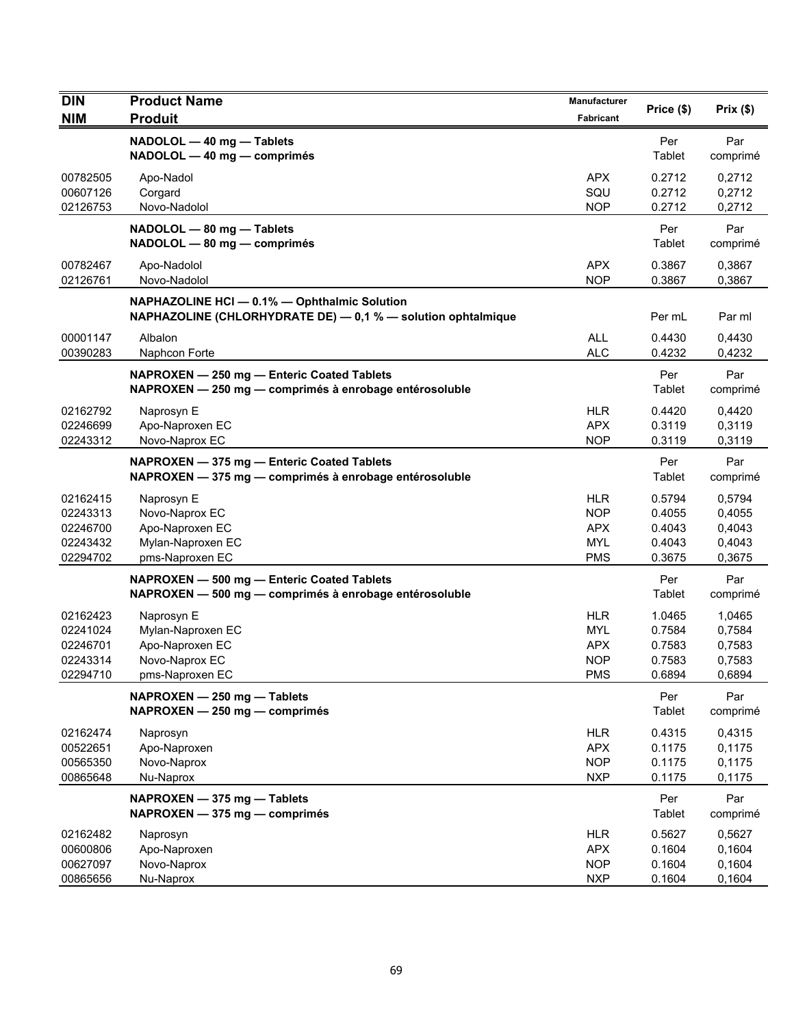| DIN                                                      | <b>Product Name</b>                                                                                          | Manufacturer                                                       | Price (\$)                                     | Prix(\$)                                       |
|----------------------------------------------------------|--------------------------------------------------------------------------------------------------------------|--------------------------------------------------------------------|------------------------------------------------|------------------------------------------------|
| <b>NIM</b>                                               | <b>Produit</b>                                                                                               | <b>Fabricant</b>                                                   |                                                |                                                |
|                                                          | NADOLOL - 40 mg - Tablets<br>NADOLOL - 40 mg - comprimés                                                     |                                                                    | Per<br>Tablet                                  | Par<br>comprimé                                |
| 00782505<br>00607126                                     | Apo-Nadol<br>Corgard                                                                                         | <b>APX</b><br>SQU                                                  | 0.2712<br>0.2712                               | 0,2712<br>0,2712                               |
| 02126753                                                 | Novo-Nadolol                                                                                                 | <b>NOP</b>                                                         | 0.2712                                         | 0,2712                                         |
|                                                          | NADOLOL - 80 mg - Tablets<br>NADOLOL - 80 mg - comprimés                                                     |                                                                    | Per<br>Tablet                                  | Par<br>comprimé                                |
| 00782467<br>02126761                                     | Apo-Nadolol<br>Novo-Nadolol                                                                                  | APX<br><b>NOP</b>                                                  | 0.3867<br>0.3867                               | 0,3867<br>0,3867                               |
|                                                          | NAPHAZOLINE HCI - 0.1% - Ophthalmic Solution<br>NAPHAZOLINE (CHLORHYDRATE DE) - 0,1 % - solution ophtalmique |                                                                    | Per mL                                         | Par ml                                         |
| 00001147<br>00390283                                     | Albalon<br>Naphcon Forte                                                                                     | <b>ALL</b><br><b>ALC</b>                                           | 0.4430<br>0.4232                               | 0,4430<br>0,4232                               |
|                                                          | NAPROXEN - 250 mg - Enteric Coated Tablets<br>NAPROXEN - 250 mg - comprimés à enrobage entérosoluble         |                                                                    | Per<br>Tablet                                  | Par<br>comprimé                                |
| 02162792<br>02246699                                     | Naprosyn E<br>Apo-Naproxen EC                                                                                | <b>HLR</b><br><b>APX</b>                                           | 0.4420<br>0.3119                               | 0,4420<br>0,3119                               |
| 02243312                                                 | Novo-Naprox EC                                                                                               | <b>NOP</b>                                                         | 0.3119                                         | 0,3119                                         |
|                                                          | NAPROXEN - 375 mg - Enteric Coated Tablets<br>NAPROXEN - 375 mg - comprimés à enrobage entérosoluble         |                                                                    | Per<br>Tablet                                  | Par<br>comprimé                                |
| 02162415<br>02243313<br>02246700<br>02243432<br>02294702 | Naprosyn E<br>Novo-Naprox EC<br>Apo-Naproxen EC<br>Mylan-Naproxen EC<br>pms-Naproxen EC                      | <b>HLR</b><br><b>NOP</b><br><b>APX</b><br><b>MYL</b><br><b>PMS</b> | 0.5794<br>0.4055<br>0.4043<br>0.4043<br>0.3675 | 0,5794<br>0,4055<br>0,4043<br>0,4043<br>0,3675 |
|                                                          | NAPROXEN - 500 mg - Enteric Coated Tablets<br>NAPROXEN - 500 mg - comprimés à enrobage entérosoluble         |                                                                    | Per<br>Tablet                                  | Par<br>comprimé                                |
| 02162423<br>02241024<br>02246701<br>02243314<br>02294710 | Naprosyn E<br>Mylan-Naproxen EC<br>Apo-Naproxen EC<br>Novo-Naprox EC<br>pms-Naproxen EC                      | HLR<br><b>MYL</b><br><b>APX</b><br><b>NOP</b><br><b>PMS</b>        | 1.0465<br>0.7584<br>0.7583<br>0.7583<br>0.6894 | 1,0465<br>0,7584<br>0,7583<br>0,7583<br>0,6894 |
|                                                          | NAPROXEN - 250 mg - Tablets<br>NAPROXEN - 250 mg - comprimés                                                 |                                                                    | Per<br>Tablet                                  | Par<br>comprimé                                |
| 02162474<br>00522651<br>00565350<br>00865648             | Naprosyn<br>Apo-Naproxen<br>Novo-Naprox<br>Nu-Naprox                                                         | <b>HLR</b><br><b>APX</b><br><b>NOP</b><br><b>NXP</b>               | 0.4315<br>0.1175<br>0.1175<br>0.1175           | 0,4315<br>0,1175<br>0,1175<br>0,1175           |
|                                                          | NAPROXEN - 375 mg - Tablets<br>NAPROXEN - 375 mg - comprimés                                                 |                                                                    | Per<br>Tablet                                  | Par<br>comprimé                                |
| 02162482<br>00600806<br>00627097<br>00865656             | Naprosyn<br>Apo-Naproxen<br>Novo-Naprox<br>Nu-Naprox                                                         | <b>HLR</b><br><b>APX</b><br><b>NOP</b><br><b>NXP</b>               | 0.5627<br>0.1604<br>0.1604<br>0.1604           | 0,5627<br>0,1604<br>0,1604<br>0,1604           |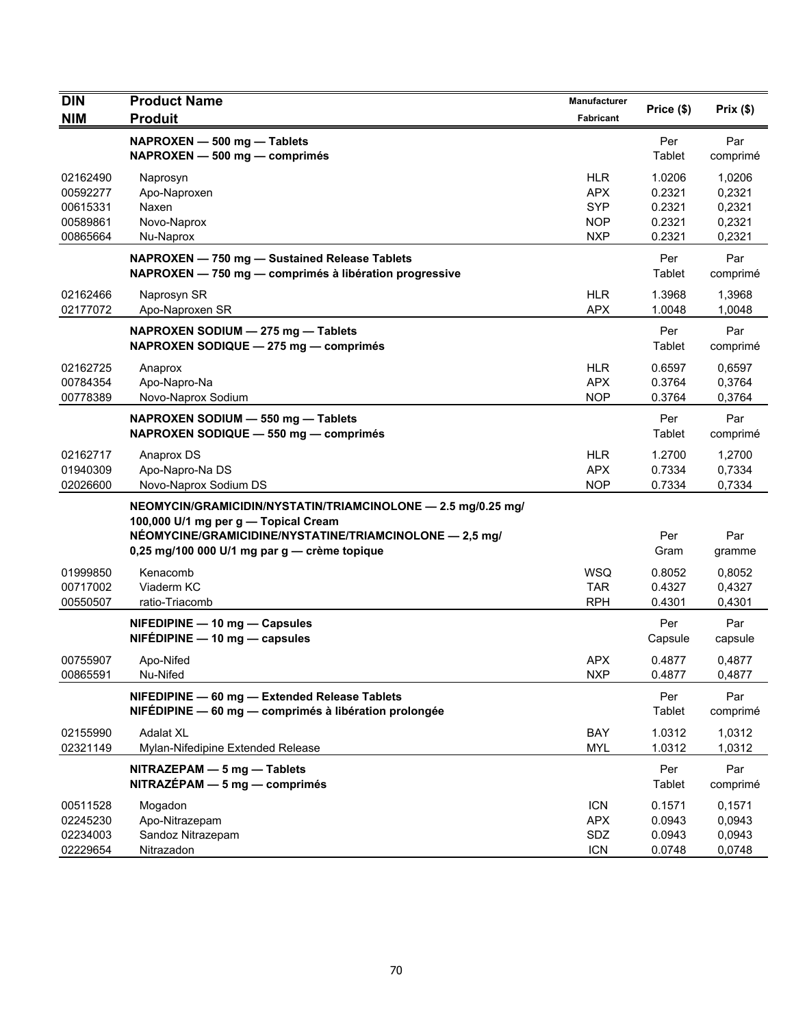| <b>DIN</b><br><b>NIM</b>                                 | <b>Product Name</b><br><b>Produit</b>                                                                                                                                                                             | Manufacturer<br>Fabricant                                          | Price (\$)                                     | Prix $(\$)$                                    |
|----------------------------------------------------------|-------------------------------------------------------------------------------------------------------------------------------------------------------------------------------------------------------------------|--------------------------------------------------------------------|------------------------------------------------|------------------------------------------------|
|                                                          | NAPROXEN - 500 mg - Tablets<br>NAPROXEN - 500 mg - comprimés                                                                                                                                                      |                                                                    | Per<br>Tablet                                  | Par<br>comprimé                                |
| 02162490<br>00592277<br>00615331<br>00589861<br>00865664 | Naprosyn<br>Apo-Naproxen<br>Naxen<br>Novo-Naprox<br>Nu-Naprox                                                                                                                                                     | <b>HLR</b><br><b>APX</b><br><b>SYP</b><br><b>NOP</b><br><b>NXP</b> | 1.0206<br>0.2321<br>0.2321<br>0.2321<br>0.2321 | 1,0206<br>0,2321<br>0,2321<br>0,2321<br>0,2321 |
|                                                          | NAPROXEN - 750 mg - Sustained Release Tablets<br>NAPROXEN - 750 mg - comprimés à libération progressive                                                                                                           |                                                                    | Per<br>Tablet                                  | Par<br>comprimé                                |
| 02162466<br>02177072                                     | Naprosyn SR<br>Apo-Naproxen SR                                                                                                                                                                                    | <b>HLR</b><br><b>APX</b>                                           | 1.3968<br>1.0048                               | 1,3968<br>1,0048                               |
|                                                          | NAPROXEN SODIUM - 275 mg - Tablets<br>NAPROXEN SODIQUE - 275 mg - comprimés                                                                                                                                       |                                                                    | Per<br>Tablet                                  | Par<br>comprimé                                |
| 02162725<br>00784354<br>00778389                         | Anaprox<br>Apo-Napro-Na<br>Novo-Naprox Sodium                                                                                                                                                                     | <b>HLR</b><br><b>APX</b><br><b>NOP</b>                             | 0.6597<br>0.3764<br>0.3764                     | 0,6597<br>0,3764<br>0,3764                     |
|                                                          | NAPROXEN SODIUM - 550 mg - Tablets<br>NAPROXEN SODIQUE - 550 mg - comprimés                                                                                                                                       |                                                                    | Per<br>Tablet                                  | Par<br>comprimé                                |
| 02162717<br>01940309<br>02026600                         | Anaprox DS<br>Apo-Napro-Na DS<br>Novo-Naprox Sodium DS                                                                                                                                                            | <b>HLR</b><br><b>APX</b><br><b>NOP</b>                             | 1.2700<br>0.7334<br>0.7334                     | 1,2700<br>0,7334<br>0,7334                     |
|                                                          | NEOMYCIN/GRAMICIDIN/NYSTATIN/TRIAMCINOLONE - 2.5 mg/0.25 mg/<br>100,000 U/1 mg per g - Topical Cream<br>NÉOMYCINE/GRAMICIDINE/NYSTATINE/TRIAMCINOLONE - 2,5 mg/<br>0,25 mg/100 000 U/1 mg par $g$ - crème topique |                                                                    | Per<br>Gram                                    | Par<br>gramme                                  |
| 01999850<br>00717002<br>00550507                         | Kenacomb<br>Viaderm KC<br>ratio-Triacomb                                                                                                                                                                          | <b>WSQ</b><br><b>TAR</b><br><b>RPH</b>                             | 0.8052<br>0.4327<br>0.4301                     | 0,8052<br>0,4327<br>0,4301                     |
|                                                          | NIFEDIPINE - 10 mg - Capsules<br>$NIFÉDIPINE - 10 mg - capsules$                                                                                                                                                  |                                                                    | Per<br>Capsule                                 | Par<br>capsule                                 |
| 00755907<br>00865591                                     | Apo-Nifed<br>Nu-Nifed                                                                                                                                                                                             | <b>APX</b><br><b>NXP</b>                                           | 0.4877<br>0.4877                               | 0,4877<br>0,4877                               |
|                                                          | NIFEDIPINE - 60 mg - Extended Release Tablets<br>NIFÉDIPINE - 60 mg - comprimés à libération prolongée                                                                                                            |                                                                    | Per<br>Tablet                                  | Par<br>comprimé                                |
| 02155990<br>02321149                                     | <b>Adalat XL</b><br>Mylan-Nifedipine Extended Release                                                                                                                                                             | BAY<br><b>MYL</b>                                                  | 1.0312<br>1.0312                               | 1,0312<br>1,0312                               |
|                                                          | NITRAZEPAM - 5 mg - Tablets<br>$NITRAZÉPAM - 5 mg - comprimés$                                                                                                                                                    |                                                                    | Per<br>Tablet                                  | Par<br>comprimé                                |
| 00511528<br>02245230<br>02234003<br>02229654             | Mogadon<br>Apo-Nitrazepam<br>Sandoz Nitrazepam<br>Nitrazadon                                                                                                                                                      | <b>ICN</b><br><b>APX</b><br>SDZ<br><b>ICN</b>                      | 0.1571<br>0.0943<br>0.0943<br>0.0748           | 0,1571<br>0,0943<br>0,0943<br>0,0748           |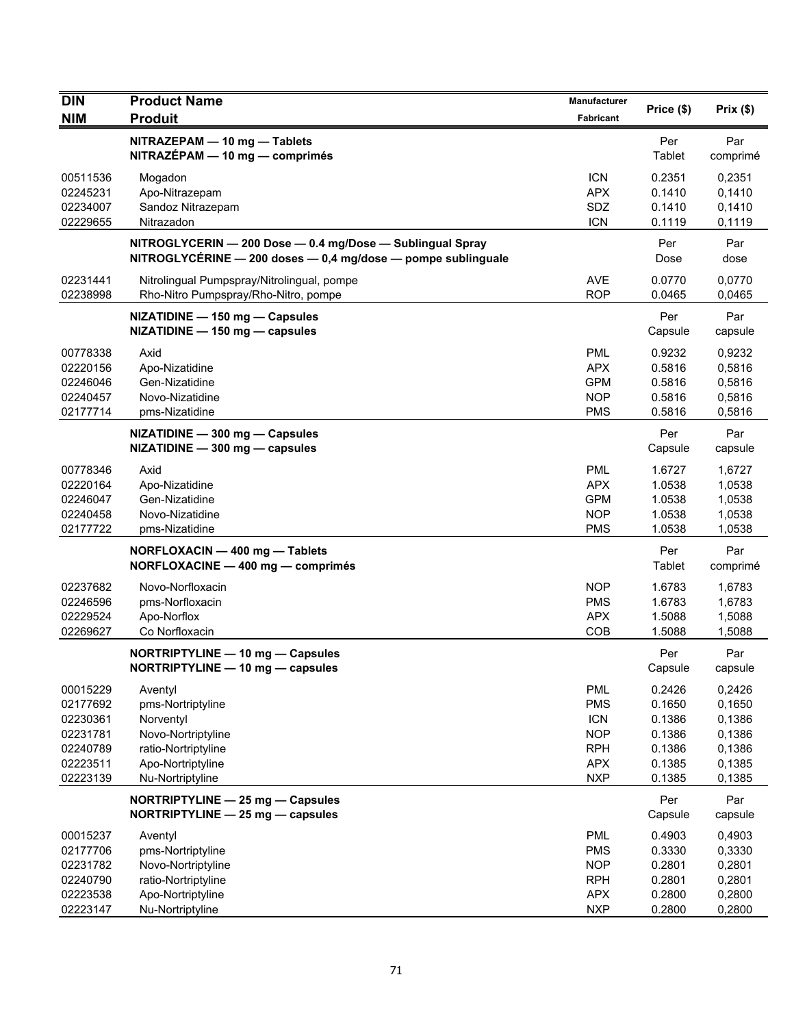| <b>DIN</b>                                                                       | <b>Product Name</b>                                                                                                             | <b>Manufacturer</b>                                                                            | Price (\$)                                                         | Prix(\$)                                                           |
|----------------------------------------------------------------------------------|---------------------------------------------------------------------------------------------------------------------------------|------------------------------------------------------------------------------------------------|--------------------------------------------------------------------|--------------------------------------------------------------------|
| <b>NIM</b>                                                                       | <b>Produit</b>                                                                                                                  | Fabricant                                                                                      |                                                                    |                                                                    |
|                                                                                  | NITRAZEPAM - 10 mg - Tablets<br>NITRAZÉPAM - 10 mg - comprimés                                                                  |                                                                                                | Per<br>Tablet                                                      | Par<br>comprimé                                                    |
| 00511536<br>02245231<br>02234007<br>02229655                                     | Mogadon<br>Apo-Nitrazepam<br>Sandoz Nitrazepam<br>Nitrazadon                                                                    | <b>ICN</b><br><b>APX</b><br>SDZ<br><b>ICN</b>                                                  | 0.2351<br>0.1410<br>0.1410<br>0.1119                               | 0,2351<br>0,1410<br>0,1410<br>0,1119                               |
|                                                                                  | NITROGLYCERIN - 200 Dose - 0.4 mg/Dose - Sublingual Spray<br>NITROGLYCÉRINE - 200 doses - 0,4 mg/dose - pompe sublinguale       |                                                                                                | Per<br>Dose                                                        | Par<br>dose                                                        |
| 02231441<br>02238998                                                             | Nitrolingual Pumpspray/Nitrolingual, pompe<br>Rho-Nitro Pumpspray/Rho-Nitro, pompe                                              | <b>AVE</b><br><b>ROP</b>                                                                       | 0.0770<br>0.0465                                                   | 0.0770<br>0,0465                                                   |
|                                                                                  | NIZATIDINE - 150 mg - Capsules<br>NIZATIDINE - 150 mg - capsules                                                                |                                                                                                | Per<br>Capsule                                                     | Par<br>capsule                                                     |
| 00778338<br>02220156<br>02246046<br>02240457<br>02177714                         | Axid<br>Apo-Nizatidine<br>Gen-Nizatidine<br>Novo-Nizatidine<br>pms-Nizatidine                                                   | <b>PML</b><br><b>APX</b><br><b>GPM</b><br><b>NOP</b><br><b>PMS</b>                             | 0.9232<br>0.5816<br>0.5816<br>0.5816<br>0.5816                     | 0,9232<br>0,5816<br>0,5816<br>0,5816<br>0,5816                     |
|                                                                                  | NIZATIDINE - 300 mg - Capsules<br>NIZATIDINE - 300 mg - capsules                                                                |                                                                                                | Per<br>Capsule                                                     | Par<br>capsule                                                     |
| 00778346<br>02220164<br>02246047<br>02240458<br>02177722                         | Axid<br>Apo-Nizatidine<br>Gen-Nizatidine<br>Novo-Nizatidine<br>pms-Nizatidine                                                   | <b>PML</b><br><b>APX</b><br><b>GPM</b><br><b>NOP</b><br><b>PMS</b>                             | 1.6727<br>1.0538<br>1.0538<br>1.0538<br>1.0538                     | 1,6727<br>1,0538<br>1,0538<br>1,0538<br>1,0538                     |
|                                                                                  | NORFLOXACIN - 400 mg - Tablets<br>NORFLOXACINE - 400 mg - comprimés                                                             |                                                                                                | Per<br>Tablet                                                      | Par<br>comprimé                                                    |
| 02237682<br>02246596<br>02229524<br>02269627                                     | Novo-Norfloxacin<br>pms-Norfloxacin<br>Apo-Norflox<br>Co Norfloxacin                                                            | <b>NOP</b><br><b>PMS</b><br><b>APX</b><br>COB                                                  | 1.6783<br>1.6783<br>1.5088<br>1.5088                               | 1,6783<br>1,6783<br>1,5088<br>1,5088                               |
|                                                                                  | NORTRIPTYLINE - 10 mg - Capsules<br>NORTRIPTYLINE - 10 mg - capsules                                                            |                                                                                                | Per<br>Capsule                                                     | Par<br>capsule                                                     |
| 00015229<br>02177692<br>02230361<br>02231781<br>02240789<br>02223511<br>02223139 | Aventyl<br>pms-Nortriptyline<br>Norventyl<br>Novo-Nortriptyline<br>ratio-Nortriptyline<br>Apo-Nortriptyline<br>Nu-Nortriptyline | <b>PML</b><br><b>PMS</b><br><b>ICN</b><br><b>NOP</b><br><b>RPH</b><br><b>APX</b><br><b>NXP</b> | 0.2426<br>0.1650<br>0.1386<br>0.1386<br>0.1386<br>0.1385<br>0.1385 | 0,2426<br>0,1650<br>0,1386<br>0,1386<br>0,1386<br>0,1385<br>0,1385 |
|                                                                                  | NORTRIPTYLINE - 25 mg - Capsules<br>NORTRIPTYLINE - 25 mg - capsules                                                            |                                                                                                | Per<br>Capsule                                                     | Par<br>capsule                                                     |
| 00015237<br>02177706<br>02231782<br>02240790<br>02223538<br>02223147             | Aventyl<br>pms-Nortriptyline<br>Novo-Nortriptyline<br>ratio-Nortriptyline<br>Apo-Nortriptyline<br>Nu-Nortriptyline              | <b>PML</b><br><b>PMS</b><br><b>NOP</b><br><b>RPH</b><br><b>APX</b><br><b>NXP</b>               | 0.4903<br>0.3330<br>0.2801<br>0.2801<br>0.2800<br>0.2800           | 0,4903<br>0,3330<br>0,2801<br>0,2801<br>0,2800<br>0,2800           |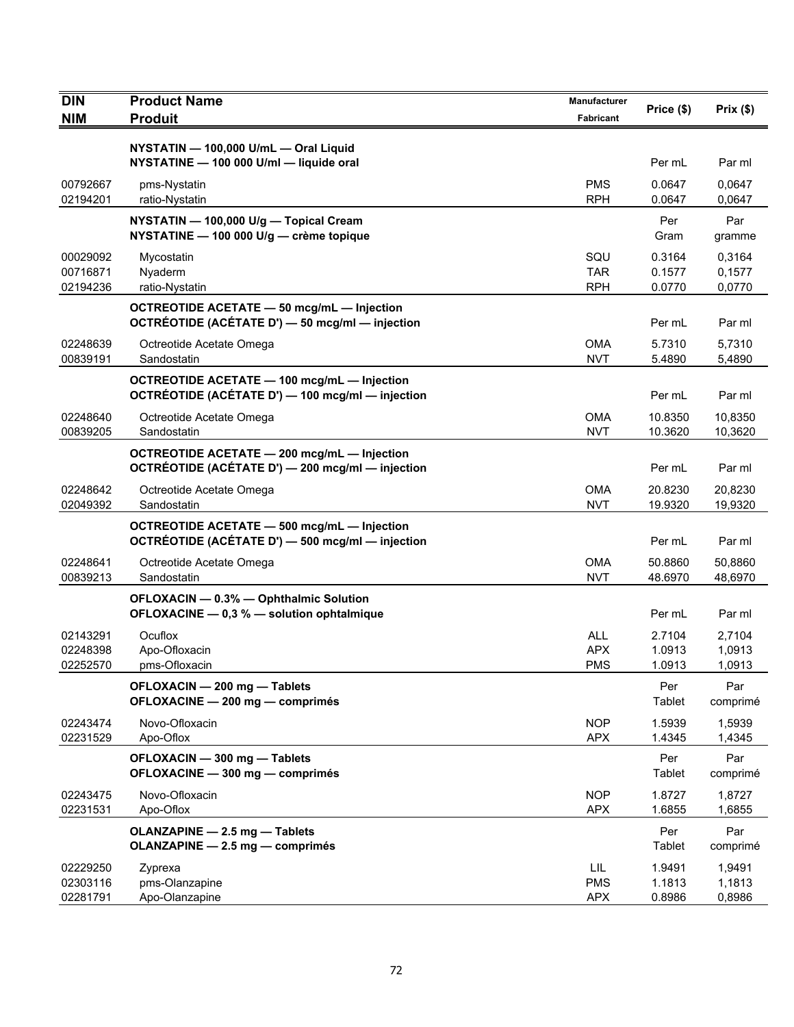| <b>DIN</b>                       | <b>Product Name</b>                                                                                    | <b>Manufacturer</b>                    | Price (\$)                 | Prix(\$)                   |
|----------------------------------|--------------------------------------------------------------------------------------------------------|----------------------------------------|----------------------------|----------------------------|
| <b>NIM</b>                       | <b>Produit</b>                                                                                         | <b>Fabricant</b>                       |                            |                            |
|                                  | NYSTATIN - 100,000 U/mL - Oral Liquid<br>NYSTATINE - 100 000 U/ml - liquide oral                       |                                        | Per mL                     | Par ml                     |
| 00792667<br>02194201             | pms-Nystatin<br>ratio-Nystatin                                                                         | <b>PMS</b><br><b>RPH</b>               | 0.0647<br>0.0647           | 0,0647<br>0,0647           |
|                                  | NYSTATIN - 100,000 U/g - Topical Cream<br>NYSTATINE - 100 000 U/g - crème topique                      |                                        | Per<br>Gram                | Par<br>gramme              |
| 00029092<br>00716871<br>02194236 | Mycostatin<br>Nyaderm<br>ratio-Nystatin                                                                | SQU<br><b>TAR</b><br><b>RPH</b>        | 0.3164<br>0.1577<br>0.0770 | 0,3164<br>0,1577<br>0,0770 |
|                                  | OCTREOTIDE ACETATE - 50 mcg/mL - Injection<br>OCTRÉOTIDE (ACÉTATE D') - 50 mcg/ml - injection          |                                        | Per mL                     | Par ml                     |
| 02248639<br>00839191             | Octreotide Acetate Omega<br>Sandostatin                                                                | <b>OMA</b><br><b>NVT</b>               | 5.7310<br>5.4890           | 5,7310<br>5,4890           |
|                                  | <b>OCTREOTIDE ACETATE - 100 mcg/mL - Injection</b><br>OCTRÉOTIDE (ACÉTATE D') - 100 mcg/ml - injection |                                        | Per mL                     | Par ml                     |
| 02248640<br>00839205             | Octreotide Acetate Omega<br>Sandostatin                                                                | <b>OMA</b><br><b>NVT</b>               | 10.8350<br>10.3620         | 10,8350<br>10,3620         |
|                                  | <b>OCTREOTIDE ACETATE - 200 mcg/mL - Injection</b><br>OCTRÉOTIDE (ACÉTATE D') - 200 mcg/ml - injection |                                        | Per mL                     | Par ml                     |
| 02248642<br>02049392             | Octreotide Acetate Omega<br>Sandostatin                                                                | OMA<br><b>NVT</b>                      | 20.8230<br>19.9320         | 20,8230<br>19,9320         |
|                                  | <b>OCTREOTIDE ACETATE - 500 mcg/mL - Injection</b><br>OCTRÉOTIDE (ACÉTATE D') - 500 mcg/ml - injection |                                        | Per mL                     | Par ml                     |
| 02248641<br>00839213             | Octreotide Acetate Omega<br>Sandostatin                                                                | <b>OMA</b><br><b>NVT</b>               | 50.8860<br>48.6970         | 50,8860<br>48,6970         |
|                                  | OFLOXACIN - 0.3% - Ophthalmic Solution<br>OFLOXACINE - 0,3 % - solution ophtalmique                    |                                        | Per mL                     | Par ml                     |
| 02143291<br>02248398<br>02252570 | Ocuflox<br>Apo-Ofloxacin<br>pms-Ofloxacin                                                              | <b>ALL</b><br><b>APX</b><br><b>PMS</b> | 2.7104<br>1.0913<br>1.0913 | 2,7104<br>1,0913<br>1,0913 |
|                                  | OFLOXACIN - 200 mg - Tablets<br>OFLOXACINE - 200 mg - comprimés                                        |                                        | Per<br>Tablet              | Par<br>comprimé            |
| 02243474<br>02231529             | Novo-Ofloxacin<br>Apo-Oflox                                                                            | <b>NOP</b><br><b>APX</b>               | 1.5939<br>1.4345           | 1,5939<br>1,4345           |
|                                  | OFLOXACIN - 300 mg - Tablets<br>OFLOXACINE - 300 mg - comprimés                                        |                                        | Per<br>Tablet              | Par<br>comprimé            |
| 02243475<br>02231531             | Novo-Ofloxacin<br>Apo-Oflox                                                                            | <b>NOP</b><br><b>APX</b>               | 1.8727<br>1.6855           | 1,8727<br>1,6855           |
|                                  | OLANZAPINE - 2.5 mg - Tablets<br>OLANZAPINE - 2.5 mg - comprimés                                       |                                        | Per<br>Tablet              | Par<br>comprimé            |
| 02229250<br>02303116<br>02281791 | Zyprexa<br>pms-Olanzapine<br>Apo-Olanzapine                                                            | LIL.<br><b>PMS</b><br><b>APX</b>       | 1.9491<br>1.1813<br>0.8986 | 1,9491<br>1,1813<br>0,8986 |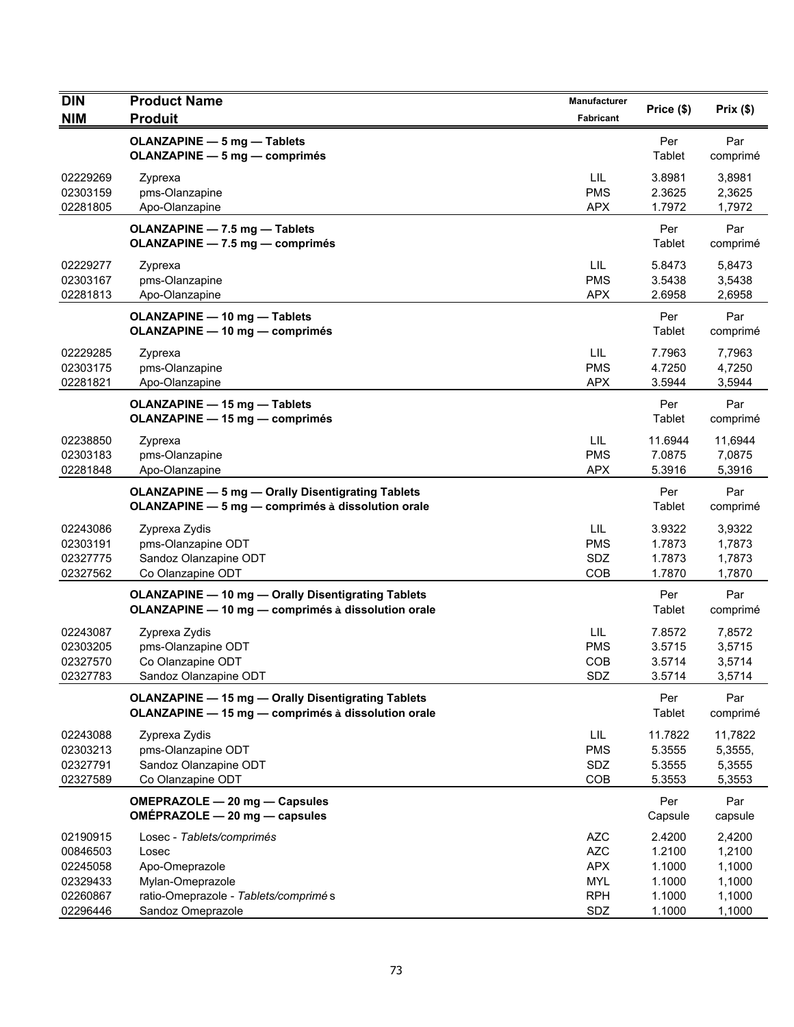| DIN                                          | <b>Product Name</b>                                                                                             | Manufacturer                                         | Price (\$)                            | Prix(\$)                               |
|----------------------------------------------|-----------------------------------------------------------------------------------------------------------------|------------------------------------------------------|---------------------------------------|----------------------------------------|
| <b>NIM</b>                                   | <b>Produit</b>                                                                                                  | Fabricant                                            |                                       |                                        |
|                                              | <b>OLANZAPINE - 5 mg - Tablets</b><br><b>OLANZAPINE - 5 mg - comprimés</b>                                      |                                                      | Per<br>Tablet                         | Par<br>comprimé                        |
| 02229269<br>02303159<br>02281805             | Zyprexa<br>pms-Olanzapine<br>Apo-Olanzapine                                                                     | LIL<br><b>PMS</b><br><b>APX</b>                      | 3.8981<br>2.3625<br>1.7972            | 3,8981<br>2,3625<br>1,7972             |
|                                              | OLANZAPINE - 7.5 mg - Tablets<br>OLANZAPINE - 7.5 mg - comprimés                                                |                                                      | Per<br>Tablet                         | Par<br>comprimé                        |
| 02229277<br>02303167<br>02281813             | Zyprexa<br>pms-Olanzapine<br>Apo-Olanzapine                                                                     | LIL<br><b>PMS</b><br><b>APX</b>                      | 5.8473<br>3.5438<br>2.6958            | 5,8473<br>3,5438<br>2,6958             |
|                                              | <b>OLANZAPINE - 10 mg - Tablets</b><br><b>OLANZAPINE - 10 mg - comprimés</b>                                    |                                                      | Per<br>Tablet                         | Par<br>comprimé                        |
| 02229285<br>02303175<br>02281821             | Zyprexa<br>pms-Olanzapine<br>Apo-Olanzapine                                                                     | LIL<br><b>PMS</b><br><b>APX</b>                      | 7.7963<br>4.7250<br>3.5944            | 7,7963<br>4,7250<br>3,5944             |
|                                              | <b>OLANZAPINE - 15 mg - Tablets</b><br><b>OLANZAPINE - 15 mg - comprimés</b>                                    |                                                      | Per<br>Tablet                         | Par<br>comprimé                        |
| 02238850<br>02303183<br>02281848             | Zyprexa<br>pms-Olanzapine<br>Apo-Olanzapine                                                                     | LIL<br><b>PMS</b><br><b>APX</b>                      | 11.6944<br>7.0875<br>5.3916           | 11,6944<br>7,0875<br>5,3916            |
|                                              | <b>OLANZAPINE - 5 mg - Orally Disentigrating Tablets</b><br>OLANZAPINE - 5 mg - comprimés à dissolution orale   |                                                      | Per<br>Tablet                         | Par<br>comprimé                        |
| 02243086<br>02303191<br>02327775<br>02327562 | Zyprexa Zydis<br>pms-Olanzapine ODT<br>Sandoz Olanzapine ODT<br>Co Olanzapine ODT                               | LIL<br><b>PMS</b><br>SDZ<br>COB                      | 3.9322<br>1.7873<br>1.7873<br>1.7870  | 3,9322<br>1,7873<br>1,7873<br>1,7870   |
|                                              | <b>OLANZAPINE - 10 mg - Orally Disentigrating Tablets</b><br>OLANZAPINE - 10 mg - comprimés à dissolution orale |                                                      | Per<br>Tablet                         | Par<br>comprimé                        |
| 02243087<br>02303205<br>02327570<br>02327783 | Zyprexa Zydis<br>pms-Olanzapine ODT<br>Co Olanzapine ODT<br>Sandoz Olanzapine ODT                               | LIL<br><b>PMS</b><br><b>COB</b><br>SDZ               | 7.8572<br>3.5715<br>3.5714<br>3.5714  | 7,8572<br>3,5715<br>3,5714<br>3,5714   |
|                                              | <b>OLANZAPINE - 15 mg - Orally Disentigrating Tablets</b><br>OLANZAPINE - 15 mg - comprimés à dissolution orale |                                                      | Per<br>Tablet                         | Par<br>comprimé                        |
| 02243088<br>02303213<br>02327791<br>02327589 | Zyprexa Zydis<br>pms-Olanzapine ODT<br>Sandoz Olanzapine ODT<br>Co Olanzapine ODT                               | LIL.<br><b>PMS</b><br>SDZ<br>COB                     | 11.7822<br>5.3555<br>5.3555<br>5.3553 | 11,7822<br>5,3555,<br>5,3555<br>5,3553 |
|                                              | OMEPRAZOLE - 20 mg - Capsules<br>OMÉPRAZOLE - 20 mg - capsules                                                  |                                                      | Per<br>Capsule                        | Par<br>capsule                         |
| 02190915<br>00846503<br>02245058<br>02329433 | Losec - Tablets/comprimés<br>Losec<br>Apo-Omeprazole<br>Mylan-Omeprazole                                        | <b>AZC</b><br><b>AZC</b><br><b>APX</b><br><b>MYL</b> | 2.4200<br>1.2100<br>1.1000<br>1.1000  | 2,4200<br>1,2100<br>1,1000<br>1,1000   |
| 02260867<br>02296446                         | ratio-Omeprazole - Tablets/comprimé s<br>Sandoz Omeprazole                                                      | <b>RPH</b><br>SDZ                                    | 1.1000<br>1.1000                      | 1,1000<br>1,1000                       |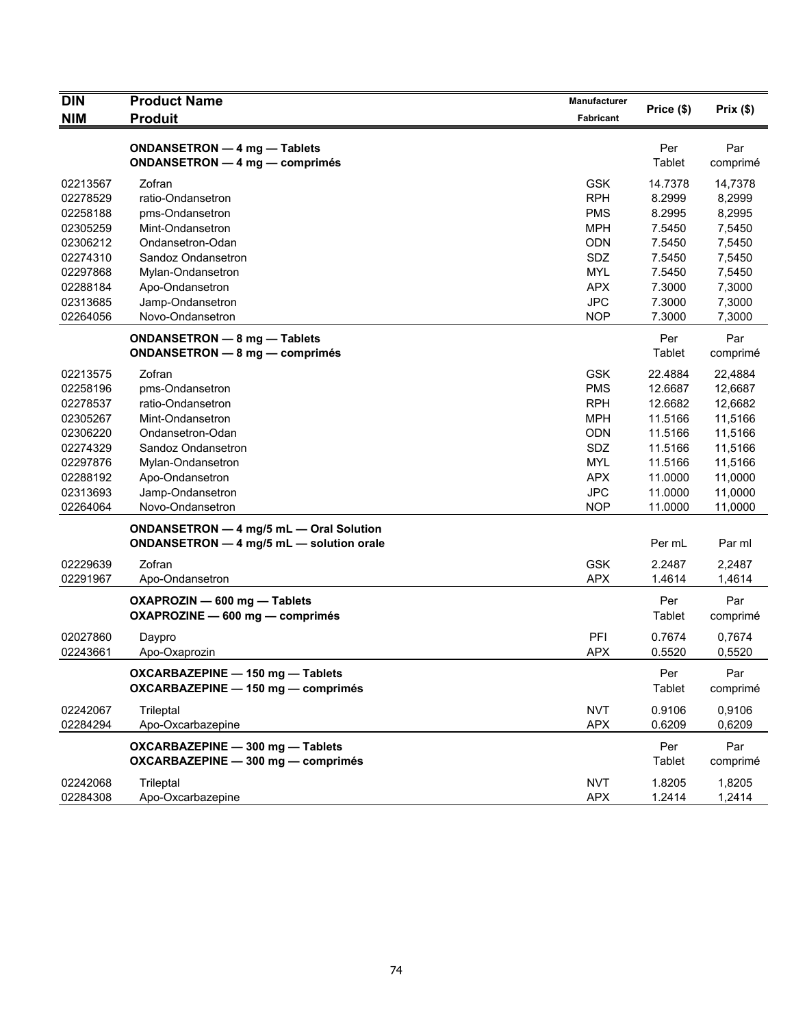| <b>DIN</b> | <b>Product Name</b>                                                                 | Manufacturer | Price (\$)    |                 |
|------------|-------------------------------------------------------------------------------------|--------------|---------------|-----------------|
| <b>NIM</b> | <b>Produit</b>                                                                      | Fabricant    |               | Prix(\$)        |
|            | ONDANSETRON - 4 mg - Tablets<br>ONDANSETRON - 4 mg - comprimés                      |              | Per<br>Tablet | Par<br>comprimé |
| 02213567   | Zofran                                                                              | <b>GSK</b>   | 14.7378       | 14,7378         |
| 02278529   | ratio-Ondansetron                                                                   | <b>RPH</b>   | 8.2999        | 8,2999          |
| 02258188   | pms-Ondansetron                                                                     | <b>PMS</b>   | 8.2995        | 8,2995          |
| 02305259   | Mint-Ondansetron                                                                    | <b>MPH</b>   | 7.5450        | 7,5450          |
| 02306212   | Ondansetron-Odan                                                                    | <b>ODN</b>   | 7.5450        | 7,5450          |
| 02274310   | Sandoz Ondansetron                                                                  | SDZ          | 7.5450        | 7,5450          |
| 02297868   | Mylan-Ondansetron                                                                   | <b>MYL</b>   | 7.5450        | 7,5450          |
| 02288184   | Apo-Ondansetron                                                                     | <b>APX</b>   | 7.3000        | 7,3000          |
| 02313685   | Jamp-Ondansetron                                                                    | <b>JPC</b>   | 7.3000        | 7,3000          |
| 02264056   | Novo-Ondansetron                                                                    | <b>NOP</b>   | 7.3000        | 7,3000          |
|            | ONDANSETRON - 8 mg - Tablets<br><b>ONDANSETRON - 8 mg - comprimés</b>               |              | Per<br>Tablet | Par<br>comprimé |
| 02213575   | Zofran                                                                              | <b>GSK</b>   | 22.4884       | 22,4884         |
| 02258196   | pms-Ondansetron                                                                     | <b>PMS</b>   | 12.6687       | 12,6687         |
| 02278537   | ratio-Ondansetron                                                                   | <b>RPH</b>   | 12.6682       | 12,6682         |
| 02305267   | Mint-Ondansetron                                                                    | <b>MPH</b>   | 11.5166       | 11,5166         |
| 02306220   | Ondansetron-Odan                                                                    | ODN          | 11.5166       | 11,5166         |
| 02274329   | Sandoz Ondansetron                                                                  | SDZ          | 11.5166       | 11,5166         |
| 02297876   | Mylan-Ondansetron                                                                   | <b>MYL</b>   | 11.5166       | 11,5166         |
| 02288192   | Apo-Ondansetron                                                                     | <b>APX</b>   | 11.0000       | 11,0000         |
| 02313693   | Jamp-Ondansetron                                                                    | <b>JPC</b>   | 11.0000       | 11,0000         |
| 02264064   | Novo-Ondansetron                                                                    | <b>NOP</b>   | 11.0000       | 11,0000         |
|            | ONDANSETRON - 4 mg/5 mL - Oral Solution<br>ONDANSETRON - 4 mg/5 mL - solution orale |              | Per mL        | Par ml          |
| 02229639   | Zofran                                                                              | <b>GSK</b>   | 2.2487        | 2,2487          |
| 02291967   | Apo-Ondansetron                                                                     | <b>APX</b>   | 1.4614        | 1,4614          |
|            | OXAPROZIN - 600 mg - Tablets<br>OXAPROZINE - 600 mg - comprimés                     |              | Per<br>Tablet | Par<br>comprimé |
| 02027860   | Daypro                                                                              | PFI          | 0.7674        | 0,7674          |
| 02243661   | Apo-Oxaprozin                                                                       | <b>APX</b>   | 0.5520        | 0,5520          |
|            | OXCARBAZEPINE - 150 mg - Tablets<br>OXCARBAZEPINE - 150 mg - comprimés              |              | Per<br>Tablet | Par<br>comprimé |
| 02242067   | Trileptal                                                                           | <b>NVT</b>   | 0.9106        | 0,9106          |
| 02284294   | Apo-Oxcarbazepine                                                                   | <b>APX</b>   | 0.6209        | 0,6209          |
|            | OXCARBAZEPINE - 300 mg - Tablets<br>OXCARBAZEPINE - 300 mg - comprimés              |              | Per<br>Tablet | Par<br>comprimé |
| 02242068   | Trileptal                                                                           | <b>NVT</b>   | 1.8205        | 1,8205          |
| 02284308   | Apo-Oxcarbazepine                                                                   | <b>APX</b>   | 1.2414        | 1,2414          |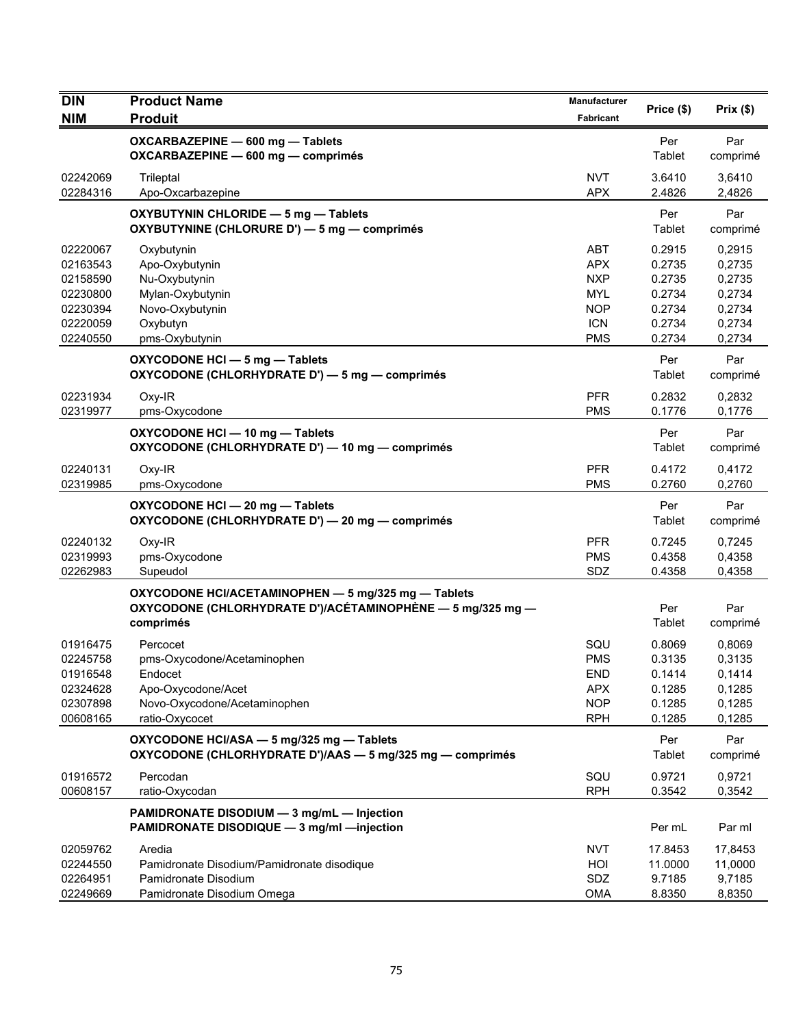| DIN                                                                  | <b>Product Name</b>                                                                                                            | <b>Manufacturer</b>                                                              | Price (\$)                                               | Prix(\$)                                                 |
|----------------------------------------------------------------------|--------------------------------------------------------------------------------------------------------------------------------|----------------------------------------------------------------------------------|----------------------------------------------------------|----------------------------------------------------------|
| <b>NIM</b>                                                           | <b>Produit</b>                                                                                                                 | <b>Fabricant</b>                                                                 |                                                          |                                                          |
|                                                                      | OXCARBAZEPINE - 600 mg - Tablets<br>OXCARBAZEPINE - 600 mg - comprimés                                                         |                                                                                  | Per<br>Tablet                                            | Par<br>comprimé                                          |
| 02242069<br>02284316                                                 | Trileptal<br>Apo-Oxcarbazepine                                                                                                 | <b>NVT</b><br><b>APX</b>                                                         | 3.6410<br>2.4826                                         | 3,6410<br>2,4826                                         |
|                                                                      | OXYBUTYNIN CHLORIDE - 5 mg - Tablets<br>OXYBUTYNINE (CHLORURE D') - 5 mg - comprimés                                           |                                                                                  | Per<br>Tablet                                            | Par<br>comprimé                                          |
| 02220067<br>02163543<br>02158590<br>02230800<br>02230394<br>02220059 | Oxybutynin<br>Apo-Oxybutynin<br>Nu-Oxybutynin<br>Mylan-Oxybutynin<br>Novo-Oxybutynin<br>Oxybutyn                               | <b>ABT</b><br><b>APX</b><br><b>NXP</b><br><b>MYL</b><br><b>NOP</b><br><b>ICN</b> | 0.2915<br>0.2735<br>0.2735<br>0.2734<br>0.2734<br>0.2734 | 0,2915<br>0,2735<br>0,2735<br>0,2734<br>0,2734<br>0,2734 |
| 02240550                                                             | pms-Oxybutynin<br>OXYCODONE HCI - 5 mg - Tablets<br>OXYCODONE (CHLORHYDRATE D') - 5 mg - comprimés                             | <b>PMS</b>                                                                       | 0.2734<br>Per<br>Tablet                                  | 0,2734<br>Par<br>comprimé                                |
| 02231934<br>02319977                                                 | Oxy-IR<br>pms-Oxycodone                                                                                                        | <b>PFR</b><br><b>PMS</b>                                                         | 0.2832<br>0.1776                                         | 0,2832<br>0,1776                                         |
|                                                                      | OXYCODONE HCI - 10 mg - Tablets<br>OXYCODONE (CHLORHYDRATE D') - 10 mg - comprimés                                             |                                                                                  | Per<br>Tablet                                            | Par<br>comprimé                                          |
| 02240131<br>02319985                                                 | Oxy-IR<br>pms-Oxycodone                                                                                                        | <b>PFR</b><br><b>PMS</b>                                                         | 0.4172<br>0.2760                                         | 0,4172<br>0,2760                                         |
|                                                                      | OXYCODONE HCI - 20 mg - Tablets<br>OXYCODONE (CHLORHYDRATE D') - 20 mg - comprimés                                             |                                                                                  | Per<br>Tablet                                            | Par<br>comprimé                                          |
| 02240132<br>02319993<br>02262983                                     | Oxy-IR<br>pms-Oxycodone<br>Supeudol                                                                                            | <b>PFR</b><br><b>PMS</b><br>SDZ                                                  | 0.7245<br>0.4358<br>0.4358                               | 0,7245<br>0,4358<br>0,4358                               |
|                                                                      | OXYCODONE HCI/ACETAMINOPHEN - 5 mg/325 mg - Tablets<br>OXYCODONE (CHLORHYDRATE D')/ACÉTAMINOPHÈNE — 5 mg/325 mg —<br>comprimés |                                                                                  | Per<br>Tablet                                            | Par<br>comprimé                                          |
| 01916475<br>02245758<br>01916548<br>02324628<br>02307898<br>00608165 | Percocet<br>pms-Oxycodone/Acetaminophen<br>Endocet<br>Apo-Oxycodone/Acet<br>Novo-Oxycodone/Acetaminophen<br>ratio-Oxycocet     | SQU<br><b>PMS</b><br>END<br><b>APX</b><br><b>NOP</b><br><b>RPH</b>               | 0.8069<br>0.3135<br>0.1414<br>0.1285<br>0.1285<br>0.1285 | 0,8069<br>0,3135<br>0,1414<br>0,1285<br>0,1285<br>0,1285 |
|                                                                      | OXYCODONE HCI/ASA - 5 mg/325 mg - Tablets<br>OXYCODONE (CHLORHYDRATE D')/AAS - 5 mg/325 mg - comprimés                         |                                                                                  | Per<br><b>Tablet</b>                                     | Par<br>comprimé                                          |
| 01916572<br>00608157                                                 | Percodan<br>ratio-Oxycodan                                                                                                     | SQU<br><b>RPH</b>                                                                | 0.9721<br>0.3542                                         | 0,9721<br>0,3542                                         |
|                                                                      | PAMIDRONATE DISODIUM - 3 mg/mL - Injection<br>PAMIDRONATE DISODIQUE - 3 mg/ml - injection                                      |                                                                                  | Per mL                                                   | Par ml                                                   |
| 02059762<br>02244550<br>02264951<br>02249669                         | Aredia<br>Pamidronate Disodium/Pamidronate disodique<br>Pamidronate Disodium<br>Pamidronate Disodium Omega                     | <b>NVT</b><br>HOI<br>SDZ<br><b>OMA</b>                                           | 17.8453<br>11.0000<br>9.7185<br>8.8350                   | 17,8453<br>11,0000<br>9,7185<br>8,8350                   |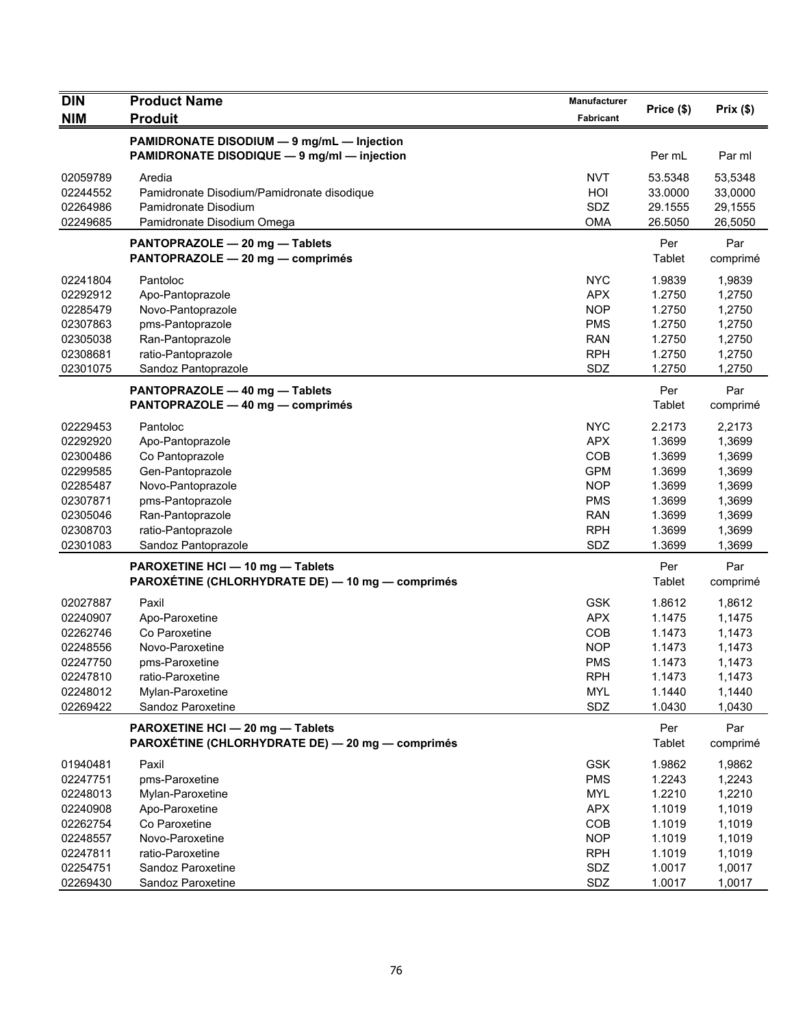| <b>DIN</b>           | <b>Product Name</b>                              | Manufacturer             |                  |                  |
|----------------------|--------------------------------------------------|--------------------------|------------------|------------------|
| <b>NIM</b>           | <b>Produit</b>                                   | <b>Fabricant</b>         | Price (\$)       | Prix(\$)         |
|                      |                                                  |                          |                  |                  |
|                      | PAMIDRONATE DISODIUM - 9 mg/mL - Injection       |                          |                  |                  |
|                      | PAMIDRONATE DISODIQUE - 9 mg/ml - injection      |                          | Per mL           | Par ml           |
| 02059789             | Aredia                                           | <b>NVT</b>               | 53.5348          | 53,5348          |
| 02244552             | Pamidronate Disodium/Pamidronate disodique       | HOI                      | 33.0000          | 33,0000          |
| 02264986             | Pamidronate Disodium                             | <b>SDZ</b>               | 29.1555          | 29,1555          |
| 02249685             | Pamidronate Disodium Omega                       | <b>OMA</b>               | 26.5050          | 26,5050          |
|                      | PANTOPRAZOLE - 20 mg - Tablets                   |                          | Per              | Par              |
|                      | PANTOPRAZOLE - 20 mg - comprimés                 |                          | Tablet           | comprimé         |
| 02241804             | Pantoloc                                         | <b>NYC</b>               | 1.9839           | 1,9839           |
| 02292912             | Apo-Pantoprazole                                 | <b>APX</b>               | 1.2750           | 1,2750           |
| 02285479             | Novo-Pantoprazole                                | <b>NOP</b>               | 1.2750           | 1,2750           |
| 02307863             | pms-Pantoprazole                                 | <b>PMS</b>               | 1.2750           | 1,2750           |
| 02305038             | Ran-Pantoprazole                                 | <b>RAN</b>               | 1.2750           | 1,2750           |
| 02308681             | ratio-Pantoprazole                               | <b>RPH</b>               | 1.2750           | 1,2750           |
| 02301075             | Sandoz Pantoprazole                              | SDZ                      | 1.2750           | 1,2750           |
|                      | PANTOPRAZOLE - 40 mg - Tablets                   |                          | Per              | Par              |
|                      | PANTOPRAZOLE - 40 mg - comprimés                 |                          | Tablet           | comprimé         |
|                      |                                                  |                          |                  |                  |
| 02229453             | Pantoloc                                         | <b>NYC</b>               | 2.2173           | 2.2173           |
| 02292920             | Apo-Pantoprazole                                 | <b>APX</b>               | 1.3699           | 1,3699           |
| 02300486             | Co Pantoprazole                                  | COB                      | 1.3699           | 1,3699           |
| 02299585             | Gen-Pantoprazole                                 | <b>GPM</b>               | 1.3699           | 1,3699           |
| 02285487             | Novo-Pantoprazole                                | <b>NOP</b>               | 1.3699           | 1,3699           |
| 02307871<br>02305046 | pms-Pantoprazole                                 | <b>PMS</b><br><b>RAN</b> | 1.3699<br>1.3699 | 1,3699           |
| 02308703             | Ran-Pantoprazole<br>ratio-Pantoprazole           | <b>RPH</b>               | 1.3699           | 1,3699<br>1,3699 |
| 02301083             | Sandoz Pantoprazole                              | SDZ                      | 1.3699           | 1,3699           |
|                      |                                                  |                          |                  |                  |
|                      | PAROXETINE HCI - 10 mg - Tablets                 |                          | Per              | Par              |
|                      | PAROXÉTINE (CHLORHYDRATE DE) — 10 mg — comprimés |                          | Tablet           | comprimé         |
| 02027887             | Paxil                                            | <b>GSK</b>               | 1.8612           | 1,8612           |
| 02240907             | Apo-Paroxetine                                   | <b>APX</b>               | 1.1475           | 1,1475           |
| 02262746             | Co Paroxetine                                    | COB                      | 1.1473           | 1,1473           |
| 02248556             | Novo-Paroxetine                                  | <b>NOP</b>               | 1.1473           | 1,1473           |
| 02247750             | pms-Paroxetine                                   | <b>PMS</b>               | 1.1473           | 1,1473           |
| 02247810             | ratio-Paroxetine                                 | <b>RPH</b>               | 1.1473           | 1,1473           |
| 02248012             | Mylan-Paroxetine                                 | <b>MYL</b>               | 1.1440           | 1,1440           |
| 02269422             | Sandoz Paroxetine                                | SDZ                      | 1.0430           | 1,0430           |
|                      | PAROXETINE HCI - 20 mg - Tablets                 |                          | Per              | Par              |
|                      | PAROXÉTINE (CHLORHYDRATE DE) - 20 mg - comprimés |                          | Tablet           | comprimé         |
| 01940481             | Paxil                                            | <b>GSK</b>               | 1.9862           | 1,9862           |
| 02247751             | pms-Paroxetine                                   | <b>PMS</b>               | 1.2243           | 1,2243           |
| 02248013             | Mylan-Paroxetine                                 | <b>MYL</b>               | 1.2210           | 1,2210           |
| 02240908             | Apo-Paroxetine                                   | <b>APX</b>               | 1.1019           | 1,1019           |
| 02262754             | Co Paroxetine                                    | COB                      | 1.1019           | 1,1019           |
| 02248557             | Novo-Paroxetine                                  | <b>NOP</b>               | 1.1019           | 1,1019           |
| 02247811             | ratio-Paroxetine                                 | <b>RPH</b>               | 1.1019           | 1,1019           |
| 02254751             | Sandoz Paroxetine                                | SDZ                      | 1.0017           | 1,0017           |
| 02269430             | Sandoz Paroxetine                                | SDZ                      | 1.0017           | 1,0017           |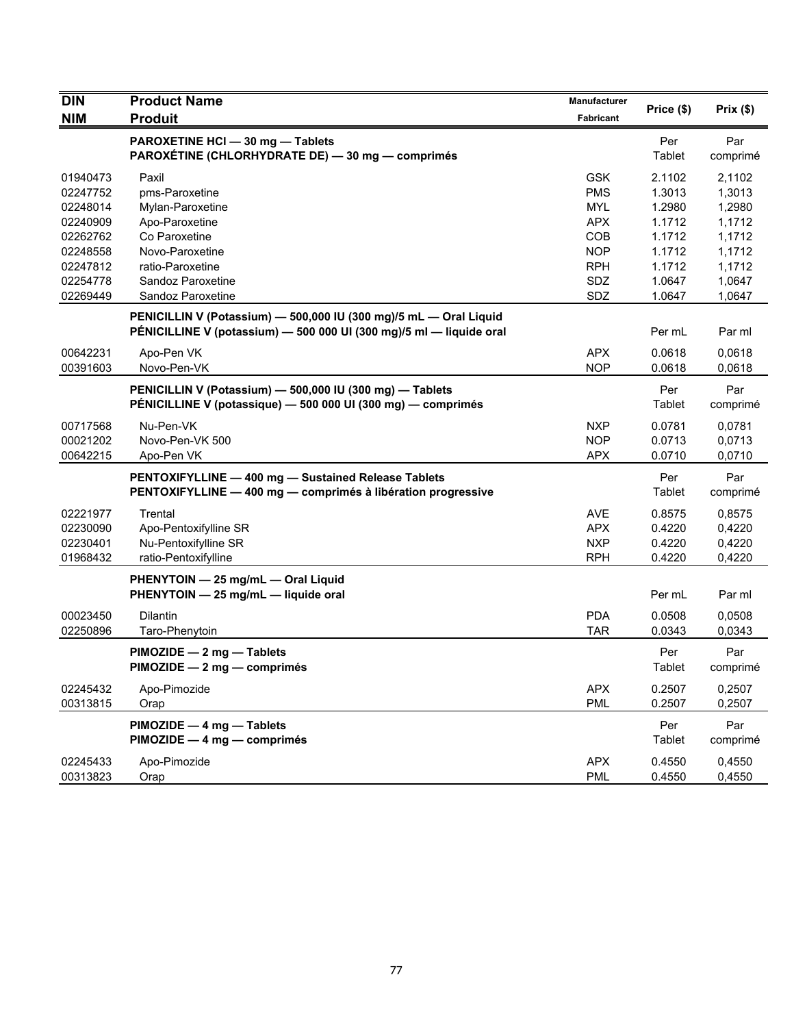| <b>DIN</b> | <b>Product Name</b>                                                                                                                      | Manufacturer | Price (\$)    | Prix(\$)        |
|------------|------------------------------------------------------------------------------------------------------------------------------------------|--------------|---------------|-----------------|
| <b>NIM</b> | <b>Produit</b>                                                                                                                           | Fabricant    |               |                 |
|            | PAROXETINE HCI - 30 mg - Tablets<br>PAROXÉTINE (CHLORHYDRATE DE) - 30 mg - comprimés                                                     |              | Per<br>Tablet | Par<br>comprimé |
| 01940473   | Paxil                                                                                                                                    | <b>GSK</b>   | 2.1102        | 2.1102          |
| 02247752   | pms-Paroxetine                                                                                                                           | <b>PMS</b>   | 1.3013        | 1,3013          |
| 02248014   | Mylan-Paroxetine                                                                                                                         | <b>MYL</b>   | 1.2980        | 1,2980          |
| 02240909   | Apo-Paroxetine                                                                                                                           | <b>APX</b>   | 1.1712        | 1,1712          |
| 02262762   | Co Paroxetine                                                                                                                            | COB          | 1.1712        | 1,1712          |
| 02248558   | Novo-Paroxetine                                                                                                                          | <b>NOP</b>   | 1.1712        | 1,1712          |
| 02247812   | ratio-Paroxetine                                                                                                                         | <b>RPH</b>   | 1.1712        | 1,1712          |
| 02254778   | Sandoz Paroxetine                                                                                                                        | SDZ          | 1.0647        | 1,0647          |
| 02269449   | Sandoz Paroxetine                                                                                                                        | SDZ          | 1.0647        | 1,0647          |
|            | PENICILLIN V (Potassium) - 500,000 IU (300 mg)/5 mL - Oral Liquid<br>PÉNICILLINE V (potassium) - 500 000 UI (300 mg)/5 ml - liquide oral |              | Per mL        | Par ml          |
| 00642231   | Apo-Pen VK                                                                                                                               | <b>APX</b>   | 0.0618        | 0,0618          |
| 00391603   | Novo-Pen-VK                                                                                                                              | <b>NOP</b>   | 0.0618        | 0,0618          |
|            | PENICILLIN V (Potassium) - 500,000 IU (300 mg) - Tablets<br>PÉNICILLINE V (potassique) — 500 000 UI (300 mg) — comprimés                 |              | Per<br>Tablet | Par<br>comprimé |
| 00717568   | Nu-Pen-VK                                                                                                                                | <b>NXP</b>   | 0.0781        | 0,0781          |
| 00021202   | Novo-Pen-VK 500                                                                                                                          | <b>NOP</b>   | 0.0713        | 0,0713          |
| 00642215   | Apo-Pen VK                                                                                                                               | <b>APX</b>   | 0.0710        | 0,0710          |
|            | PENTOXIFYLLINE - 400 mg - Sustained Release Tablets<br>PENTOXIFYLLINE - 400 mg - comprimés à libération progressive                      |              | Per<br>Tablet | Par<br>comprimé |
| 02221977   | Trental                                                                                                                                  | <b>AVE</b>   | 0.8575        | 0,8575          |
| 02230090   | Apo-Pentoxifylline SR                                                                                                                    | <b>APX</b>   | 0.4220        | 0,4220          |
| 02230401   | Nu-Pentoxifylline SR                                                                                                                     | <b>NXP</b>   | 0.4220        | 0,4220          |
| 01968432   | ratio-Pentoxifylline                                                                                                                     | <b>RPH</b>   | 0.4220        | 0,4220          |
|            | PHENYTOIN - 25 mg/mL - Oral Liquid<br>PHENYTOIN - 25 mg/mL - liquide oral                                                                |              | Per mL        | Par ml          |
| 00023450   | <b>Dilantin</b>                                                                                                                          | <b>PDA</b>   | 0.0508        | 0,0508          |
| 02250896   | Taro-Phenytoin                                                                                                                           | <b>TAR</b>   | 0.0343        | 0,0343          |
|            | PIMOZIDE - 2 mg - Tablets<br>PIMOZIDE - 2 mg - comprimés                                                                                 |              | Per<br>Tablet | Par<br>comprimé |
| 02245432   | Apo-Pimozide                                                                                                                             | <b>APX</b>   | 0.2507        | 0,2507          |
| 00313815   | Orap                                                                                                                                     | <b>PML</b>   | 0.2507        | 0,2507          |
|            | PIMOZIDE - 4 mg - Tablets<br>PIMOZIDE - 4 mg - comprimés                                                                                 |              | Per<br>Tablet | Par<br>comprimé |
| 02245433   | Apo-Pimozide                                                                                                                             | <b>APX</b>   | 0.4550        | 0,4550          |
| 00313823   | Orap                                                                                                                                     | <b>PML</b>   | 0.4550        | 0,4550          |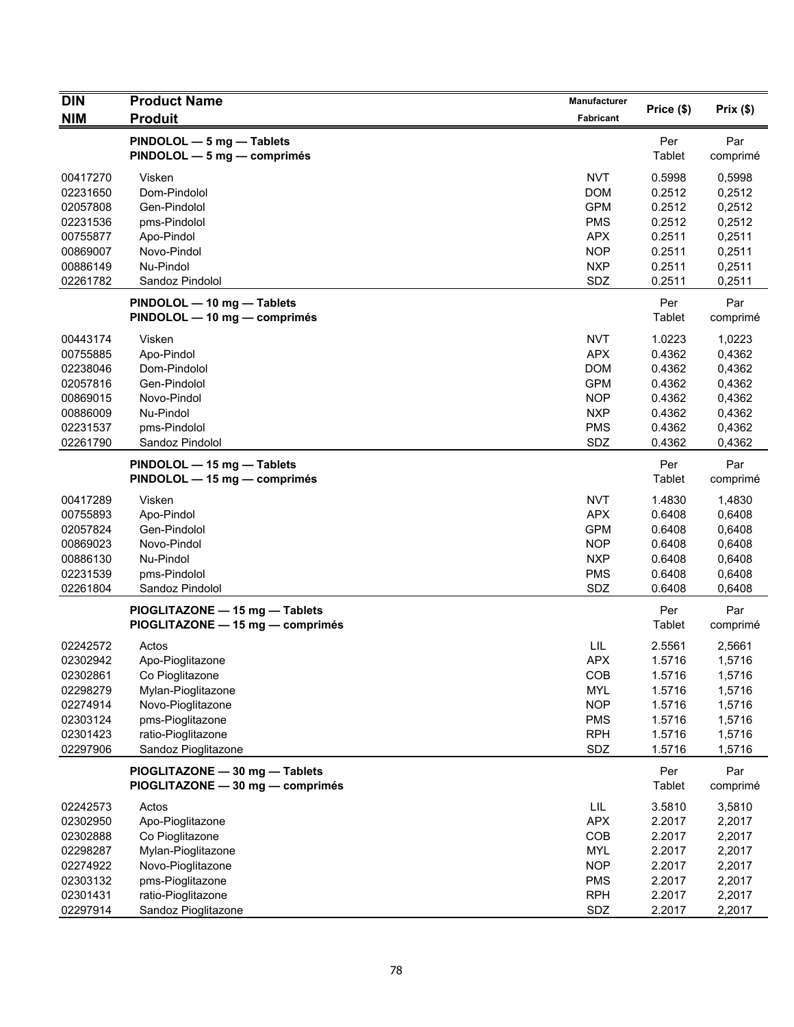| <b>DIN</b>           | <b>Product Name</b>                                                | Manufacturer             |                  |                  |
|----------------------|--------------------------------------------------------------------|--------------------------|------------------|------------------|
| <b>NIM</b>           | <b>Produit</b>                                                     | <b>Fabricant</b>         | Price (\$)       | Prix(\$)         |
|                      | PINDOLOL - 5 mg - Tablets<br>PINDOLOL - 5 mg - comprimés           |                          | Per<br>Tablet    | Par<br>comprimé  |
| 00417270<br>02231650 | Visken<br>Dom-Pindolol                                             | <b>NVT</b><br><b>DOM</b> | 0.5998<br>0.2512 | 0,5998<br>0,2512 |
| 02057808             | Gen-Pindolol                                                       | <b>GPM</b>               | 0.2512           | 0,2512           |
| 02231536<br>00755877 | pms-Pindolol<br>Apo-Pindol                                         | <b>PMS</b><br><b>APX</b> | 0.2512<br>0.2511 | 0,2512<br>0,2511 |
| 00869007             | Novo-Pindol                                                        | <b>NOP</b>               | 0.2511           | 0,2511           |
| 00886149             | Nu-Pindol                                                          | <b>NXP</b>               | 0.2511           | 0,2511           |
| 02261782             | Sandoz Pindolol                                                    | SDZ                      | 0.2511           | 0,2511           |
|                      |                                                                    |                          |                  |                  |
|                      | PINDOLOL - 10 mg - Tablets<br>PINDOLOL - 10 mg - comprimés         |                          | Per<br>Tablet    | Par<br>comprimé  |
| 00443174             | Visken                                                             | <b>NVT</b>               | 1.0223           | 1,0223           |
| 00755885             | Apo-Pindol                                                         | <b>APX</b>               | 0.4362           | 0,4362           |
| 02238046             | Dom-Pindolol                                                       | <b>DOM</b>               | 0.4362           | 0,4362           |
| 02057816             | Gen-Pindolol                                                       | <b>GPM</b>               | 0.4362           | 0,4362           |
| 00869015             | Novo-Pindol                                                        | <b>NOP</b>               | 0.4362           | 0,4362           |
| 00886009             | Nu-Pindol                                                          | <b>NXP</b>               | 0.4362           | 0,4362           |
| 02231537             | pms-Pindolol                                                       | <b>PMS</b>               | 0.4362           | 0,4362           |
| 02261790             | Sandoz Pindolol                                                    | SDZ                      | 0.4362           | 0,4362           |
|                      | PINDOLOL - 15 mg - Tablets<br>PINDOLOL - 15 mg - comprimés         |                          | Per<br>Tablet    | Par<br>comprimé  |
| 00417289             | Visken                                                             | <b>NVT</b>               | 1.4830           | 1,4830           |
| 00755893             | Apo-Pindol                                                         | <b>APX</b>               | 0.6408           | 0,6408           |
| 02057824             | Gen-Pindolol                                                       | <b>GPM</b>               | 0.6408           | 0,6408           |
| 00869023             | Novo-Pindol                                                        | <b>NOP</b>               | 0.6408           | 0,6408           |
| 00886130             | Nu-Pindol                                                          | <b>NXP</b>               | 0.6408           | 0,6408           |
| 02231539             | pms-Pindolol                                                       | <b>PMS</b>               | 0.6408           | 0,6408           |
| 02261804             | Sandoz Pindolol                                                    | SDZ                      | 0.6408           | 0,6408           |
|                      | PIOGLITAZONE - 15 mg - Tablets<br>PIOGLITAZONE - 15 mg - comprimés |                          | Per<br>Tablet    | Par<br>comprimé  |
| 02242572             | Actos                                                              | LIL                      | 2.5561           | 2,5661           |
| 02302942             | Apo-Pioglitazone                                                   | <b>APX</b>               | 1.5716           | 1,5716           |
| 02302861             | Co Pioglitazone                                                    | <b>COB</b>               | 1.5716           | 1,5716           |
| 02298279             | Mylan-Pioglitazone                                                 | <b>MYL</b>               | 1.5716           | 1,5716           |
| 02274914             | Novo-Pioglitazone                                                  | <b>NOP</b>               | 1.5716           | 1,5716           |
| 02303124             | pms-Pioglitazone                                                   | <b>PMS</b>               | 1.5716           | 1,5716           |
| 02301423             | ratio-Pioglitazone                                                 | <b>RPH</b>               | 1.5716           | 1,5716           |
| 02297906             | Sandoz Pioglitazone                                                | SDZ                      | 1.5716           | 1,5716           |
|                      | PIOGLITAZONE - 30 mg - Tablets<br>PIOGLITAZONE - 30 mg - comprimés |                          | Per<br>Tablet    | Par<br>comprimé  |
| 02242573             | Actos                                                              | LIL                      | 3.5810           | 3,5810           |
| 02302950             | Apo-Pioglitazone                                                   | <b>APX</b>               | 2.2017           | 2,2017           |
| 02302888             | Co Pioglitazone                                                    | COB                      | 2.2017           | 2,2017           |
| 02298287             | Mylan-Pioglitazone                                                 | <b>MYL</b>               | 2.2017           | 2,2017           |
| 02274922             | Novo-Pioglitazone                                                  | <b>NOP</b>               | 2.2017           | 2,2017           |
| 02303132             | pms-Pioglitazone                                                   | <b>PMS</b>               | 2.2017           | 2,2017           |
| 02301431             | ratio-Pioglitazone                                                 | <b>RPH</b>               | 2.2017           | 2,2017           |
| 02297914             | Sandoz Pioglitazone                                                | SDZ                      | 2.2017           | 2,2017           |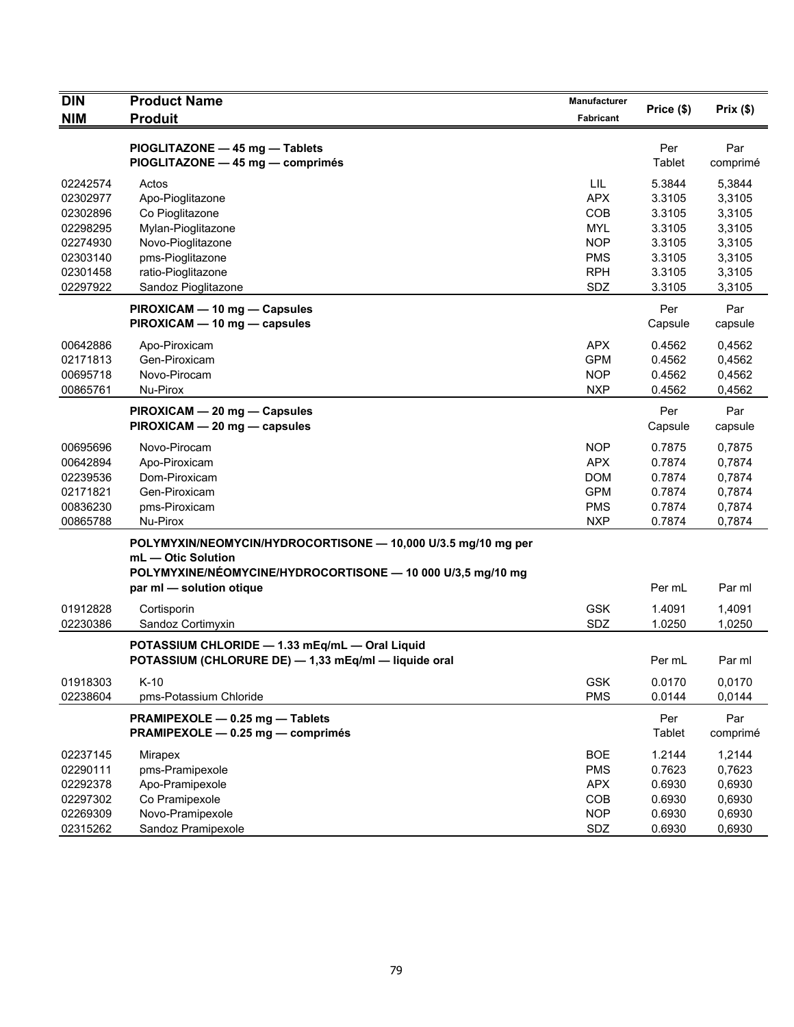| <b>DIN</b><br><b>NIM</b> | <b>Product Name</b><br><b>Produit</b>                                               | Manufacturer<br>Fabricant | Price (\$)       | Prix(\$)         |
|--------------------------|-------------------------------------------------------------------------------------|---------------------------|------------------|------------------|
|                          |                                                                                     |                           |                  |                  |
|                          | PIOGLITAZONE - 45 mg - Tablets<br>PIOGLITAZONE - 45 mg - comprimés                  |                           | Per<br>Tablet    | Par<br>comprimé  |
|                          |                                                                                     |                           |                  |                  |
| 02242574<br>02302977     | Actos                                                                               | <b>LIL</b><br><b>APX</b>  | 5.3844<br>3.3105 | 5,3844           |
| 02302896                 | Apo-Pioglitazone<br>Co Pioglitazone                                                 | COB                       | 3.3105           | 3,3105<br>3,3105 |
| 02298295                 | Mylan-Pioglitazone                                                                  | <b>MYL</b>                | 3.3105           | 3,3105           |
| 02274930                 | Novo-Pioglitazone                                                                   | <b>NOP</b>                | 3.3105           | 3,3105           |
| 02303140                 | pms-Pioglitazone                                                                    | <b>PMS</b>                | 3.3105           | 3,3105           |
| 02301458                 | ratio-Pioglitazone                                                                  | <b>RPH</b>                | 3.3105           | 3,3105           |
| 02297922                 | Sandoz Pioglitazone                                                                 | SDZ                       | 3.3105           | 3,3105           |
|                          | PIROXICAM - 10 mg - Capsules                                                        |                           | Per              | Par              |
|                          | PIROXICAM - 10 mg - capsules                                                        |                           | Capsule          | capsule          |
| 00642886                 | Apo-Piroxicam                                                                       | <b>APX</b>                | 0.4562           | 0,4562           |
| 02171813                 | Gen-Piroxicam                                                                       | <b>GPM</b>                | 0.4562           | 0,4562           |
| 00695718                 | Novo-Pirocam                                                                        | <b>NOP</b>                | 0.4562           | 0,4562           |
| 00865761                 | Nu-Pirox                                                                            | <b>NXP</b>                | 0.4562           | 0,4562           |
|                          | PIROXICAM - 20 mg - Capsules<br>PIROXICAM - 20 mg - capsules                        |                           | Per<br>Capsule   | Par<br>capsule   |
| 00695696                 | Novo-Pirocam                                                                        | <b>NOP</b>                | 0.7875           | 0,7875           |
| 00642894                 | Apo-Piroxicam                                                                       | <b>APX</b>                | 0.7874           | 0,7874           |
| 02239536                 | Dom-Piroxicam                                                                       | <b>DOM</b>                | 0.7874           | 0,7874           |
| 02171821                 | Gen-Piroxicam                                                                       | <b>GPM</b>                | 0.7874           | 0,7874           |
| 00836230                 | pms-Piroxicam                                                                       | <b>PMS</b>                | 0.7874           | 0,7874           |
| 00865788                 | Nu-Pirox                                                                            | <b>NXP</b>                | 0.7874           | 0,7874           |
|                          | POLYMYXIN/NEOMYCIN/HYDROCORTISONE - 10,000 U/3.5 mg/10 mg per<br>mL - Otic Solution |                           |                  |                  |
|                          | POLYMYXINE/NÉOMYCINE/HYDROCORTISONE - 10 000 U/3,5 mg/10 mg                         |                           |                  |                  |
|                          | par ml - solution otique                                                            |                           | Per mL           | Par ml           |
| 01912828                 | Cortisporin                                                                         | <b>GSK</b>                | 1.4091           | 1,4091           |
| 02230386                 | Sandoz Cortimyxin                                                                   | SDZ                       | 1.0250           | 1,0250           |
|                          | POTASSIUM CHLORIDE - 1.33 mEq/mL - Oral Liquid                                      |                           |                  |                  |
|                          | POTASSIUM (CHLORURE DE) - 1,33 mEq/ml - liquide oral                                |                           | Per mL           | Par ml           |
| 01918303                 | $K-10$                                                                              | <b>GSK</b>                | 0.0170           | 0,0170           |
| 02238604                 | pms-Potassium Chloride                                                              | <b>PMS</b>                | 0.0144           | 0,0144           |
|                          | PRAMIPEXOLE - 0.25 mg - Tablets<br>PRAMIPEXOLE - 0.25 mg - comprimés                |                           | Per<br>Tablet    | Par<br>comprimé  |
| 02237145                 | Mirapex                                                                             | <b>BOE</b>                | 1.2144           | 1,2144           |
| 02290111                 | pms-Pramipexole                                                                     | <b>PMS</b>                | 0.7623           | 0,7623           |
| 02292378                 | Apo-Pramipexole                                                                     | <b>APX</b>                | 0.6930           | 0,6930           |
| 02297302                 | Co Pramipexole                                                                      | COB                       | 0.6930           | 0,6930           |
| 02269309                 | Novo-Pramipexole                                                                    | <b>NOP</b>                | 0.6930           | 0,6930           |
| 02315262                 | Sandoz Pramipexole                                                                  | SDZ                       | 0.6930           | 0,6930           |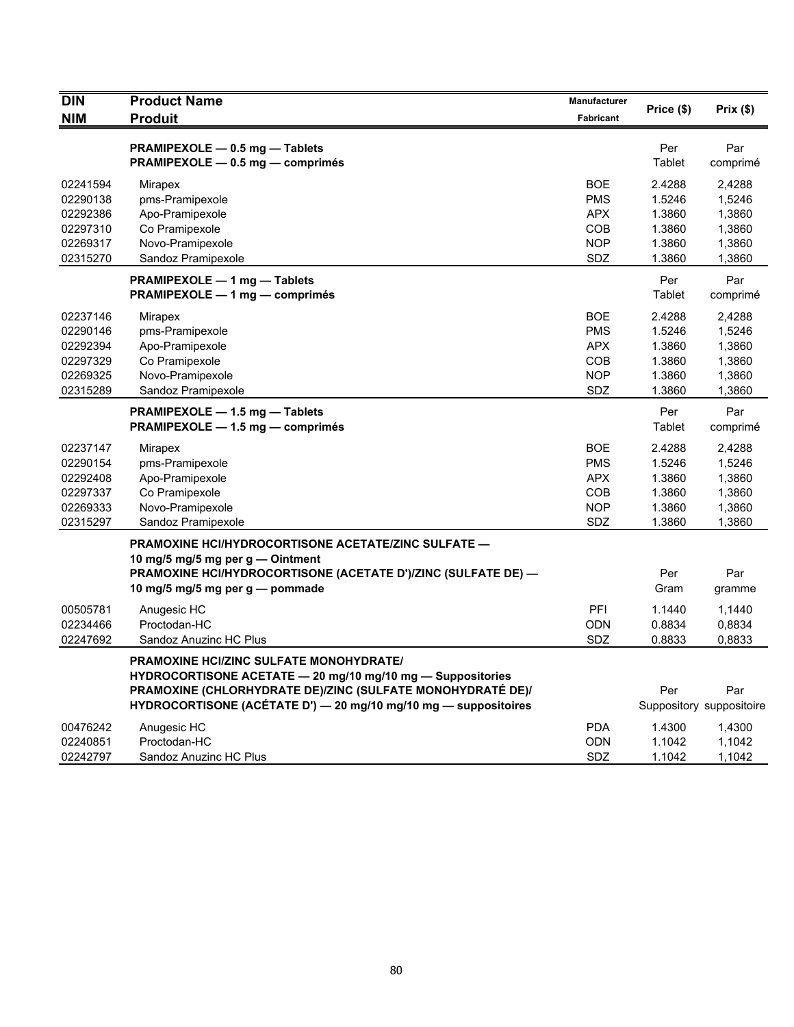| <b>DIN</b> | <b>Product Name</b>                                             | <b>Manufacturer</b> |            |                          |
|------------|-----------------------------------------------------------------|---------------------|------------|--------------------------|
| <b>NIM</b> | <b>Produit</b>                                                  | <b>Fabricant</b>    | Price (\$) | Prix(\$)                 |
|            | PRAMIPEXOLE - 0.5 mg - Tablets                                  |                     | Per        | Par                      |
|            | PRAMIPEXOLE - 0.5 mg - comprimés                                |                     | Tablet     | comprimé                 |
| 02241594   | Mirapex                                                         | <b>BOE</b>          | 2.4288     | 2,4288                   |
| 02290138   | pms-Pramipexole                                                 | <b>PMS</b>          | 1.5246     | 1,5246                   |
| 02292386   | Apo-Pramipexole                                                 | <b>APX</b>          | 1.3860     | 1,3860                   |
| 02297310   | Co Pramipexole                                                  | COB                 | 1.3860     | 1,3860                   |
| 02269317   | Novo-Pramipexole                                                | <b>NOP</b>          | 1.3860     | 1,3860                   |
| 02315270   | Sandoz Pramipexole                                              | <b>SDZ</b>          | 1.3860     | 1,3860                   |
|            | PRAMIPEXOLE - 1 mg - Tablets                                    |                     | Per        | Par                      |
|            | PRAMIPEXOLE - 1 mg - comprimés                                  |                     | Tablet     | comprimé                 |
| 02237146   | Mirapex                                                         | <b>BOE</b>          | 2.4288     | 2,4288                   |
| 02290146   | pms-Pramipexole                                                 | <b>PMS</b>          | 1.5246     | 1,5246                   |
| 02292394   | Apo-Pramipexole                                                 | <b>APX</b>          | 1.3860     | 1,3860                   |
| 02297329   | Co Pramipexole                                                  | COB                 | 1.3860     | 1,3860                   |
| 02269325   | Novo-Pramipexole                                                | <b>NOP</b>          | 1.3860     | 1,3860                   |
| 02315289   | Sandoz Pramipexole                                              | <b>SDZ</b>          | 1.3860     | 1,3860                   |
|            | PRAMIPEXOLE - 1.5 mg - Tablets                                  |                     | Per        | Par                      |
|            | PRAMIPEXOLE - 1.5 mg - comprimés                                |                     | Tablet     | comprimé                 |
| 02237147   | Mirapex                                                         | <b>BOE</b>          | 2.4288     | 2.4288                   |
| 02290154   | pms-Pramipexole                                                 | <b>PMS</b>          | 1.5246     | 1,5246                   |
| 02292408   | Apo-Pramipexole                                                 | <b>APX</b>          | 1.3860     | 1,3860                   |
| 02297337   | Co Pramipexole                                                  | COB                 | 1.3860     | 1,3860                   |
| 02269333   | Novo-Pramipexole                                                | <b>NOP</b>          | 1.3860     | 1,3860                   |
| 02315297   | Sandoz Pramipexole                                              | SDZ                 | 1.3860     | 1,3860                   |
|            | <b>PRAMOXINE HCI/HYDROCORTISONE ACETATE/ZINC SULFATE —</b>      |                     |            |                          |
|            | 10 mg/5 mg/5 mg per $g -$ Ointment                              |                     |            |                          |
|            | PRAMOXINE HCI/HYDROCORTISONE (ACETATE D')/ZINC (SULFATE DE) -   |                     | Per        | Par                      |
|            | 10 mg/5 mg/5 mg per g — pommade                                 |                     | Gram       | gramme                   |
| 00505781   | Anugesic HC                                                     | PFI                 | 1.1440     | 1,1440                   |
| 02234466   | Proctodan-HC                                                    | <b>ODN</b>          | 0.8834     | 0,8834                   |
| 02247692   | Sandoz Anuzinc HC Plus                                          | SDZ                 | 0.8833     | 0,8833                   |
|            | <b>PRAMOXINE HCI/ZINC SULFATE MONOHYDRATE/</b>                  |                     |            |                          |
|            | HYDROCORTISONE ACETATE - 20 mg/10 mg/10 mg - Suppositories      |                     |            |                          |
|            | PRAMOXINE (CHLORHYDRATE DE)/ZINC (SULFATE MONOHYDRATÉ DE)/      |                     | Per        | Par                      |
|            | HYDROCORTISONE (ACÉTATE D') - 20 mg/10 mg/10 mg - suppositoires |                     |            | Suppository suppositoire |
| 00476242   | Anugesic HC                                                     | <b>PDA</b>          | 1.4300     | 1,4300                   |
| 02240851   | Proctodan-HC                                                    | <b>ODN</b>          | 1.1042     | 1,1042                   |
| 02242797   | Sandoz Anuzinc HC Plus                                          | SDZ                 | 1.1042     | 1,1042                   |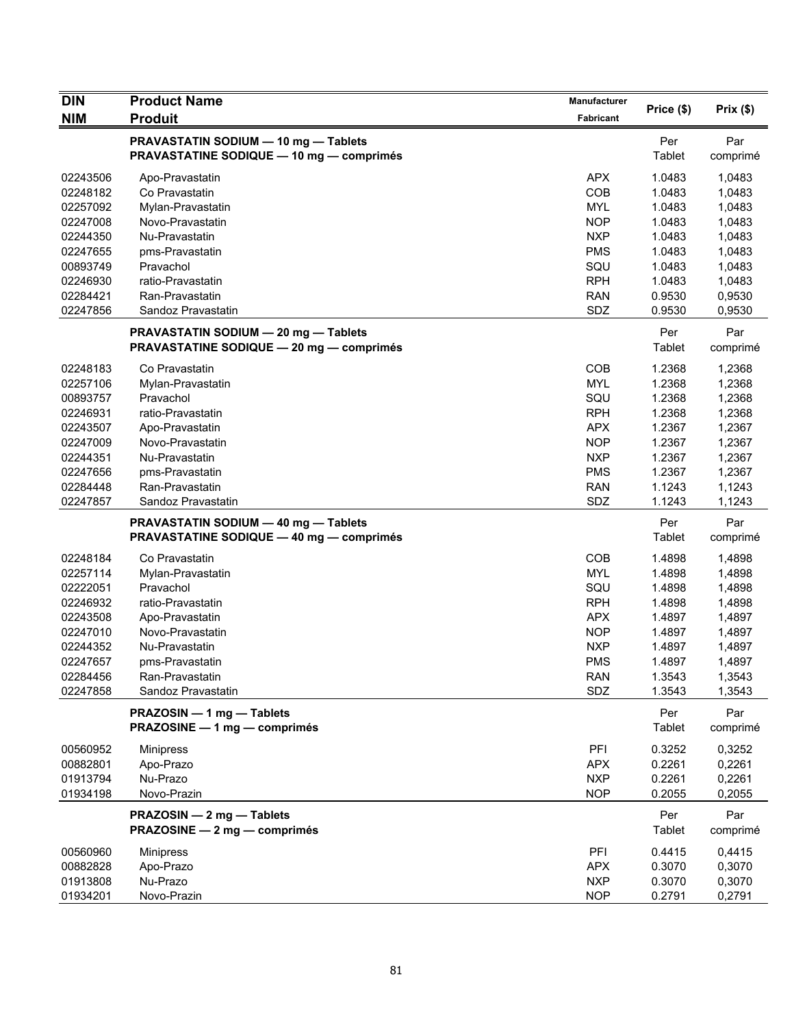| <b>DIN</b> | <b>Product Name</b>                                                                     | <b>Manufacturer</b> | Price (\$)    |                 |
|------------|-----------------------------------------------------------------------------------------|---------------------|---------------|-----------------|
| <b>NIM</b> | <b>Produit</b>                                                                          | Fabricant           |               | Prix (\$)       |
|            | PRAVASTATIN SODIUM - 10 mg - Tablets<br><b>PRAVASTATINE SODIQUE - 10 mg - comprimés</b> |                     | Per<br>Tablet | Par<br>comprimé |
| 02243506   | Apo-Pravastatin                                                                         | <b>APX</b>          | 1.0483        | 1,0483          |
| 02248182   | Co Pravastatin                                                                          | COB                 | 1.0483        | 1,0483          |
| 02257092   | Mylan-Pravastatin                                                                       | <b>MYL</b>          | 1.0483        | 1,0483          |
| 02247008   | Novo-Pravastatin                                                                        | <b>NOP</b>          | 1.0483        | 1,0483          |
| 02244350   | Nu-Pravastatin                                                                          | <b>NXP</b>          | 1.0483        | 1,0483          |
| 02247655   | pms-Pravastatin                                                                         | <b>PMS</b>          | 1.0483        | 1,0483          |
| 00893749   | Pravachol                                                                               | SQU                 | 1.0483        | 1,0483          |
| 02246930   | ratio-Pravastatin                                                                       | <b>RPH</b>          | 1.0483        | 1,0483          |
| 02284421   | Ran-Pravastatin                                                                         | <b>RAN</b>          | 0.9530        | 0,9530          |
| 02247856   | Sandoz Pravastatin                                                                      | SDZ                 | 0.9530        | 0,9530          |
|            | PRAVASTATIN SODIUM - 20 mg - Tablets<br><b>PRAVASTATINE SODIQUE - 20 mg - comprimés</b> |                     | Per<br>Tablet | Par<br>comprimé |
| 02248183   | Co Pravastatin                                                                          | COB                 | 1.2368        | 1,2368          |
| 02257106   | Mylan-Pravastatin                                                                       | <b>MYL</b>          | 1.2368        | 1,2368          |
| 00893757   | Pravachol                                                                               | SQU                 | 1.2368        | 1,2368          |
| 02246931   | ratio-Pravastatin                                                                       | <b>RPH</b>          | 1.2368        | 1,2368          |
| 02243507   | Apo-Pravastatin                                                                         | <b>APX</b>          | 1.2367        | 1,2367          |
| 02247009   | Novo-Pravastatin                                                                        | <b>NOP</b>          | 1.2367        | 1,2367          |
| 02244351   | Nu-Pravastatin                                                                          | <b>NXP</b>          | 1.2367        | 1,2367          |
| 02247656   | pms-Pravastatin                                                                         | <b>PMS</b>          | 1.2367        | 1,2367          |
| 02284448   | Ran-Pravastatin                                                                         | <b>RAN</b>          | 1.1243        | 1,1243          |
| 02247857   | Sandoz Pravastatin                                                                      | SDZ                 | 1.1243        | 1,1243          |
|            | PRAVASTATIN SODIUM - 40 mg - Tablets                                                    |                     | Per           | Par             |
|            | <b>PRAVASTATINE SODIQUE - 40 mg - comprimés</b>                                         |                     | Tablet        | comprimé        |
| 02248184   | Co Pravastatin                                                                          | COB                 | 1.4898        | 1,4898          |
| 02257114   | Mylan-Pravastatin                                                                       | <b>MYL</b>          | 1.4898        | 1,4898          |
| 02222051   | Pravachol                                                                               | SQU                 | 1.4898        | 1,4898          |
| 02246932   | ratio-Pravastatin                                                                       | <b>RPH</b>          | 1.4898        | 1,4898          |
| 02243508   | Apo-Pravastatin                                                                         | <b>APX</b>          | 1.4897        | 1,4897          |
| 02247010   | Novo-Pravastatin                                                                        | <b>NOP</b>          | 1.4897        | 1,4897          |
| 02244352   | Nu-Pravastatin                                                                          | <b>NXP</b>          | 1.4897        | 1,4897          |
| 02247657   | pms-Pravastatin                                                                         | <b>PMS</b>          | 1.4897        | 1,4897          |
| 02284456   | Ran-Pravastatin                                                                         | <b>RAN</b>          | 1.3543        | 1,3543          |
| 02247858   | Sandoz Pravastatin                                                                      | SDZ                 | 1.3543        | 1,3543          |
|            | PRAZOSIN - 1 mg - Tablets<br>PRAZOSINE - 1 mg - comprimés                               |                     | Per<br>Tablet | Par<br>comprimé |
| 00560952   | <b>Minipress</b>                                                                        | PFI                 | 0.3252        | 0,3252          |
| 00882801   | Apo-Prazo                                                                               | <b>APX</b>          | 0.2261        | 0,2261          |
| 01913794   | Nu-Prazo                                                                                | <b>NXP</b>          | 0.2261        | 0,2261          |
| 01934198   | Novo-Prazin                                                                             | <b>NOP</b>          | 0.2055        | 0,2055          |
|            | PRAZOSIN - 2 mg - Tablets                                                               |                     | Per           | Par             |
|            | PRAZOSINE - 2 mg - comprimés                                                            |                     | <b>Tablet</b> | comprimé        |
| 00560960   | <b>Minipress</b>                                                                        | PFI                 | 0.4415        | 0,4415          |
| 00882828   | Apo-Prazo                                                                               | <b>APX</b>          | 0.3070        | 0,3070          |
| 01913808   | Nu-Prazo                                                                                | <b>NXP</b>          | 0.3070        | 0,3070          |
| 01934201   | Novo-Prazin                                                                             | <b>NOP</b>          | 0.2791        | 0,2791          |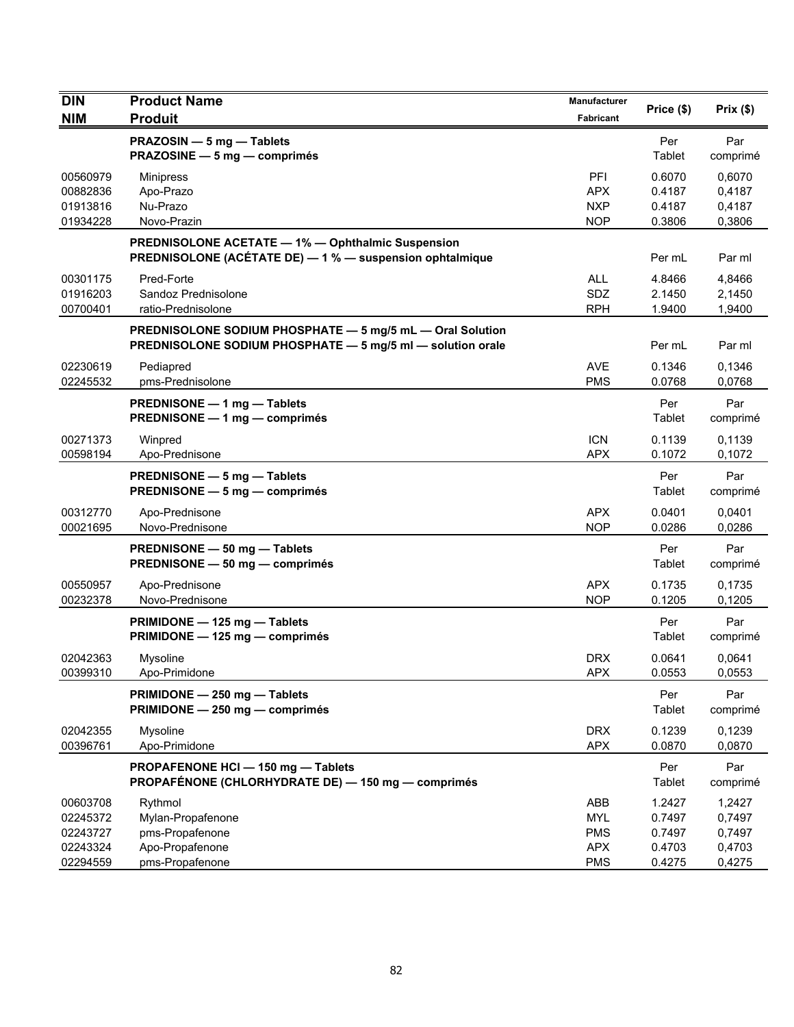| <b>DIN</b>                                               | <b>Product Name</b>                                                                                                     | Manufacturer                                                | Price (\$)                                     | Prix(\$)                                       |
|----------------------------------------------------------|-------------------------------------------------------------------------------------------------------------------------|-------------------------------------------------------------|------------------------------------------------|------------------------------------------------|
| <b>NIM</b>                                               | <b>Produit</b>                                                                                                          | Fabricant                                                   |                                                |                                                |
|                                                          | PRAZOSIN - 5 mg - Tablets<br>PRAZOSINE - 5 mg - comprimés                                                               |                                                             | Per<br>Tablet                                  | Par<br>comprimé                                |
| 00560979<br>00882836<br>01913816<br>01934228             | <b>Minipress</b><br>Apo-Prazo<br>Nu-Prazo<br>Novo-Prazin                                                                | PFI<br><b>APX</b><br><b>NXP</b><br><b>NOP</b>               | 0.6070<br>0.4187<br>0.4187<br>0.3806           | 0,6070<br>0,4187<br>0,4187<br>0,3806           |
|                                                          | <b>PREDNISOLONE ACETATE - 1% - Ophthalmic Suspension</b><br>PREDNISOLONE (ACÉTATE DE) - 1 % - suspension ophtalmique    |                                                             | Per mL                                         | Par ml                                         |
| 00301175<br>01916203<br>00700401                         | Pred-Forte<br>Sandoz Prednisolone<br>ratio-Prednisolone                                                                 | <b>ALL</b><br>SDZ<br><b>RPH</b>                             | 4.8466<br>2.1450<br>1.9400                     | 4,8466<br>2,1450<br>1,9400                     |
|                                                          | PREDNISOLONE SODIUM PHOSPHATE - 5 mg/5 mL - Oral Solution<br>PREDNISOLONE SODIUM PHOSPHATE - 5 mg/5 ml - solution orale |                                                             | Per mL                                         | Par ml                                         |
| 02230619<br>02245532                                     | Pediapred<br>pms-Prednisolone                                                                                           | <b>AVE</b><br><b>PMS</b>                                    | 0.1346<br>0.0768                               | 0.1346<br>0,0768                               |
|                                                          | PREDNISONE - 1 mg - Tablets<br>PREDNISONE - 1 mg - comprimés                                                            |                                                             | Per<br>Tablet                                  | Par<br>comprimé                                |
| 00271373<br>00598194                                     | Winpred<br>Apo-Prednisone                                                                                               | <b>ICN</b><br><b>APX</b>                                    | 0.1139<br>0.1072                               | 0,1139<br>0,1072                               |
|                                                          | PREDNISONE - 5 mg - Tablets<br>PREDNISONE - 5 mg - comprimés                                                            |                                                             | Per<br>Tablet                                  | Par<br>comprimé                                |
| 00312770<br>00021695                                     | Apo-Prednisone<br>Novo-Prednisone                                                                                       | <b>APX</b><br><b>NOP</b>                                    | 0.0401<br>0.0286                               | 0,0401<br>0,0286                               |
|                                                          | PREDNISONE - 50 mg - Tablets<br>PREDNISONE - 50 mg - comprimés                                                          |                                                             | Per<br>Tablet                                  | Par<br>comprimé                                |
| 00550957<br>00232378                                     | Apo-Prednisone<br>Novo-Prednisone                                                                                       | <b>APX</b><br><b>NOP</b>                                    | 0.1735<br>0.1205                               | 0.1735<br>0,1205                               |
|                                                          | PRIMIDONE - 125 mg - Tablets<br>PRIMIDONE - 125 mg - comprimés                                                          |                                                             | Per<br>Tablet                                  | Par<br>comprimé                                |
| 02042363<br>00399310                                     | Mysoline<br>Apo-Primidone                                                                                               | <b>DRX</b><br><b>APX</b>                                    | 0.0641<br>0.0553                               | 0,0641<br>0,0553                               |
|                                                          | PRIMIDONE - 250 mg - Tablets<br>PRIMIDONE - 250 mg - comprimés                                                          |                                                             | Per<br>Tablet                                  | Par<br>comprimé                                |
| 02042355<br>00396761                                     | Mysoline<br>Apo-Primidone                                                                                               | <b>DRX</b><br><b>APX</b>                                    | 0.1239<br>0.0870                               | 0,1239<br>0,0870                               |
|                                                          | PROPAFENONE HCI - 150 mg - Tablets<br>PROPAFÉNONE (CHLORHYDRATE DE) - 150 mg - comprimés                                |                                                             | Per<br>Tablet                                  | Par<br>comprimé                                |
| 00603708<br>02245372<br>02243727<br>02243324<br>02294559 | Rythmol<br>Mylan-Propafenone<br>pms-Propafenone<br>Apo-Propafenone<br>pms-Propafenone                                   | ABB<br><b>MYL</b><br><b>PMS</b><br><b>APX</b><br><b>PMS</b> | 1.2427<br>0.7497<br>0.7497<br>0.4703<br>0.4275 | 1,2427<br>0,7497<br>0,7497<br>0,4703<br>0,4275 |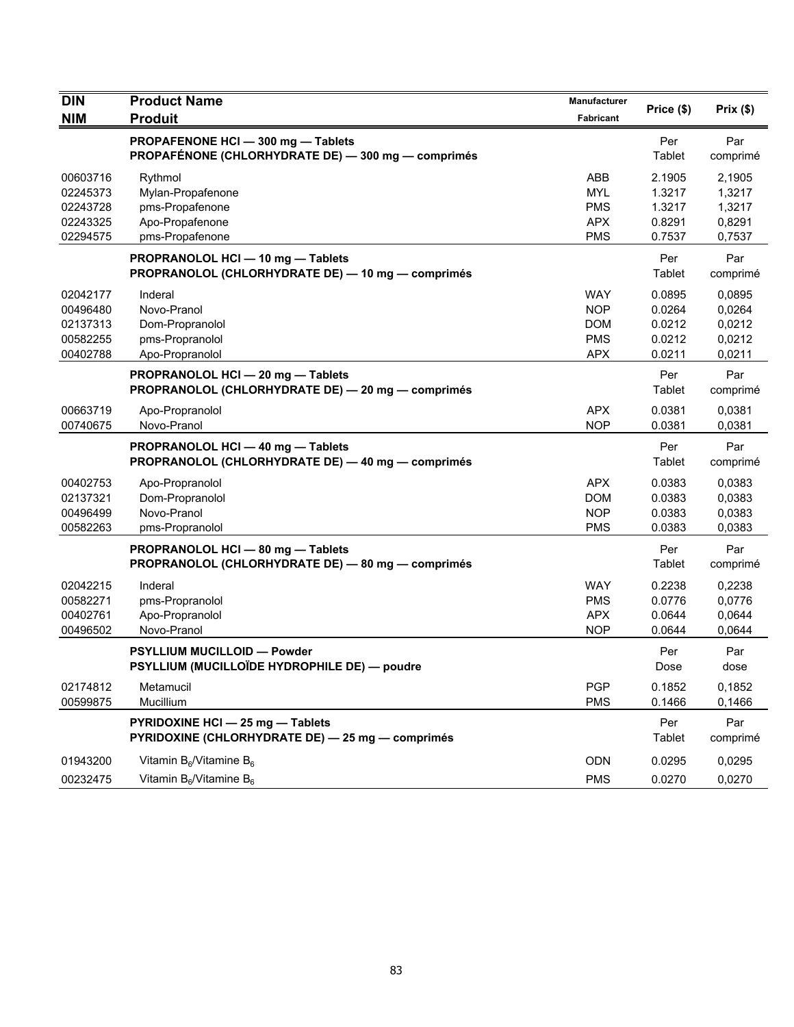| <b>DIN</b>                                               | <b>Product Name</b>                                                                    | Manufacturer                                                       | Price (\$)                                     | Prix(\$)                                       |
|----------------------------------------------------------|----------------------------------------------------------------------------------------|--------------------------------------------------------------------|------------------------------------------------|------------------------------------------------|
| <b>NIM</b>                                               | <b>Produit</b>                                                                         | Fabricant                                                          |                                                |                                                |
|                                                          | PROPAFENONE HCI-300 mg-Tablets<br>PROPAFÉNONE (CHLORHYDRATE DE) - 300 mg - comprimés   |                                                                    | Per<br>Tablet                                  | Par<br>comprimé                                |
| 00603716<br>02245373<br>02243728<br>02243325<br>02294575 | Rythmol<br>Mylan-Propafenone<br>pms-Propafenone<br>Apo-Propafenone<br>pms-Propafenone  | ABB<br><b>MYL</b><br><b>PMS</b><br><b>APX</b><br><b>PMS</b>        | 2.1905<br>1.3217<br>1.3217<br>0.8291<br>0.7537 | 2,1905<br>1,3217<br>1,3217<br>0,8291<br>0,7537 |
|                                                          | PROPRANOLOL HCI - 10 mg - Tablets<br>PROPRANOLOL (CHLORHYDRATE DE) - 10 mg - comprimés |                                                                    | Per<br>Tablet                                  | Par<br>comprimé                                |
| 02042177<br>00496480<br>02137313<br>00582255<br>00402788 | Inderal<br>Novo-Pranol<br>Dom-Propranolol<br>pms-Propranolol<br>Apo-Propranolol        | <b>WAY</b><br><b>NOP</b><br><b>DOM</b><br><b>PMS</b><br><b>APX</b> | 0.0895<br>0.0264<br>0.0212<br>0.0212<br>0.0211 | 0.0895<br>0,0264<br>0,0212<br>0,0212<br>0,0211 |
|                                                          | PROPRANOLOL HCI-20 mg-Tablets<br>PROPRANOLOL (CHLORHYDRATE DE) - 20 mg - comprimés     |                                                                    | Per<br>Tablet                                  | Par<br>comprimé                                |
| 00663719<br>00740675                                     | Apo-Propranolol<br>Novo-Pranol                                                         | <b>APX</b><br><b>NOP</b>                                           | 0.0381<br>0.0381                               | 0,0381<br>0,0381                               |
|                                                          | PROPRANOLOL HCI - 40 mg - Tablets<br>PROPRANOLOL (CHLORHYDRATE DE) - 40 mg - comprimés |                                                                    | Per<br>Tablet                                  | Par<br>comprimé                                |
| 00402753<br>02137321<br>00496499<br>00582263             | Apo-Propranolol<br>Dom-Propranolol<br>Novo-Pranol<br>pms-Propranolol                   | <b>APX</b><br><b>DOM</b><br><b>NOP</b><br><b>PMS</b>               | 0.0383<br>0.0383<br>0.0383<br>0.0383           | 0,0383<br>0,0383<br>0,0383<br>0,0383           |
|                                                          | PROPRANOLOL HCI - 80 mg - Tablets<br>PROPRANOLOL (CHLORHYDRATE DE) - 80 mg - comprimés |                                                                    | Per<br>Tablet                                  | Par<br>comprimé                                |
| 02042215<br>00582271<br>00402761<br>00496502             | Inderal<br>pms-Propranolol<br>Apo-Propranolol<br>Novo-Pranol                           | <b>WAY</b><br><b>PMS</b><br><b>APX</b><br><b>NOP</b>               | 0.2238<br>0.0776<br>0.0644<br>0.0644           | 0,2238<br>0,0776<br>0,0644<br>0,0644           |
|                                                          | <b>PSYLLIUM MUCILLOID - Powder</b><br>PSYLLIUM (MUCILLOÏDE HYDROPHILE DE) — poudre     |                                                                    | Per<br>Dose                                    | Par<br>dose                                    |
| 02174812<br>00599875                                     | Metamucil<br>Mucillium                                                                 | <b>PGP</b><br><b>PMS</b>                                           | 0.1852<br>0.1466                               | 0,1852<br>0,1466                               |
|                                                          | PYRIDOXINE HCI - 25 mg - Tablets<br>PYRIDOXINE (CHLORHYDRATE DE) - 25 mg - comprimés   |                                                                    | Per<br>Tablet                                  | Par<br>comprimé                                |
| 01943200<br>00232475                                     | Vitamin $B_6$ /Vitamine $B_6$<br>Vitamin $B_6$ /Vitamine $B_6$                         | ODN<br><b>PMS</b>                                                  | 0.0295<br>0.0270                               | 0,0295<br>0,0270                               |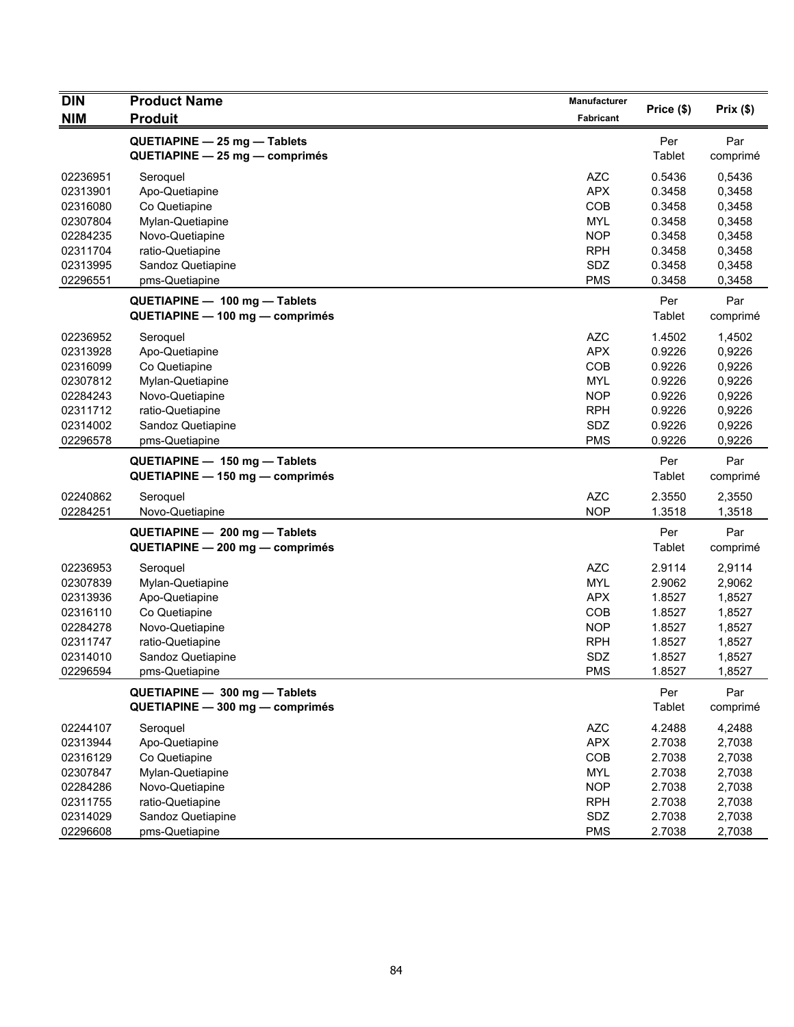| <b>DIN</b> | <b>Product Name</b>              | Manufacturer     |            |          |
|------------|----------------------------------|------------------|------------|----------|
| <b>NIM</b> | <b>Produit</b>                   | <b>Fabricant</b> | Price (\$) | Prix(\$) |
|            | QUETIAPINE - 25 mg - Tablets     |                  | Per        | Par      |
|            | $QUETIAPINE - 25 mg - comprimés$ |                  | Tablet     | comprimé |
| 02236951   | Seroquel                         | <b>AZC</b>       | 0.5436     | 0,5436   |
| 02313901   | Apo-Quetiapine                   | <b>APX</b>       | 0.3458     | 0,3458   |
| 02316080   | Co Quetiapine                    | COB              | 0.3458     | 0,3458   |
| 02307804   | Mylan-Quetiapine                 | <b>MYL</b>       | 0.3458     | 0,3458   |
| 02284235   | Novo-Quetiapine                  | <b>NOP</b>       | 0.3458     | 0,3458   |
| 02311704   | ratio-Quetiapine                 | <b>RPH</b>       | 0.3458     | 0,3458   |
| 02313995   | Sandoz Quetiapine                | SDZ              | 0.3458     | 0,3458   |
| 02296551   | pms-Quetiapine                   | <b>PMS</b>       | 0.3458     | 0,3458   |
|            | QUETIAPINE - 100 mg - Tablets    |                  | Per        | Par      |
|            | QUETIAPINE - 100 mg - comprimés  |                  | Tablet     | comprimé |
| 02236952   | Seroquel                         | <b>AZC</b>       | 1.4502     | 1,4502   |
| 02313928   | Apo-Quetiapine                   | <b>APX</b>       | 0.9226     | 0,9226   |
| 02316099   | Co Quetiapine                    | COB              | 0.9226     | 0,9226   |
| 02307812   | Mylan-Quetiapine                 | <b>MYL</b>       | 0.9226     | 0,9226   |
| 02284243   | Novo-Quetiapine                  | <b>NOP</b>       | 0.9226     | 0,9226   |
| 02311712   | ratio-Quetiapine                 | <b>RPH</b>       | 0.9226     | 0,9226   |
| 02314002   | Sandoz Quetiapine                | SDZ              | 0.9226     | 0,9226   |
| 02296578   | pms-Quetiapine                   | <b>PMS</b>       | 0.9226     | 0,9226   |
|            | QUETIAPINE - 150 mg - Tablets    |                  | Per        | Par      |
|            | QUETIAPINE - 150 mg - comprimés  |                  | Tablet     | comprimé |
| 02240862   | Seroquel                         | <b>AZC</b>       | 2.3550     | 2,3550   |
| 02284251   | Novo-Quetiapine                  | <b>NOP</b>       | 1.3518     | 1,3518   |
|            | QUETIAPINE - 200 mg - Tablets    |                  | Per        | Par      |
|            | QUETIAPINE - 200 mg - comprimés  |                  | Tablet     | comprimé |
| 02236953   | Seroquel                         | <b>AZC</b>       | 2.9114     | 2,9114   |
| 02307839   | Mylan-Quetiapine                 | <b>MYL</b>       | 2.9062     | 2,9062   |
| 02313936   | Apo-Quetiapine                   | <b>APX</b>       | 1.8527     | 1,8527   |
| 02316110   | Co Quetiapine                    | <b>COB</b>       | 1.8527     | 1,8527   |
| 02284278   | Novo-Quetiapine                  | <b>NOP</b>       | 1.8527     | 1,8527   |
| 02311747   | ratio-Quetiapine                 | <b>RPH</b>       | 1.8527     | 1,8527   |
| 02314010   | Sandoz Quetiapine                | SDZ              | 1.8527     | 1,8527   |
| 02296594   | pms-Quetiapine                   | <b>PMS</b>       | 1.8527     | 1,8527   |
|            | QUETIAPINE - 300 mg - Tablets    |                  | Per        | Par      |
|            | QUETIAPINE - 300 mg - comprimés  |                  | Tablet     | comprimé |
| 02244107   | Seroquel                         | <b>AZC</b>       | 4.2488     | 4,2488   |
| 02313944   | Apo-Quetiapine                   | <b>APX</b>       | 2.7038     | 2,7038   |
| 02316129   | Co Quetiapine                    | COB              | 2.7038     | 2,7038   |
| 02307847   | Mylan-Quetiapine                 | <b>MYL</b>       | 2.7038     | 2,7038   |
| 02284286   | Novo-Quetiapine                  | <b>NOP</b>       | 2.7038     | 2,7038   |
| 02311755   | ratio-Quetiapine                 | <b>RPH</b>       | 2.7038     | 2,7038   |
| 02314029   | Sandoz Quetiapine                | SDZ              | 2.7038     | 2,7038   |
| 02296608   | pms-Quetiapine                   | <b>PMS</b>       | 2.7038     | 2,7038   |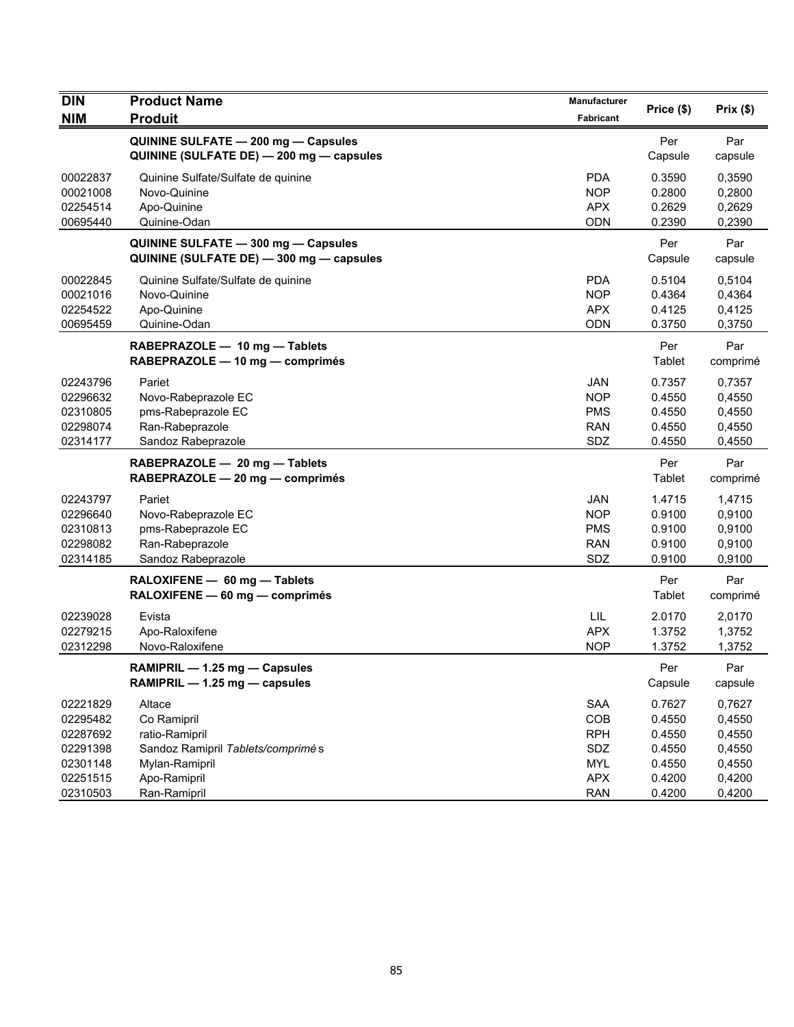| <b>DIN</b>                                               | <b>Product Name</b>                                                                             | <b>Manufacturer</b>                                                | Price (\$)                                     | Prix(\$)                                       |
|----------------------------------------------------------|-------------------------------------------------------------------------------------------------|--------------------------------------------------------------------|------------------------------------------------|------------------------------------------------|
| <b>NIM</b>                                               | <b>Produit</b>                                                                                  | Fabricant                                                          |                                                |                                                |
|                                                          | QUININE SULFATE - 200 mg - Capsules<br>QUININE (SULFATE DE) - 200 mg - capsules                 |                                                                    | Per<br>Capsule                                 | Par<br>capsule                                 |
| 00022837<br>00021008<br>02254514<br>00695440             | Quinine Sulfate/Sulfate de quinine<br>Novo-Quinine<br>Apo-Quinine<br>Quinine-Odan               | <b>PDA</b><br><b>NOP</b><br><b>APX</b><br><b>ODN</b>               | 0.3590<br>0.2800<br>0.2629<br>0.2390           | 0,3590<br>0,2800<br>0,2629<br>0,2390           |
|                                                          | QUININE SULFATE - 300 mg - Capsules<br>QUININE (SULFATE DE) - 300 mg - capsules                 |                                                                    | Per<br>Capsule                                 | Par<br>capsule                                 |
| 00022845<br>00021016<br>02254522<br>00695459             | Quinine Sulfate/Sulfate de quinine<br>Novo-Quinine<br>Apo-Quinine<br>Quinine-Odan               | <b>PDA</b><br><b>NOP</b><br><b>APX</b><br><b>ODN</b>               | 0.5104<br>0.4364<br>0.4125<br>0.3750           | 0,5104<br>0,4364<br>0,4125<br>0,3750           |
|                                                          | RABEPRAZOLE - 10 mg - Tablets<br>RABEPRAZOLE - 10 mg - comprimés                                |                                                                    | Per<br>Tablet                                  | Par<br>comprimé                                |
| 02243796<br>02296632<br>02310805<br>02298074<br>02314177 | Pariet<br>Novo-Rabeprazole EC<br>pms-Rabeprazole EC<br>Ran-Rabeprazole<br>Sandoz Rabeprazole    | <b>JAN</b><br><b>NOP</b><br><b>PMS</b><br><b>RAN</b><br>SDZ        | 0.7357<br>0.4550<br>0.4550<br>0.4550<br>0.4550 | 0,7357<br>0,4550<br>0,4550<br>0,4550<br>0,4550 |
|                                                          | RABEPRAZOLE - 20 mg - Tablets<br>RABEPRAZOLE - 20 mg - comprimés                                |                                                                    | Per<br>Tablet                                  | Par<br>comprimé                                |
| 02243797<br>02296640<br>02310813<br>02298082<br>02314185 | Pariet<br>Novo-Rabeprazole EC<br>pms-Rabeprazole EC<br>Ran-Rabeprazole<br>Sandoz Rabeprazole    | <b>JAN</b><br><b>NOP</b><br><b>PMS</b><br><b>RAN</b><br><b>SDZ</b> | 1.4715<br>0.9100<br>0.9100<br>0.9100<br>0.9100 | 1,4715<br>0,9100<br>0,9100<br>0,9100<br>0,9100 |
|                                                          | RALOXIFENE - 60 mg - Tablets<br>RALOXIFENE - 60 mg - comprimés                                  |                                                                    | Per<br>Tablet                                  | Par<br>comprimé                                |
| 02239028<br>02279215<br>02312298                         | Evista<br>Apo-Raloxifene<br>Novo-Raloxifene                                                     | LIL<br><b>APX</b><br><b>NOP</b>                                    | 2.0170<br>1.3752<br>1.3752                     | 2,0170<br>1,3752<br>1,3752                     |
|                                                          | RAMIPRIL - 1.25 mg - Capsules<br>RAMIPRIL - 1.25 mg - capsules                                  |                                                                    | Per<br>Capsule                                 | Par<br>capsule                                 |
| 02221829<br>02295482<br>02287692<br>02291398<br>02301148 | Altace<br>Co Ramipril<br>ratio-Ramipril<br>Sandoz Ramipril Tablets/comprimé s<br>Mylan-Ramipril | SAA<br>COB<br><b>RPH</b><br>SDZ<br><b>MYL</b>                      | 0.7627<br>0.4550<br>0.4550<br>0.4550<br>0.4550 | 0,7627<br>0,4550<br>0,4550<br>0,4550<br>0,4550 |
| 02251515<br>02310503                                     | Apo-Ramipril<br>Ran-Ramipril                                                                    | <b>APX</b><br><b>RAN</b>                                           | 0.4200<br>0.4200                               | 0,4200<br>0,4200                               |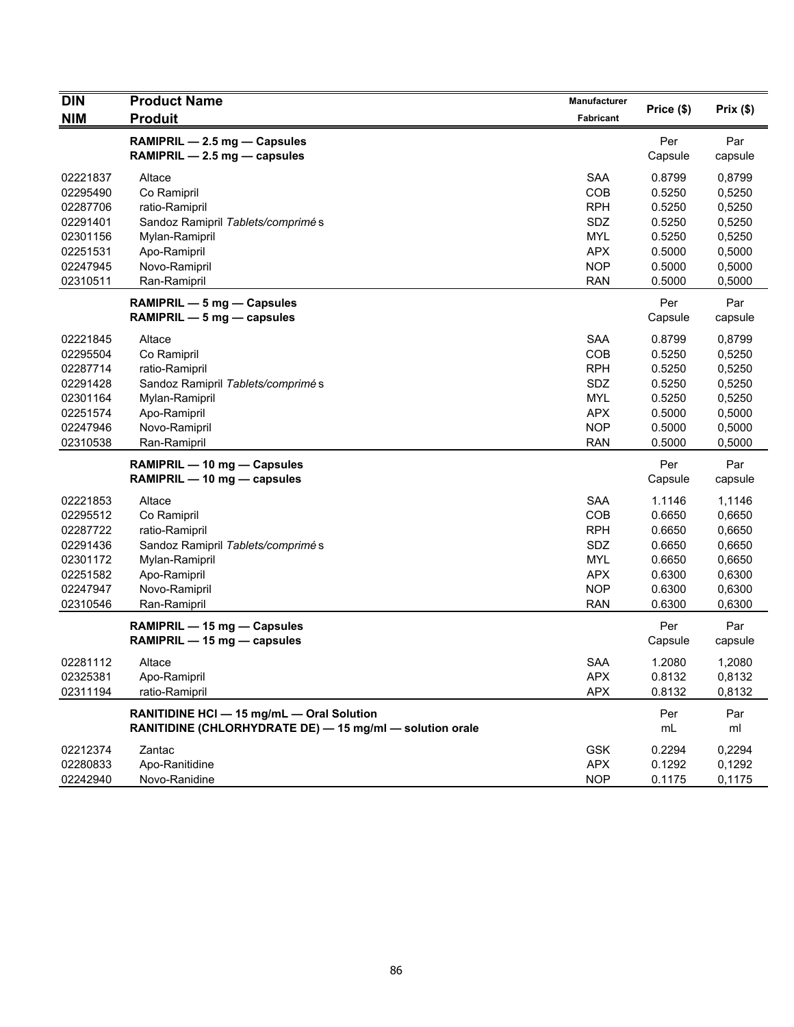| <b>DIN</b> | <b>Product Name</b>                                         | Manufacturer     |                |          |
|------------|-------------------------------------------------------------|------------------|----------------|----------|
| <b>NIM</b> | <b>Produit</b>                                              | <b>Fabricant</b> | Price (\$)     | Prix(\$) |
|            | RAMIPRIL - 2.5 mg - Capsules                                |                  | Per            | Par      |
|            | RAMIPRIL - 2.5 mg - capsules                                |                  | Capsule        | capsule  |
| 02221837   | Altace                                                      | <b>SAA</b>       | 0.8799         | 0,8799   |
| 02295490   | Co Ramipril                                                 | COB              | 0.5250         | 0,5250   |
| 02287706   | ratio-Ramipril                                              | <b>RPH</b>       | 0.5250         | 0,5250   |
| 02291401   | Sandoz Ramipril Tablets/comprimé s                          | SDZ              | 0.5250         | 0,5250   |
| 02301156   | Mylan-Ramipril                                              | <b>MYL</b>       | 0.5250         | 0,5250   |
| 02251531   | Apo-Ramipril                                                | <b>APX</b>       | 0.5000         | 0,5000   |
| 02247945   | Novo-Ramipril                                               | <b>NOP</b>       | 0.5000         | 0,5000   |
| 02310511   | Ran-Ramipril                                                | <b>RAN</b>       | 0.5000         | 0,5000   |
|            |                                                             |                  |                | Par      |
|            | RAMIPRIL - 5 mg - Capsules<br>RAMIPRIL $-5$ mg $-$ capsules |                  | Per<br>Capsule | capsule  |
| 02221845   | Altace                                                      | <b>SAA</b>       | 0.8799         | 0,8799   |
| 02295504   | Co Ramipril                                                 | COB              | 0.5250         | 0,5250   |
| 02287714   | ratio-Ramipril                                              | <b>RPH</b>       | 0.5250         | 0,5250   |
| 02291428   | Sandoz Ramipril Tablets/comprimés                           | SDZ              | 0.5250         | 0,5250   |
| 02301164   | Mylan-Ramipril                                              | <b>MYL</b>       | 0.5250         | 0,5250   |
| 02251574   | Apo-Ramipril                                                | <b>APX</b>       | 0.5000         | 0,5000   |
| 02247946   | Novo-Ramipril                                               | <b>NOP</b>       | 0.5000         | 0,5000   |
| 02310538   | Ran-Ramipril                                                | <b>RAN</b>       | 0.5000         | 0,5000   |
|            | RAMIPRIL - 10 mg - Capsules                                 |                  | Per            | Par      |
|            | RAMIPRIL - 10 mg - capsules                                 |                  | Capsule        | capsule  |
| 02221853   | Altace                                                      | <b>SAA</b>       | 1.1146         | 1,1146   |
| 02295512   | Co Ramipril                                                 | COB              | 0.6650         | 0,6650   |
| 02287722   | ratio-Ramipril                                              | <b>RPH</b>       | 0.6650         | 0,6650   |
| 02291436   | Sandoz Ramipril Tablets/comprimés                           | SDZ              | 0.6650         | 0,6650   |
| 02301172   | Mylan-Ramipril                                              | <b>MYL</b>       | 0.6650         | 0,6650   |
| 02251582   | Apo-Ramipril                                                | <b>APX</b>       | 0.6300         | 0,6300   |
| 02247947   | Novo-Ramipril                                               | <b>NOP</b>       | 0.6300         | 0,6300   |
| 02310546   | Ran-Ramipril                                                | <b>RAN</b>       | 0.6300         | 0,6300   |
|            | RAMIPRIL - 15 mg - Capsules                                 |                  | Per            | Par      |
|            | RAMIPRIL - 15 mg - capsules                                 |                  | Capsule        | capsule  |
| 02281112   | Altace                                                      | <b>SAA</b>       | 1.2080         | 1,2080   |
| 02325381   | Apo-Ramipril                                                | <b>APX</b>       | 0.8132         | 0,8132   |
| 02311194   | ratio-Ramipril                                              | <b>APX</b>       | 0.8132         | 0,8132   |
|            | RANITIDINE HCI - 15 mg/mL - Oral Solution                   |                  | Per            | Par      |
|            | RANITIDINE (CHLORHYDRATE DE) - 15 mg/ml - solution orale    |                  | mL             | ml       |
| 02212374   | Zantac                                                      | <b>GSK</b>       | 0.2294         | 0,2294   |
| 02280833   | Apo-Ranitidine                                              | <b>APX</b>       | 0.1292         | 0,1292   |
| 02242940   | Novo-Ranidine                                               | <b>NOP</b>       | 0.1175         | 0,1175   |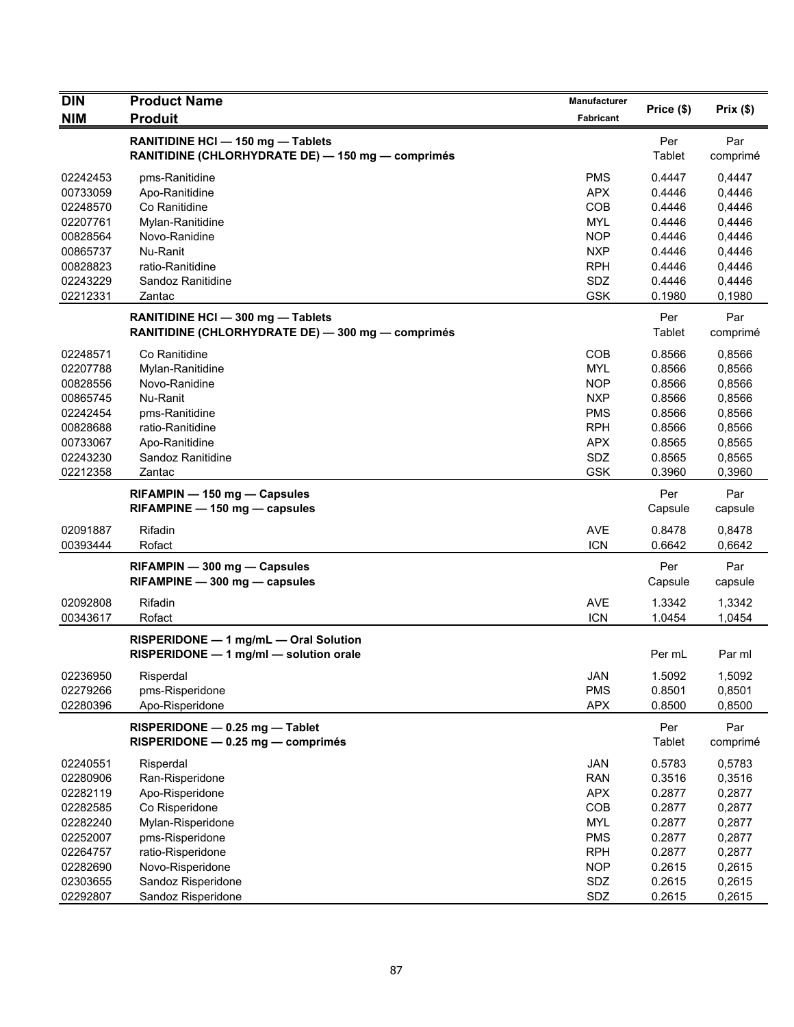| <b>DIN</b> | <b>Product Name</b>                                                                    | <b>Manufacturer</b> |                | Prix (\$)       |
|------------|----------------------------------------------------------------------------------------|---------------------|----------------|-----------------|
| <b>NIM</b> | <b>Produit</b>                                                                         | Fabricant           | Price (\$)     |                 |
|            | RANITIDINE HCI - 150 mg - Tablets<br>RANITIDINE (CHLORHYDRATE DE) - 150 mg - comprimés |                     | Per<br>Tablet  | Par<br>comprimé |
| 02242453   | pms-Ranitidine                                                                         | <b>PMS</b>          | 0.4447         | 0,4447          |
| 00733059   | Apo-Ranitidine                                                                         | <b>APX</b>          | 0.4446         | 0,4446          |
| 02248570   | Co Ranitidine                                                                          | COB                 | 0.4446         | 0,4446          |
| 02207761   | Mylan-Ranitidine                                                                       | <b>MYL</b>          | 0.4446         | 0,4446          |
| 00828564   | Novo-Ranidine                                                                          | <b>NOP</b>          | 0.4446         | 0,4446          |
| 00865737   | Nu-Ranit                                                                               | <b>NXP</b>          | 0.4446         | 0,4446          |
| 00828823   | ratio-Ranitidine                                                                       | <b>RPH</b>          | 0.4446         | 0,4446          |
| 02243229   | Sandoz Ranitidine                                                                      | SDZ                 | 0.4446         | 0,4446          |
| 02212331   | Zantac                                                                                 | <b>GSK</b>          | 0.1980         | 0,1980          |
|            | RANITIDINE HCI - 300 mg - Tablets<br>RANITIDINE (CHLORHYDRATE DE) - 300 mg - comprimés |                     | Per<br>Tablet  | Par<br>comprimé |
| 02248571   | Co Ranitidine                                                                          | COB                 | 0.8566         | 0,8566          |
| 02207788   | Mylan-Ranitidine                                                                       | MYL                 | 0.8566         | 0,8566          |
| 00828556   | Novo-Ranidine                                                                          | <b>NOP</b>          | 0.8566         | 0,8566          |
| 00865745   | Nu-Ranit                                                                               | <b>NXP</b>          | 0.8566         | 0,8566          |
| 02242454   | pms-Ranitidine                                                                         | <b>PMS</b>          | 0.8566         | 0,8566          |
| 00828688   | ratio-Ranitidine                                                                       | <b>RPH</b>          | 0.8566         | 0,8566          |
| 00733067   | Apo-Ranitidine                                                                         | <b>APX</b>          | 0.8565         | 0,8565          |
| 02243230   | Sandoz Ranitidine                                                                      | SDZ                 | 0.8565         | 0,8565          |
| 02212358   | Zantac                                                                                 | <b>GSK</b>          | 0.3960         | 0,3960          |
|            | RIFAMPIN - 150 mg - Capsules<br>RIFAMPINE - 150 mg - capsules                          |                     | Per<br>Capsule | Par<br>capsule  |
| 02091887   | Rifadin                                                                                | <b>AVE</b>          | 0.8478         | 0,8478          |
| 00393444   | Rofact                                                                                 | <b>ICN</b>          | 0.6642         | 0,6642          |
|            | RIFAMPIN - 300 mg - Capsules<br>RIFAMPINE - 300 mg - capsules                          |                     | Per<br>Capsule | Par<br>capsule  |
| 02092808   | Rifadin                                                                                | <b>AVE</b>          | 1.3342         | 1,3342          |
| 00343617   | Rofact                                                                                 | <b>ICN</b>          | 1.0454         | 1,0454          |
|            | RISPERIDONE - 1 mg/mL - Oral Solution<br>RISPERIDONE - 1 mg/ml - solution orale        |                     | Per mL         | Par ml          |
| 02236950   | Risperdal                                                                              | JAN                 | 1.5092         | 1,5092          |
| 02279266   | pms-Risperidone                                                                        | <b>PMS</b>          | 0.8501         | 0,8501          |
| 02280396   | Apo-Risperidone                                                                        | <b>APX</b>          | 0.8500         | 0,8500          |
|            | RISPERIDONE - 0.25 mg - Tablet<br>RISPERIDONE - 0.25 mg - comprimés                    |                     | Per<br>Tablet  | Par<br>comprimé |
| 02240551   | Risperdal                                                                              | <b>JAN</b>          | 0.5783         | 0,5783          |
| 02280906   | Ran-Risperidone                                                                        | <b>RAN</b>          | 0.3516         | 0,3516          |
| 02282119   | Apo-Risperidone                                                                        | <b>APX</b>          | 0.2877         | 0,2877          |
| 02282585   | Co Risperidone                                                                         | COB                 | 0.2877         | 0,2877          |
| 02282240   | Mylan-Risperidone                                                                      | <b>MYL</b>          | 0.2877         | 0,2877          |
| 02252007   | pms-Risperidone                                                                        | <b>PMS</b>          | 0.2877         | 0,2877          |
| 02264757   | ratio-Risperidone                                                                      | <b>RPH</b>          | 0.2877         | 0,2877          |
| 02282690   | Novo-Risperidone                                                                       | <b>NOP</b>          | 0.2615         | 0,2615          |
| 02303655   | Sandoz Risperidone                                                                     | SDZ                 | 0.2615         | 0,2615          |
| 02292807   | Sandoz Risperidone                                                                     | SDZ                 | 0.2615         | 0,2615          |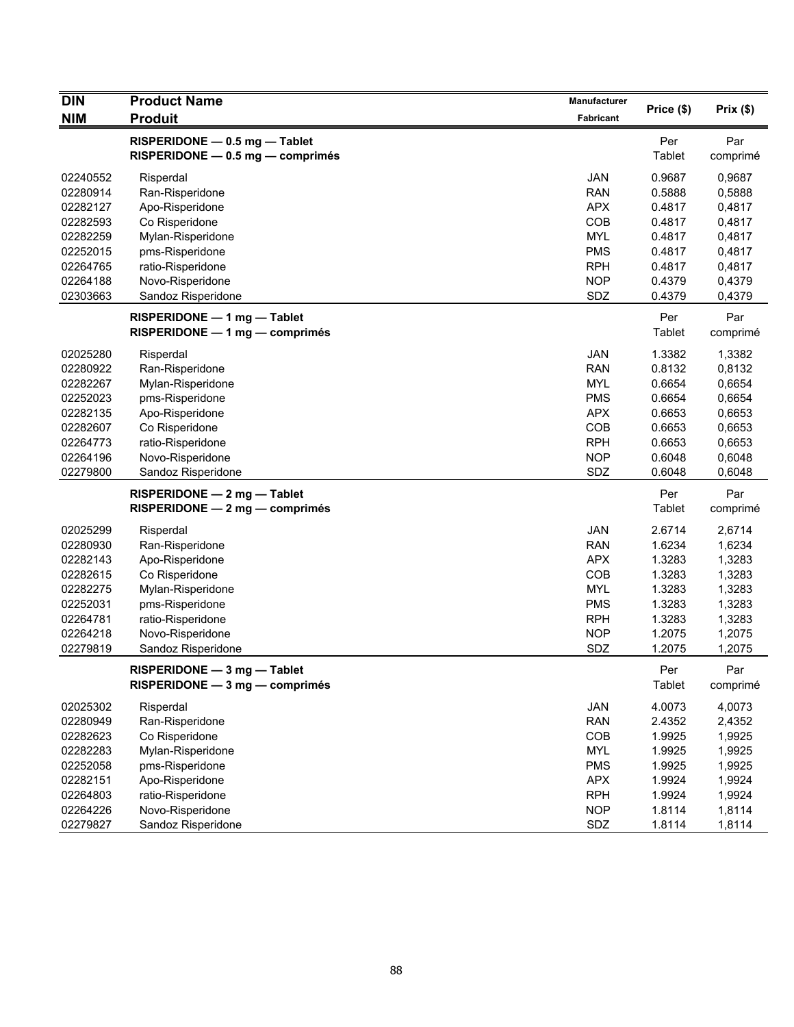| <b>DIN</b> | <b>Product Name</b>              | Manufacturer | Price (\$) | Prix(\$) |
|------------|----------------------------------|--------------|------------|----------|
| <b>NIM</b> | <b>Produit</b>                   | Fabricant    |            |          |
|            | RISPERIDONE - 0.5 mg - Tablet    |              | Per        | Par      |
|            | RISPERIDONE - 0.5 mg - comprimés |              | Tablet     | comprimé |
| 02240552   | Risperdal                        | JAN          | 0.9687     | 0,9687   |
| 02280914   | Ran-Risperidone                  | <b>RAN</b>   | 0.5888     | 0,5888   |
| 02282127   | Apo-Risperidone                  | <b>APX</b>   | 0.4817     | 0,4817   |
| 02282593   | Co Risperidone                   | COB          | 0.4817     | 0,4817   |
| 02282259   | Mylan-Risperidone                | <b>MYL</b>   | 0.4817     | 0,4817   |
| 02252015   | pms-Risperidone                  | <b>PMS</b>   | 0.4817     | 0,4817   |
| 02264765   | ratio-Risperidone                | <b>RPH</b>   | 0.4817     | 0,4817   |
| 02264188   | Novo-Risperidone                 | <b>NOP</b>   | 0.4379     | 0,4379   |
| 02303663   | Sandoz Risperidone               | SDZ          | 0.4379     | 0,4379   |
|            | RISPERIDONE - 1 mg - Tablet      |              | Per        | Par      |
|            | RISPERIDONE - 1 mg - comprimés   |              | Tablet     | comprimé |
| 02025280   | Risperdal                        | JAN          | 1.3382     | 1,3382   |
| 02280922   | Ran-Risperidone                  | <b>RAN</b>   | 0.8132     | 0,8132   |
| 02282267   | Mylan-Risperidone                | MYL          | 0.6654     | 0,6654   |
| 02252023   | pms-Risperidone                  | <b>PMS</b>   | 0.6654     | 0,6654   |
| 02282135   | Apo-Risperidone                  | <b>APX</b>   | 0.6653     | 0,6653   |
| 02282607   | Co Risperidone                   | COB          | 0.6653     | 0,6653   |
| 02264773   | ratio-Risperidone                | <b>RPH</b>   | 0.6653     | 0,6653   |
| 02264196   | Novo-Risperidone                 | <b>NOP</b>   | 0.6048     | 0,6048   |
| 02279800   | Sandoz Risperidone               | SDZ          | 0.6048     | 0,6048   |
|            | RISPERIDONE - 2 mg - Tablet      |              | Per        | Par      |
|            | $RISPERIDONE - 2 mg - comprimés$ |              | Tablet     | comprimé |
| 02025299   | Risperdal                        | <b>JAN</b>   | 2.6714     | 2,6714   |
| 02280930   | Ran-Risperidone                  | <b>RAN</b>   | 1.6234     | 1,6234   |
| 02282143   | Apo-Risperidone                  | <b>APX</b>   | 1.3283     | 1,3283   |
| 02282615   | Co Risperidone                   | COB          | 1.3283     | 1,3283   |
| 02282275   | Mylan-Risperidone                | <b>MYL</b>   | 1.3283     | 1,3283   |
| 02252031   | pms-Risperidone                  | <b>PMS</b>   | 1.3283     | 1,3283   |
| 02264781   | ratio-Risperidone                | <b>RPH</b>   | 1.3283     | 1,3283   |
| 02264218   | Novo-Risperidone                 | <b>NOP</b>   | 1.2075     | 1,2075   |
| 02279819   | Sandoz Risperidone               | SDZ          | 1.2075     | 1,2075   |
|            | RISPERIDONE - 3 mg - Tablet      |              | Per        | Par      |
|            | RISPERIDONE - 3 mg - comprimés   |              | Tablet     | comprimé |
| 02025302   | Risperdal                        | JAN          | 4.0073     | 4,0073   |
| 02280949   | Ran-Risperidone                  | <b>RAN</b>   | 2.4352     | 2,4352   |
| 02282623   | Co Risperidone                   | COB          | 1.9925     | 1,9925   |
| 02282283   | Mylan-Risperidone                | MYL          | 1.9925     | 1,9925   |
| 02252058   | pms-Risperidone                  | <b>PMS</b>   | 1.9925     | 1,9925   |
| 02282151   | Apo-Risperidone                  | <b>APX</b>   | 1.9924     | 1,9924   |
| 02264803   | ratio-Risperidone                | <b>RPH</b>   | 1.9924     | 1,9924   |
| 02264226   | Novo-Risperidone                 | <b>NOP</b>   | 1.8114     | 1,8114   |
| 02279827   | Sandoz Risperidone               | SDZ          | 1.8114     | 1,8114   |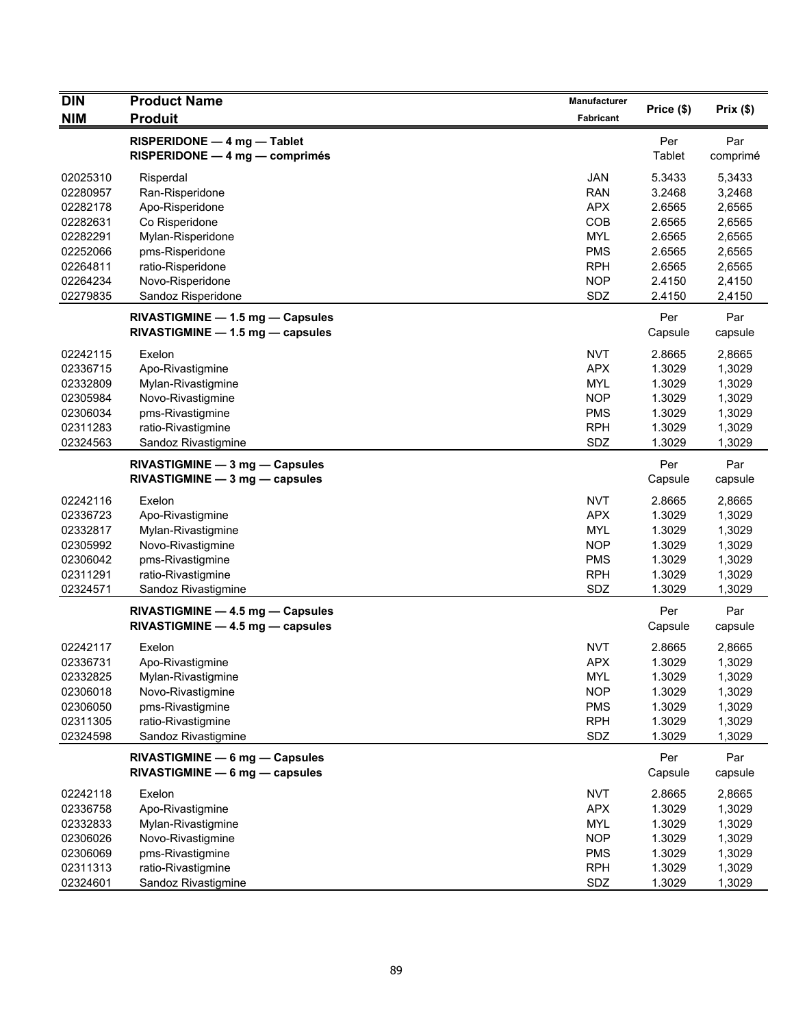| <b>DIN</b> | <b>Product Name</b>                                                  | Manufacturer |                |                 |
|------------|----------------------------------------------------------------------|--------------|----------------|-----------------|
| <b>NIM</b> | <b>Produit</b>                                                       | Fabricant    | Price (\$)     | Prix(\$)        |
|            | RISPERIDONE - 4 mg - Tablet<br>$RISPERIDONE - 4 mg - comprimés$      |              | Per<br>Tablet  | Par<br>comprimé |
| 02025310   | Risperdal                                                            | <b>JAN</b>   | 5.3433         | 5,3433          |
| 02280957   | Ran-Risperidone                                                      | <b>RAN</b>   | 3.2468         | 3,2468          |
| 02282178   | Apo-Risperidone                                                      | <b>APX</b>   | 2.6565         | 2,6565          |
| 02282631   | Co Risperidone                                                       | COB          | 2.6565         | 2,6565          |
| 02282291   | Mylan-Risperidone                                                    | <b>MYL</b>   | 2.6565         | 2,6565          |
| 02252066   | pms-Risperidone                                                      | <b>PMS</b>   | 2.6565         | 2,6565          |
| 02264811   | ratio-Risperidone                                                    | <b>RPH</b>   | 2.6565         | 2,6565          |
| 02264234   | Novo-Risperidone                                                     | <b>NOP</b>   | 2.4150         | 2,4150          |
| 02279835   | Sandoz Risperidone                                                   | SDZ          | 2.4150         | 2,4150          |
|            | RIVASTIGMINE - 1.5 mg - Capsules<br>RIVASTIGMINE - 1.5 mg - capsules |              | Per<br>Capsule | Par<br>capsule  |
| 02242115   | Exelon                                                               | <b>NVT</b>   | 2.8665         | 2,8665          |
| 02336715   | Apo-Rivastigmine                                                     | <b>APX</b>   | 1.3029         | 1,3029          |
| 02332809   | Mylan-Rivastigmine                                                   | <b>MYL</b>   | 1.3029         | 1,3029          |
| 02305984   | Novo-Rivastigmine                                                    | <b>NOP</b>   | 1.3029         | 1,3029          |
| 02306034   | pms-Rivastigmine                                                     | <b>PMS</b>   | 1.3029         | 1,3029          |
| 02311283   | ratio-Rivastigmine                                                   | <b>RPH</b>   | 1.3029         | 1,3029          |
| 02324563   | Sandoz Rivastigmine                                                  | SDZ          | 1.3029         | 1,3029          |
|            | RIVASTIGMINE - 3 mg - Capsules<br>$RIVASTIGMINE - 3 mg - capsules$   |              | Per<br>Capsule | Par<br>capsule  |
| 02242116   | Exelon                                                               | <b>NVT</b>   | 2.8665         | 2,8665          |
| 02336723   | Apo-Rivastigmine                                                     | <b>APX</b>   | 1.3029         | 1,3029          |
| 02332817   | Mylan-Rivastigmine                                                   | <b>MYL</b>   | 1.3029         | 1,3029          |
| 02305992   | Novo-Rivastigmine                                                    | <b>NOP</b>   | 1.3029         | 1,3029          |
| 02306042   | pms-Rivastigmine                                                     | <b>PMS</b>   | 1.3029         | 1,3029          |
| 02311291   | ratio-Rivastigmine                                                   | <b>RPH</b>   | 1.3029         | 1,3029          |
| 02324571   | Sandoz Rivastigmine                                                  | SDZ          | 1.3029         | 1,3029          |
|            | RIVASTIGMINE - 4.5 mg - Capsules                                     |              | Per            | Par             |
|            | RIVASTIGMINE - 4.5 mg - capsules                                     |              | Capsule        | capsule         |
| 02242117   | Exelon                                                               | <b>NVT</b>   | 2.8665         | 2,8665          |
| 02336731   | Apo-Rivastigmine                                                     | <b>APX</b>   | 1.3029         | 1,3029          |
| 02332825   | Mylan-Rivastigmine                                                   | <b>MYL</b>   | 1.3029         | 1,3029          |
| 02306018   | Novo-Rivastigmine                                                    | <b>NOP</b>   | 1.3029         | 1,3029          |
| 02306050   | pms-Rivastigmine                                                     | <b>PMS</b>   | 1.3029         | 1,3029          |
| 02311305   | ratio-Rivastigmine                                                   | <b>RPH</b>   | 1.3029         | 1,3029          |
| 02324598   | Sandoz Rivastigmine                                                  | SDZ          | 1.3029         | 1,3029          |
|            | RIVASTIGMINE - 6 mg - Capsules<br>RIVASTIGMINE - 6 mg - capsules     |              | Per<br>Capsule | Par<br>capsule  |
| 02242118   | Exelon                                                               | <b>NVT</b>   | 2.8665         | 2,8665          |
| 02336758   | Apo-Rivastigmine                                                     | <b>APX</b>   | 1.3029         | 1,3029          |
| 02332833   | Mylan-Rivastigmine                                                   | <b>MYL</b>   | 1.3029         | 1,3029          |
| 02306026   | Novo-Rivastigmine                                                    | <b>NOP</b>   | 1.3029         | 1,3029          |
| 02306069   | pms-Rivastigmine                                                     | <b>PMS</b>   | 1.3029         | 1,3029          |
| 02311313   | ratio-Rivastigmine                                                   | <b>RPH</b>   | 1.3029         | 1,3029          |
| 02324601   | Sandoz Rivastigmine                                                  | SDZ          | 1.3029         | 1,3029          |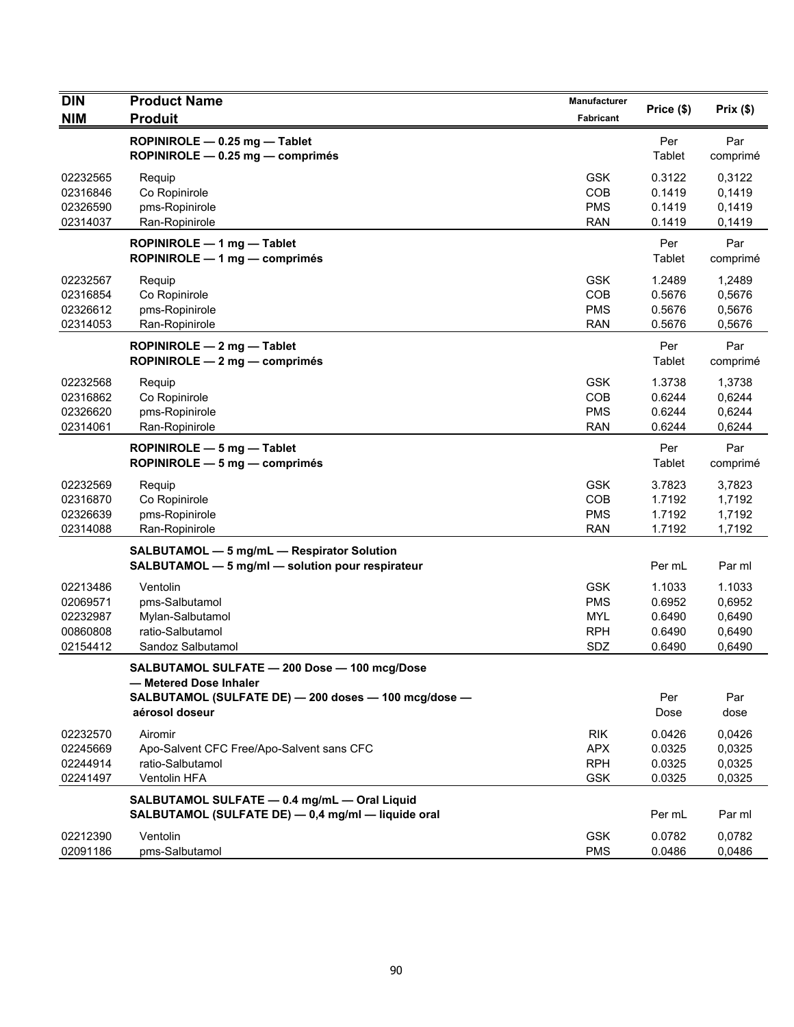| <b>DIN</b>                                               | <b>Product Name</b>                                                                                                                              | Manufacturer                                                | Price (\$)                                     | Prix(\$)                                       |
|----------------------------------------------------------|--------------------------------------------------------------------------------------------------------------------------------------------------|-------------------------------------------------------------|------------------------------------------------|------------------------------------------------|
| <b>NIM</b>                                               | <b>Produit</b>                                                                                                                                   | <b>Fabricant</b>                                            |                                                |                                                |
|                                                          | ROPINIROLE - 0.25 mg - Tablet<br>ROPINIROLE - 0.25 mg - comprimés                                                                                |                                                             | Per<br>Tablet                                  | Par<br>comprimé                                |
| 02232565<br>02316846<br>02326590<br>02314037             | Requip<br>Co Ropinirole<br>pms-Ropinirole<br>Ran-Ropinirole                                                                                      | <b>GSK</b><br>COB<br><b>PMS</b><br><b>RAN</b>               | 0.3122<br>0.1419<br>0.1419<br>0.1419           | 0,3122<br>0,1419<br>0,1419<br>0,1419           |
|                                                          | ROPINIROLE - 1 mg - Tablet<br>ROPINIROLE - 1 mg - comprimés                                                                                      |                                                             | Per<br>Tablet                                  | Par<br>comprimé                                |
| 02232567<br>02316854<br>02326612<br>02314053             | Requip<br>Co Ropinirole<br>pms-Ropinirole<br>Ran-Ropinirole                                                                                      | <b>GSK</b><br>COB<br><b>PMS</b><br><b>RAN</b>               | 1.2489<br>0.5676<br>0.5676<br>0.5676           | 1,2489<br>0,5676<br>0,5676<br>0,5676           |
|                                                          | ROPINIROLE - 2 mg - Tablet<br>ROPINIROLE - 2 mg - comprimés                                                                                      |                                                             | Per<br>Tablet                                  | Par<br>comprimé                                |
| 02232568<br>02316862<br>02326620<br>02314061             | Requip<br>Co Ropinirole<br>pms-Ropinirole<br>Ran-Ropinirole                                                                                      | <b>GSK</b><br>COB<br><b>PMS</b><br><b>RAN</b>               | 1.3738<br>0.6244<br>0.6244<br>0.6244           | 1,3738<br>0,6244<br>0,6244<br>0,6244           |
|                                                          | ROPINIROLE - 5 mg - Tablet<br>ROPINIROLE - 5 mg - comprimés                                                                                      |                                                             | Per<br>Tablet                                  | Par<br>comprimé                                |
| 02232569<br>02316870<br>02326639<br>02314088             | Requip<br>Co Ropinirole<br>pms-Ropinirole<br>Ran-Ropinirole                                                                                      | <b>GSK</b><br>COB<br><b>PMS</b><br><b>RAN</b>               | 3.7823<br>1.7192<br>1.7192<br>1.7192           | 3,7823<br>1,7192<br>1,7192<br>1,7192           |
|                                                          | SALBUTAMOL - 5 mg/mL - Respirator Solution<br>SALBUTAMOL - 5 mg/ml - solution pour respirateur                                                   |                                                             | Per mL                                         | Par ml                                         |
| 02213486<br>02069571<br>02232987<br>00860808<br>02154412 | Ventolin<br>pms-Salbutamol<br>Mylan-Salbutamol<br>ratio-Salbutamol<br>Sandoz Salbutamol                                                          | <b>GSK</b><br><b>PMS</b><br><b>MYL</b><br><b>RPH</b><br>SDZ | 1.1033<br>0.6952<br>0.6490<br>0.6490<br>0.6490 | 1.1033<br>0,6952<br>0,6490<br>0,6490<br>0,6490 |
|                                                          | SALBUTAMOL SULFATE - 200 Dose - 100 mcg/Dose<br>- Metered Dose Inhaler<br>SALBUTAMOL (SULFATE DE) - 200 doses - 100 mcg/dose -<br>aérosol doseur |                                                             | Per<br>Dose                                    | Par<br>dose                                    |
| 02232570<br>02245669<br>02244914<br>02241497             | Airomir<br>Apo-Salvent CFC Free/Apo-Salvent sans CFC<br>ratio-Salbutamol<br>Ventolin HFA                                                         | <b>RIK</b><br><b>APX</b><br><b>RPH</b><br><b>GSK</b>        | 0.0426<br>0.0325<br>0.0325<br>0.0325           | 0,0426<br>0,0325<br>0,0325<br>0,0325           |
|                                                          | SALBUTAMOL SULFATE - 0.4 mg/mL - Oral Liquid<br>SALBUTAMOL (SULFATE DE) - 0,4 mg/ml - liquide oral                                               |                                                             | Per mL                                         | Par ml                                         |
| 02212390<br>02091186                                     | Ventolin<br>pms-Salbutamol                                                                                                                       | <b>GSK</b><br><b>PMS</b>                                    | 0.0782<br>0.0486                               | 0,0782<br>0,0486                               |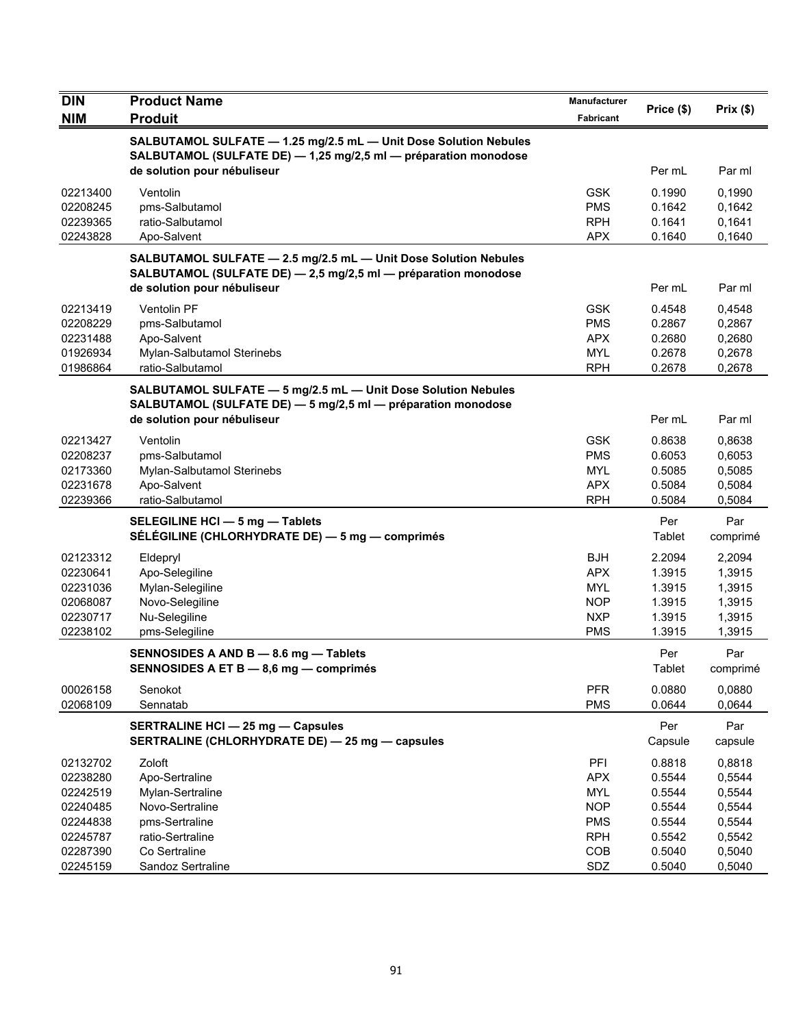| <b>DIN</b> | <b>Product Name</b>                                                                                                                 | Manufacturer     | Price (\$)     | Prix(\$)        |
|------------|-------------------------------------------------------------------------------------------------------------------------------------|------------------|----------------|-----------------|
| <b>NIM</b> | <b>Produit</b>                                                                                                                      | <b>Fabricant</b> |                |                 |
|            | SALBUTAMOL SULFATE - 1.25 mg/2.5 mL - Unit Dose Solution Nebules<br>SALBUTAMOL (SULFATE DE) - 1,25 mg/2,5 ml - préparation monodose |                  |                |                 |
|            | de solution pour nébuliseur                                                                                                         |                  | Per mL         | Par ml          |
| 02213400   | Ventolin                                                                                                                            | <b>GSK</b>       | 0.1990         | 0,1990          |
| 02208245   | pms-Salbutamol                                                                                                                      | <b>PMS</b>       | 0.1642         | 0,1642          |
| 02239365   | ratio-Salbutamol                                                                                                                    | <b>RPH</b>       | 0.1641         | 0,1641          |
| 02243828   | Apo-Salvent                                                                                                                         | <b>APX</b>       | 0.1640         | 0,1640          |
|            | SALBUTAMOL SULFATE - 2.5 mg/2.5 mL - Unit Dose Solution Nebules<br>SALBUTAMOL (SULFATE DE) - 2,5 mg/2,5 ml - préparation monodose   |                  |                |                 |
|            | de solution pour nébuliseur                                                                                                         |                  | Per mL         | Par ml          |
| 02213419   | Ventolin PF                                                                                                                         | <b>GSK</b>       | 0.4548         | 0,4548          |
| 02208229   | pms-Salbutamol                                                                                                                      | <b>PMS</b>       | 0.2867         | 0,2867          |
| 02231488   | Apo-Salvent                                                                                                                         | <b>APX</b>       | 0.2680         | 0,2680          |
| 01926934   | Mylan-Salbutamol Sterinebs                                                                                                          | <b>MYL</b>       | 0.2678         | 0,2678          |
| 01986864   | ratio-Salbutamol                                                                                                                    | <b>RPH</b>       | 0.2678         | 0,2678          |
|            | SALBUTAMOL SULFATE - 5 mg/2.5 mL - Unit Dose Solution Nebules                                                                       |                  |                |                 |
|            | SALBUTAMOL (SULFATE DE) - 5 mg/2,5 ml - préparation monodose                                                                        |                  |                |                 |
|            | de solution pour nébuliseur                                                                                                         |                  | Per mL         | Par ml          |
| 02213427   | Ventolin                                                                                                                            | <b>GSK</b>       | 0.8638         | 0,8638          |
| 02208237   | pms-Salbutamol                                                                                                                      | <b>PMS</b>       | 0.6053         | 0,6053          |
| 02173360   | Mylan-Salbutamol Sterinebs                                                                                                          | <b>MYL</b>       | 0.5085         | 0,5085          |
| 02231678   | Apo-Salvent                                                                                                                         | <b>APX</b>       | 0.5084         | 0,5084          |
| 02239366   | ratio-Salbutamol                                                                                                                    | <b>RPH</b>       | 0.5084         | 0,5084          |
|            | SELEGILINE HCI - 5 mg - Tablets<br>SÉLÉGILINE (CHLORHYDRATE DE) — 5 mg — comprimés                                                  |                  | Per<br>Tablet  | Par<br>comprimé |
| 02123312   | Eldepryl                                                                                                                            | <b>BJH</b>       | 2.2094         | 2,2094          |
| 02230641   | Apo-Selegiline                                                                                                                      | <b>APX</b>       | 1.3915         | 1,3915          |
| 02231036   | Mylan-Selegiline                                                                                                                    | <b>MYL</b>       | 1.3915         | 1,3915          |
| 02068087   | Novo-Selegiline                                                                                                                     | <b>NOP</b>       | 1.3915         | 1,3915          |
| 02230717   | Nu-Selegiline                                                                                                                       | <b>NXP</b>       | 1.3915         | 1,3915          |
| 02238102   | pms-Selegiline                                                                                                                      | <b>PMS</b>       | 1.3915         | 1,3915          |
|            | SENNOSIDES A AND B - 8.6 mg - Tablets<br>SENNOSIDES A ET B - 8.6 mg - comprimés                                                     |                  | Per<br>Tablet  | Par<br>comprimé |
| 00026158   | Senokot                                                                                                                             | <b>PFR</b>       | 0.0880         | 0,0880          |
| 02068109   | Sennatab                                                                                                                            | <b>PMS</b>       | 0.0644         | 0,0644          |
|            | <b>SERTRALINE HCI - 25 mg - Capsules</b><br>SERTRALINE (CHLORHYDRATE DE) - 25 mg - capsules                                         |                  | Per<br>Capsule | Par<br>capsule  |
| 02132702   | Zoloft                                                                                                                              | PFI              | 0.8818         | 0,8818          |
| 02238280   | Apo-Sertraline                                                                                                                      | <b>APX</b>       | 0.5544         | 0,5544          |
| 02242519   | Mylan-Sertraline                                                                                                                    | <b>MYL</b>       | 0.5544         | 0,5544          |
| 02240485   | Novo-Sertraline                                                                                                                     | <b>NOP</b>       | 0.5544         | 0,5544          |
| 02244838   | pms-Sertraline                                                                                                                      | <b>PMS</b>       | 0.5544         | 0,5544          |
| 02245787   | ratio-Sertraline                                                                                                                    | <b>RPH</b>       | 0.5542         | 0,5542          |
| 02287390   | Co Sertraline                                                                                                                       | COB              | 0.5040         | 0,5040          |
| 02245159   | Sandoz Sertraline                                                                                                                   | SDZ              | 0.5040         | 0,5040          |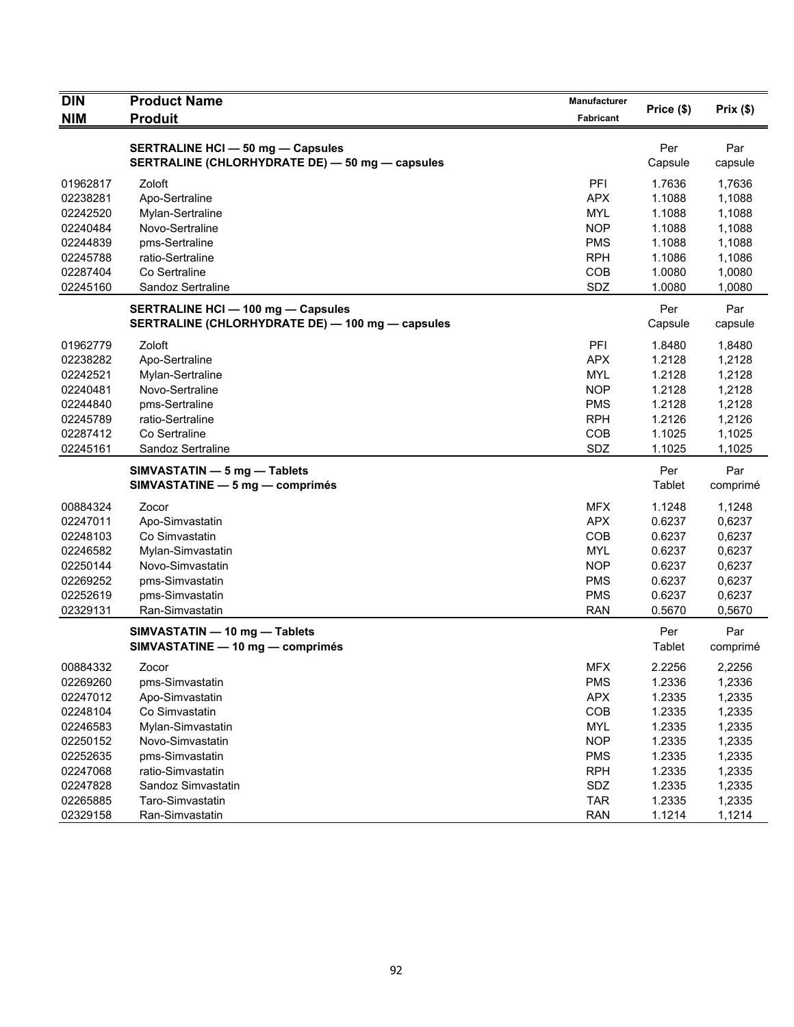| <b>DIN</b> | <b>Product Name</b>                              | Manufacturer | Price (\$) | Prix(\$) |
|------------|--------------------------------------------------|--------------|------------|----------|
| <b>NIM</b> | <b>Produit</b>                                   | Fabricant    |            |          |
|            | <b>SERTRALINE HCI - 50 mg - Capsules</b>         |              | Per        | Par      |
|            | SERTRALINE (CHLORHYDRATE DE) - 50 mg - capsules  |              | Capsule    | capsule  |
|            |                                                  |              |            |          |
| 01962817   | Zoloft                                           | PFI          | 1.7636     | 1,7636   |
| 02238281   | Apo-Sertraline                                   | <b>APX</b>   | 1.1088     | 1,1088   |
| 02242520   | Mylan-Sertraline                                 | <b>MYL</b>   | 1.1088     | 1,1088   |
| 02240484   | Novo-Sertraline                                  | <b>NOP</b>   | 1.1088     | 1,1088   |
| 02244839   | pms-Sertraline                                   | <b>PMS</b>   | 1.1088     | 1,1088   |
| 02245788   | ratio-Sertraline                                 | <b>RPH</b>   | 1.1086     | 1,1086   |
| 02287404   | Co Sertraline                                    | COB          | 1.0080     | 1,0080   |
| 02245160   | Sandoz Sertraline                                | SDZ          | 1.0080     | 1,0080   |
|            | <b>SERTRALINE HCI - 100 mg - Capsules</b>        |              | Per        | Par      |
|            | SERTRALINE (CHLORHYDRATE DE) - 100 mg - capsules |              | Capsule    | capsule  |
| 01962779   | Zoloft                                           | PFI          | 1.8480     | 1,8480   |
| 02238282   | Apo-Sertraline                                   | <b>APX</b>   | 1.2128     | 1,2128   |
| 02242521   | Mylan-Sertraline                                 | <b>MYL</b>   | 1.2128     | 1,2128   |
| 02240481   | Novo-Sertraline                                  | <b>NOP</b>   | 1.2128     | 1,2128   |
| 02244840   | pms-Sertraline                                   | <b>PMS</b>   | 1.2128     | 1,2128   |
| 02245789   | ratio-Sertraline                                 | <b>RPH</b>   | 1.2126     | 1,2126   |
| 02287412   | Co Sertraline                                    | COB          | 1.1025     | 1,1025   |
| 02245161   | Sandoz Sertraline                                | SDZ          | 1.1025     | 1,1025   |
|            | SIMVASTATIN - 5 mg - Tablets                     |              | Per        | Par      |
|            | SIMVASTATINE - 5 mg - comprimés                  |              | Tablet     | comprimé |
| 00884324   | Zocor                                            | <b>MFX</b>   | 1.1248     | 1,1248   |
| 02247011   | Apo-Simvastatin                                  | <b>APX</b>   | 0.6237     | 0,6237   |
| 02248103   | Co Simvastatin                                   | <b>COB</b>   | 0.6237     | 0,6237   |
| 02246582   | Mylan-Simvastatin                                | <b>MYL</b>   | 0.6237     | 0,6237   |
| 02250144   | Novo-Simvastatin                                 | <b>NOP</b>   | 0.6237     | 0,6237   |
| 02269252   | pms-Simvastatin                                  | <b>PMS</b>   | 0.6237     | 0,6237   |
| 02252619   | pms-Simvastatin                                  | <b>PMS</b>   | 0.6237     | 0,6237   |
| 02329131   | Ran-Simvastatin                                  | <b>RAN</b>   | 0.5670     | 0,5670   |
|            | SIMVASTATIN - 10 mg - Tablets                    |              | Per        | Par      |
|            | SIMVASTATINE - 10 mg - comprimés                 |              | Tablet     | comprimé |
| 00884332   | Zocor                                            | <b>MFX</b>   | 2.2256     | 2,2256   |
| 02269260   | pms-Simvastatin                                  | <b>PMS</b>   | 1.2336     | 1,2336   |
| 02247012   | Apo-Simvastatin                                  | <b>APX</b>   | 1.2335     | 1,2335   |
| 02248104   | Co Simvastatin                                   | COB          | 1.2335     | 1,2335   |
| 02246583   | Mylan-Simvastatin                                | <b>MYL</b>   | 1.2335     | 1,2335   |
| 02250152   | Novo-Simvastatin                                 | <b>NOP</b>   | 1.2335     | 1,2335   |
| 02252635   | pms-Simvastatin                                  | <b>PMS</b>   | 1.2335     | 1,2335   |
| 02247068   | ratio-Simvastatin                                | <b>RPH</b>   | 1.2335     | 1,2335   |
| 02247828   | Sandoz Simvastatin                               | SDZ          | 1.2335     | 1,2335   |
| 02265885   | Taro-Simvastatin                                 | <b>TAR</b>   | 1.2335     | 1,2335   |
| 02329158   | Ran-Simvastatin                                  | <b>RAN</b>   | 1.1214     | 1,1214   |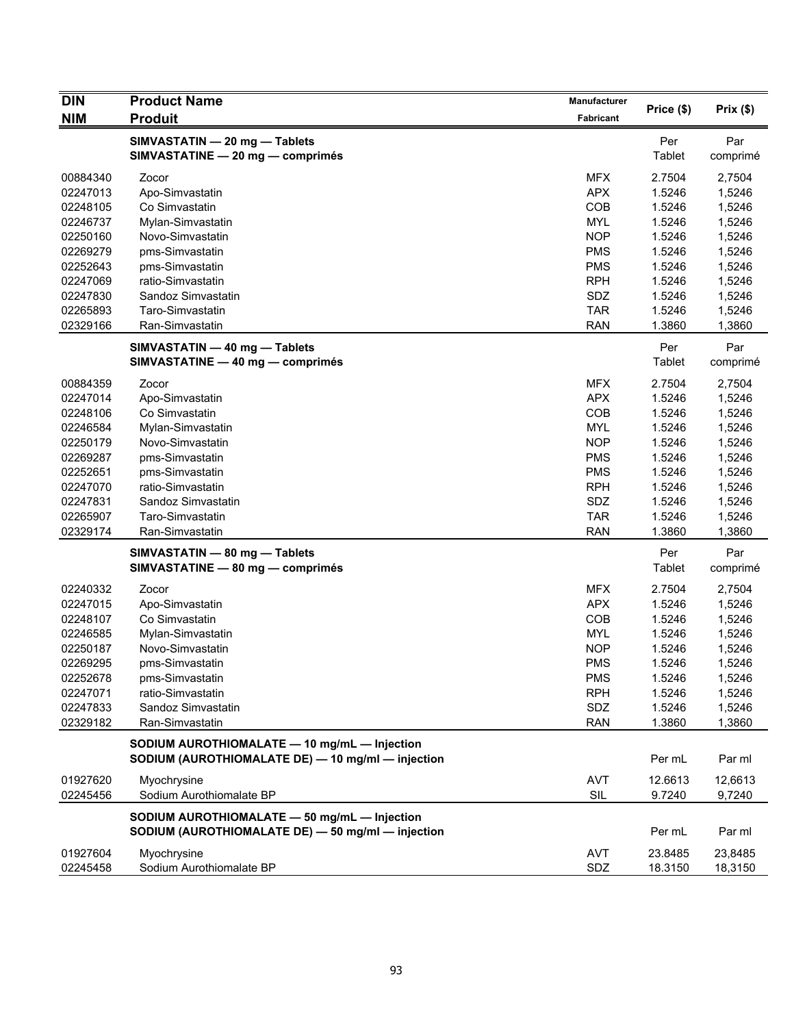| <b>DIN</b> | <b>Product Name</b>                                                                               | Manufacturer |               |                 |
|------------|---------------------------------------------------------------------------------------------------|--------------|---------------|-----------------|
| <b>NIM</b> | <b>Produit</b>                                                                                    | Fabricant    | Price (\$)    | Prix(\$)        |
|            | SIMVASTATIN - 20 mg - Tablets<br>SIMVASTATINE - 20 mg - comprimés                                 |              | Per<br>Tablet | Par<br>comprimé |
| 00884340   | Zocor                                                                                             | <b>MFX</b>   | 2.7504        | 2,7504          |
| 02247013   | Apo-Simvastatin                                                                                   | <b>APX</b>   | 1.5246        | 1,5246          |
| 02248105   | Co Simvastatin                                                                                    | COB          | 1.5246        | 1,5246          |
| 02246737   | Mylan-Simvastatin                                                                                 | <b>MYL</b>   | 1.5246        | 1,5246          |
| 02250160   | Novo-Simvastatin                                                                                  | <b>NOP</b>   | 1.5246        | 1,5246          |
| 02269279   | pms-Simvastatin                                                                                   | <b>PMS</b>   | 1.5246        | 1,5246          |
| 02252643   | pms-Simvastatin                                                                                   | <b>PMS</b>   | 1.5246        | 1,5246          |
| 02247069   | ratio-Simvastatin                                                                                 | <b>RPH</b>   | 1.5246        | 1,5246          |
| 02247830   | Sandoz Simvastatin                                                                                | SDZ          | 1.5246        | 1,5246          |
| 02265893   | Taro-Simvastatin                                                                                  | <b>TAR</b>   | 1.5246        | 1,5246          |
| 02329166   | Ran-Simvastatin                                                                                   | <b>RAN</b>   | 1.3860        | 1,3860          |
|            | SIMVASTATIN - 40 mg - Tablets                                                                     |              | Per           | Par             |
|            | SIMVASTATINE - 40 mg - comprimés                                                                  |              | Tablet        | comprimé        |
| 00884359   | Zocor                                                                                             | <b>MFX</b>   | 2.7504        | 2,7504          |
| 02247014   | Apo-Simvastatin                                                                                   | <b>APX</b>   | 1.5246        | 1,5246          |
| 02248106   | Co Simvastatin                                                                                    | COB          | 1.5246        | 1,5246          |
| 02246584   | Mylan-Simvastatin                                                                                 | <b>MYL</b>   | 1.5246        | 1,5246          |
| 02250179   | Novo-Simvastatin                                                                                  | <b>NOP</b>   | 1.5246        | 1,5246          |
| 02269287   | pms-Simvastatin                                                                                   | <b>PMS</b>   | 1.5246        | 1,5246          |
| 02252651   | pms-Simvastatin                                                                                   | <b>PMS</b>   | 1.5246        | 1,5246          |
| 02247070   | ratio-Simvastatin                                                                                 | <b>RPH</b>   | 1.5246        | 1,5246          |
| 02247831   | Sandoz Simvastatin                                                                                | SDZ          | 1.5246        | 1,5246          |
| 02265907   | Taro-Simvastatin                                                                                  | <b>TAR</b>   | 1.5246        | 1,5246          |
| 02329174   | Ran-Simvastatin                                                                                   | <b>RAN</b>   | 1.3860        | 1,3860          |
|            | SIMVASTATIN - 80 mg - Tablets<br>SIMVASTATINE - 80 mg - comprimés                                 |              | Per<br>Tablet | Par<br>comprimé |
| 02240332   | Zocor                                                                                             | <b>MFX</b>   | 2.7504        | 2,7504          |
| 02247015   | Apo-Simvastatin                                                                                   | <b>APX</b>   | 1.5246        | 1,5246          |
| 02248107   | Co Simvastatin                                                                                    | COB          | 1.5246        | 1,5246          |
| 02246585   | Mylan-Simvastatin                                                                                 | <b>MYL</b>   | 1.5246        | 1,5246          |
| 02250187   | Novo-Simvastatin                                                                                  | <b>NOP</b>   | 1.5246        | 1,5246          |
| 02269295   | pms-Simvastatin                                                                                   | <b>PMS</b>   | 1.5246        | 1,5246          |
| 02252678   | pms-Simvastatin                                                                                   | <b>PMS</b>   | 1.5246        | 1,5246          |
| 02247071   | ratio-Simvastatin                                                                                 | <b>RPH</b>   | 1.5246        | 1,5246          |
| 02247833   | Sandoz Simvastatin                                                                                | SDZ          | 1.5246        | 1,5246          |
| 02329182   | Ran-Simvastatin                                                                                   | <b>RAN</b>   | 1.3860        | 1,3860          |
|            | SODIUM AUROTHIOMALATE - 10 mg/mL - Injection<br>SODIUM (AUROTHIOMALATE DE) - 10 mg/ml - injection |              | Per mL        | Par ml          |
| 01927620   | Myochrysine                                                                                       | <b>AVT</b>   | 12.6613       | 12,6613         |
| 02245456   | Sodium Aurothiomalate BP                                                                          | SIL          | 9.7240        | 9,7240          |
|            | SODIUM AUROTHIOMALATE - 50 mg/mL - Injection<br>SODIUM (AUROTHIOMALATE DE) - 50 mg/ml - injection |              | Per mL        | Par ml          |
| 01927604   | Myochrysine                                                                                       | <b>AVT</b>   | 23.8485       | 23,8485         |
| 02245458   | Sodium Aurothiomalate BP                                                                          | SDZ          | 18.3150       | 18,3150         |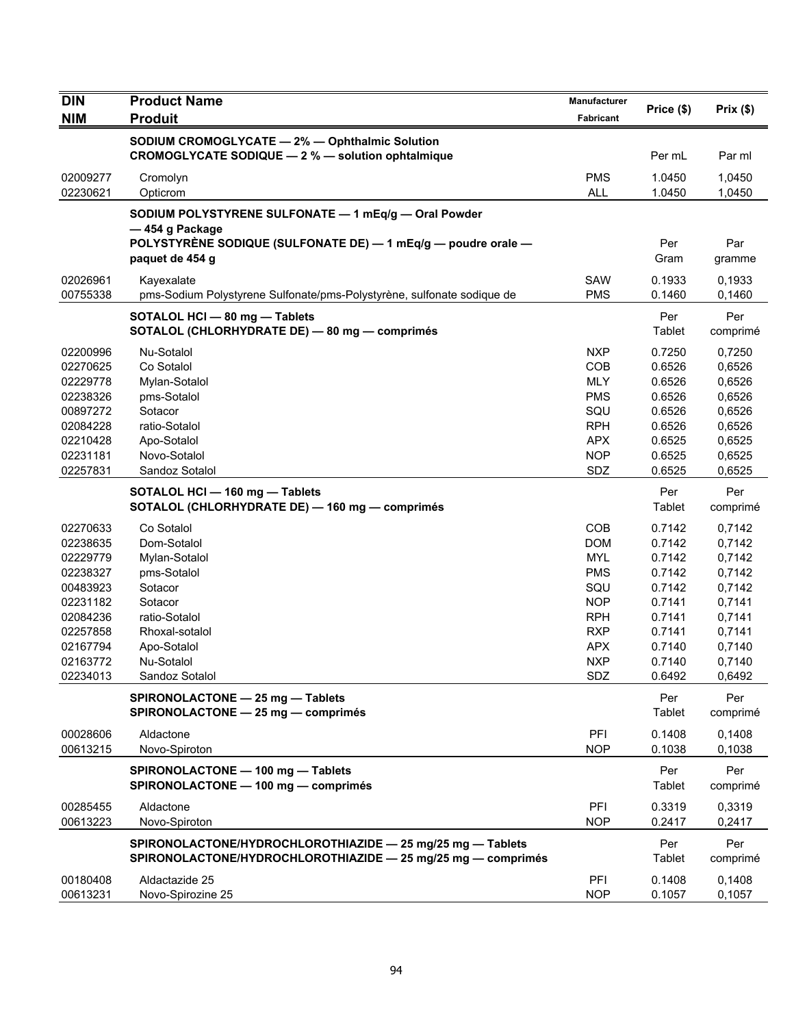| <b>DIN</b>           | <b>Product Name</b>                                                                                                        | Manufacturer             | Price (\$)       | Prix(\$)         |
|----------------------|----------------------------------------------------------------------------------------------------------------------------|--------------------------|------------------|------------------|
| <b>NIM</b>           | <b>Produit</b>                                                                                                             | Fabricant                |                  |                  |
|                      | SODIUM CROMOGLYCATE - 2% - Ophthalmic Solution<br>CROMOGLYCATE SODIQUE - 2 % - solution ophtalmique                        |                          | Per mL           | Par ml           |
| 02009277<br>02230621 | Cromolyn<br>Opticrom                                                                                                       | <b>PMS</b><br><b>ALL</b> | 1.0450<br>1.0450 | 1,0450<br>1,0450 |
|                      | SODIUM POLYSTYRENE SULFONATE - 1 mEq/g - Oral Powder<br>— 454 g Package                                                    |                          |                  |                  |
|                      | POLYSTYRÈNE SODIQUE (SULFONATE DE) — 1 mEq/g — poudre orale —<br>paquet de 454 g                                           |                          | Per<br>Gram      | Par<br>gramme    |
| 02026961<br>00755338 | Kayexalate<br>pms-Sodium Polystyrene Sulfonate/pms-Polystyrène, sulfonate sodique de                                       | SAW<br><b>PMS</b>        | 0.1933<br>0.1460 | 0,1933<br>0,1460 |
|                      | SOTALOL HCI - 80 mg - Tablets<br>SOTALOL (CHLORHYDRATE DE) - 80 mg - comprimés                                             |                          | Per<br>Tablet    | Per<br>comprimé  |
| 02200996             | Nu-Sotalol                                                                                                                 | <b>NXP</b>               | 0.7250           | 0,7250           |
| 02270625             | Co Sotalol                                                                                                                 | COB                      | 0.6526           | 0,6526           |
| 02229778             | Mylan-Sotalol                                                                                                              | <b>MLY</b>               | 0.6526           | 0,6526           |
| 02238326             | pms-Sotalol                                                                                                                | <b>PMS</b>               | 0.6526           | 0,6526           |
| 00897272             | Sotacor                                                                                                                    | SQU                      | 0.6526           | 0,6526           |
| 02084228             | ratio-Sotalol                                                                                                              | <b>RPH</b>               | 0.6526           | 0,6526           |
| 02210428             | Apo-Sotalol                                                                                                                | <b>APX</b>               | 0.6525           | 0,6525           |
| 02231181<br>02257831 | Novo-Sotalol<br>Sandoz Sotalol                                                                                             | <b>NOP</b><br>SDZ        | 0.6525<br>0.6525 | 0,6525<br>0,6525 |
|                      |                                                                                                                            |                          |                  |                  |
|                      | SOTALOL HCI - 160 mg - Tablets<br>SOTALOL (CHLORHYDRATE DE) - 160 mg - comprimés                                           |                          | Per<br>Tablet    | Per<br>comprimé  |
| 02270633             | Co Sotalol                                                                                                                 | COB                      | 0.7142           | 0,7142           |
| 02238635             | Dom-Sotalol                                                                                                                | <b>DOM</b>               | 0.7142           | 0,7142           |
| 02229779             | Mylan-Sotalol                                                                                                              | <b>MYL</b>               | 0.7142           | 0,7142           |
| 02238327             | pms-Sotalol                                                                                                                | <b>PMS</b>               | 0.7142           | 0,7142           |
| 00483923             | Sotacor                                                                                                                    | SQU                      | 0.7142           | 0,7142           |
| 02231182             | Sotacor                                                                                                                    | <b>NOP</b>               | 0.7141           | 0,7141           |
| 02084236             | ratio-Sotalol                                                                                                              | <b>RPH</b>               | 0.7141           | 0,7141           |
| 02257858             | Rhoxal-sotalol                                                                                                             | <b>RXP</b>               | 0.7141           | 0,7141           |
| 02167794             | Apo-Sotalol                                                                                                                | <b>APX</b>               | 0.7140           | 0,7140           |
| 02163772<br>02234013 | Nu-Sotalol<br>Sandoz Sotalol                                                                                               | <b>NXP</b><br>SDZ        | 0.7140<br>0.6492 | 0,7140<br>0,6492 |
|                      | SPIRONOLACTONE - 25 mg - Tablets<br>SPIRONOLACTONE - 25 mg - comprimés                                                     |                          | Per<br>Tablet    | Per<br>comprimé  |
|                      |                                                                                                                            |                          |                  |                  |
| 00028606<br>00613215 | Aldactone<br>Novo-Spiroton                                                                                                 | PFI<br><b>NOP</b>        | 0.1408<br>0.1038 | 0,1408<br>0,1038 |
|                      | SPIRONOLACTONE - 100 mg - Tablets<br>SPIRONOLACTONE - 100 mg - comprimés                                                   |                          | Per<br>Tablet    | Per<br>comprimé  |
| 00285455<br>00613223 | Aldactone<br>Novo-Spiroton                                                                                                 | PFI<br><b>NOP</b>        | 0.3319<br>0.2417 | 0,3319<br>0,2417 |
|                      |                                                                                                                            |                          |                  |                  |
|                      | SPIRONOLACTONE/HYDROCHLOROTHIAZIDE - 25 mg/25 mg - Tablets<br>SPIRONOLACTONE/HYDROCHLOROTHIAZIDE - 25 mg/25 mg - comprimés |                          | Per<br>Tablet    | Per<br>comprimé  |
| 00180408<br>00613231 | Aldactazide 25<br>Novo-Spirozine 25                                                                                        | PFI<br><b>NOP</b>        | 0.1408<br>0.1057 | 0,1408<br>0,1057 |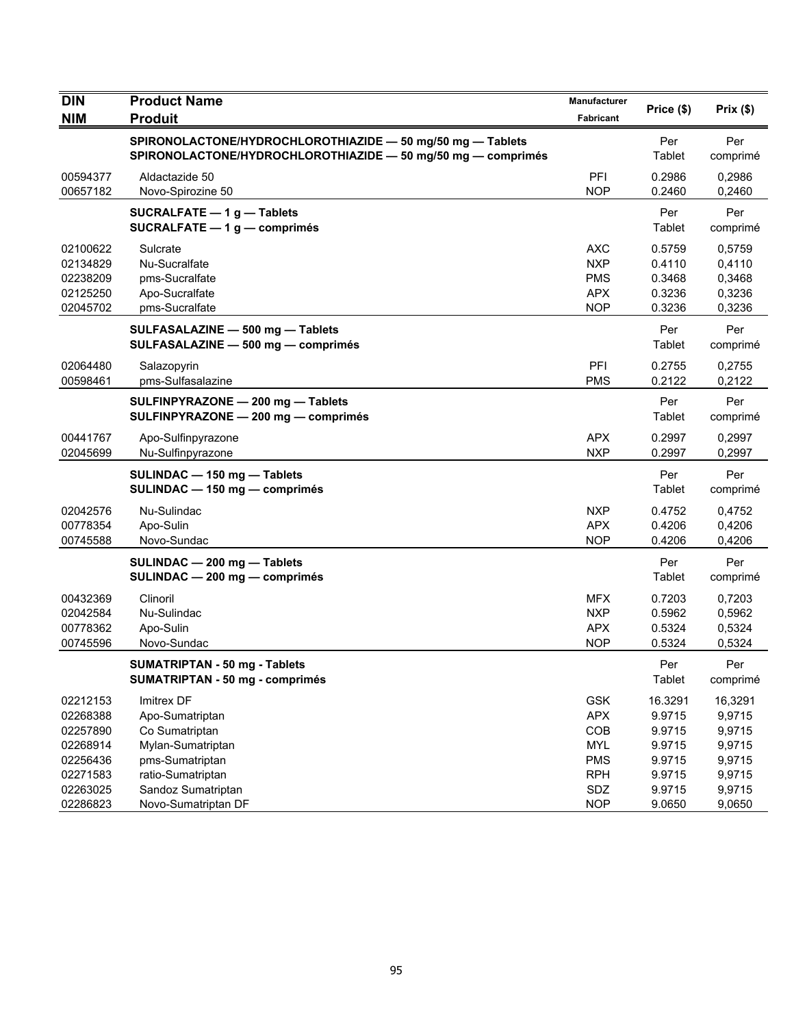| <b>DIN</b><br><b>NIM</b> | <b>Product Name</b><br><b>Produit</b>                                                                                      | Manufacturer<br><b>Fabricant</b> | Price (\$)        | Prix $(\$)$       |
|--------------------------|----------------------------------------------------------------------------------------------------------------------------|----------------------------------|-------------------|-------------------|
|                          |                                                                                                                            |                                  |                   |                   |
|                          | SPIRONOLACTONE/HYDROCHLOROTHIAZIDE - 50 mg/50 mg - Tablets<br>SPIRONOLACTONE/HYDROCHLOROTHIAZIDE - 50 mg/50 mg - comprimés |                                  | Per<br>Tablet     | Per<br>comprimé   |
| 00594377                 | Aldactazide 50                                                                                                             | PFI                              | 0.2986            | 0,2986            |
| 00657182                 | Novo-Spirozine 50                                                                                                          | <b>NOP</b>                       | 0.2460            | 0,2460            |
|                          | <b>SUCRALFATE - 1g - Tablets</b><br>SUCRALFATE $-1$ g $-$ comprimés                                                        |                                  | Per<br>Tablet     | Per<br>comprimé   |
| 02100622                 | Sulcrate                                                                                                                   | AXC                              | 0.5759            | 0,5759            |
| 02134829                 | Nu-Sucralfate                                                                                                              | <b>NXP</b>                       | 0.4110            | 0,4110            |
| 02238209                 | pms-Sucralfate                                                                                                             | <b>PMS</b>                       | 0.3468            | 0,3468            |
| 02125250                 | Apo-Sucralfate                                                                                                             | <b>APX</b>                       | 0.3236            | 0,3236            |
| 02045702                 | pms-Sucralfate                                                                                                             | <b>NOP</b>                       | 0.3236            | 0,3236            |
|                          | SULFASALAZINE - 500 mg - Tablets<br>SULFASALAZINE - 500 mg - comprimés                                                     |                                  | Per<br>Tablet     | Per<br>comprimé   |
| 02064480                 | Salazopyrin                                                                                                                | PFI                              | 0.2755            | 0.2755            |
| 00598461                 | pms-Sulfasalazine                                                                                                          | <b>PMS</b>                       | 0.2122            | 0,2122            |
|                          | SULFINPYRAZONE - 200 mg - Tablets<br>SULFINPYRAZONE - 200 mg - comprimés                                                   |                                  | Per<br>Tablet     | Per<br>comprimé   |
| 00441767                 | Apo-Sulfinpyrazone                                                                                                         | <b>APX</b>                       | 0.2997            | 0,2997            |
| 02045699                 | Nu-Sulfinpyrazone                                                                                                          | <b>NXP</b>                       | 0.2997            | 0,2997            |
|                          | SULINDAC - 150 mg - Tablets<br>SULINDAC - 150 mg - comprimés                                                               |                                  | Per<br>Tablet     | Per<br>comprimé   |
| 02042576                 | Nu-Sulindac                                                                                                                | <b>NXP</b>                       | 0.4752            | 0,4752            |
| 00778354                 | Apo-Sulin                                                                                                                  | <b>APX</b>                       | 0.4206            | 0,4206            |
| 00745588                 | Novo-Sundac                                                                                                                | <b>NOP</b>                       | 0.4206            | 0,4206            |
|                          | SULINDAC - 200 mg - Tablets<br>SULINDAC - 200 mg - comprimés                                                               |                                  | Per<br>Tablet     | Per<br>comprimé   |
| 00432369                 | Clinoril                                                                                                                   | <b>MFX</b>                       | 0.7203            | 0,7203            |
| 02042584                 | Nu-Sulindac                                                                                                                | <b>NXP</b>                       | 0.5962            | 0,5962            |
| 00778362                 | Apo-Sulin                                                                                                                  | <b>APX</b>                       | 0.5324            | 0,5324            |
| 00745596                 | Novo-Sundac                                                                                                                | <b>NOP</b>                       | 0.5324            | 0,5324            |
|                          | <b>SUMATRIPTAN - 50 mg - Tablets</b><br><b>SUMATRIPTAN - 50 mg - comprimés</b>                                             |                                  | Per<br>Tablet     | Per<br>comprimé   |
|                          |                                                                                                                            |                                  |                   |                   |
| 02212153<br>02268388     | Imitrex DF                                                                                                                 | <b>GSK</b><br><b>APX</b>         | 16.3291<br>9.9715 | 16,3291<br>9,9715 |
| 02257890                 | Apo-Sumatriptan<br>Co Sumatriptan                                                                                          | COB                              | 9.9715            | 9,9715            |
| 02268914                 | Mylan-Sumatriptan                                                                                                          | <b>MYL</b>                       | 9.9715            | 9,9715            |
| 02256436                 | pms-Sumatriptan                                                                                                            | <b>PMS</b>                       | 9.9715            | 9,9715            |
| 02271583                 | ratio-Sumatriptan                                                                                                          | <b>RPH</b>                       | 9.9715            | 9,9715            |
| 02263025                 | Sandoz Sumatriptan                                                                                                         | SDZ                              | 9.9715            | 9,9715            |
| 02286823                 | Novo-Sumatriptan DF                                                                                                        | <b>NOP</b>                       | 9.0650            | 9,0650            |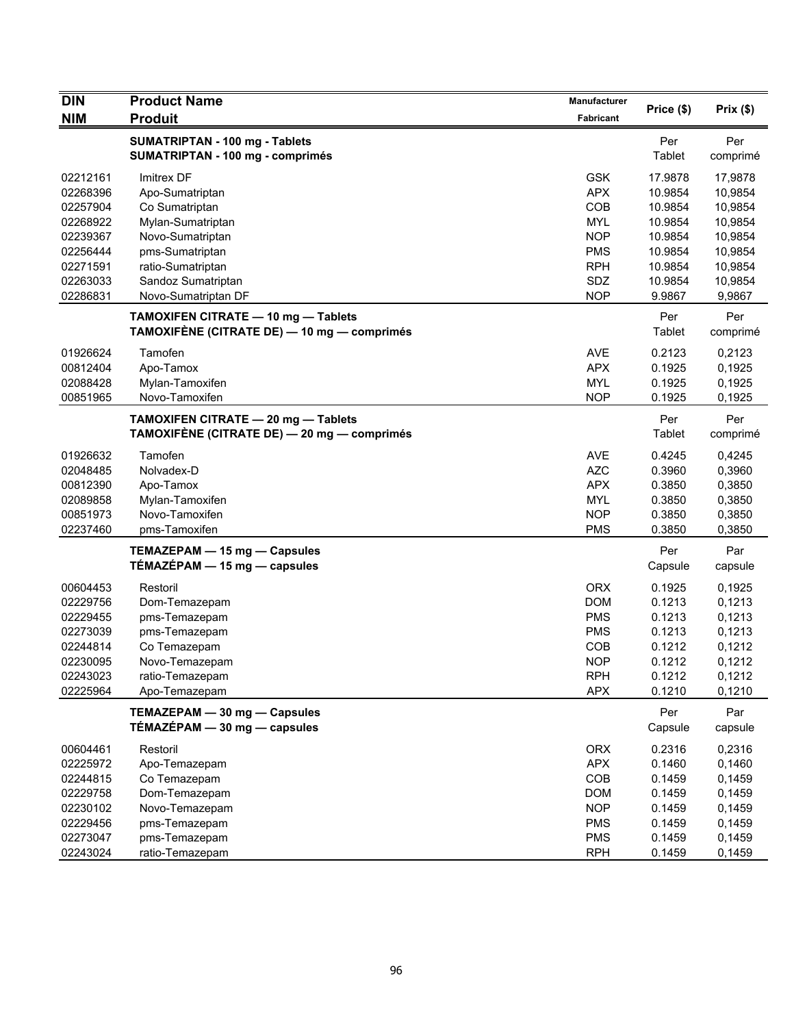| <b>DIN</b> | <b>Product Name</b>                                                                | Manufacturer |                      | Prix(\$)        |
|------------|------------------------------------------------------------------------------------|--------------|----------------------|-----------------|
| <b>NIM</b> | <b>Produit</b>                                                                     | Fabricant    | Price (\$)           |                 |
|            | <b>SUMATRIPTAN - 100 mg - Tablets</b><br>SUMATRIPTAN - 100 mg - comprimés          |              | Per<br>Tablet        | Per<br>comprimé |
| 02212161   | Imitrex DF                                                                         | <b>GSK</b>   | 17.9878              | 17,9878         |
| 02268396   | Apo-Sumatriptan                                                                    | <b>APX</b>   | 10.9854              | 10,9854         |
| 02257904   | Co Sumatriptan                                                                     | COB          | 10.9854              | 10,9854         |
| 02268922   | Mylan-Sumatriptan                                                                  | <b>MYL</b>   | 10.9854              | 10,9854         |
| 02239367   | Novo-Sumatriptan                                                                   | <b>NOP</b>   | 10.9854              | 10,9854         |
| 02256444   | pms-Sumatriptan                                                                    | <b>PMS</b>   | 10.9854              | 10,9854         |
| 02271591   | ratio-Sumatriptan                                                                  | <b>RPH</b>   | 10.9854              | 10,9854         |
| 02263033   | Sandoz Sumatriptan                                                                 | SDZ          | 10.9854              | 10,9854         |
| 02286831   | Novo-Sumatriptan DF                                                                | <b>NOP</b>   | 9.9867               | 9,9867          |
|            | TAMOXIFEN CITRATE - 10 mg - Tablets<br>TAMOXIFÈNE (CITRATE DE) — 10 mg — comprimés |              | Per<br>Tablet        | Per<br>comprimé |
| 01926624   | Tamofen                                                                            | <b>AVE</b>   | 0.2123               | 0,2123          |
| 00812404   | Apo-Tamox                                                                          | <b>APX</b>   | 0.1925               | 0,1925          |
| 02088428   | Mylan-Tamoxifen                                                                    | <b>MYL</b>   | 0.1925               | 0,1925          |
| 00851965   | Novo-Tamoxifen                                                                     | <b>NOP</b>   | 0.1925               | 0,1925          |
|            | TAMOXIFEN CITRATE - 20 mg - Tablets<br>TAMOXIFÈNE (CITRATE DE) — 20 mg — comprimés |              | Per<br><b>Tablet</b> | Per<br>comprimé |
| 01926632   | Tamofen                                                                            | <b>AVE</b>   | 0.4245               | 0,4245          |
| 02048485   | Nolvadex-D                                                                         | <b>AZC</b>   | 0.3960               | 0,3960          |
| 00812390   | Apo-Tamox                                                                          | <b>APX</b>   | 0.3850               | 0,3850          |
| 02089858   | Mylan-Tamoxifen                                                                    | <b>MYL</b>   | 0.3850               | 0,3850          |
| 00851973   | Novo-Tamoxifen                                                                     | <b>NOP</b>   | 0.3850               | 0,3850          |
| 02237460   | pms-Tamoxifen                                                                      | <b>PMS</b>   | 0.3850               | 0,3850          |
|            | TEMAZEPAM - 15 mg - Capsules<br>$TÉMAZÉPAM - 15 mg - capsules$                     |              | Per<br>Capsule       | Par<br>capsule  |
| 00604453   | Restoril                                                                           | <b>ORX</b>   | 0.1925               | 0,1925          |
| 02229756   | Dom-Temazepam                                                                      | <b>DOM</b>   | 0.1213               | 0,1213          |
| 02229455   | pms-Temazepam                                                                      | <b>PMS</b>   | 0.1213               | 0,1213          |
| 02273039   | pms-Temazepam                                                                      | <b>PMS</b>   | 0.1213               | 0,1213          |
| 02244814   | Co Temazepam                                                                       | <b>COB</b>   | 0.1212               | 0,1212          |
| 02230095   | Novo-Temazepam                                                                     | <b>NOP</b>   | 0.1212               | 0,1212          |
| 02243023   | ratio-Temazepam                                                                    | <b>RPH</b>   | 0.1212               | 0,1212          |
| 02225964   | Apo-Temazepam                                                                      | <b>APX</b>   | 0.1210               | 0,1210          |
|            | TEMAZEPAM - 30 mg - Capsules<br>TÉMAZÉPAM - 30 mg - capsules                       |              | Per<br>Capsule       | Par<br>capsule  |
| 00604461   | Restoril                                                                           | <b>ORX</b>   | 0.2316               | 0,2316          |
| 02225972   | Apo-Temazepam                                                                      | <b>APX</b>   | 0.1460               | 0,1460          |
| 02244815   | Co Temazepam                                                                       | COB          | 0.1459               | 0,1459          |
| 02229758   | Dom-Temazepam                                                                      | <b>DOM</b>   | 0.1459               | 0,1459          |
| 02230102   | Novo-Temazepam                                                                     | <b>NOP</b>   | 0.1459               | 0,1459          |
| 02229456   | pms-Temazepam                                                                      | <b>PMS</b>   | 0.1459               | 0,1459          |
| 02273047   | pms-Temazepam                                                                      | <b>PMS</b>   | 0.1459               | 0,1459          |
| 02243024   | ratio-Temazepam                                                                    | <b>RPH</b>   | 0.1459               | 0,1459          |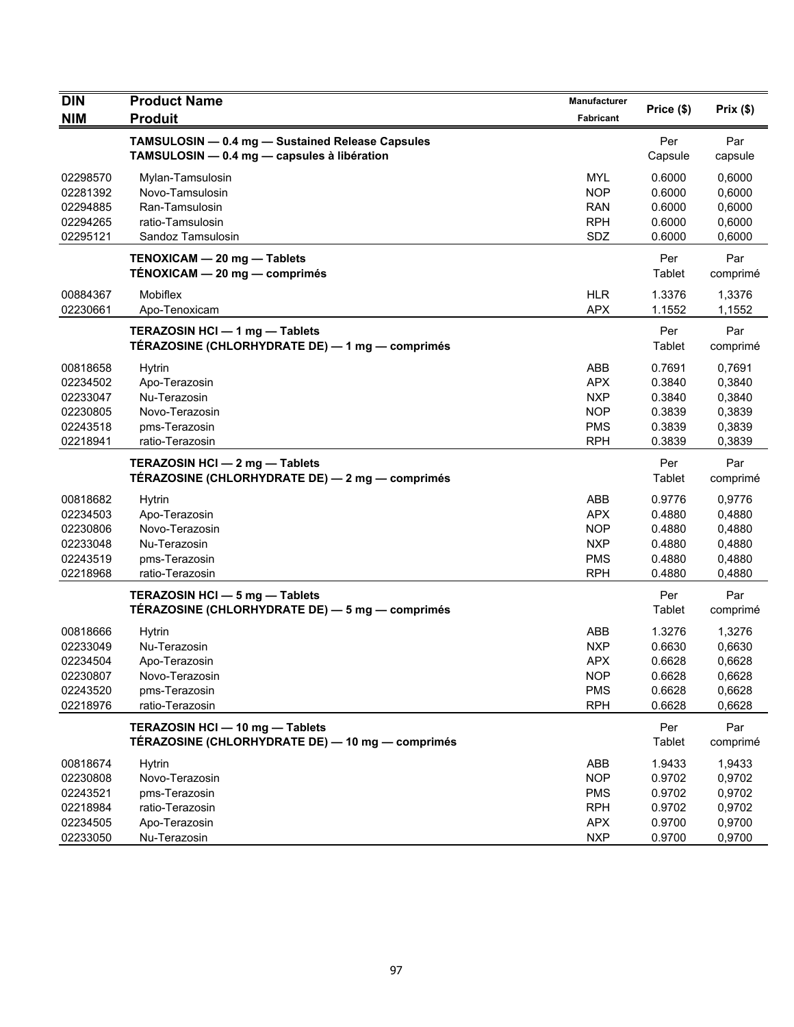| <b>DIN</b> | <b>Product Name</b>                                                                             | Manufacturer | Price (\$)     | Prix(\$)        |
|------------|-------------------------------------------------------------------------------------------------|--------------|----------------|-----------------|
| <b>NIM</b> | <b>Produit</b>                                                                                  | Fabricant    |                |                 |
|            | TAMSULOSIN - 0.4 mg - Sustained Release Capsules<br>TAMSULOSIN - 0.4 mg - capsules à libération |              | Per<br>Capsule | Par<br>capsule  |
| 02298570   | Mylan-Tamsulosin                                                                                | <b>MYL</b>   | 0.6000         | 0,6000          |
| 02281392   | Novo-Tamsulosin                                                                                 | <b>NOP</b>   | 0.6000         | 0,6000          |
| 02294885   | Ran-Tamsulosin                                                                                  | <b>RAN</b>   | 0.6000         | 0,6000          |
| 02294265   | ratio-Tamsulosin                                                                                | <b>RPH</b>   | 0.6000         | 0,6000          |
| 02295121   | Sandoz Tamsulosin                                                                               | SDZ          | 0.6000         | 0,6000          |
|            | TENOXICAM - 20 mg - Tablets<br>TÉNOXICAM - 20 mg - comprimés                                    |              | Per<br>Tablet  | Par<br>comprimé |
| 00884367   | <b>Mobiflex</b>                                                                                 | <b>HLR</b>   | 1.3376         | 1,3376          |
| 02230661   | Apo-Tenoxicam                                                                                   | <b>APX</b>   | 1.1552         | 1,1552          |
|            | TERAZOSIN HCI - 1 mg - Tablets<br>TÉRAZOSINE (CHLORHYDRATE DE) — 1 mg — comprimés               |              | Per<br>Tablet  | Par<br>comprimé |
| 00818658   | <b>Hytrin</b>                                                                                   | ABB          | 0.7691         | 0,7691          |
| 02234502   | Apo-Terazosin                                                                                   | <b>APX</b>   | 0.3840         | 0,3840          |
| 02233047   | Nu-Terazosin                                                                                    | <b>NXP</b>   | 0.3840         | 0,3840          |
| 02230805   | Novo-Terazosin                                                                                  | <b>NOP</b>   | 0.3839         | 0,3839          |
| 02243518   | pms-Terazosin                                                                                   | <b>PMS</b>   | 0.3839         | 0,3839          |
| 02218941   | ratio-Terazosin                                                                                 | <b>RPH</b>   | 0.3839         | 0,3839          |
|            | TERAZOSIN HCI - 2 mg - Tablets<br>TÉRAZOSINE (CHLORHYDRATE DE) - 2 mg - comprimés               |              | Per<br>Tablet  | Par<br>comprimé |
| 00818682   | <b>Hytrin</b>                                                                                   | ABB          | 0.9776         | 0,9776          |
| 02234503   | Apo-Terazosin                                                                                   | <b>APX</b>   | 0.4880         | 0,4880          |
| 02230806   | Novo-Terazosin                                                                                  | <b>NOP</b>   | 0.4880         | 0,4880          |
| 02233048   | Nu-Terazosin                                                                                    | <b>NXP</b>   | 0.4880         | 0,4880          |
| 02243519   | pms-Terazosin                                                                                   | <b>PMS</b>   | 0.4880         | 0,4880          |
| 02218968   | ratio-Terazosin                                                                                 | <b>RPH</b>   | 0.4880         | 0,4880          |
|            | TERAZOSIN HCI - 5 mg - Tablets                                                                  |              | Per            | Par             |
|            | TÉRAZOSINE (CHLORHYDRATE DE) — 5 mg — comprimés                                                 |              | Tablet         | comprimé        |
| 00818666   | <b>Hytrin</b>                                                                                   | ABB          | 1.3276         | 1,3276          |
| 02233049   | Nu-Terazosin                                                                                    | <b>NXP</b>   | 0.6630         | 0,6630          |
| 02234504   | Apo-Terazosin                                                                                   | <b>APX</b>   | 0.6628         | 0,6628          |
| 02230807   | Novo-Terazosin                                                                                  | <b>NOP</b>   | 0.6628         | 0,6628          |
| 02243520   | pms-Terazosin                                                                                   | <b>PMS</b>   | 0.6628         | 0,6628          |
| 02218976   | ratio-Terazosin                                                                                 | <b>RPH</b>   | 0.6628         | 0,6628          |
|            | TERAZOSIN HCI - 10 mg - Tablets<br>TÉRAZOSINE (CHLORHYDRATE DE) - 10 mg - comprimés             |              | Per<br>Tablet  | Par<br>comprimé |
| 00818674   | <b>Hytrin</b>                                                                                   | ABB          | 1.9433         | 1,9433          |
| 02230808   | Novo-Terazosin                                                                                  | <b>NOP</b>   | 0.9702         | 0,9702          |
| 02243521   | pms-Terazosin                                                                                   | <b>PMS</b>   | 0.9702         | 0,9702          |
| 02218984   | ratio-Terazosin                                                                                 | <b>RPH</b>   | 0.9702         | 0,9702          |
| 02234505   | Apo-Terazosin                                                                                   | <b>APX</b>   | 0.9700         | 0,9700          |
| 02233050   | Nu-Terazosin                                                                                    | <b>NXP</b>   | 0.9700         | 0,9700          |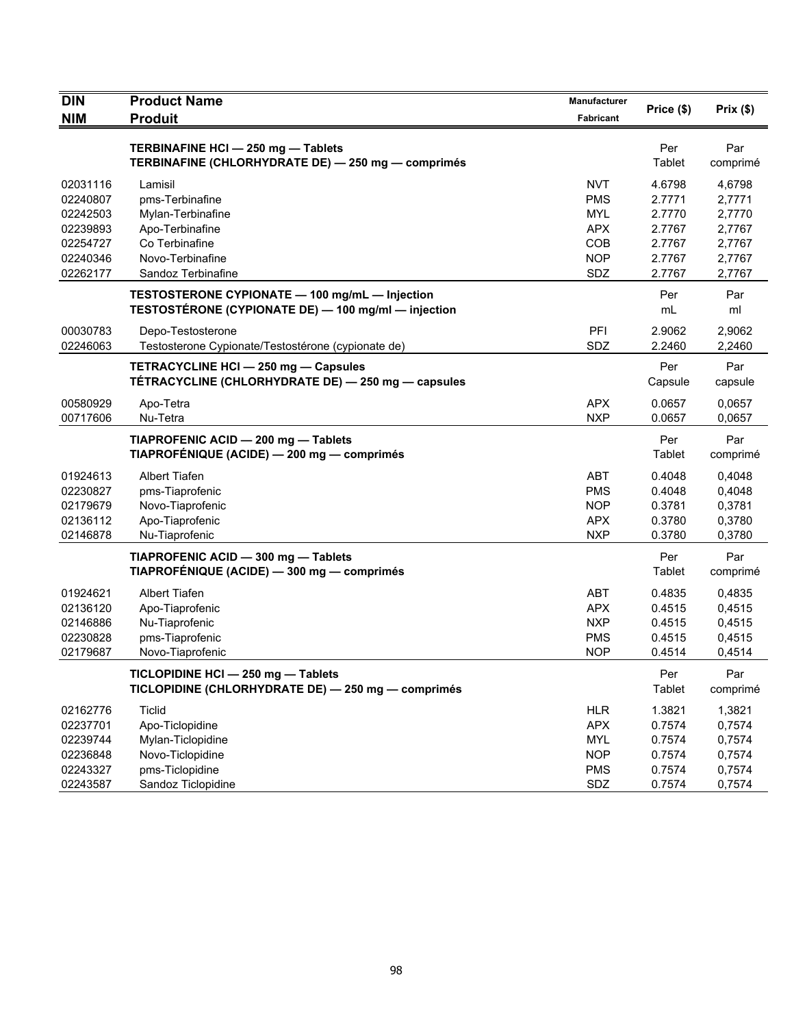| <b>DIN</b> | <b>Product Name</b>                                 | Manufacturer |            |          |
|------------|-----------------------------------------------------|--------------|------------|----------|
| <b>NIM</b> | <b>Produit</b>                                      | Fabricant    | Price (\$) | Prix(\$) |
|            |                                                     |              |            |          |
|            | TERBINAFINE HCI - 250 mg - Tablets                  |              | Per        | Par      |
|            | TERBINAFINE (CHLORHYDRATE DE) - 250 mg - comprimés  |              | Tablet     | comprimé |
| 02031116   | Lamisil                                             | <b>NVT</b>   | 4.6798     | 4,6798   |
| 02240807   | pms-Terbinafine                                     | <b>PMS</b>   | 2.7771     | 2,7771   |
| 02242503   | Mylan-Terbinafine                                   | <b>MYL</b>   | 2.7770     | 2,7770   |
| 02239893   | Apo-Terbinafine                                     | <b>APX</b>   | 2.7767     | 2,7767   |
| 02254727   | Co Terbinafine                                      | COB          | 2.7767     | 2,7767   |
| 02240346   | Novo-Terbinafine                                    | <b>NOP</b>   | 2.7767     | 2,7767   |
| 02262177   | Sandoz Terbinafine                                  | SDZ          | 2.7767     | 2,7767   |
|            | TESTOSTERONE CYPIONATE - 100 mg/mL - Injection      |              | Per        | Par      |
|            | TESTOSTÉRONE (CYPIONATE DE) - 100 mg/ml - injection |              | mL         | ml       |
| 00030783   | Depo-Testosterone                                   | PFI          | 2.9062     | 2,9062   |
| 02246063   | Testosterone Cypionate/Testostérone (cypionate de)  | SDZ          | 2.2460     | 2,2460   |
|            | TETRACYCLINE HCI - 250 mg - Capsules                |              | Per        | Par      |
|            | TETRACYCLINE (CHLORHYDRATE DE) - 250 mg - capsules  |              | Capsule    | capsule  |
| 00580929   | Apo-Tetra                                           | <b>APX</b>   | 0.0657     | 0,0657   |
| 00717606   | Nu-Tetra                                            | <b>NXP</b>   | 0.0657     | 0,0657   |
|            | TIAPROFENIC ACID - 200 mg - Tablets                 |              | Per        | Par      |
|            | TIAPROFÉNIQUE (ACIDE) - 200 mg - comprimés          |              | Tablet     | comprimé |
| 01924613   | <b>Albert Tiafen</b>                                | <b>ABT</b>   | 0.4048     | 0,4048   |
| 02230827   | pms-Tiaprofenic                                     | <b>PMS</b>   | 0.4048     | 0,4048   |
| 02179679   | Novo-Tiaprofenic                                    | <b>NOP</b>   | 0.3781     | 0,3781   |
| 02136112   | Apo-Tiaprofenic                                     | <b>APX</b>   | 0.3780     | 0,3780   |
| 02146878   | Nu-Tiaprofenic                                      | <b>NXP</b>   | 0.3780     | 0,3780   |
|            | TIAPROFENIC ACID - 300 mg - Tablets                 |              | Per        | Par      |
|            | TIAPROFÉNIQUE (ACIDE) - 300 mg - comprimés          |              | Tablet     | comprimé |
| 01924621   | Albert Tiafen                                       | <b>ABT</b>   | 0.4835     | 0,4835   |
| 02136120   | Apo-Tiaprofenic                                     | <b>APX</b>   | 0.4515     | 0,4515   |
| 02146886   | Nu-Tiaprofenic                                      | <b>NXP</b>   | 0.4515     | 0,4515   |
| 02230828   | pms-Tiaprofenic                                     | <b>PMS</b>   | 0.4515     | 0,4515   |
| 02179687   | Novo-Tiaprofenic                                    | <b>NOP</b>   | 0.4514     | 0,4514   |
|            | TICLOPIDINE HCI - 250 mg - Tablets                  |              | Per        | Par      |
|            | TICLOPIDINE (CHLORHYDRATE DE) - 250 mg - comprimés  |              | Tablet     | comprimé |
| 02162776   | <b>Ticlid</b>                                       | <b>HLR</b>   | 1.3821     | 1,3821   |
| 02237701   | Apo-Ticlopidine                                     | <b>APX</b>   | 0.7574     | 0,7574   |
| 02239744   | Mylan-Ticlopidine                                   | <b>MYL</b>   | 0.7574     | 0,7574   |
| 02236848   | Novo-Ticlopidine                                    | <b>NOP</b>   | 0.7574     | 0,7574   |
| 02243327   | pms-Ticlopidine                                     | <b>PMS</b>   | 0.7574     | 0,7574   |
| 02243587   | Sandoz Ticlopidine                                  | SDZ          | 0.7574     | 0,7574   |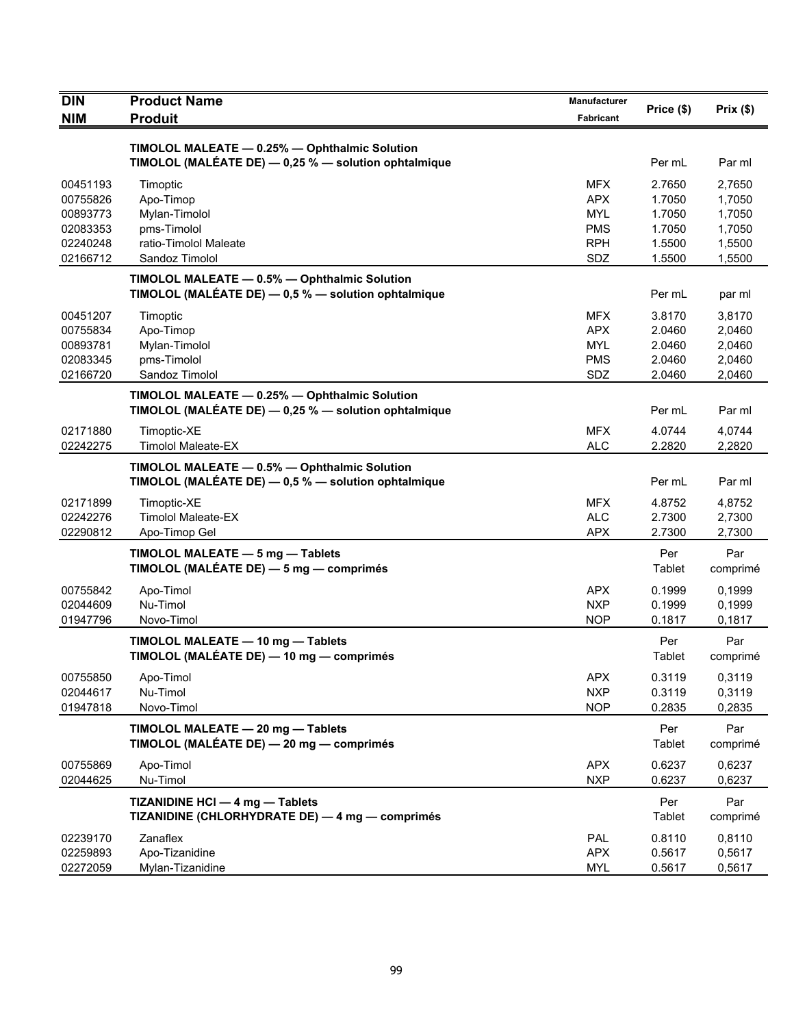| <b>DIN</b> | <b>Product Name</b>                                  | Manufacturer | Price (\$)    | Prix(\$) |
|------------|------------------------------------------------------|--------------|---------------|----------|
| <b>NIM</b> | <b>Produit</b>                                       | Fabricant    |               |          |
|            | TIMOLOL MALEATE - 0.25% - Ophthalmic Solution        |              |               |          |
|            | TIMOLOL (MALÉATE DE) - 0,25 % - solution ophtalmique |              | Per mL        | Par ml   |
| 00451193   | Timoptic                                             | <b>MFX</b>   | 2.7650        | 2.7650   |
| 00755826   | Apo-Timop                                            | <b>APX</b>   | 1.7050        | 1,7050   |
| 00893773   | Mylan-Timolol                                        | MYL          | 1.7050        | 1,7050   |
| 02083353   | pms-Timolol                                          | <b>PMS</b>   | 1.7050        | 1,7050   |
| 02240248   | ratio-Timolol Maleate                                | <b>RPH</b>   | 1.5500        | 1,5500   |
| 02166712   | Sandoz Timolol                                       | SDZ          | 1.5500        | 1,5500   |
|            | TIMOLOL MALEATE - 0.5% - Ophthalmic Solution         |              |               |          |
|            | TIMOLOL (MALÉATE DE) - 0,5 % - solution ophtalmique  |              | Per mL        | par ml   |
| 00451207   | Timoptic                                             | <b>MFX</b>   | 3.8170        | 3,8170   |
| 00755834   | Apo-Timop                                            | <b>APX</b>   | 2.0460        | 2,0460   |
| 00893781   | Mylan-Timolol                                        | <b>MYL</b>   | 2.0460        | 2,0460   |
| 02083345   | pms-Timolol                                          | <b>PMS</b>   | 2.0460        | 2,0460   |
| 02166720   | Sandoz Timolol                                       | SDZ          | 2.0460        | 2,0460   |
|            | TIMOLOL MALEATE - 0.25% - Ophthalmic Solution        |              |               |          |
|            | TIMOLOL (MALÉATE DE) - 0,25 % - solution ophtalmique |              | Per mL        | Par ml   |
| 02171880   | Timoptic-XE                                          | <b>MFX</b>   | 4.0744        | 4,0744   |
| 02242275   | <b>Timolol Maleate-EX</b>                            | <b>ALC</b>   | 2.2820        | 2,2820   |
|            | TIMOLOL MALEATE - 0.5% - Ophthalmic Solution         |              |               |          |
|            | TIMOLOL (MALÉATE DE) - 0,5 % - solution ophtalmique  |              | Per mL        | Par ml   |
| 02171899   | Timoptic-XE                                          | <b>MFX</b>   | 4.8752        | 4,8752   |
| 02242276   | <b>Timolol Maleate-EX</b>                            | <b>ALC</b>   | 2.7300        | 2,7300   |
| 02290812   | Apo-Timop Gel                                        | <b>APX</b>   | 2.7300        | 2,7300   |
|            | TIMOLOL MALEATE - 5 mg - Tablets                     |              | Per           | Par      |
|            | TIMOLOL (MALÉATE DE) - 5 mg - comprimés              |              | Tablet        | comprimé |
| 00755842   | Apo-Timol                                            | <b>APX</b>   | 0.1999        | 0,1999   |
| 02044609   | Nu-Timol                                             | <b>NXP</b>   | 0.1999        | 0,1999   |
| 01947796   | Novo-Timol                                           | <b>NOP</b>   | 0.1817        | 0,1817   |
|            | TIMOLOL MALEATE - 10 mg - Tablets                    |              | Per           | Par      |
|            | TIMOLOL (MALÉATE DE) — 10 mg — comprimés             |              | Tablet        | comprimé |
| 00755850   | Apo-Timol                                            | <b>APX</b>   | 0.3119        | 0,3119   |
| 02044617   | Nu-Timol                                             | <b>NXP</b>   | 0.3119        | 0,3119   |
| 01947818   | Novo-Timol                                           | <b>NOP</b>   | 0.2835        | 0,2835   |
|            | TIMOLOL MALEATE - 20 mg - Tablets                    |              | Per           | Par      |
|            | TIMOLOL (MALÉATE DE) - 20 mg - comprimés             |              | Tablet        | comprimé |
| 00755869   | Apo-Timol                                            | <b>APX</b>   | 0.6237        | 0,6237   |
| 02044625   | Nu-Timol                                             | <b>NXP</b>   | 0.6237        | 0,6237   |
|            | TIZANIDINE HCI - 4 mg - Tablets                      |              | Per           | Par      |
|            | TIZANIDINE (CHLORHYDRATE DE) - 4 mg - comprimés      |              | <b>Tablet</b> | comprimé |
| 02239170   | Zanaflex                                             | PAL          | 0.8110        | 0,8110   |
| 02259893   | Apo-Tizanidine                                       | <b>APX</b>   | 0.5617        | 0,5617   |
| 02272059   | Mylan-Tizanidine                                     | <b>MYL</b>   | 0.5617        | 0,5617   |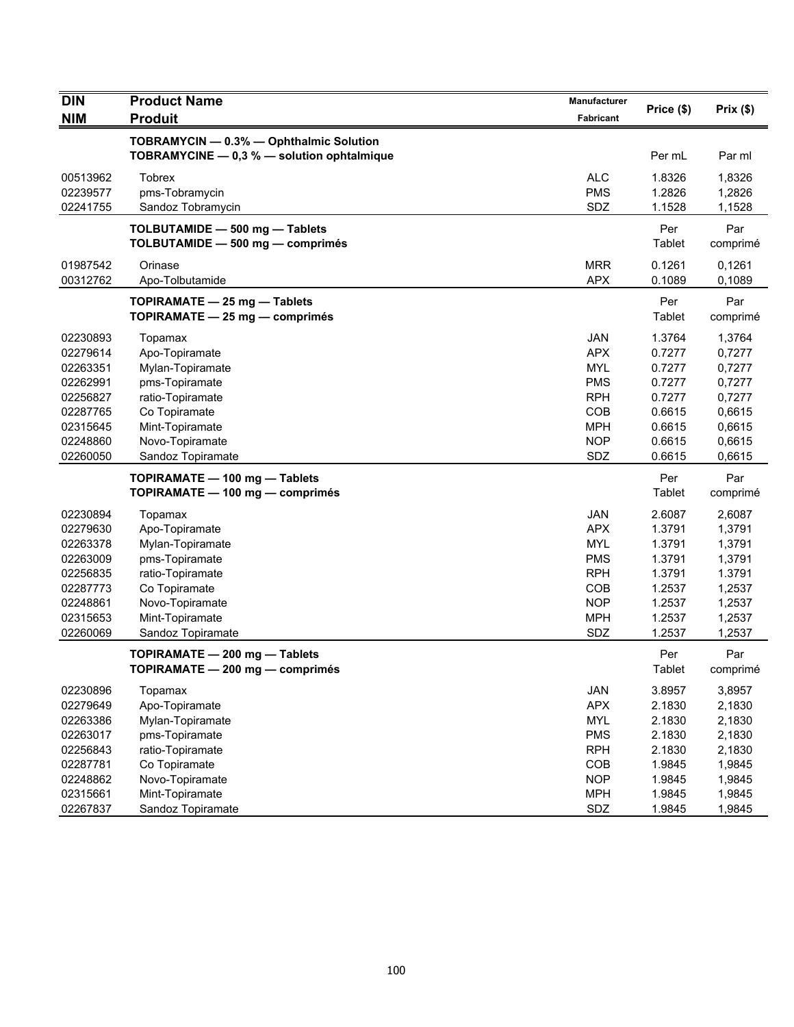| <b>DIN</b>                       | <b>Product Name</b>                                                                   | Manufacturer                    | Price (\$)                 | Prix(\$)                   |
|----------------------------------|---------------------------------------------------------------------------------------|---------------------------------|----------------------------|----------------------------|
| <b>NIM</b>                       | <b>Produit</b>                                                                        | Fabricant                       |                            |                            |
|                                  | TOBRAMYCIN - 0.3% - Ophthalmic Solution<br>TOBRAMYCINE - 0,3 % - solution ophtalmique |                                 | Per mL                     | Par ml                     |
| 00513962<br>02239577<br>02241755 | <b>Tobrex</b><br>pms-Tobramycin<br>Sandoz Tobramycin                                  | <b>ALC</b><br><b>PMS</b><br>SDZ | 1.8326<br>1.2826<br>1.1528 | 1,8326<br>1,2826<br>1,1528 |
|                                  | TOLBUTAMIDE - 500 mg - Tablets<br>TOLBUTAMIDE - 500 mg - comprimés                    |                                 | Per<br>Tablet              | Par<br>comprimé            |
| 01987542<br>00312762             | Orinase<br>Apo-Tolbutamide                                                            | <b>MRR</b><br><b>APX</b>        | 0.1261<br>0.1089           | 0,1261<br>0,1089           |
|                                  | TOPIRAMATE - 25 mg - Tablets<br>TOPIRAMATE $-25$ mg $-$ comprimés                     |                                 | Per<br><b>Tablet</b>       | Par<br>comprimé            |
| 02230893                         | Topamax                                                                               | <b>JAN</b>                      | 1.3764                     | 1,3764                     |
| 02279614                         | Apo-Topiramate                                                                        | <b>APX</b>                      | 0.7277                     | 0,7277                     |
| 02263351                         | Mylan-Topiramate                                                                      | <b>MYL</b>                      | 0.7277                     | 0,7277                     |
| 02262991                         | pms-Topiramate                                                                        | <b>PMS</b>                      | 0.7277                     | 0,7277                     |
| 02256827                         | ratio-Topiramate                                                                      | <b>RPH</b>                      | 0.7277                     | 0,7277                     |
| 02287765                         | Co Topiramate                                                                         | COB                             | 0.6615                     | 0,6615                     |
| 02315645                         | Mint-Topiramate                                                                       | <b>MPH</b>                      | 0.6615                     | 0,6615                     |
| 02248860                         | Novo-Topiramate                                                                       | <b>NOP</b>                      | 0.6615                     | 0,6615                     |
| 02260050                         | Sandoz Topiramate                                                                     | SDZ                             | 0.6615                     | 0,6615                     |
|                                  | TOPIRAMATE - 100 mg - Tablets                                                         |                                 | Per                        | Par                        |
|                                  | TOPIRAMATE - 100 mg - comprimés                                                       |                                 | Tablet                     | comprimé                   |
| 02230894                         | Topamax                                                                               | <b>JAN</b>                      | 2.6087                     | 2,6087                     |
| 02279630                         | Apo-Topiramate                                                                        | <b>APX</b>                      | 1.3791                     | 1,3791                     |
| 02263378                         | Mylan-Topiramate                                                                      | <b>MYL</b>                      | 1.3791                     | 1,3791                     |
| 02263009                         | pms-Topiramate                                                                        | <b>PMS</b>                      | 1.3791                     | 1,3791                     |
| 02256835                         | ratio-Topiramate                                                                      | <b>RPH</b>                      | 1.3791                     | 1.3791                     |
| 02287773                         | Co Topiramate                                                                         | <b>COB</b>                      | 1.2537                     | 1,2537                     |
| 02248861                         | Novo-Topiramate                                                                       | <b>NOP</b>                      | 1.2537                     | 1,2537                     |
| 02315653                         | Mint-Topiramate                                                                       | <b>MPH</b>                      | 1.2537                     | 1,2537                     |
| 02260069                         | Sandoz Topiramate                                                                     | SDZ                             | 1.2537                     | 1,2537                     |
|                                  | TOPIRAMATE - 200 mg - Tablets                                                         |                                 | Per                        | Par                        |
|                                  | TOPIRAMATE - 200 mg - comprimés                                                       |                                 | Tablet                     | comprimé                   |
| 02230896                         | Topamax                                                                               | JAN                             | 3.8957                     | 3,8957                     |
| 02279649                         | Apo-Topiramate                                                                        | <b>APX</b>                      | 2.1830                     | 2,1830                     |
| 02263386                         | Mylan-Topiramate                                                                      | <b>MYL</b>                      | 2.1830                     | 2,1830                     |
| 02263017                         | pms-Topiramate                                                                        | <b>PMS</b>                      | 2.1830                     | 2,1830                     |
| 02256843                         | ratio-Topiramate                                                                      | <b>RPH</b>                      | 2.1830                     | 2,1830                     |
| 02287781                         | Co Topiramate                                                                         | COB                             | 1.9845                     | 1,9845                     |
| 02248862                         | Novo-Topiramate                                                                       | <b>NOP</b>                      | 1.9845                     | 1,9845                     |
| 02315661                         | Mint-Topiramate                                                                       | <b>MPH</b>                      | 1.9845                     | 1,9845                     |
| 02267837                         | Sandoz Topiramate                                                                     | SDZ                             | 1.9845                     | 1,9845                     |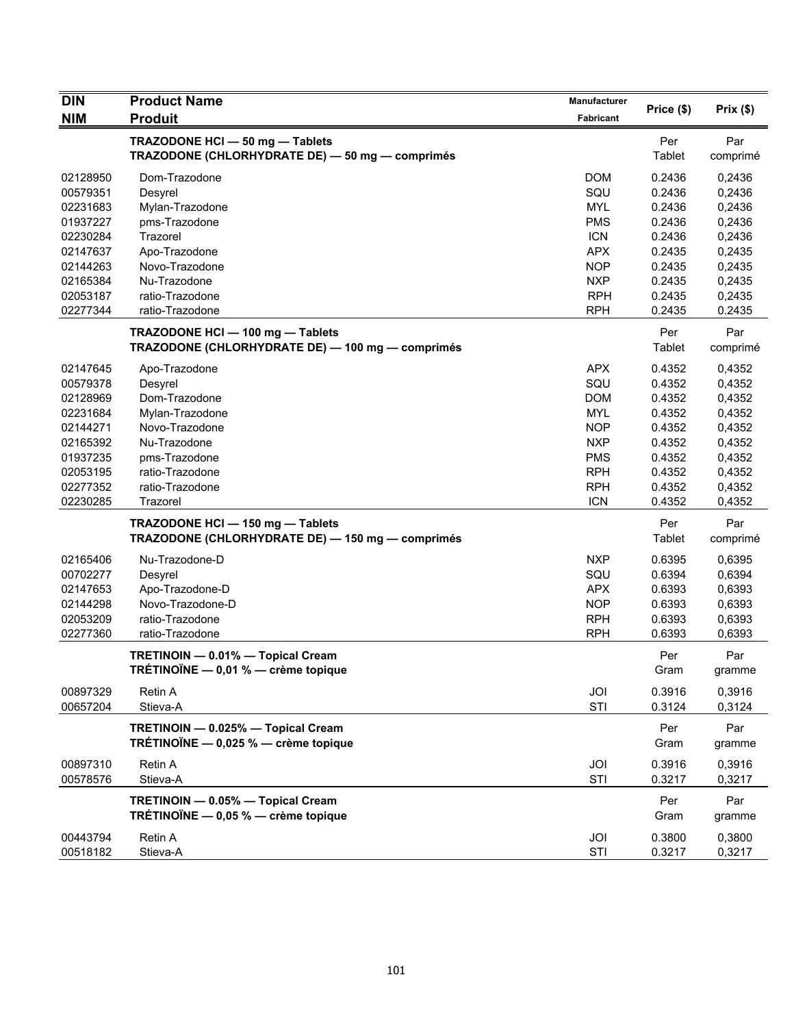| DIN        | <b>Product Name</b>                              | <b>Manufacturer</b> |            |          |
|------------|--------------------------------------------------|---------------------|------------|----------|
| <b>NIM</b> | <b>Produit</b>                                   | Fabricant           | Price (\$) | Prix(\$) |
|            | TRAZODONE HCI - 50 mg - Tablets                  |                     | Per        | Par      |
|            | TRAZODONE (CHLORHYDRATE DE) - 50 mg - comprimés  |                     | Tablet     | comprimé |
| 02128950   | Dom-Trazodone                                    | <b>DOM</b>          | 0.2436     | 0,2436   |
| 00579351   | Desyrel                                          | SQU                 | 0.2436     | 0,2436   |
| 02231683   | Mylan-Trazodone                                  | <b>MYL</b>          | 0.2436     | 0,2436   |
| 01937227   | pms-Trazodone                                    | <b>PMS</b>          | 0.2436     | 0,2436   |
| 02230284   | Trazorel                                         | <b>ICN</b>          | 0.2436     | 0,2436   |
| 02147637   | Apo-Trazodone                                    | <b>APX</b>          | 0.2435     | 0,2435   |
| 02144263   | Novo-Trazodone                                   | <b>NOP</b>          | 0.2435     | 0,2435   |
| 02165384   | Nu-Trazodone                                     | <b>NXP</b>          | 0.2435     | 0,2435   |
| 02053187   | ratio-Trazodone                                  | <b>RPH</b>          | 0.2435     | 0,2435   |
| 02277344   | ratio-Trazodone                                  | <b>RPH</b>          | 0.2435     | 0.2435   |
|            | TRAZODONE HCI - 100 mg - Tablets                 |                     | Per        | Par      |
|            | TRAZODONE (CHLORHYDRATE DE) - 100 mg - comprimés |                     | Tablet     | comprimé |
| 02147645   | Apo-Trazodone                                    | <b>APX</b>          | 0.4352     | 0,4352   |
| 00579378   | Desyrel                                          | SQU                 | 0.4352     | 0,4352   |
| 02128969   | Dom-Trazodone                                    | <b>DOM</b>          | 0.4352     | 0,4352   |
| 02231684   | Mylan-Trazodone                                  | <b>MYL</b>          | 0.4352     | 0,4352   |
| 02144271   | Novo-Trazodone                                   | <b>NOP</b>          | 0.4352     | 0,4352   |
| 02165392   | Nu-Trazodone                                     | <b>NXP</b>          | 0.4352     | 0,4352   |
| 01937235   | pms-Trazodone                                    | <b>PMS</b>          | 0.4352     | 0,4352   |
| 02053195   | ratio-Trazodone                                  | <b>RPH</b>          | 0.4352     | 0,4352   |
| 02277352   | ratio-Trazodone                                  | <b>RPH</b>          | 0.4352     | 0,4352   |
| 02230285   | Trazorel                                         | <b>ICN</b>          | 0.4352     | 0,4352   |
|            | TRAZODONE HCI - 150 mg - Tablets                 |                     | Per        | Par      |
|            | TRAZODONE (CHLORHYDRATE DE) - 150 mg - comprimés |                     | Tablet     | comprimé |
| 02165406   | Nu-Trazodone-D                                   | <b>NXP</b>          | 0.6395     | 0,6395   |
| 00702277   | Desyrel                                          | SQU                 | 0.6394     | 0,6394   |
| 02147653   | Apo-Trazodone-D                                  | <b>APX</b>          | 0.6393     | 0,6393   |
| 02144298   | Novo-Trazodone-D                                 | <b>NOP</b>          | 0.6393     | 0,6393   |
| 02053209   | ratio-Trazodone                                  | <b>RPH</b>          | 0.6393     | 0,6393   |
| 02277360   | ratio-Trazodone                                  | <b>RPH</b>          | 0.6393     | 0,6393   |
|            | TRETINOIN - 0.01% - Topical Cream                |                     | Per        | Par      |
|            | TRÉTINOÏNE - 0,01 % - crème topique              |                     | Gram       | gramme   |
| 00897329   | Retin A                                          | JOI                 | 0.3916     | 0,3916   |
| 00657204   | Stieva-A                                         | STI                 | 0.3124     | 0,3124   |
|            | TRETINOIN - 0.025% - Topical Cream               |                     | Per        | Par      |
|            | TRÉTINOÏNE - 0,025 % - crème topique             |                     | Gram       | gramme   |
| 00897310   | Retin A                                          | JOI                 | 0.3916     | 0,3916   |
| 00578576   | Stieva-A                                         | STI                 | 0.3217     | 0,3217   |
|            | TRETINOIN - 0.05% - Topical Cream                |                     | Per        | Par      |
|            | TRÉTINOÏNE $-$ 0,05 % $-$ crème topique          |                     | Gram       | gramme   |
| 00443794   | Retin A                                          | JOI                 | 0.3800     | 0,3800   |
| 00518182   | Stieva-A                                         | STI                 | 0.3217     | 0,3217   |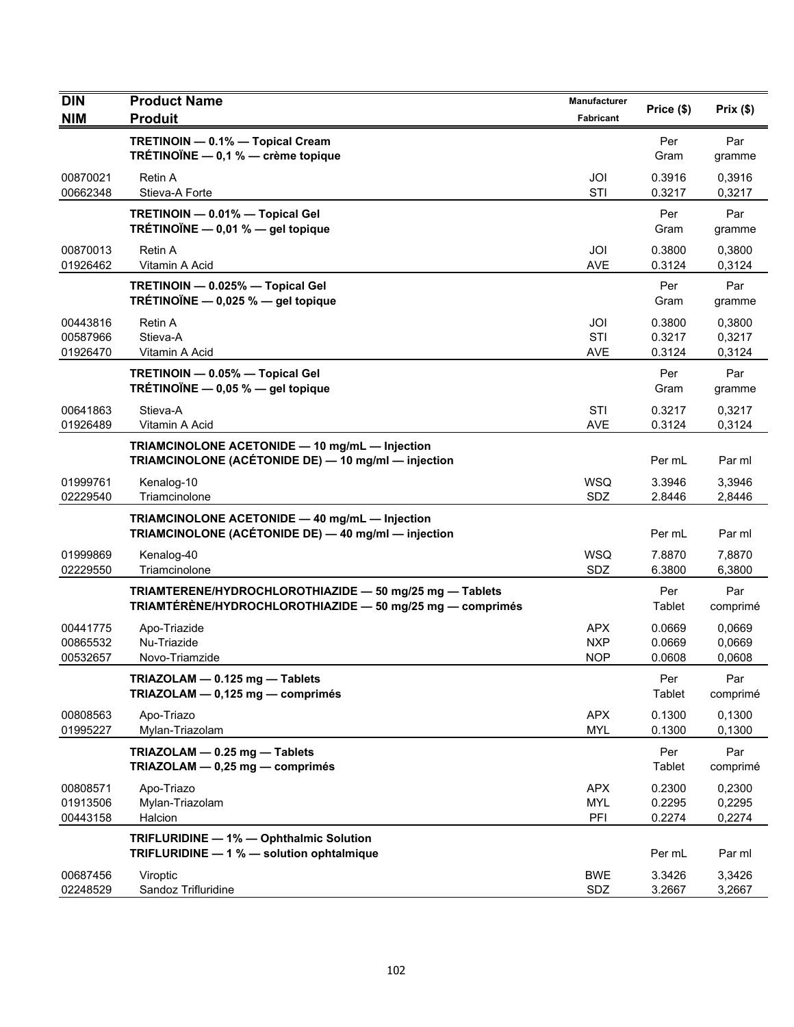| <b>DIN</b>                       | <b>Product Name</b>                                                                                                  | Manufacturer                           | Price (\$)                 | Prix(\$)                   |
|----------------------------------|----------------------------------------------------------------------------------------------------------------------|----------------------------------------|----------------------------|----------------------------|
| <b>NIM</b>                       | <b>Produit</b>                                                                                                       | Fabricant                              |                            |                            |
|                                  | TRETINOIN - 0.1% - Topical Cream<br>TRÉTINOÏNE $-$ 0,1 % $-$ crème topique                                           |                                        | Per<br>Gram                | Par<br>gramme              |
| 00870021<br>00662348             | Retin A<br>Stieva-A Forte                                                                                            | JOI<br>STI                             | 0.3916<br>0.3217           | 0,3916<br>0,3217           |
|                                  | TRETINOIN - 0.01% - Topical Gel<br>TRÉTINOÏNE $-$ 0,01 % $-$ gel topique                                             |                                        | Per<br>Gram                | Par<br>gramme              |
| 00870013<br>01926462             | <b>Retin A</b><br>Vitamin A Acid                                                                                     | JOI<br><b>AVE</b>                      | 0.3800<br>0.3124           | 0,3800<br>0,3124           |
|                                  | TRETINOIN - 0.025% - Topical Gel<br>TRÉTINOÏNE - 0,025 % - gel topique                                               |                                        | Per<br>Gram                | Par<br>gramme              |
| 00443816<br>00587966<br>01926470 | Retin A<br>Stieva-A<br>Vitamin A Acid                                                                                | JOI<br><b>STI</b><br><b>AVE</b>        | 0.3800<br>0.3217<br>0.3124 | 0,3800<br>0,3217<br>0,3124 |
|                                  | TRETINOIN - 0.05% - Topical Gel<br>TRÉTINOÏNE $-$ 0,05 % $-$ gel topique                                             |                                        | Per<br>Gram                | Par<br>gramme              |
| 00641863<br>01926489             | Stieva-A<br>Vitamin A Acid                                                                                           | STI<br><b>AVE</b>                      | 0.3217<br>0.3124           | 0,3217<br>0,3124           |
|                                  | TRIAMCINOLONE ACETONIDE - 10 mg/mL - Injection<br>TRIAMCINOLONE (ACÉTONIDE DE) - 10 mg/ml - injection                |                                        | Per mL                     | Par ml                     |
| 01999761<br>02229540             | Kenalog-10<br>Triamcinolone                                                                                          | <b>WSQ</b><br>SDZ                      | 3.3946<br>2.8446           | 3,3946<br>2,8446           |
|                                  | TRIAMCINOLONE ACETONIDE - 40 mg/mL - Injection<br>TRIAMCINOLONE (ACÉTONIDE DE) - 40 mg/ml - injection                |                                        | Per mL                     | Par ml                     |
| 01999869<br>02229550             | Kenalog-40<br>Triamcinolone                                                                                          | <b>WSQ</b><br>SDZ                      | 7.8870<br>6.3800           | 7,8870<br>6,3800           |
|                                  | TRIAMTERENE/HYDROCHLOROTHIAZIDE - 50 mg/25 mg - Tablets<br>TRIAMTÉRÈNE/HYDROCHLOROTHIAZIDE - 50 mg/25 mg - comprimés |                                        | Per<br>Tablet              | Par<br>comprimé            |
| 00441775<br>00865532<br>00532657 | Apo-Triazide<br>Nu-Triazide<br>Novo-Triamzide                                                                        | <b>APX</b><br><b>NXP</b><br><b>NOP</b> | 0.0669<br>0.0669<br>0.0608 | 0,0669<br>0,0669<br>0,0608 |
|                                  | TRIAZOLAM - 0.125 mg - Tablets<br>TRIAZOLAM - 0,125 mg - comprimés                                                   |                                        | Per<br>Tablet              | Par<br>comprimé            |
| 00808563<br>01995227             | Apo-Triazo<br>Mylan-Triazolam                                                                                        | <b>APX</b><br><b>MYL</b>               | 0.1300<br>0.1300           | 0.1300<br>0,1300           |
|                                  | TRIAZOLAM - 0.25 mg - Tablets<br>TRIAZOLAM - 0,25 mg - comprimés                                                     |                                        | Per<br>Tablet              | Par<br>comprimé            |
| 00808571<br>01913506<br>00443158 | Apo-Triazo<br>Mylan-Triazolam<br>Halcion                                                                             | <b>APX</b><br><b>MYL</b><br>PFI        | 0.2300<br>0.2295<br>0.2274 | 0,2300<br>0,2295<br>0,2274 |
|                                  | TRIFLURIDINE - 1% - Ophthalmic Solution<br>TRIFLURIDINE - 1 % - solution ophtalmique                                 |                                        | Per mL                     | Par ml                     |
| 00687456<br>02248529             | Viroptic<br>Sandoz Trifluridine                                                                                      | <b>BWE</b><br>SDZ                      | 3.3426<br>3.2667           | 3,3426<br>3,2667           |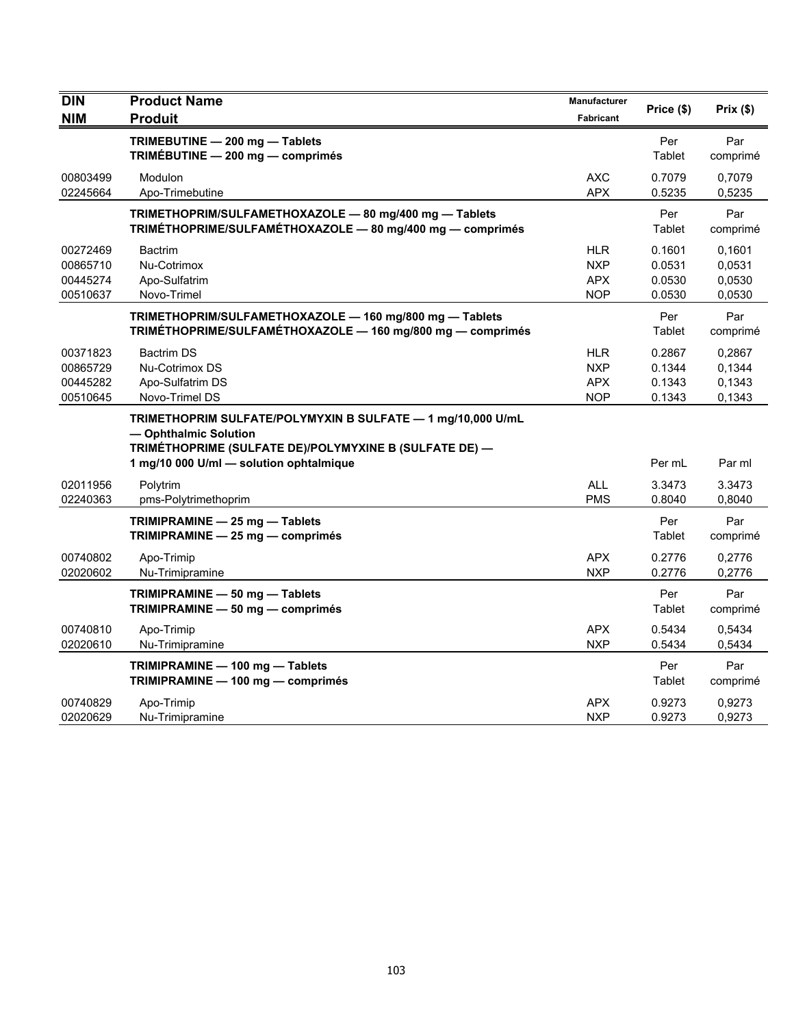| <b>DIN</b> | <b>Product Name</b><br><b>Produit</b>                       | Manufacturer | Price (\$) | Prix(\$) |
|------------|-------------------------------------------------------------|--------------|------------|----------|
| <b>NIM</b> |                                                             | Fabricant    |            |          |
|            | TRIMEBUTINE - 200 mg - Tablets                              |              | Per        | Par      |
|            | TRIMÉBUTINE - 200 mg - comprimés                            |              | Tablet     | comprimé |
| 00803499   | Modulon                                                     | <b>AXC</b>   | 0.7079     | 0,7079   |
| 02245664   | Apo-Trimebutine                                             | <b>APX</b>   | 0.5235     | 0,5235   |
|            | TRIMETHOPRIM/SULFAMETHOXAZOLE - 80 mg/400 mg - Tablets      |              | Per        | Par      |
|            | TRIMÉTHOPRIME/SULFAMÉTHOXAZOLE - 80 mg/400 mg - comprimés   |              | Tablet     | comprimé |
| 00272469   | <b>Bactrim</b>                                              | <b>HLR</b>   | 0.1601     | 0.1601   |
| 00865710   | Nu-Cotrimox                                                 | <b>NXP</b>   | 0.0531     | 0.0531   |
| 00445274   | Apo-Sulfatrim                                               | <b>APX</b>   | 0.0530     | 0,0530   |
| 00510637   | Novo-Trimel                                                 | <b>NOP</b>   | 0.0530     | 0,0530   |
|            | TRIMETHOPRIM/SULFAMETHOXAZOLE - 160 mg/800 mg - Tablets     |              | Per        | Par      |
|            | TRIMÉTHOPRIME/SULFAMÉTHOXAZOLE - 160 mg/800 mg - comprimés  |              | Tablet     | comprimé |
| 00371823   | <b>Bactrim DS</b>                                           | <b>HLR</b>   | 0.2867     | 0,2867   |
| 00865729   | Nu-Cotrimox DS                                              | <b>NXP</b>   | 0.1344     | 0.1344   |
| 00445282   | Apo-Sulfatrim DS                                            | <b>APX</b>   | 0.1343     | 0.1343   |
| 00510645   | Novo-Trimel DS                                              | <b>NOP</b>   | 0.1343     | 0,1343   |
|            | TRIMETHOPRIM SULFATE/POLYMYXIN B SULFATE - 1 mg/10,000 U/mL |              |            |          |
|            | - Ophthalmic Solution                                       |              |            |          |
|            | TRIMÉTHOPRIME (SULFATE DE)/POLYMYXINE B (SULFATE DE) -      |              |            |          |
|            | 1 mg/10 000 U/ml - solution ophtalmique                     |              | Per mL     | Par ml   |
| 02011956   | Polytrim                                                    | <b>ALL</b>   | 3.3473     | 3.3473   |
| 02240363   | pms-Polytrimethoprim                                        | <b>PMS</b>   | 0.8040     | 0,8040   |
|            | TRIMIPRAMINE - 25 mg - Tablets                              |              | Per        | Par      |
|            | TRIMIPRAMINE - 25 mg - comprimés                            |              | Tablet     | comprimé |
| 00740802   | Apo-Trimip                                                  | <b>APX</b>   | 0.2776     | 0,2776   |
| 02020602   | Nu-Trimipramine                                             | <b>NXP</b>   | 0.2776     | 0,2776   |
|            | TRIMIPRAMINE - 50 mg - Tablets                              |              | Per        | Par      |
|            | TRIMIPRAMINE - 50 mg - comprimés                            |              | Tablet     | comprimé |
| 00740810   | Apo-Trimip                                                  | <b>APX</b>   | 0.5434     | 0,5434   |
| 02020610   | Nu-Trimipramine                                             | <b>NXP</b>   | 0.5434     | 0,5434   |
|            | TRIMIPRAMINE - 100 mg - Tablets                             |              | Per        | Par      |
|            | TRIMIPRAMINE - 100 mg - comprimés                           |              | Tablet     | comprimé |
| 00740829   | Apo-Trimip                                                  | <b>APX</b>   | 0.9273     | 0,9273   |
| 02020629   | Nu-Trimipramine                                             | <b>NXP</b>   | 0.9273     | 0,9273   |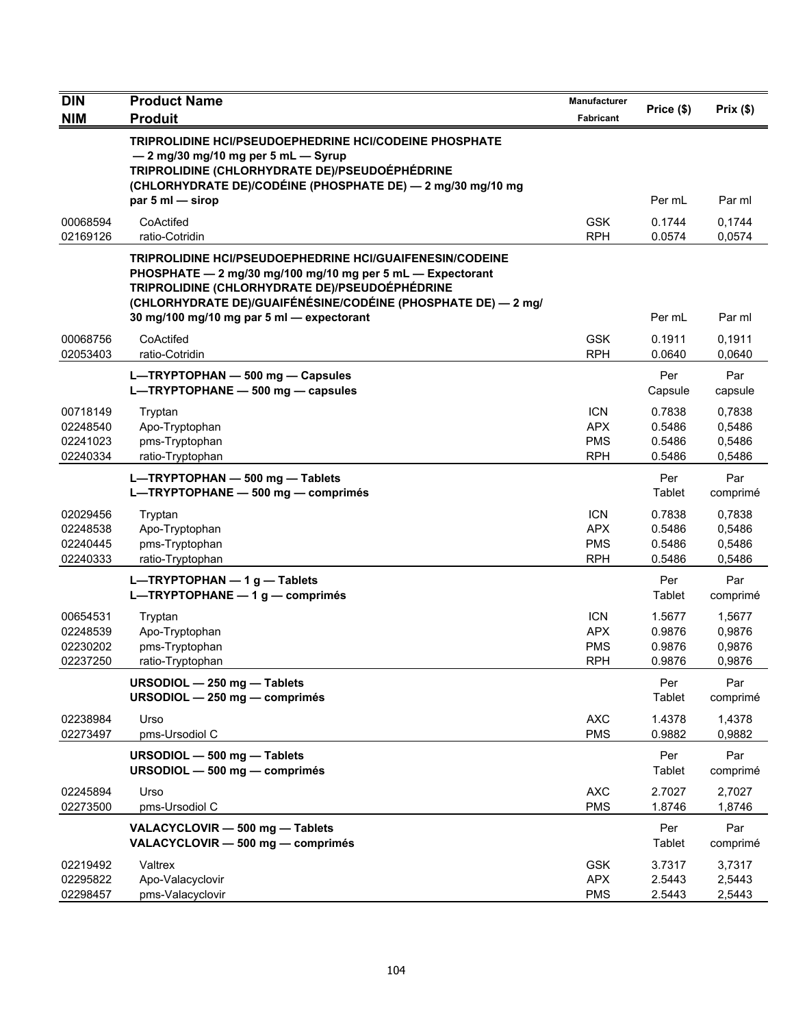| <b>DIN</b>                                   | <b>Product Name</b>                                                                                                                                                                                                                                                                           | <b>Manufacturer</b>                                  |                                      |                                      |
|----------------------------------------------|-----------------------------------------------------------------------------------------------------------------------------------------------------------------------------------------------------------------------------------------------------------------------------------------------|------------------------------------------------------|--------------------------------------|--------------------------------------|
| <b>NIM</b>                                   | <b>Produit</b>                                                                                                                                                                                                                                                                                | <b>Fabricant</b>                                     | Price (\$)                           | Prix(\$)                             |
|                                              | TRIPROLIDINE HCI/PSEUDOEPHEDRINE HCI/CODEINE PHOSPHATE<br>- 2 mg/30 mg/10 mg per 5 mL - Syrup<br>TRIPROLIDINE (CHLORHYDRATE DE)/PSEUDOÉPHÉDRINE<br>(CHLORHYDRATE DE)/CODÉINE (PHOSPHATE DE) - 2 mg/30 mg/10 mg<br>par 5 ml - sirop                                                            |                                                      | Per mL                               | Par ml                               |
| 00068594<br>02169126                         | CoActifed<br>ratio-Cotridin                                                                                                                                                                                                                                                                   | <b>GSK</b><br><b>RPH</b>                             | 0.1744<br>0.0574                     | 0,1744<br>0,0574                     |
|                                              | <b>TRIPROLIDINE HCI/PSEUDOEPHEDRINE HCI/GUAIFENESIN/CODEINE</b><br>PHOSPHATE - 2 mg/30 mg/100 mg/10 mg per 5 mL - Expectorant<br>TRIPROLIDINE (CHLORHYDRATE DE)/PSEUDOÉPHÉDRINE<br>(CHLORHYDRATE DE)/GUAIFÉNÉSINE/CODÉINE (PHOSPHATE DE) — 2 mg/<br>30 mg/100 mg/10 mg par 5 ml - expectorant |                                                      | Per mL                               | Par ml                               |
| 00068756<br>02053403                         | CoActifed<br>ratio-Cotridin                                                                                                                                                                                                                                                                   | <b>GSK</b><br><b>RPH</b>                             | 0.1911<br>0.0640                     | 0,1911<br>0,0640                     |
|                                              | L-TRYPTOPHAN - 500 mg - Capsules<br>L-TRYPTOPHANE - 500 mg - capsules                                                                                                                                                                                                                         |                                                      | Per<br>Capsule                       | Par<br>capsule                       |
| 00718149<br>02248540<br>02241023<br>02240334 | Tryptan<br>Apo-Tryptophan<br>pms-Tryptophan<br>ratio-Tryptophan                                                                                                                                                                                                                               | <b>ICN</b><br><b>APX</b><br><b>PMS</b><br><b>RPH</b> | 0.7838<br>0.5486<br>0.5486<br>0.5486 | 0,7838<br>0,5486<br>0,5486<br>0,5486 |
|                                              | L-TRYPTOPHAN - 500 mg - Tablets<br>L-TRYPTOPHANE - 500 mg - comprimés                                                                                                                                                                                                                         |                                                      | Per<br>Tablet                        | Par<br>comprimé                      |
| 02029456<br>02248538<br>02240445<br>02240333 | Tryptan<br>Apo-Tryptophan<br>pms-Tryptophan<br>ratio-Tryptophan                                                                                                                                                                                                                               | <b>ICN</b><br><b>APX</b><br><b>PMS</b><br><b>RPH</b> | 0.7838<br>0.5486<br>0.5486<br>0.5486 | 0,7838<br>0,5486<br>0,5486<br>0,5486 |
|                                              | $L-TRYPTOPHAN - 1 g - Tables$<br>L-TRYPTOPHANE - 1 g - comprimés                                                                                                                                                                                                                              |                                                      | Per<br>Tablet                        | Par<br>comprimé                      |
| 00654531<br>02248539<br>02230202<br>02237250 | Tryptan<br>Apo-Tryptophan<br>pms-Tryptophan<br>ratio-Tryptophan                                                                                                                                                                                                                               | <b>ICN</b><br><b>APX</b><br><b>PMS</b><br><b>RPH</b> | 1.5677<br>0.9876<br>0.9876<br>0.9876 | 1,5677<br>0,9876<br>0,9876<br>0,9876 |
|                                              | URSODIOL - 250 mg - Tablets<br>URSODIOL - 250 mg - comprimés                                                                                                                                                                                                                                  |                                                      | Per<br>Tablet                        | Par<br>comprimé                      |
| 02238984<br>02273497                         | Urso<br>pms-Ursodiol C                                                                                                                                                                                                                                                                        | <b>AXC</b><br><b>PMS</b>                             | 1.4378<br>0.9882                     | 1,4378<br>0,9882                     |
|                                              | URSODIOL - 500 mg - Tablets<br>URSODIOL - 500 mg - comprimés                                                                                                                                                                                                                                  |                                                      | Per<br>Tablet                        | Par<br>comprimé                      |
| 02245894<br>02273500                         | Urso<br>pms-Ursodiol C                                                                                                                                                                                                                                                                        | <b>AXC</b><br><b>PMS</b>                             | 2.7027<br>1.8746                     | 2,7027<br>1,8746                     |
|                                              | VALACYCLOVIR - 500 mg - Tablets<br>VALACYCLOVIR - 500 mg - comprimés                                                                                                                                                                                                                          |                                                      | Per<br>Tablet                        | Par<br>comprimé                      |
| 02219492<br>02295822<br>02298457             | Valtrex<br>Apo-Valacyclovir<br>pms-Valacyclovir                                                                                                                                                                                                                                               | <b>GSK</b><br><b>APX</b><br><b>PMS</b>               | 3.7317<br>2.5443<br>2.5443           | 3,7317<br>2,5443<br>2,5443           |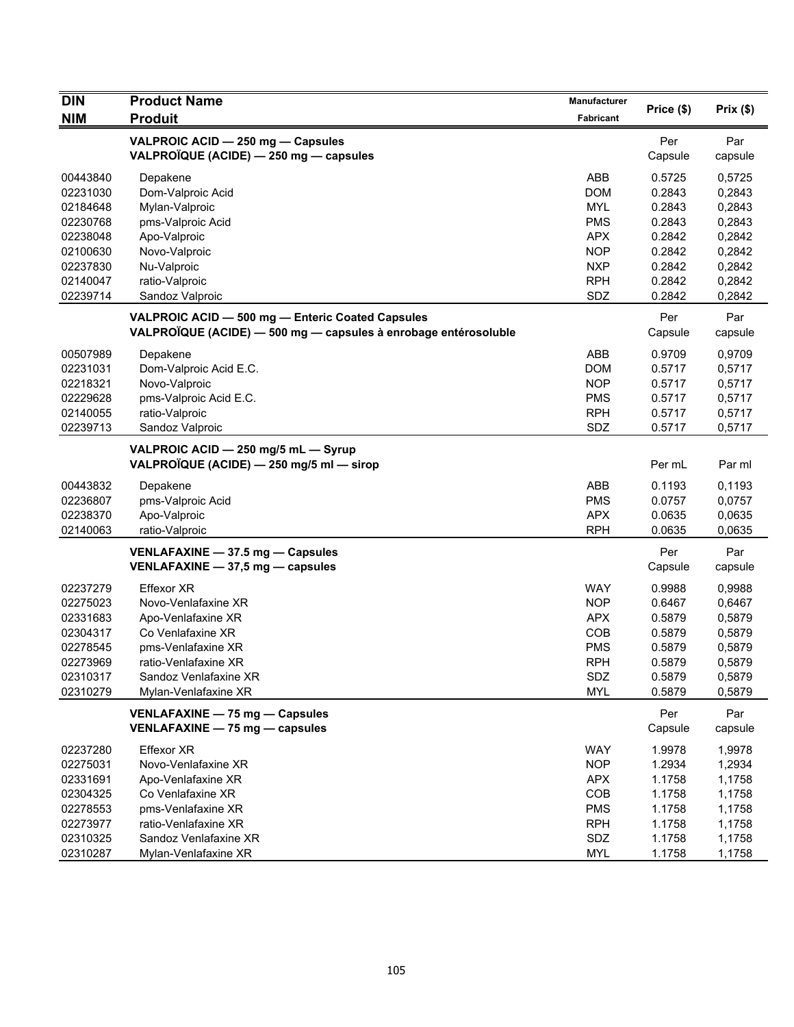| <b>DIN</b> | <b>Product Name</b>                                             | <b>Manufacturer</b> |            | Prix(\$) |
|------------|-----------------------------------------------------------------|---------------------|------------|----------|
| <b>NIM</b> | <b>Produit</b>                                                  | Fabricant           | Price (\$) |          |
|            | VALPROIC ACID - 250 mg - Capsules                               |                     | Per        | Par      |
|            | VALPROÏQUE (ACIDE) - 250 mg - capsules                          |                     | Capsule    | capsule  |
| 00443840   | Depakene                                                        | ABB                 | 0.5725     | 0,5725   |
| 02231030   | Dom-Valproic Acid                                               | <b>DOM</b>          | 0.2843     | 0,2843   |
| 02184648   | Mylan-Valproic                                                  | <b>MYL</b>          | 0.2843     | 0,2843   |
| 02230768   | pms-Valproic Acid                                               | <b>PMS</b>          | 0.2843     | 0,2843   |
| 02238048   | Apo-Valproic                                                    | <b>APX</b>          | 0.2842     | 0,2842   |
| 02100630   | Novo-Valproic                                                   | <b>NOP</b>          | 0.2842     | 0,2842   |
| 02237830   | Nu-Valproic                                                     | <b>NXP</b>          | 0.2842     | 0,2842   |
| 02140047   | ratio-Valproic                                                  | <b>RPH</b>          | 0.2842     | 0,2842   |
| 02239714   | Sandoz Valproic                                                 | SDZ                 | 0.2842     | 0,2842   |
|            | VALPROIC ACID - 500 mg - Enteric Coated Capsules                |                     | Per        | Par      |
|            | VALPROÏQUE (ACIDE) - 500 mg - capsules à enrobage entérosoluble |                     | Capsule    | capsule  |
| 00507989   | Depakene                                                        | ABB                 | 0.9709     | 0,9709   |
| 02231031   | Dom-Valproic Acid E.C.                                          | <b>DOM</b>          | 0.5717     | 0,5717   |
| 02218321   | Novo-Valproic                                                   | <b>NOP</b>          | 0.5717     | 0,5717   |
| 02229628   | pms-Valproic Acid E.C.                                          | <b>PMS</b>          | 0.5717     | 0,5717   |
| 02140055   | ratio-Valproic                                                  | <b>RPH</b>          | 0.5717     | 0,5717   |
| 02239713   | Sandoz Valproic                                                 | SDZ                 | 0.5717     | 0,5717   |
|            | VALPROIC ACID - 250 mg/5 mL - Syrup                             |                     |            |          |
|            | VALPROÏQUE (ACIDE) — 250 mg/5 ml — sirop                        |                     | Per mL     | Par ml   |
| 00443832   | Depakene                                                        | ABB                 | 0.1193     | 0,1193   |
| 02236807   | pms-Valproic Acid                                               | <b>PMS</b>          | 0.0757     | 0,0757   |
| 02238370   | Apo-Valproic                                                    | <b>APX</b>          | 0.0635     | 0,0635   |
| 02140063   | ratio-Valproic                                                  | <b>RPH</b>          | 0.0635     | 0,0635   |
|            | VENLAFAXINE - 37.5 mg - Capsules                                |                     | Per        | Par      |
|            | VENLAFAXINE - 37,5 mg - capsules                                |                     | Capsule    | capsule  |
| 02237279   | Effexor XR                                                      | <b>WAY</b>          | 0.9988     | 0,9988   |
| 02275023   | Novo-Venlafaxine XR                                             | <b>NOP</b>          | 0.6467     | 0,6467   |
| 02331683   | Apo-Venlafaxine XR                                              | <b>APX</b>          | 0.5879     | 0,5879   |
| 02304317   | Co Venlafaxine XR                                               | COB                 | 0.5879     | 0,5879   |
| 02278545   | pms-Venlafaxine XR                                              | <b>PMS</b>          | 0.5879     | 0,5879   |
| 02273969   | ratio-Venlafaxine XR                                            | <b>RPH</b>          | 0.5879     | 0,5879   |
| 02310317   | Sandoz Venlafaxine XR                                           | SDZ                 | 0.5879     | 0,5879   |
| 02310279   | Mylan-Venlafaxine XR                                            | MYL                 | 0.5879     | 0,5879   |
|            | VENLAFAXINE - 75 mg - Capsules                                  |                     | Per        | Par      |
|            | VENLAFAXINE - 75 mg - capsules                                  |                     | Capsule    | capsule  |
| 02237280   | <b>Effexor XR</b>                                               | <b>WAY</b>          | 1.9978     | 1,9978   |
| 02275031   | Novo-Venlafaxine XR                                             | <b>NOP</b>          | 1.2934     | 1,2934   |
| 02331691   | Apo-Venlafaxine XR                                              | <b>APX</b>          | 1.1758     | 1,1758   |
| 02304325   | Co Venlafaxine XR                                               | COB                 | 1.1758     | 1,1758   |
| 02278553   | pms-Venlafaxine XR                                              | <b>PMS</b>          | 1.1758     | 1,1758   |
| 02273977   | ratio-Venlafaxine XR                                            | <b>RPH</b>          | 1.1758     | 1,1758   |
| 02310325   | Sandoz Venlafaxine XR                                           | SDZ                 | 1.1758     | 1,1758   |
| 02310287   | Mylan-Venlafaxine XR                                            | <b>MYL</b>          | 1.1758     | 1,1758   |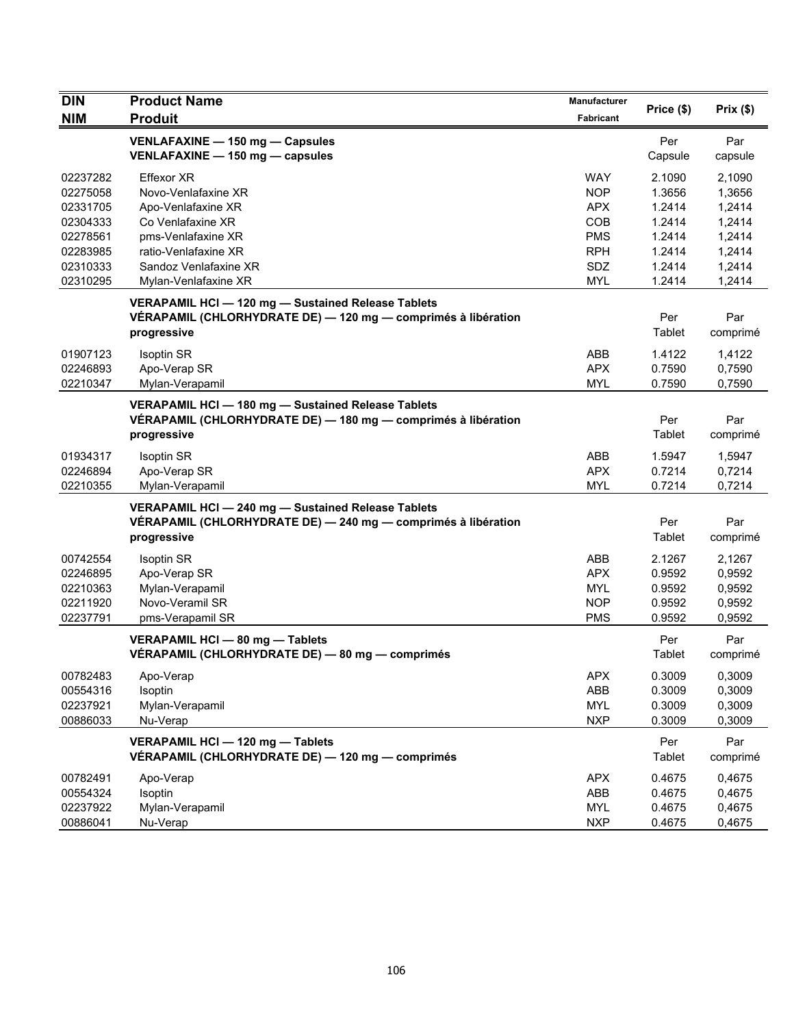| <b>DIN</b>                                                                                   | <b>Product Name</b>                                                                                                                                                                | Manufacturer                                                                                   | Price (\$)                                                                   | Prix(\$)                                                                     |
|----------------------------------------------------------------------------------------------|------------------------------------------------------------------------------------------------------------------------------------------------------------------------------------|------------------------------------------------------------------------------------------------|------------------------------------------------------------------------------|------------------------------------------------------------------------------|
| <b>NIM</b>                                                                                   | <b>Produit</b>                                                                                                                                                                     | Fabricant                                                                                      |                                                                              |                                                                              |
|                                                                                              | VENLAFAXINE - 150 mg - Capsules<br>VENLAFAXINE - 150 mg - capsules                                                                                                                 |                                                                                                | Per<br>Capsule                                                               | Par<br>capsule                                                               |
| 02237282<br>02275058<br>02331705<br>02304333<br>02278561<br>02283985<br>02310333<br>02310295 | <b>Effexor XR</b><br>Novo-Venlafaxine XR<br>Apo-Venlafaxine XR<br>Co Venlafaxine XR<br>pms-Venlafaxine XR<br>ratio-Venlafaxine XR<br>Sandoz Venlafaxine XR<br>Mylan-Venlafaxine XR | <b>WAY</b><br><b>NOP</b><br><b>APX</b><br>COB<br><b>PMS</b><br><b>RPH</b><br>SDZ<br><b>MYL</b> | 2.1090<br>1.3656<br>1.2414<br>1.2414<br>1.2414<br>1.2414<br>1.2414<br>1.2414 | 2,1090<br>1,3656<br>1,2414<br>1,2414<br>1,2414<br>1,2414<br>1,2414<br>1,2414 |
|                                                                                              | VERAPAMIL HCI - 120 mg - Sustained Release Tablets<br>VÉRAPAMIL (CHLORHYDRATE DE) — 120 mg — comprimés à libération<br>progressive                                                 |                                                                                                | Per<br>Tablet                                                                | Par<br>comprimé                                                              |
| 01907123<br>02246893<br>02210347                                                             | <b>Isoptin SR</b><br>Apo-Verap SR<br>Mylan-Verapamil                                                                                                                               | ABB<br><b>APX</b><br><b>MYL</b>                                                                | 1.4122<br>0.7590<br>0.7590                                                   | 1,4122<br>0,7590<br>0,7590                                                   |
|                                                                                              | VERAPAMIL HCI - 180 mg - Sustained Release Tablets<br>VÉRAPAMIL (CHLORHYDRATE DE) — 180 mg — comprimés à libération<br>progressive                                                 |                                                                                                | Per<br>Tablet                                                                | Par<br>comprimé                                                              |
| 01934317<br>02246894<br>02210355                                                             | <b>Isoptin SR</b><br>Apo-Verap SR<br>Mylan-Verapamil                                                                                                                               | ABB<br><b>APX</b><br><b>MYL</b>                                                                | 1.5947<br>0.7214<br>0.7214                                                   | 1,5947<br>0,7214<br>0,7214                                                   |
|                                                                                              | VERAPAMIL HCI - 240 mg - Sustained Release Tablets<br>VÉRAPAMIL (CHLORHYDRATE DE) - 240 mg - comprimés à libération<br>progressive                                                 |                                                                                                | Per<br>Tablet                                                                | Par<br>comprimé                                                              |
| 00742554<br>02246895<br>02210363<br>02211920<br>02237791                                     | <b>Isoptin SR</b><br>Apo-Verap SR<br>Mylan-Verapamil<br>Novo-Veramil SR<br>pms-Verapamil SR                                                                                        | ABB<br><b>APX</b><br><b>MYL</b><br><b>NOP</b><br><b>PMS</b>                                    | 2.1267<br>0.9592<br>0.9592<br>0.9592<br>0.9592                               | 2,1267<br>0,9592<br>0,9592<br>0,9592<br>0,9592                               |
|                                                                                              | VERAPAMIL HCI - 80 mg - Tablets<br>VÉRAPAMIL (CHLORHYDRATE DE) — 80 mg — comprimés                                                                                                 |                                                                                                | Per<br>Tablet                                                                | Par<br>comprimé                                                              |
| 00782483<br>00554316<br>02237921<br>00886033                                                 | Apo-Verap<br>Isoptin<br>Mylan-Verapamil<br>Nu-Verap                                                                                                                                | <b>APX</b><br>ABB<br><b>MYL</b><br><b>NXP</b>                                                  | 0.3009<br>0.3009<br>0.3009<br>0.3009                                         | 0,3009<br>0,3009<br>0,3009<br>0,3009                                         |
|                                                                                              | VERAPAMIL HCI - 120 mg - Tablets<br>VÉRAPAMIL (CHLORHYDRATE DE) — 120 mg — comprimés                                                                                               |                                                                                                | Per<br>Tablet                                                                | Par<br>comprimé                                                              |
| 00782491<br>00554324<br>02237922<br>00886041                                                 | Apo-Verap<br>Isoptin<br>Mylan-Verapamil<br>Nu-Verap                                                                                                                                | <b>APX</b><br>ABB<br><b>MYL</b><br><b>NXP</b>                                                  | 0.4675<br>0.4675<br>0.4675<br>0.4675                                         | 0.4675<br>0,4675<br>0,4675<br>0,4675                                         |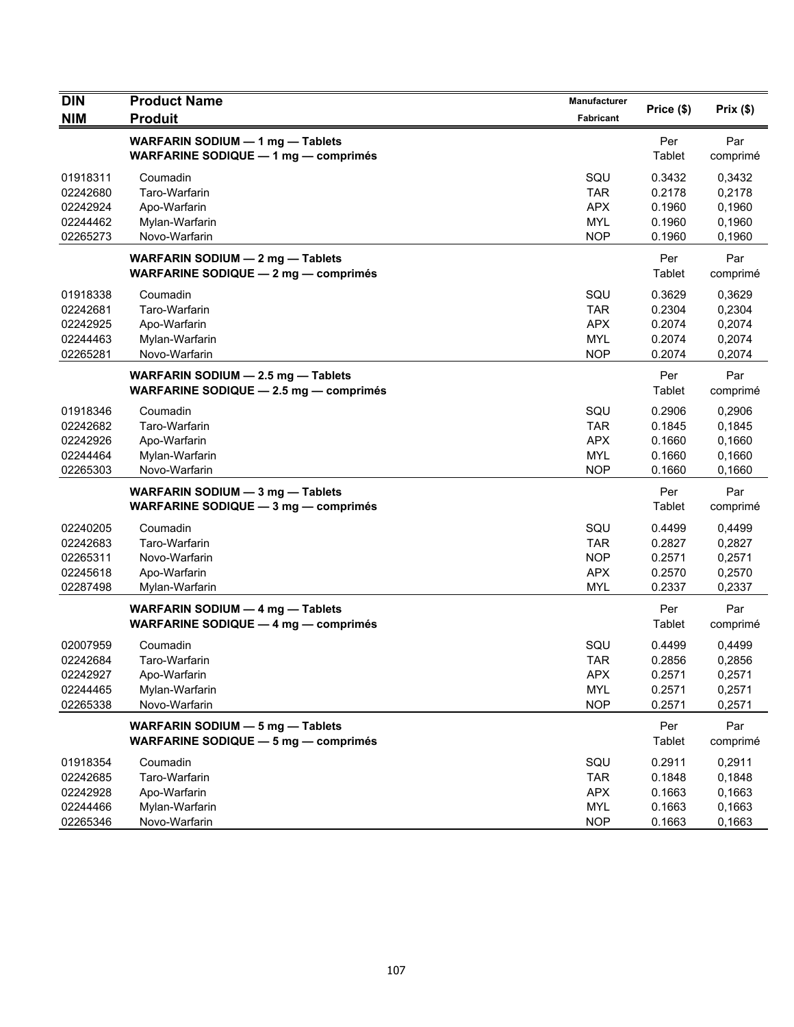| <b>DIN</b> | <b>Product Name</b>                                                             | <b>Manufacturer</b> | Price (\$)    | Prix(\$)        |
|------------|---------------------------------------------------------------------------------|---------------------|---------------|-----------------|
| <b>NIM</b> | <b>Produit</b>                                                                  | Fabricant           |               |                 |
|            | WARFARIN SODIUM - 1 mg - Tablets<br><b>WARFARINE SODIQUE - 1 mg - comprimés</b> |                     | Per<br>Tablet | Par<br>comprimé |
| 01918311   | Coumadin                                                                        | SQU                 | 0.3432        | 0,3432          |
| 02242680   | Taro-Warfarin                                                                   | <b>TAR</b>          | 0.2178        | 0,2178          |
| 02242924   | Apo-Warfarin                                                                    | <b>APX</b>          | 0.1960        | 0,1960          |
| 02244462   | Mylan-Warfarin                                                                  | <b>MYL</b>          | 0.1960        | 0,1960          |
| 02265273   | Novo-Warfarin                                                                   | <b>NOP</b>          | 0.1960        | 0,1960          |
|            | WARFARIN SODIUM - 2 mg - Tablets<br><b>WARFARINE SODIQUE - 2 mg - comprimés</b> |                     | Per<br>Tablet | Par<br>comprimé |
| 01918338   | Coumadin                                                                        | SQU                 | 0.3629        | 0,3629          |
| 02242681   | Taro-Warfarin                                                                   | <b>TAR</b>          | 0.2304        | 0,2304          |
| 02242925   | Apo-Warfarin                                                                    | <b>APX</b>          | 0.2074        | 0,2074          |
| 02244463   | Mylan-Warfarin                                                                  | <b>MYL</b>          | 0.2074        | 0,2074          |
| 02265281   | Novo-Warfarin                                                                   | <b>NOP</b>          | 0.2074        | 0,2074          |
|            | WARFARIN SODIUM - 2.5 mg - Tablets<br>WARFARINE SODIQUE - 2.5 mg - comprimés    |                     | Per<br>Tablet | Par<br>comprimé |
| 01918346   | Coumadin                                                                        | SQU                 | 0.2906        | 0,2906          |
| 02242682   | Taro-Warfarin                                                                   | <b>TAR</b>          | 0.1845        | 0,1845          |
| 02242926   | Apo-Warfarin                                                                    | <b>APX</b>          | 0.1660        | 0,1660          |
| 02244464   | Mylan-Warfarin                                                                  | <b>MYL</b>          | 0.1660        | 0,1660          |
| 02265303   | Novo-Warfarin                                                                   | <b>NOP</b>          | 0.1660        | 0,1660          |
|            | WARFARIN SODIUM - 3 mg - Tablets<br><b>WARFARINE SODIQUE - 3 mg - comprimés</b> |                     | Per<br>Tablet | Par<br>comprimé |
| 02240205   | Coumadin                                                                        | SQU                 | 0.4499        | 0,4499          |
| 02242683   | Taro-Warfarin                                                                   | <b>TAR</b>          | 0.2827        | 0,2827          |
| 02265311   | Novo-Warfarin                                                                   | <b>NOP</b>          | 0.2571        | 0,2571          |
| 02245618   | Apo-Warfarin                                                                    | <b>APX</b>          | 0.2570        | 0,2570          |
| 02287498   | Mylan-Warfarin                                                                  | <b>MYL</b>          | 0.2337        | 0,2337          |
|            | WARFARIN SODIUM - 4 mg - Tablets<br><b>WARFARINE SODIQUE - 4 mg - comprimés</b> |                     | Per<br>Tablet | Par<br>comprimé |
| 02007959   | Coumadin                                                                        | SQU                 | 0.4499        | 0,4499          |
| 02242684   | Taro-Warfarin                                                                   | <b>TAR</b>          | 0.2856        | 0,2856          |
| 02242927   | Apo-Warfarin                                                                    | <b>APX</b>          | 0.2571        | 0,2571          |
| 02244465   | Mylan-Warfarin                                                                  | <b>MYL</b>          | 0.2571        | 0,2571          |
| 02265338   | Novo-Warfarin                                                                   | <b>NOP</b>          | 0.2571        | 0,2571          |
|            | WARFARIN SODIUM - 5 mg - Tablets<br><b>WARFARINE SODIQUE - 5 mg - comprimés</b> |                     | Per<br>Tablet | Par<br>comprimé |
| 01918354   | Coumadin                                                                        | SQU                 | 0.2911        | 0,2911          |
| 02242685   | Taro-Warfarin                                                                   | <b>TAR</b>          | 0.1848        | 0,1848          |
| 02242928   | Apo-Warfarin                                                                    | <b>APX</b>          | 0.1663        | 0,1663          |
| 02244466   | Mylan-Warfarin                                                                  | <b>MYL</b>          | 0.1663        | 0,1663          |
| 02265346   | Novo-Warfarin                                                                   | <b>NOP</b>          | 0.1663        | 0,1663          |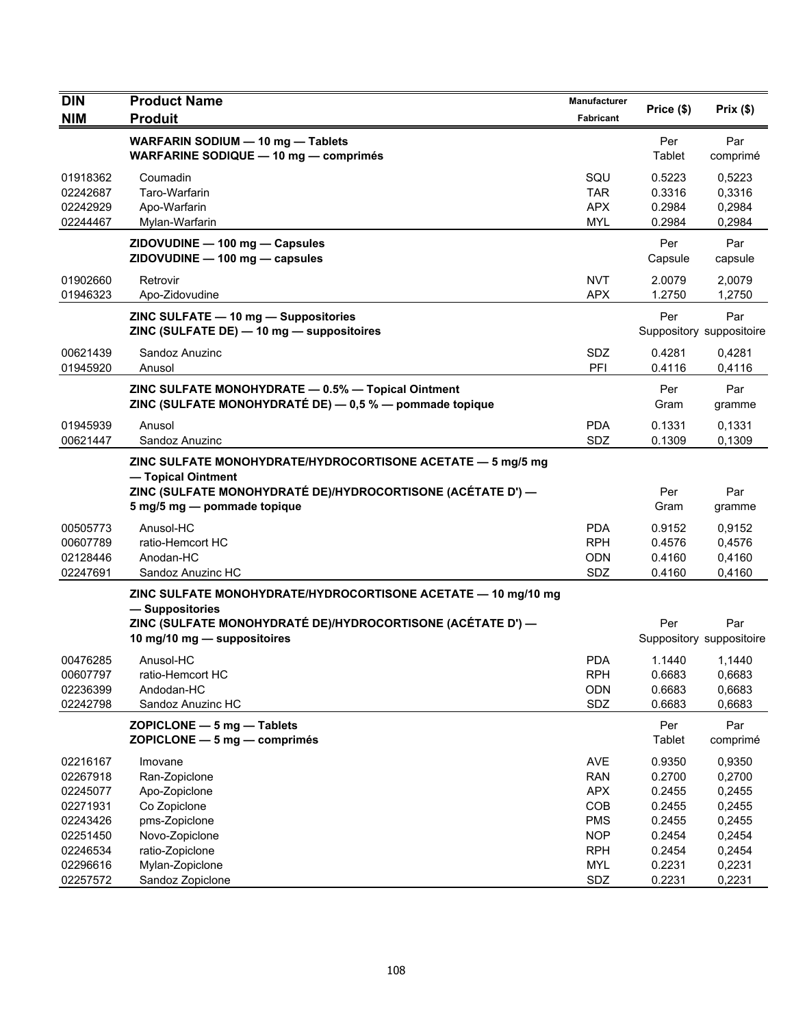| <b>DIN</b>           | <b>Product Name</b>                                                                                                                                                             | Manufacturer             | Price (\$)       | Prix(\$)                        |
|----------------------|---------------------------------------------------------------------------------------------------------------------------------------------------------------------------------|--------------------------|------------------|---------------------------------|
| <b>NIM</b>           | <b>Produit</b>                                                                                                                                                                  | <b>Fabricant</b>         |                  |                                 |
|                      | WARFARIN SODIUM - 10 mg - Tablets<br>WARFARINE SODIQUE - 10 mg - comprimés                                                                                                      |                          | Per<br>Tablet    | Par<br>comprimé                 |
| 01918362             | Coumadin                                                                                                                                                                        | SQU                      | 0.5223           | 0,5223                          |
| 02242687             | Taro-Warfarin                                                                                                                                                                   | TAR                      | 0.3316           | 0,3316                          |
| 02242929             | Apo-Warfarin                                                                                                                                                                    | <b>APX</b>               | 0.2984           | 0,2984                          |
| 02244467             | Mylan-Warfarin                                                                                                                                                                  | <b>MYL</b>               | 0.2984           | 0,2984                          |
|                      | ZIDOVUDINE - 100 mg - Capsules<br>ZIDOVUDINE - 100 mg - capsules                                                                                                                |                          | Per<br>Capsule   | Par<br>capsule                  |
| 01902660<br>01946323 | Retrovir<br>Apo-Zidovudine                                                                                                                                                      | <b>NVT</b><br><b>APX</b> | 2.0079<br>1.2750 | 2,0079<br>1,2750                |
|                      | ZINC SULFATE - 10 mg - Suppositories<br>ZINC (SULFATE DE) - 10 mg - suppositoires                                                                                               |                          | Per              | Par<br>Suppository suppositoire |
| 00621439             | Sandoz Anuzinc                                                                                                                                                                  | SDZ                      | 0.4281           | 0,4281                          |
| 01945920             | Anusol                                                                                                                                                                          | PFI                      | 0.4116           | 0,4116                          |
|                      | ZINC SULFATE MONOHYDRATE - 0.5% - Topical Ointment<br>ZINC (SULFATE MONOHYDRATÉ DE) - 0,5 % - pommade topique                                                                   |                          | Per<br>Gram      | Par<br>gramme                   |
| 01945939             | Anusol                                                                                                                                                                          | <b>PDA</b>               | 0.1331           | 0,1331                          |
| 00621447             | Sandoz Anuzinc                                                                                                                                                                  | SDZ                      | 0.1309           | 0,1309                          |
|                      | ZINC SULFATE MONOHYDRATE/HYDROCORTISONE ACETATE - 5 mg/5 mg<br>- Topical Ointment<br>ZINC (SULFATE MONOHYDRATÉ DE)/HYDROCORTISONE (ACÉTATE D') —<br>5 mg/5 mg - pommade topique |                          | Per<br>Gram      | Par<br>gramme                   |
|                      |                                                                                                                                                                                 |                          |                  |                                 |
| 00505773             | Anusol-HC                                                                                                                                                                       | <b>PDA</b><br><b>RPH</b> | 0.9152           | 0,9152<br>0,4576                |
| 00607789<br>02128446 | ratio-Hemcort HC<br>Anodan-HC                                                                                                                                                   | <b>ODN</b>               | 0.4576<br>0.4160 | 0,4160                          |
| 02247691             | Sandoz Anuzinc HC                                                                                                                                                               | SDZ                      | 0.4160           | 0,4160                          |
|                      | ZINC SULFATE MONOHYDRATE/HYDROCORTISONE ACETATE - 10 mg/10 mg<br>- Suppositories<br>ZINC (SULFATE MONOHYDRATÉ DE)/HYDROCORTISONE (ACÉTATE D') —<br>10 mg/10 mg - suppositoires  |                          | Per              | Par<br>Suppository suppositoire |
| 00476285             | Anusol-HC                                                                                                                                                                       | <b>PDA</b>               | 1.1440           | 1,1440                          |
| 00607797             | ratio-Hemcort HC                                                                                                                                                                | <b>RPH</b>               | 0.6683           | 0,6683                          |
| 02236399             | Andodan-HC                                                                                                                                                                      | ODN                      | 0.6683           | 0,6683                          |
| 02242798             | Sandoz Anuzinc HC                                                                                                                                                               | SDZ                      | 0.6683           | 0,6683                          |
|                      | ZOPICLONE - 5 mg - Tablets<br>ZOPICLONE - 5 mg - comprimés                                                                                                                      |                          | Per<br>Tablet    | Par<br>comprimé                 |
| 02216167             | Imovane                                                                                                                                                                         | <b>AVE</b>               | 0.9350           | 0,9350                          |
| 02267918             | Ran-Zopiclone                                                                                                                                                                   | <b>RAN</b>               | 0.2700           | 0,2700                          |
| 02245077             | Apo-Zopiclone                                                                                                                                                                   | <b>APX</b>               | 0.2455           | 0,2455                          |
| 02271931             | Co Zopiclone                                                                                                                                                                    | COB                      | 0.2455           | 0,2455                          |
| 02243426             | pms-Zopiclone                                                                                                                                                                   | <b>PMS</b>               | 0.2455           | 0,2455                          |
| 02251450             | Novo-Zopiclone                                                                                                                                                                  | <b>NOP</b>               | 0.2454           | 0,2454                          |
| 02246534             | ratio-Zopiclone                                                                                                                                                                 | <b>RPH</b>               | 0.2454           | 0,2454                          |
| 02296616             | Mylan-Zopiclone                                                                                                                                                                 | <b>MYL</b>               | 0.2231           | 0,2231                          |
| 02257572             | Sandoz Zopiclone                                                                                                                                                                | SDZ                      | 0.2231           | 0,2231                          |